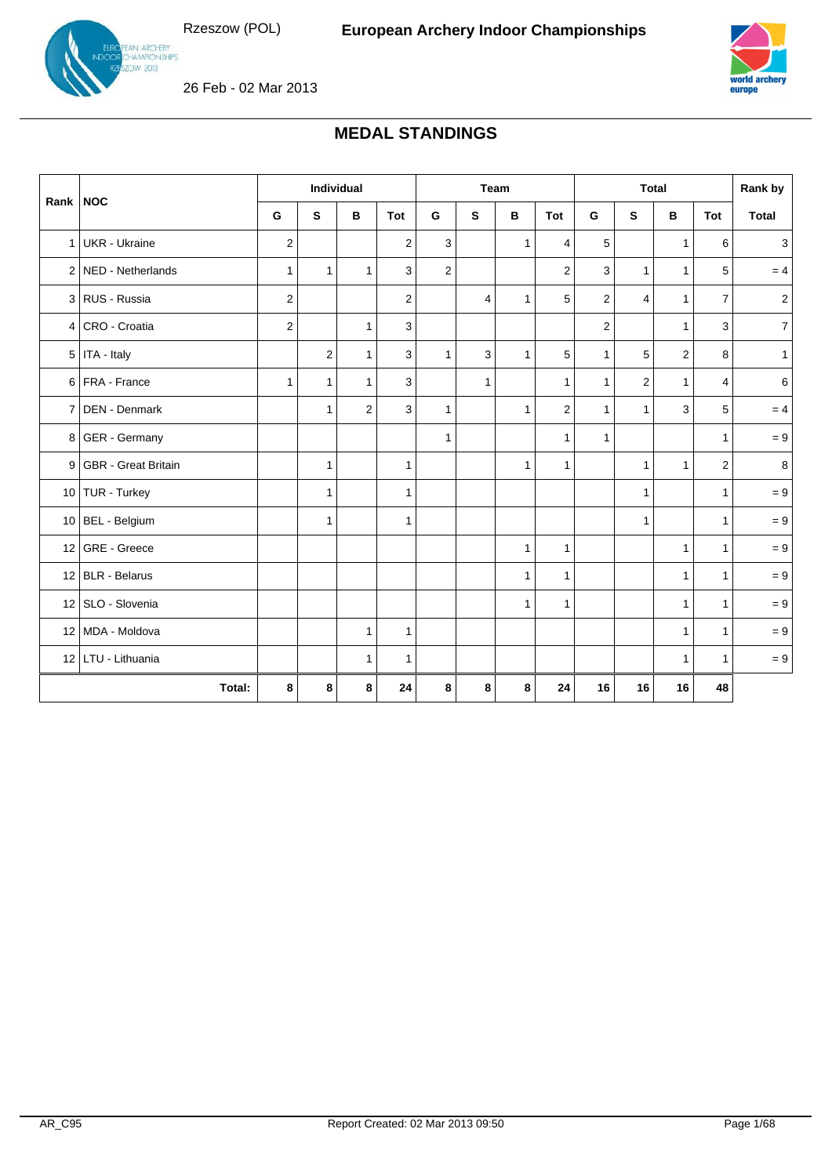N ARCHERY<br>AMPIONSHIPS  $v$  2013



26 Feb - 02 Mar 2013

# **MEDAL STANDINGS**

|                |                            | Individual       |                |              | Team           |                         |              | <b>Total</b> |                         |                |                | Rank by        |                |                |
|----------------|----------------------------|------------------|----------------|--------------|----------------|-------------------------|--------------|--------------|-------------------------|----------------|----------------|----------------|----------------|----------------|
| Rank   NOC     |                            | G                | S              | в            | Tot            | G                       | S            | В            | Tot                     | G              | S              | в              | Tot            | <b>Total</b>   |
|                | 1 UKR - Ukraine            | 2                |                |              | $\overline{2}$ | 3                       |              | 1            | 4                       | 5              |                | $\mathbf{1}$   | 6              | 3              |
|                | 2 NED - Netherlands        | $\mathbf{1}$     | $\mathbf{1}$   | $\mathbf{1}$ | 3              | $\overline{\mathbf{c}}$ |              |              | $\overline{\mathbf{c}}$ | 3              | $\mathbf{1}$   | $\mathbf{1}$   | 5              | $= 4$          |
|                | 3 RUS - Russia             | $\boldsymbol{2}$ |                |              | $\overline{c}$ |                         | 4            | $\mathbf{1}$ | 5                       | $\overline{c}$ | $\overline{4}$ | $\mathbf{1}$   | $\overline{7}$ | $\overline{2}$ |
|                | 4 CRO - Croatia            | $\overline{2}$   |                | $\mathbf{1}$ | 3              |                         |              |              |                         | $\overline{c}$ |                | $\mathbf{1}$   | 3              | 7 <sup>1</sup> |
|                | $5$ ITA - Italy            |                  | $\overline{2}$ | $\mathbf{1}$ | 3              | $\mathbf{1}$            | 3            | $\mathbf{1}$ | 5                       | $\mathbf{1}$   | 5              | $\overline{2}$ | 8              | $\mathbf{1}$   |
|                | 6 FRA - France             | $\mathbf{1}$     | $\mathbf{1}$   | $\mathbf{1}$ | 3              |                         | $\mathbf{1}$ |              | $\mathbf{1}$            | $\mathbf{1}$   | $\overline{2}$ | $\mathbf{1}$   | $\overline{4}$ | 6              |
| 7 I            | DEN - Denmark              |                  | $\mathbf{1}$   | 2            | 3              | $\mathbf{1}$            |              | $\mathbf{1}$ | $\overline{2}$          | $\mathbf{1}$   | $\mathbf{1}$   | 3              | 5              | $= 4$          |
|                | 8 GER - Germany            |                  |                |              |                | $\mathbf{1}$            |              |              | $\mathbf{1}$            | 1              |                |                | $\mathbf{1}$   | $=9$           |
| 9 <sub>1</sub> | <b>GBR</b> - Great Britain |                  | $\mathbf{1}$   |              | 1              |                         |              | $\mathbf{1}$ | $\mathbf{1}$            |                | $\mathbf{1}$   | $\mathbf{1}$   | 2              | 8              |
|                | 10 TUR - Turkey            |                  | $\mathbf{1}$   |              | $\mathbf{1}$   |                         |              |              |                         |                | $\mathbf{1}$   |                | $\mathbf{1}$   | $=9$           |
|                | 10 BEL - Belgium           |                  | $\mathbf{1}$   |              | $\mathbf{1}$   |                         |              |              |                         |                | $\mathbf{1}$   |                | $\mathbf{1}$   | $= 9$          |
|                | 12 GRE - Greece            |                  |                |              |                |                         |              | $\mathbf{1}$ | $\mathbf{1}$            |                |                | $\mathbf{1}$   | $\mathbf{1}$   | $= 9$          |
|                | 12 BLR - Belarus           |                  |                |              |                |                         |              | $\mathbf{1}$ | $\mathbf{1}$            |                |                | $\mathbf{1}$   | $\mathbf{1}$   | $= 9$          |
|                | 12 SLO - Slovenia          |                  |                |              |                |                         |              | $\mathbf{1}$ | $\mathbf{1}$            |                |                | $\mathbf{1}$   | $\mathbf{1}$   | $= 9$          |
|                | 12 MDA - Moldova           |                  |                | $\mathbf{1}$ | $\mathbf{1}$   |                         |              |              |                         |                |                | $\mathbf{1}$   | $\mathbf{1}$   | $= 9$          |
|                | 12 LTU - Lithuania         |                  |                | $\mathbf{1}$ | $\mathbf{1}$   |                         |              |              |                         |                |                | $\mathbf{1}$   | $\mathbf{1}$   | $=9$           |
|                | Total:                     | 8                | 8              | 8            | 24             | 8                       | 8            | 8            | 24                      | 16             | 16             | 16             | 48             |                |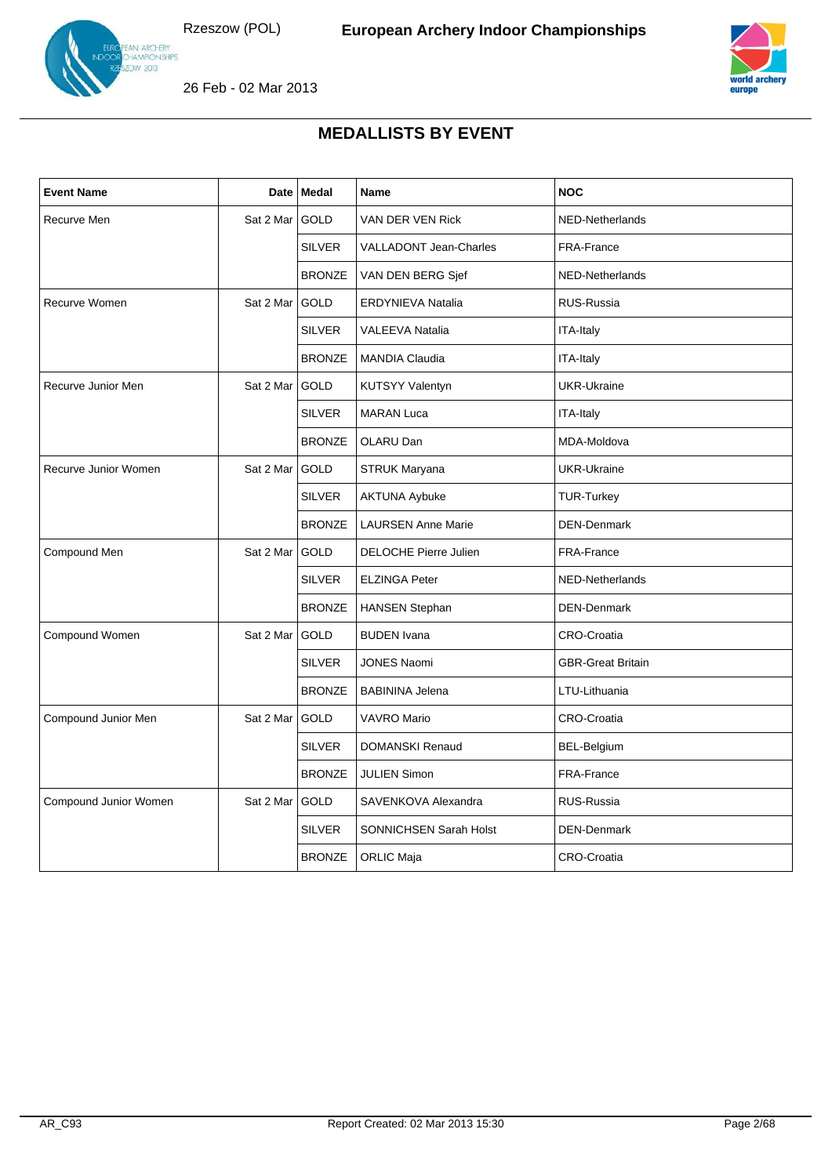



26 Feb - 02 Mar 2013

| <b>Event Name</b>     |           | Date Medal    | <b>Name</b>                   | <b>NOC</b>               |
|-----------------------|-----------|---------------|-------------------------------|--------------------------|
| Recurve Men           | Sat 2 Mar | GOLD          | VAN DER VEN Rick              | NED-Netherlands          |
|                       |           | <b>SILVER</b> | <b>VALLADONT Jean-Charles</b> | FRA-France               |
|                       |           | <b>BRONZE</b> | VAN DEN BERG Sjef             | NED-Netherlands          |
| Recurve Women         | Sat 2 Mar | GOLD          | ERDYNIEVA Natalia             | RUS-Russia               |
|                       |           | <b>SILVER</b> | <b>VALEEVA Natalia</b>        | ITA-Italy                |
|                       |           | <b>BRONZE</b> | <b>MANDIA Claudia</b>         | ITA-Italy                |
| Recurve Junior Men    | Sat 2 Mar | <b>GOLD</b>   | <b>KUTSYY Valentyn</b>        | <b>UKR-Ukraine</b>       |
|                       |           | <b>SILVER</b> | <b>MARAN Luca</b>             | ITA-Italy                |
|                       |           | <b>BRONZE</b> | OLARU Dan                     | MDA-Moldova              |
| Recurve Junior Women  | Sat 2 Mar | <b>GOLD</b>   | <b>STRUK Maryana</b>          | <b>UKR-Ukraine</b>       |
|                       |           | <b>SILVER</b> | <b>AKTUNA Aybuke</b>          | <b>TUR-Turkey</b>        |
|                       |           | <b>BRONZE</b> | <b>LAURSEN Anne Marie</b>     | <b>DEN-Denmark</b>       |
| Compound Men          | Sat 2 Mar | <b>GOLD</b>   | <b>DELOCHE Pierre Julien</b>  | FRA-France               |
|                       |           | <b>SILVER</b> | <b>ELZINGA Peter</b>          | NED-Netherlands          |
|                       |           | <b>BRONZE</b> | <b>HANSEN Stephan</b>         | <b>DEN-Denmark</b>       |
| Compound Women        | Sat 2 Mar | GOLD          | <b>BUDEN</b> Ivana            | <b>CRO-Croatia</b>       |
|                       |           | <b>SILVER</b> | <b>JONES Naomi</b>            | <b>GBR-Great Britain</b> |
|                       |           | <b>BRONZE</b> | <b>BABININA Jelena</b>        | LTU-Lithuania            |
| Compound Junior Men   | Sat 2 Mar | GOLD          | <b>VAVRO Mario</b>            | CRO-Croatia              |
|                       |           | <b>SILVER</b> | <b>DOMANSKI Renaud</b>        | BEL-Belgium              |
|                       |           | <b>BRONZE</b> | <b>JULIEN Simon</b>           | FRA-France               |
| Compound Junior Women | Sat 2 Mar | <b>GOLD</b>   | SAVENKOVA Alexandra           | RUS-Russia               |
|                       |           | <b>SILVER</b> | SONNICHSEN Sarah Holst        | <b>DEN-Denmark</b>       |
|                       |           | <b>BRONZE</b> | <b>ORLIC Maja</b>             | <b>CRO-Croatia</b>       |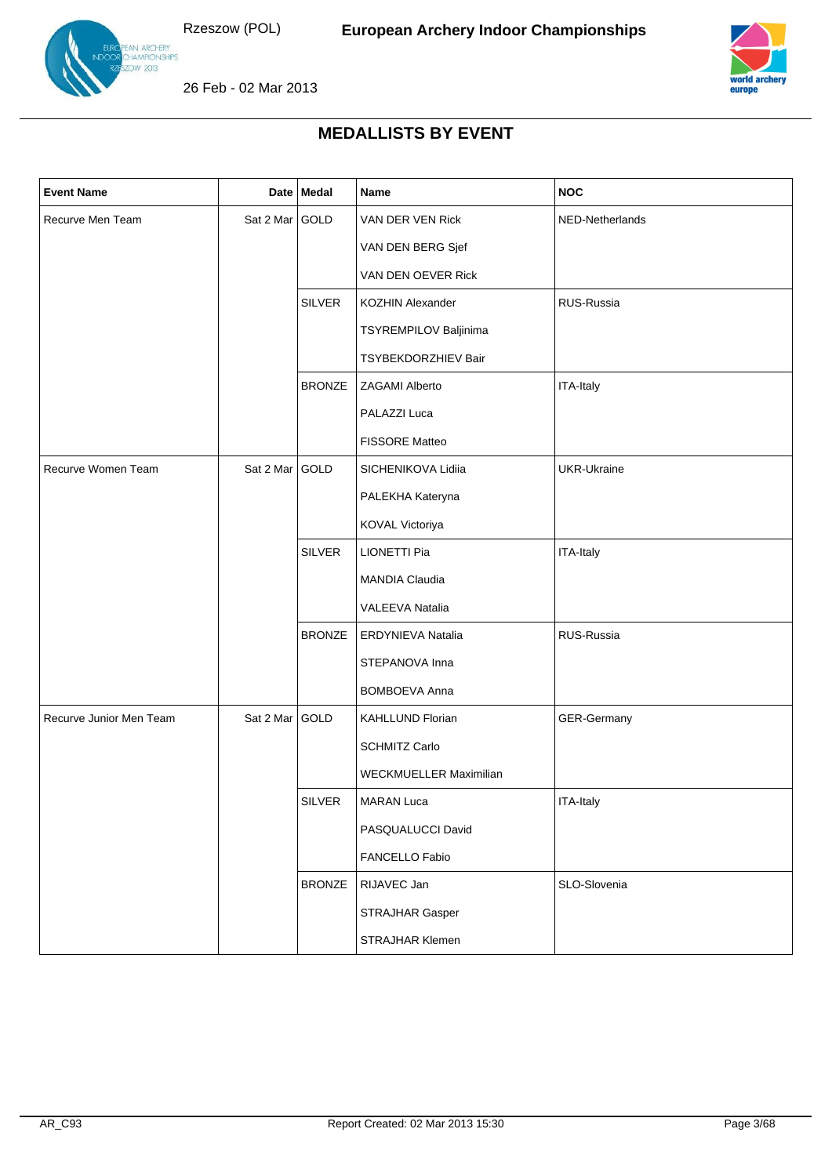

N ARCHERY<br>AMPIONSHIPS  $\sqrt{2013}$ 



26 Feb - 02 Mar 2013

| <b>Event Name</b>       |                | Date   Medal  | Name                          | <b>NOC</b>      |
|-------------------------|----------------|---------------|-------------------------------|-----------------|
| Recurve Men Team        | Sat 2 Mar GOLD |               | VAN DER VEN Rick              | NED-Netherlands |
|                         |                |               | VAN DEN BERG Sjef             |                 |
|                         |                |               | VAN DEN OEVER Rick            |                 |
|                         |                | <b>SILVER</b> | <b>KOZHIN Alexander</b>       | RUS-Russia      |
|                         |                |               | TSYREMPILOV Baljinima         |                 |
|                         |                |               | TSYBEKDORZHIEV Bair           |                 |
|                         |                | <b>BRONZE</b> | <b>ZAGAMI Alberto</b>         | ITA-Italy       |
|                         |                |               | PALAZZI Luca                  |                 |
|                         |                |               | FISSORE Matteo                |                 |
| Recurve Women Team      | Sat 2 Mar GOLD |               | SICHENIKOVA Lidiia            | UKR-Ukraine     |
|                         |                |               | PALEKHA Kateryna              |                 |
|                         |                |               | KOVAL Victoriya               |                 |
|                         |                | <b>SILVER</b> | <b>LIONETTI Pia</b>           | ITA-Italy       |
|                         |                |               | MANDIA Claudia                |                 |
|                         |                |               | VALEEVA Natalia               |                 |
|                         |                | <b>BRONZE</b> | <b>ERDYNIEVA Natalia</b>      | RUS-Russia      |
|                         |                |               | STEPANOVA Inna                |                 |
|                         |                |               | <b>BOMBOEVA Anna</b>          |                 |
| Recurve Junior Men Team | Sat 2 Mar GOLD |               | KAHLLUND Florian              | GER-Germany     |
|                         |                |               | <b>SCHMITZ Carlo</b>          |                 |
|                         |                |               | <b>WECKMUELLER Maximilian</b> |                 |
|                         |                | <b>SILVER</b> | <b>MARAN Luca</b>             | ITA-Italy       |
|                         |                |               | PASQUALUCCI David             |                 |
|                         |                |               | FANCELLO Fabio                |                 |
|                         |                | <b>BRONZE</b> | RIJAVEC Jan                   | SLO-Slovenia    |
|                         |                |               | STRAJHAR Gasper               |                 |
|                         |                |               | STRAJHAR Klemen               |                 |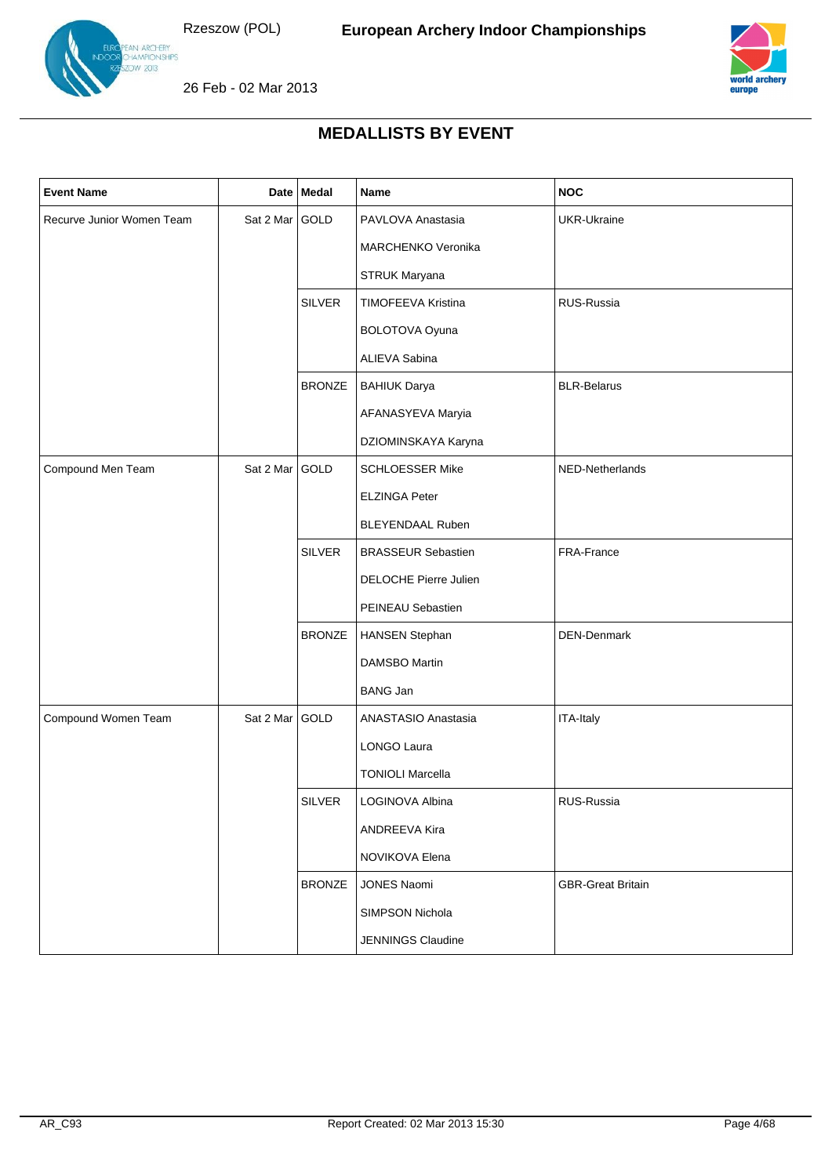



26 Feb - 02 Mar 2013

| <b>Event Name</b>         |                | Date Medal    | Name                      | <b>NOC</b>               |
|---------------------------|----------------|---------------|---------------------------|--------------------------|
| Recurve Junior Women Team | Sat 2 Mar GOLD |               | PAVLOVA Anastasia         | <b>UKR-Ukraine</b>       |
|                           |                |               | MARCHENKO Veronika        |                          |
|                           |                |               | STRUK Maryana             |                          |
|                           |                | <b>SILVER</b> | TIMOFEEVA Kristina        | RUS-Russia               |
|                           |                |               | BOLOTOVA Oyuna            |                          |
|                           |                |               | ALIEVA Sabina             |                          |
|                           |                | <b>BRONZE</b> | <b>BAHIUK Darya</b>       | <b>BLR-Belarus</b>       |
|                           |                |               | AFANASYEVA Maryia         |                          |
|                           |                |               | DZIOMINSKAYA Karyna       |                          |
| Compound Men Team         | Sat 2 Mar      | GOLD          | <b>SCHLOESSER Mike</b>    | NED-Netherlands          |
|                           |                |               | <b>ELZINGA Peter</b>      |                          |
|                           |                |               | BLEYENDAAL Ruben          |                          |
|                           |                | <b>SILVER</b> | <b>BRASSEUR Sebastien</b> | FRA-France               |
|                           |                |               | DELOCHE Pierre Julien     |                          |
|                           |                |               | PEINEAU Sebastien         |                          |
|                           |                | <b>BRONZE</b> | <b>HANSEN Stephan</b>     | DEN-Denmark              |
|                           |                |               | <b>DAMSBO Martin</b>      |                          |
|                           |                |               | <b>BANG Jan</b>           |                          |
| Compound Women Team       | Sat 2 Mar      | GOLD          | ANASTASIO Anastasia       | ITA-Italy                |
|                           |                |               | LONGO Laura               |                          |
|                           |                |               | <b>TONIOLI Marcella</b>   |                          |
|                           |                | <b>SILVER</b> | LOGINOVA Albina           | RUS-Russia               |
|                           |                |               | <b>ANDREEVA Kira</b>      |                          |
|                           |                |               | NOVIKOVA Elena            |                          |
|                           |                | <b>BRONZE</b> | JONES Naomi               | <b>GBR-Great Britain</b> |
|                           |                |               | SIMPSON Nichola           |                          |
|                           |                |               | JENNINGS Claudine         |                          |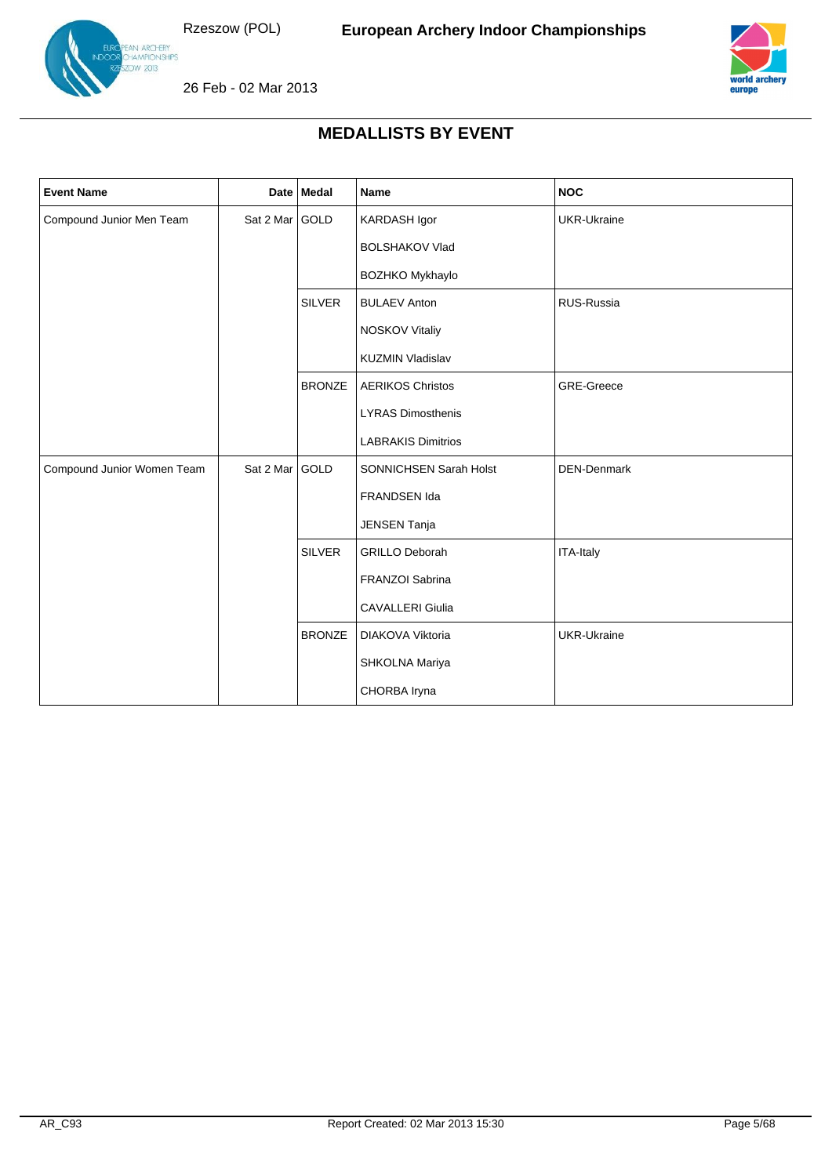

N ARCHERY<br>AMPIONSHIPS  $v$  2013



26 Feb - 02 Mar 2013

| <b>Event Name</b>          |                | Date Medal    | Name                      | <b>NOC</b>         |
|----------------------------|----------------|---------------|---------------------------|--------------------|
| Compound Junior Men Team   | Sat 2 Mar GOLD |               | KARDASH Igor              | <b>UKR-Ukraine</b> |
|                            |                |               | <b>BOLSHAKOV Vlad</b>     |                    |
|                            |                |               | <b>BOZHKO Mykhaylo</b>    |                    |
|                            |                | <b>SILVER</b> | <b>BULAEV Anton</b>       | RUS-Russia         |
|                            |                |               | <b>NOSKOV Vitaliy</b>     |                    |
|                            |                |               | <b>KUZMIN Vladislav</b>   |                    |
|                            |                | <b>BRONZE</b> | <b>AERIKOS Christos</b>   | GRE-Greece         |
|                            |                |               | <b>LYRAS Dimosthenis</b>  |                    |
|                            |                |               | <b>LABRAKIS Dimitrios</b> |                    |
| Compound Junior Women Team | Sat 2 Mar GOLD |               | SONNICHSEN Sarah Holst    | DEN-Denmark        |
|                            |                |               | FRANDSEN Ida              |                    |
|                            |                |               | <b>JENSEN Tanja</b>       |                    |
|                            |                | <b>SILVER</b> | <b>GRILLO Deborah</b>     | ITA-Italy          |
|                            |                |               | FRANZOI Sabrina           |                    |
|                            |                |               | <b>CAVALLERI Giulia</b>   |                    |
|                            |                | <b>BRONZE</b> | DIAKOVA Viktoria          | <b>UKR-Ukraine</b> |
|                            |                |               | SHKOLNA Mariya            |                    |
|                            |                |               | CHORBA Iryna              |                    |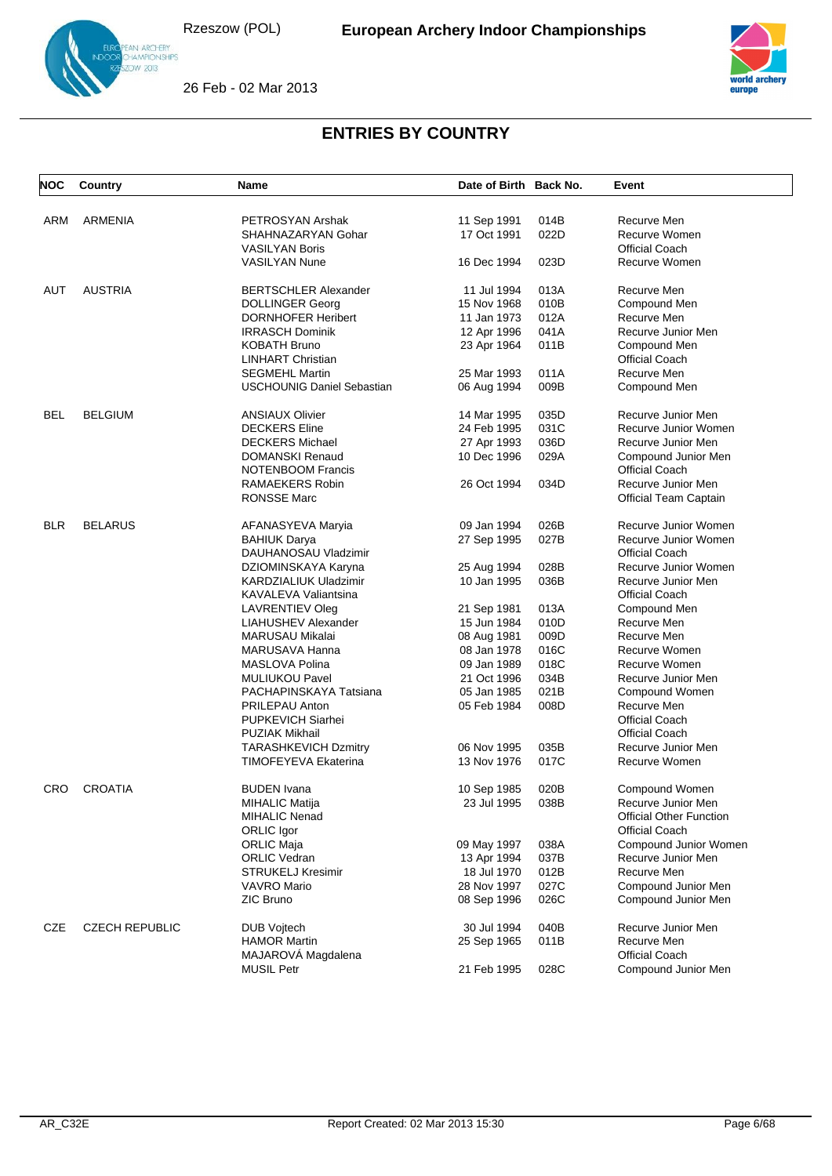



26 Feb - 02 Mar 2013

| <b>NOC</b> | Country               | <b>Name</b>                       | Date of Birth Back No. |      | Event                          |
|------------|-----------------------|-----------------------------------|------------------------|------|--------------------------------|
|            |                       |                                   |                        |      |                                |
| ARM        | <b>ARMENIA</b>        | PETROSYAN Arshak                  | 11 Sep 1991            | 014B | Recurve Men                    |
|            |                       | SHAHNAZARYAN Gohar                | 17 Oct 1991            | 022D | Recurve Women                  |
|            |                       | <b>VASILYAN Boris</b>             |                        |      | <b>Official Coach</b>          |
|            |                       | <b>VASILYAN Nune</b>              | 16 Dec 1994            | 023D | Recurve Women                  |
| AUT        | <b>AUSTRIA</b>        | <b>BERTSCHLER Alexander</b>       | 11 Jul 1994            | 013A | Recurve Men                    |
|            |                       | <b>DOLLINGER Georg</b>            | 15 Nov 1968            | 010B | Compound Men                   |
|            |                       | <b>DORNHOFER Heribert</b>         | 11 Jan 1973            | 012A | Recurve Men                    |
|            |                       | <b>IRRASCH Dominik</b>            | 12 Apr 1996            | 041A | Recurve Junior Men             |
|            |                       | <b>KOBATH Bruno</b>               | 23 Apr 1964            | 011B | Compound Men                   |
|            |                       | <b>LINHART Christian</b>          |                        |      | <b>Official Coach</b>          |
|            |                       | <b>SEGMEHL Martin</b>             | 25 Mar 1993            | 011A | Recurve Men                    |
|            |                       | <b>USCHOUNIG Daniel Sebastian</b> | 06 Aug 1994            | 009B | Compound Men                   |
| <b>BEL</b> | <b>BELGIUM</b>        | <b>ANSIAUX Olivier</b>            | 14 Mar 1995            | 035D | Recurve Junior Men             |
|            |                       | <b>DECKERS</b> Eline              | 24 Feb 1995            | 031C | Recurve Junior Women           |
|            |                       | <b>DECKERS Michael</b>            | 27 Apr 1993            | 036D | Recurve Junior Men             |
|            |                       | <b>DOMANSKI Renaud</b>            | 10 Dec 1996            | 029A | Compound Junior Men            |
|            |                       | <b>NOTENBOOM Francis</b>          |                        |      | <b>Official Coach</b>          |
|            |                       | RAMAEKERS Robin                   | 26 Oct 1994            | 034D | Recurve Junior Men             |
|            |                       | <b>RONSSE Marc</b>                |                        |      | Official Team Captain          |
| <b>BLR</b> | <b>BELARUS</b>        | AFANASYEVA Maryia                 | 09 Jan 1994            | 026B | Recurve Junior Women           |
|            |                       | <b>BAHIUK Darya</b>               | 27 Sep 1995            | 027B | Recurve Junior Women           |
|            |                       | DAUHANOSAU Vladzimir              |                        |      | <b>Official Coach</b>          |
|            |                       | DZIOMINSKAYA Karyna               | 25 Aug 1994            | 028B | Recurve Junior Women           |
|            |                       | KARDZIALIUK Uladzimir             | 10 Jan 1995            | 036B | Recurve Junior Men             |
|            |                       | KAVALEVA Valiantsina              |                        |      | <b>Official Coach</b>          |
|            |                       | LAVRENTIEV Oleg                   | 21 Sep 1981            | 013A | Compound Men                   |
|            |                       | LIAHUSHEV Alexander               | 15 Jun 1984            | 010D | Recurve Men                    |
|            |                       | MARUSAU Mikalai                   | 08 Aug 1981            | 009D | Recurve Men                    |
|            |                       | MARUSAVA Hanna                    | 08 Jan 1978            | 016C | Recurve Women                  |
|            |                       | MASLOVA Polina                    | 09 Jan 1989            | 018C | Recurve Women                  |
|            |                       | <b>MULIUKOU Pavel</b>             | 21 Oct 1996            | 034B | Recurve Junior Men             |
|            |                       | PACHAPINSKAYA Tatsiana            | 05 Jan 1985            | 021B | Compound Women                 |
|            |                       | PRILEPAU Anton                    | 05 Feb 1984            | 008D | Recurve Men                    |
|            |                       | PUPKEVICH Siarhei                 |                        |      | <b>Official Coach</b>          |
|            |                       | <b>PUZIAK Mikhail</b>             |                        |      | Official Coach                 |
|            |                       | <b>TARASHKEVICH Dzmitry</b>       | 06 Nov 1995            | 035B | Recurve Junior Men             |
|            |                       | TIMOFEYEVA Ekaterina              | 13 Nov 1976            | 017C | Recurve Women                  |
| <b>CRO</b> | <b>CROATIA</b>        | <b>BUDEN</b> Ivana                | 10 Sep 1985            | 020B | Compound Women                 |
|            |                       | MIHALIC Matija                    | 23 Jul 1995            | 038B | Recurve Junior Men             |
|            |                       | MIHALIC Nenad                     |                        |      | <b>Official Other Function</b> |
|            |                       | ORLIC Igor                        |                        |      | <b>Official Coach</b>          |
|            |                       | <b>ORLIC Maja</b>                 | 09 May 1997            | 038A | Compound Junior Women          |
|            |                       | <b>ORLIC Vedran</b>               | 13 Apr 1994            | 037B | Recurve Junior Men             |
|            |                       | <b>STRUKELJ Kresimir</b>          | 18 Jul 1970            | 012B | Recurve Men                    |
|            |                       | <b>VAVRO Mario</b>                | 28 Nov 1997            | 027C | Compound Junior Men            |
|            |                       | <b>ZIC Bruno</b>                  | 08 Sep 1996            | 026C | Compound Junior Men            |
| CZE        | <b>CZECH REPUBLIC</b> | <b>DUB Vojtech</b>                | 30 Jul 1994            | 040B | Recurve Junior Men             |
|            |                       | <b>HAMOR Martin</b>               | 25 Sep 1965            | 011B | Recurve Men                    |
|            |                       | MAJAROVA Magdalena                |                        |      | <b>Official Coach</b>          |
|            |                       | <b>MUSIL Petr</b>                 | 21 Feb 1995            | 028C | Compound Junior Men            |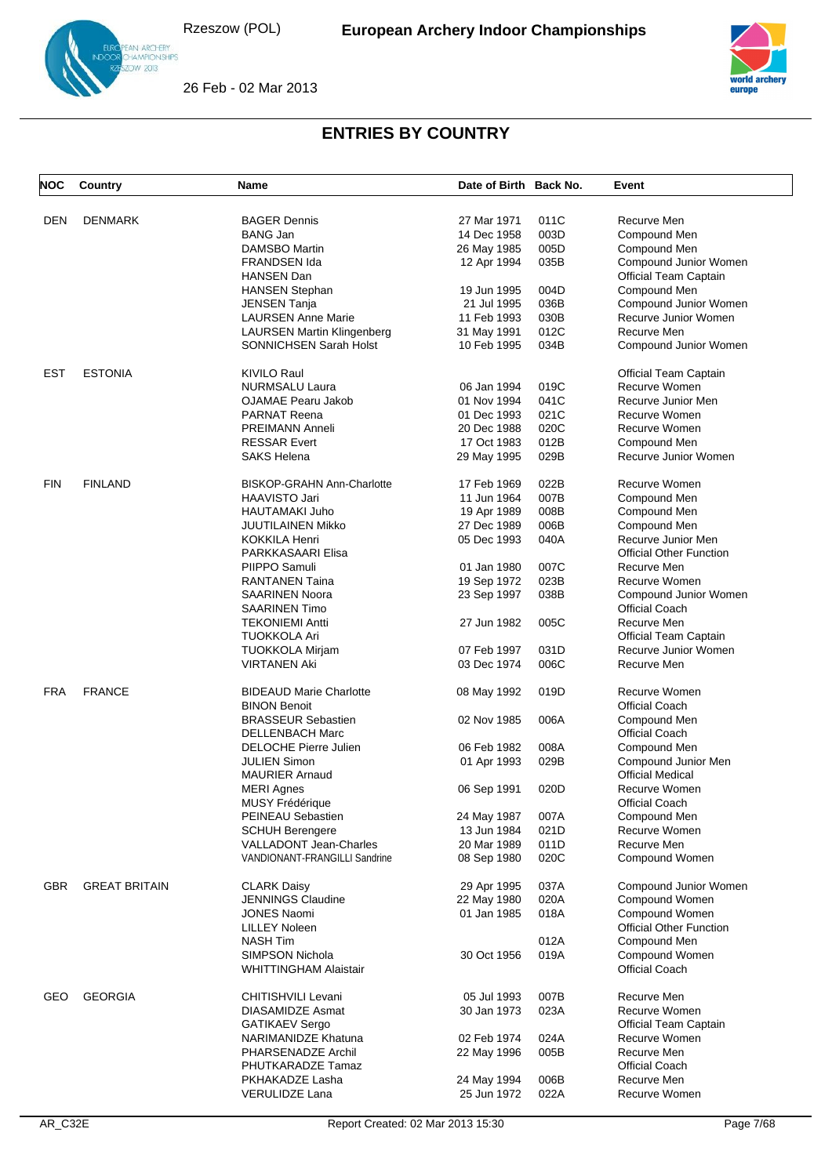



26 Feb - 02 Mar 2013

| <b>NOC</b> | Country              | Name                              | Date of Birth Back No. |      | Event                                   |
|------------|----------------------|-----------------------------------|------------------------|------|-----------------------------------------|
| DEN        | <b>DENMARK</b>       | <b>BAGER Dennis</b>               | 27 Mar 1971            | 011C | Recurve Men                             |
|            |                      | <b>BANG Jan</b>                   | 14 Dec 1958            | 003D | Compound Men                            |
|            |                      |                                   |                        |      |                                         |
|            |                      | <b>DAMSBO Martin</b>              | 26 May 1985            | 005D | Compound Men                            |
|            |                      | <b>FRANDSEN Ida</b>               | 12 Apr 1994            | 035B | Compound Junior Women                   |
|            |                      | <b>HANSEN Dan</b>                 |                        |      | Official Team Captain                   |
|            |                      | <b>HANSEN Stephan</b>             | 19 Jun 1995            | 004D | Compound Men                            |
|            |                      | <b>JENSEN Tanja</b>               | 21 Jul 1995            | 036B | Compound Junior Women                   |
|            |                      | <b>LAURSEN Anne Marie</b>         | 11 Feb 1993            | 030B | Recurve Junior Women                    |
|            |                      | <b>LAURSEN Martin Klingenberg</b> | 31 May 1991            | 012C | Recurve Men                             |
|            |                      | <b>SONNICHSEN Sarah Holst</b>     | 10 Feb 1995            | 034B | Compound Junior Women                   |
| EST        | <b>ESTONIA</b>       | <b>KIVILO Raul</b>                |                        |      | <b>Official Team Captain</b>            |
|            |                      | <b>NURMSALU Laura</b>             | 06 Jan 1994            | 019C | Recurve Women                           |
|            |                      | OJAMAE Pearu Jakob                | 01 Nov 1994            | 041C | Recurve Junior Men                      |
|            |                      | <b>PARNAT Reena</b>               | 01 Dec 1993            | 021C | Recurve Women                           |
|            |                      | <b>PREIMANN Anneli</b>            | 20 Dec 1988            | 020C | Recurve Women                           |
|            |                      | <b>RESSAR Evert</b>               | 17 Oct 1983            | 012B | Compound Men                            |
|            |                      | <b>SAKS Helena</b>                | 29 May 1995            | 029B | Recurve Junior Women                    |
| <b>FIN</b> | <b>FINLAND</b>       | <b>BISKOP-GRAHN Ann-Charlotte</b> | 17 Feb 1969            | 022B | Recurve Women                           |
|            |                      | HAAVISTO Jari                     | 11 Jun 1964            | 007B | Compound Men                            |
|            |                      | HAUTAMAKI Juho                    | 19 Apr 1989            | 008B | Compound Men                            |
|            |                      | <b>JUUTILAINEN Mikko</b>          |                        | 006B | Compound Men                            |
|            |                      |                                   | 27 Dec 1989            |      |                                         |
|            |                      | <b>KOKKILA Henri</b>              | 05 Dec 1993            | 040A | Recurve Junior Men                      |
|            |                      | PARKKASAARI Elisa                 |                        |      | <b>Official Other Function</b>          |
|            |                      | PIIPPO Samuli                     | 01 Jan 1980            | 007C | Recurve Men                             |
|            |                      | <b>RANTANEN Taina</b>             | 19 Sep 1972            | 023B | Recurve Women                           |
|            |                      | <b>SAARINEN Noora</b>             | 23 Sep 1997            | 038B | Compound Junior Women                   |
|            |                      | <b>SAARINEN Timo</b>              |                        |      | <b>Official Coach</b>                   |
|            |                      | <b>TEKONIEMI Antti</b>            | 27 Jun 1982            | 005C | Recurve Men                             |
|            |                      | <b>TUOKKOLA Ari</b>               |                        |      | Official Team Captain                   |
|            |                      | <b>TUOKKOLA Mirjam</b>            | 07 Feb 1997            | 031D | Recurve Junior Women                    |
|            |                      | <b>VIRTANEN Aki</b>               | 03 Dec 1974            | 006C | Recurve Men                             |
| <b>FRA</b> | <b>FRANCE</b>        | <b>BIDEAUD Marie Charlotte</b>    | 08 May 1992            | 019D | Recurve Women                           |
|            |                      | <b>BINON Benoit</b>               |                        |      | <b>Official Coach</b>                   |
|            |                      | <b>BRASSEUR Sebastien</b>         | 02 Nov 1985            | 006A | Compound Men                            |
|            |                      | <b>DELLENBACH Marc</b>            |                        |      | <b>Official Coach</b>                   |
|            |                      | <b>DELOCHE Pierre Julien</b>      | 06 Feb 1982            | 008A | Compound Men                            |
|            |                      | <b>JULIEN Simon</b>               |                        | 029B |                                         |
|            |                      |                                   | 01 Apr 1993            |      | Compound Junior Men                     |
|            |                      | <b>MAURIER Arnaud</b>             |                        |      | <b>Official Medical</b>                 |
|            |                      | <b>MERI Agnes</b>                 | 06 Sep 1991            | 020D | Recurve Women                           |
|            |                      | MUSY Frédérique                   |                        |      | <b>Official Coach</b>                   |
|            |                      | PEINEAU Sebastien                 | 24 May 1987            | 007A | Compound Men                            |
|            |                      | <b>SCHUH Berengere</b>            | 13 Jun 1984            | 021D | Recurve Women                           |
|            |                      | VALLADONT Jean-Charles            | 20 Mar 1989            | 011D | Recurve Men                             |
|            |                      | VANDIONANT-FRANGILLI Sandrine     | 08 Sep 1980            | 020C | Compound Women                          |
| <b>GBR</b> | <b>GREAT BRITAIN</b> | <b>CLARK Daisy</b>                | 29 Apr 1995            | 037A | Compound Junior Women                   |
|            |                      | <b>JENNINGS Claudine</b>          | 22 May 1980            | 020A | Compound Women                          |
|            |                      | <b>JONES Naomi</b>                | 01 Jan 1985            | 018A | Compound Women                          |
|            |                      | <b>LILLEY Noleen</b>              |                        |      | <b>Official Other Function</b>          |
|            |                      | <b>NASH Tim</b>                   |                        | 012A | Compound Men                            |
|            |                      | <b>SIMPSON Nichola</b>            | 30 Oct 1956            | 019A |                                         |
|            |                      | <b>WHITTINGHAM Alaistair</b>      |                        |      | Compound Women<br><b>Official Coach</b> |
| GEO        | <b>GEORGIA</b>       | CHITISHVILI Levani                | 05 Jul 1993            | 007B | Recurve Men                             |
|            |                      | DIASAMIDZE Asmat                  |                        | 023A | Recurve Women                           |
|            |                      |                                   | 30 Jan 1973            |      |                                         |
|            |                      | <b>GATIKAEV Sergo</b>             |                        |      | <b>Official Team Captain</b>            |
|            |                      | NARIMANIDZE Khatuna               | 02 Feb 1974            | 024A | Recurve Women                           |
|            |                      | PHARSENADZE Archil                | 22 May 1996            | 005B | Recurve Men                             |
|            |                      | PHUTKARADZE Tamaz                 |                        |      | <b>Official Coach</b>                   |
|            |                      | PKHAKADZE Lasha                   | 24 May 1994            | 006B | Recurve Men                             |
|            |                      | <b>VERULIDZE Lana</b>             | 25 Jun 1972            | 022A | Recurve Women                           |
|            |                      |                                   |                        |      |                                         |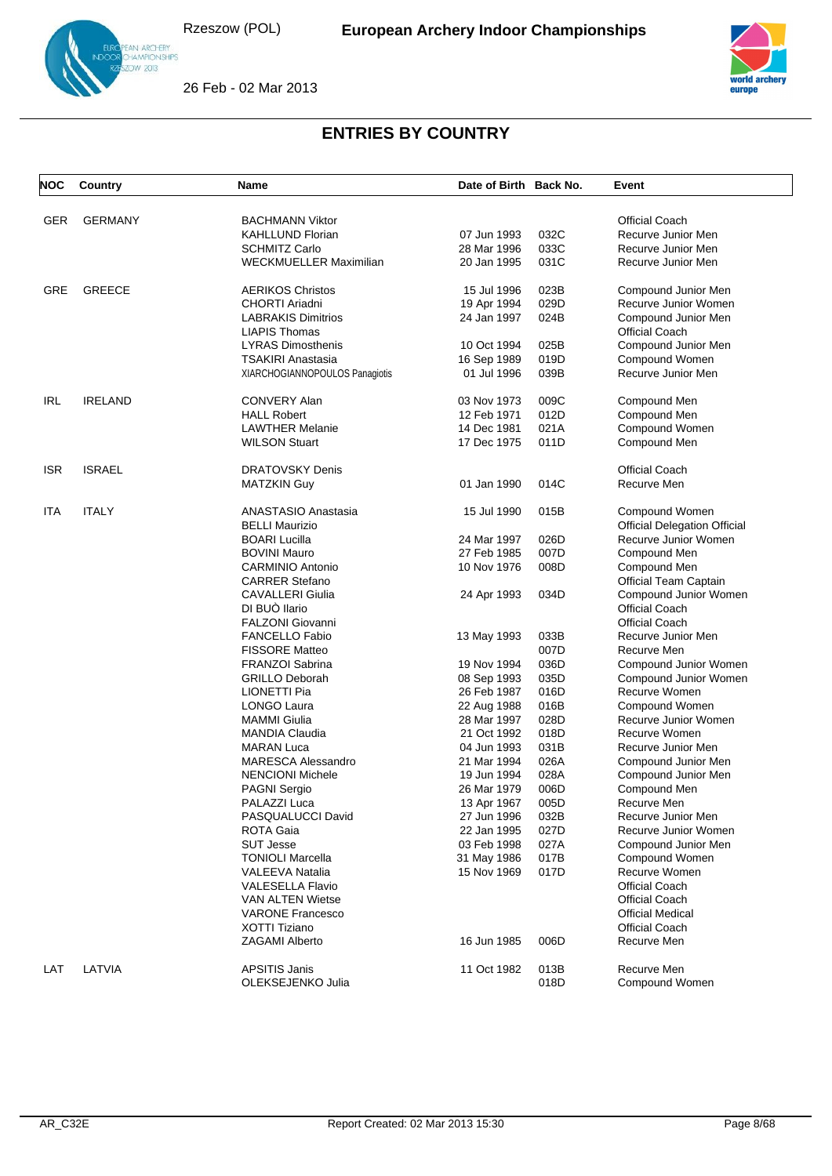



26 Feb - 02 Mar 2013

| <b>NOC</b> | Country        | <b>Name</b>                    | Date of Birth Back No. |              | Event                               |
|------------|----------------|--------------------------------|------------------------|--------------|-------------------------------------|
|            |                |                                |                        |              |                                     |
| GER        | <b>GERMANY</b> | <b>BACHMANN Viktor</b>         |                        |              | <b>Official Coach</b>               |
|            |                | <b>KAHLLUND Florian</b>        | 07 Jun 1993            | 032C<br>033C | Recurve Junior Men                  |
|            |                | <b>SCHMITZ Carlo</b>           | 28 Mar 1996            |              | Recurve Junior Men                  |
|            |                | <b>WECKMUELLER Maximilian</b>  | 20 Jan 1995            | 031C         | Recurve Junior Men                  |
| GRE        | <b>GREECE</b>  | <b>AERIKOS Christos</b>        | 15 Jul 1996            | 023B         | Compound Junior Men                 |
|            |                | <b>CHORTI Ariadni</b>          | 19 Apr 1994            | 029D         | Recurve Junior Women                |
|            |                | <b>LABRAKIS Dimitrios</b>      | 24 Jan 1997            | 024B         | Compound Junior Men                 |
|            |                | <b>LIAPIS Thomas</b>           |                        |              | <b>Official Coach</b>               |
|            |                | <b>LYRAS Dimosthenis</b>       | 10 Oct 1994            | 025B         | Compound Junior Men                 |
|            |                | <b>TSAKIRI Anastasia</b>       | 16 Sep 1989            | 019D         | Compound Women                      |
|            |                | XIARCHOGIANNOPOULOS Panagiotis | 01 Jul 1996            | 039B         | Recurve Junior Men                  |
| <b>IRL</b> | <b>IRELAND</b> | <b>CONVERY Alan</b>            | 03 Nov 1973            | 009C         | Compound Men                        |
|            |                | <b>HALL Robert</b>             | 12 Feb 1971            | 012D         | Compound Men                        |
|            |                | <b>LAWTHER Melanie</b>         | 14 Dec 1981            | 021A         | Compound Women                      |
|            |                | <b>WILSON Stuart</b>           | 17 Dec 1975            | 011D         | Compound Men                        |
|            |                |                                |                        |              |                                     |
| <b>ISR</b> | <b>ISRAEL</b>  | <b>DRATOVSKY Denis</b>         |                        |              | <b>Official Coach</b>               |
|            |                | <b>MATZKIN Guy</b>             | 01 Jan 1990            | 014C         | Recurve Men                         |
| ITA        | <b>ITALY</b>   | <b>ANASTASIO Anastasia</b>     | 15 Jul 1990            | 015B         | Compound Women                      |
|            |                | <b>BELLI Maurizio</b>          |                        |              | <b>Official Delegation Official</b> |
|            |                | <b>BOARI Lucilla</b>           | 24 Mar 1997            | 026D         | Recurve Junior Women                |
|            |                | <b>BOVINI Mauro</b>            | 27 Feb 1985            | 007D         | Compound Men                        |
|            |                | <b>CARMINIO Antonio</b>        | 10 Nov 1976            | 008D         | Compound Men                        |
|            |                | <b>CARRER Stefano</b>          |                        |              | Official Team Captain               |
|            |                | <b>CAVALLERI Giulia</b>        | 24 Apr 1993            | 034D         | Compound Junior Women               |
|            |                | DI BUÒ llario                  |                        |              | <b>Official Coach</b>               |
|            |                | <b>FALZONI Giovanni</b>        |                        |              | <b>Official Coach</b>               |
|            |                | <b>FANCELLO Fabio</b>          | 13 May 1993            | 033B         | Recurve Junior Men                  |
|            |                | <b>FISSORE Matteo</b>          |                        | 007D         | Recurve Men                         |
|            |                | FRANZOI Sabrina                | 19 Nov 1994            | 036D         | Compound Junior Women               |
|            |                | <b>GRILLO Deborah</b>          | 08 Sep 1993            | 035D         | Compound Junior Women               |
|            |                | LIONETTI Pia                   | 26 Feb 1987            | 016D         | Recurve Women                       |
|            |                | <b>LONGO Laura</b>             | 22 Aug 1988            | 016B         | Compound Women                      |
|            |                | <b>MAMMI</b> Giulia            | 28 Mar 1997            | 028D         | Recurve Junior Women                |
|            |                | <b>MANDIA Claudia</b>          | 21 Oct 1992            | 018D         | Recurve Women                       |
|            |                | <b>MARAN Luca</b>              | 04 Jun 1993            | 031B         | Recurve Junior Men                  |
|            |                | <b>MARESCA Alessandro</b>      | 21 Mar 1994            | 026A         | Compound Junior Men                 |
|            |                | <b>NENCIONI Michele</b>        | 19 Jun 1994            | 028A         | Compound Junior Men                 |
|            |                | <b>PAGNI Sergio</b>            | 26 Mar 1979            | 006D         | Compound Men                        |
|            |                | PALAZZI Luca                   | 13 Apr 1967            | 005D         | Recurve Men                         |
|            |                | PASQUALUCCI David              | 27 Jun 1996            | 032B         | Recurve Junior Men                  |
|            |                | <b>ROTA Gaia</b>               | 22 Jan 1995            | 027D         | Recurve Junior Women                |
|            |                | <b>SUT Jesse</b>               | 03 Feb 1998            | 027A         | Compound Junior Men                 |
|            |                | <b>TONIOLI Marcella</b>        | 31 May 1986            | 017B         | Compound Women                      |
|            |                | VALEEVA Natalia                | 15 Nov 1969            | 017D         | Recurve Women                       |
|            |                | <b>VALESELLA Flavio</b>        |                        |              | <b>Official Coach</b>               |
|            |                | <b>VAN ALTEN Wietse</b>        |                        |              | Official Coach                      |
|            |                | <b>VARONE Francesco</b>        |                        |              | <b>Official Medical</b>             |
|            |                | XOTTI Tiziano                  |                        |              | <b>Official Coach</b>               |
|            |                | <b>ZAGAMI Alberto</b>          | 16 Jun 1985            | 006D         | Recurve Men                         |
| LAT        | LATVIA         | <b>APSITIS Janis</b>           | 11 Oct 1982            | 013B         | Recurve Men                         |
|            |                | OLEKSEJENKO Julia              |                        | 018D         | Compound Women                      |
|            |                |                                |                        |              |                                     |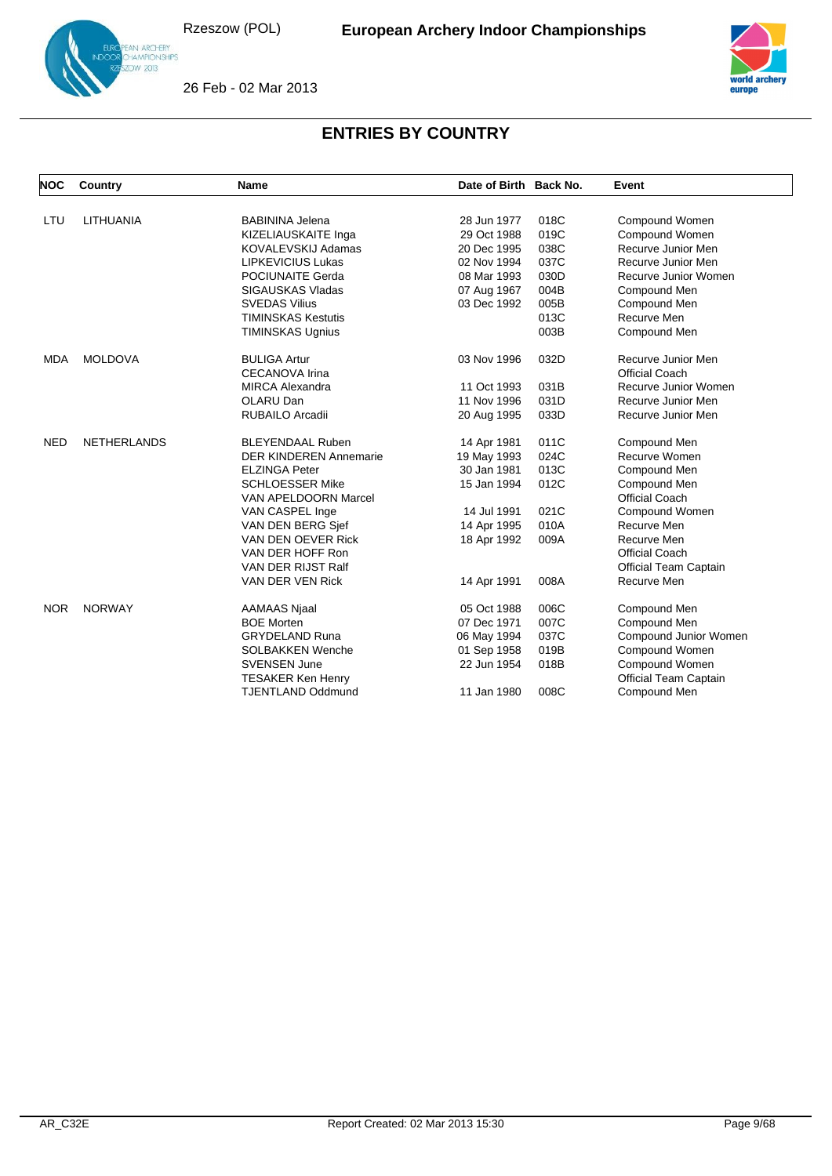

26 Feb - 02 Mar 2013



| <b>NOC</b> | Country            | <b>Name</b>                   | Date of Birth Back No. |      | Event                        |
|------------|--------------------|-------------------------------|------------------------|------|------------------------------|
|            |                    |                               |                        |      |                              |
| LTU        | <b>LITHUANIA</b>   | <b>BABININA Jelena</b>        | 28 Jun 1977            | 018C | Compound Women               |
|            |                    | KIZELIAUSKAITE Inga           | 29 Oct 1988            | 019C | Compound Women               |
|            |                    | KOVALEVSKIJ Adamas            | 20 Dec 1995            | 038C | Recurve Junior Men           |
|            |                    | <b>LIPKEVICIUS Lukas</b>      | 02 Nov 1994            | 037C | Recurve Junior Men           |
|            |                    | POCIUNAITE Gerda              | 08 Mar 1993            | 030D | Recurve Junior Women         |
|            |                    | <b>SIGAUSKAS Vladas</b>       | 07 Aug 1967            | 004B | Compound Men                 |
|            |                    | <b>SVEDAS Vilius</b>          | 03 Dec 1992            | 005B | Compound Men                 |
|            |                    | <b>TIMINSKAS Kestutis</b>     |                        | 013C | Recurve Men                  |
|            |                    | <b>TIMINSKAS Ugnius</b>       |                        | 003B | Compound Men                 |
| <b>MDA</b> | <b>MOLDOVA</b>     | <b>BULIGA Artur</b>           | 03 Nov 1996            | 032D | Recurve Junior Men           |
|            |                    | <b>CECANOVA Irina</b>         |                        |      | <b>Official Coach</b>        |
|            |                    | <b>MIRCA Alexandra</b>        | 11 Oct 1993            | 031B | Recurve Junior Women         |
|            |                    | OLARU Dan                     | 11 Nov 1996            | 031D | Recurve Junior Men           |
|            |                    | <b>RUBAILO Arcadii</b>        | 20 Aug 1995            | 033D | Recurve Junior Men           |
| <b>NED</b> | <b>NETHERLANDS</b> | <b>BLEYENDAAL Ruben</b>       | 14 Apr 1981            | 011C | Compound Men                 |
|            |                    | <b>DER KINDEREN Annemarie</b> | 19 May 1993            | 024C | Recurve Women                |
|            |                    | <b>ELZINGA Peter</b>          | 30 Jan 1981            | 013C | Compound Men                 |
|            |                    | <b>SCHLOESSER Mike</b>        | 15 Jan 1994            | 012C | Compound Men                 |
|            |                    | VAN APELDOORN Marcel          |                        |      | <b>Official Coach</b>        |
|            |                    | VAN CASPEL Inge               | 14 Jul 1991            | 021C | Compound Women               |
|            |                    | VAN DEN BERG Sjef             | 14 Apr 1995            | 010A | Recurve Men                  |
|            |                    | VAN DEN OEVER Rick            | 18 Apr 1992            | 009A | Recurve Men                  |
|            |                    | VAN DER HOFF Ron              |                        |      | <b>Official Coach</b>        |
|            |                    | VAN DER RIJST Ralf            |                        |      | Official Team Captain        |
|            |                    | VAN DER VEN Rick              | 14 Apr 1991            | 008A | Recurve Men                  |
| <b>NOR</b> | <b>NORWAY</b>      | <b>AAMAAS Njaal</b>           | 05 Oct 1988            | 006C | Compound Men                 |
|            |                    | <b>BOE Morten</b>             | 07 Dec 1971            | 007C | Compound Men                 |
|            |                    | <b>GRYDELAND Runa</b>         | 06 May 1994            | 037C | Compound Junior Women        |
|            |                    | <b>SOLBAKKEN Wenche</b>       | 01 Sep 1958            | 019B | Compound Women               |
|            |                    | <b>SVENSEN June</b>           | 22 Jun 1954            | 018B | Compound Women               |
|            |                    | <b>TESAKER Ken Henry</b>      |                        |      | <b>Official Team Captain</b> |
|            |                    | <b>TJENTLAND Oddmund</b>      | 11 Jan 1980            | 008C | Compound Men                 |
|            |                    |                               |                        |      |                              |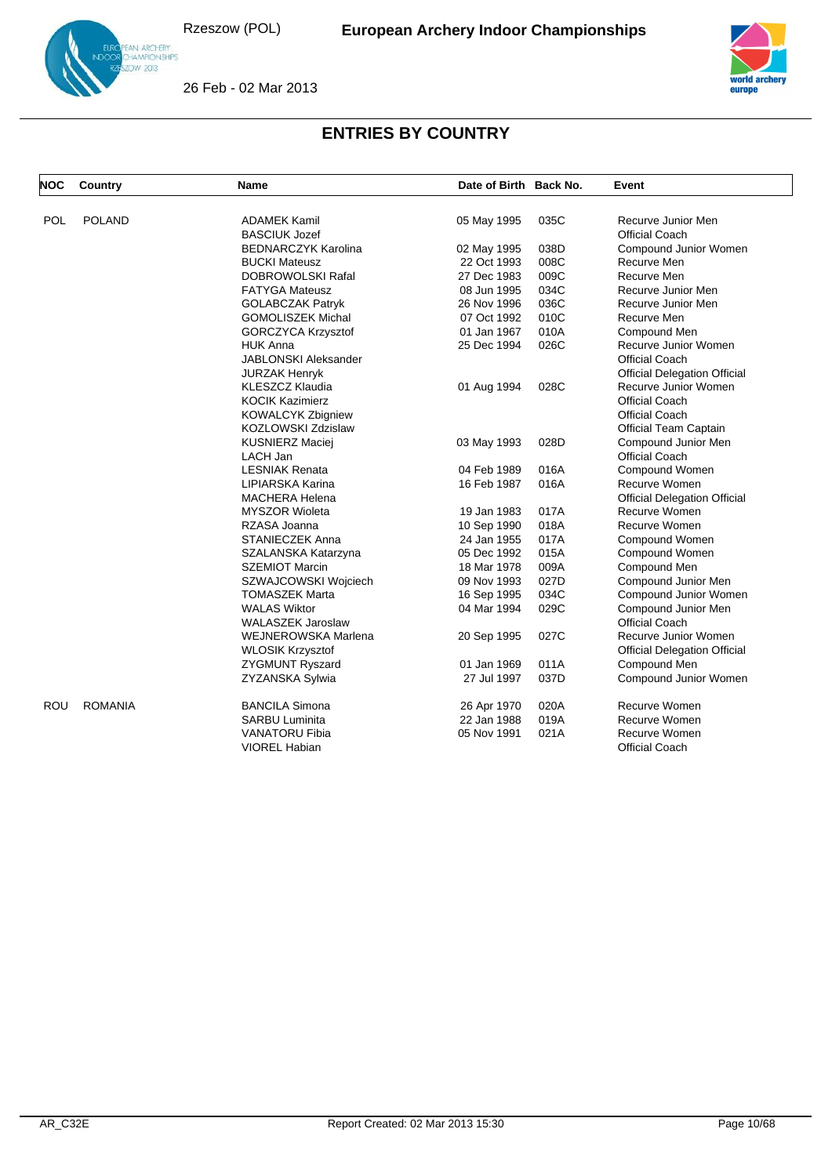

26 Feb - 02 Mar 2013



| <b>NOC</b> | Country        | Name                       | Date of Birth Back No. |      | Event                               |
|------------|----------------|----------------------------|------------------------|------|-------------------------------------|
|            |                |                            |                        |      |                                     |
| POL        | <b>POLAND</b>  | <b>ADAMEK Kamil</b>        | 05 May 1995            | 035C | Recurve Junior Men                  |
|            |                | <b>BASCIUK Jozef</b>       |                        |      | <b>Official Coach</b>               |
|            |                | <b>BEDNARCZYK Karolina</b> | 02 May 1995            | 038D | Compound Junior Women               |
|            |                | <b>BUCKI Mateusz</b>       | 22 Oct 1993            | 008C | Recurve Men                         |
|            |                | <b>DOBROWOLSKI Rafal</b>   | 27 Dec 1983            | 009C | Recurve Men                         |
|            |                | <b>FATYGA Mateusz</b>      | 08 Jun 1995            | 034C | Recurve Junior Men                  |
|            |                | <b>GOLABCZAK Patryk</b>    | 26 Nov 1996            | 036C | Recurve Junior Men                  |
|            |                | <b>GOMOLISZEK Michal</b>   | 07 Oct 1992            | 010C | Recurve Men                         |
|            |                | <b>GORCZYCA Krzysztof</b>  | 01 Jan 1967            | 010A | Compound Men                        |
|            |                | <b>HUK Anna</b>            | 25 Dec 1994            | 026C | Recurve Junior Women                |
|            |                | JABLONSKI Aleksander       |                        |      | <b>Official Coach</b>               |
|            |                | JURZAK Henryk              |                        |      | <b>Official Delegation Official</b> |
|            |                | <b>KLESZCZ Klaudia</b>     | 01 Aug 1994            | 028C | Recurve Junior Women                |
|            |                | <b>KOCIK Kazimierz</b>     |                        |      | <b>Official Coach</b>               |
|            |                | <b>KOWALCYK Zbigniew</b>   |                        |      | <b>Official Coach</b>               |
|            |                | KOZLOWSKI Zdzislaw         |                        |      | <b>Official Team Captain</b>        |
|            |                | <b>KUSNIERZ Maciej</b>     | 03 May 1993            | 028D | Compound Junior Men                 |
|            |                | LACH Jan                   |                        |      | <b>Official Coach</b>               |
|            |                | <b>LESNIAK Renata</b>      | 04 Feb 1989            | 016A | Compound Women                      |
|            |                | LIPIARSKA Karina           | 16 Feb 1987            | 016A | Recurve Women                       |
|            |                | <b>MACHERA Helena</b>      |                        |      | <b>Official Delegation Official</b> |
|            |                | <b>MYSZOR Wioleta</b>      | 19 Jan 1983            | 017A | Recurve Women                       |
|            |                | RZASA Joanna               | 10 Sep 1990            | 018A | Recurve Women                       |
|            |                | <b>STANIECZEK Anna</b>     | 24 Jan 1955            | 017A | Compound Women                      |
|            |                | SZALANSKA Katarzyna        | 05 Dec 1992            | 015A | Compound Women                      |
|            |                | <b>SZEMIOT Marcin</b>      | 18 Mar 1978            | 009A | Compound Men                        |
|            |                | SZWAJCOWSKI Wojciech       | 09 Nov 1993            | 027D | Compound Junior Men                 |
|            |                | <b>TOMASZEK Marta</b>      | 16 Sep 1995            | 034C | Compound Junior Women               |
|            |                | <b>WALAS Wiktor</b>        | 04 Mar 1994            | 029C | Compound Junior Men                 |
|            |                | <b>WALASZEK Jaroslaw</b>   |                        |      | <b>Official Coach</b>               |
|            |                | <b>WEJNEROWSKA Marlena</b> | 20 Sep 1995            | 027C | Recurve Junior Women                |
|            |                | <b>WLOSIK Krzysztof</b>    |                        |      | <b>Official Delegation Official</b> |
|            |                | <b>ZYGMUNT Ryszard</b>     | 01 Jan 1969            | 011A | Compound Men                        |
|            |                | ZYZANSKA Sylwia            | 27 Jul 1997            | 037D | Compound Junior Women               |
| <b>ROU</b> | <b>ROMANIA</b> | <b>BANCILA Simona</b>      | 26 Apr 1970            | 020A | Recurve Women                       |
|            |                | <b>SARBU Luminita</b>      | 22 Jan 1988            | 019A | Recurve Women                       |
|            |                | <b>VANATORU Fibia</b>      | 05 Nov 1991            | 021A | Recurve Women                       |
|            |                | <b>VIOREL Habian</b>       |                        |      | <b>Official Coach</b>               |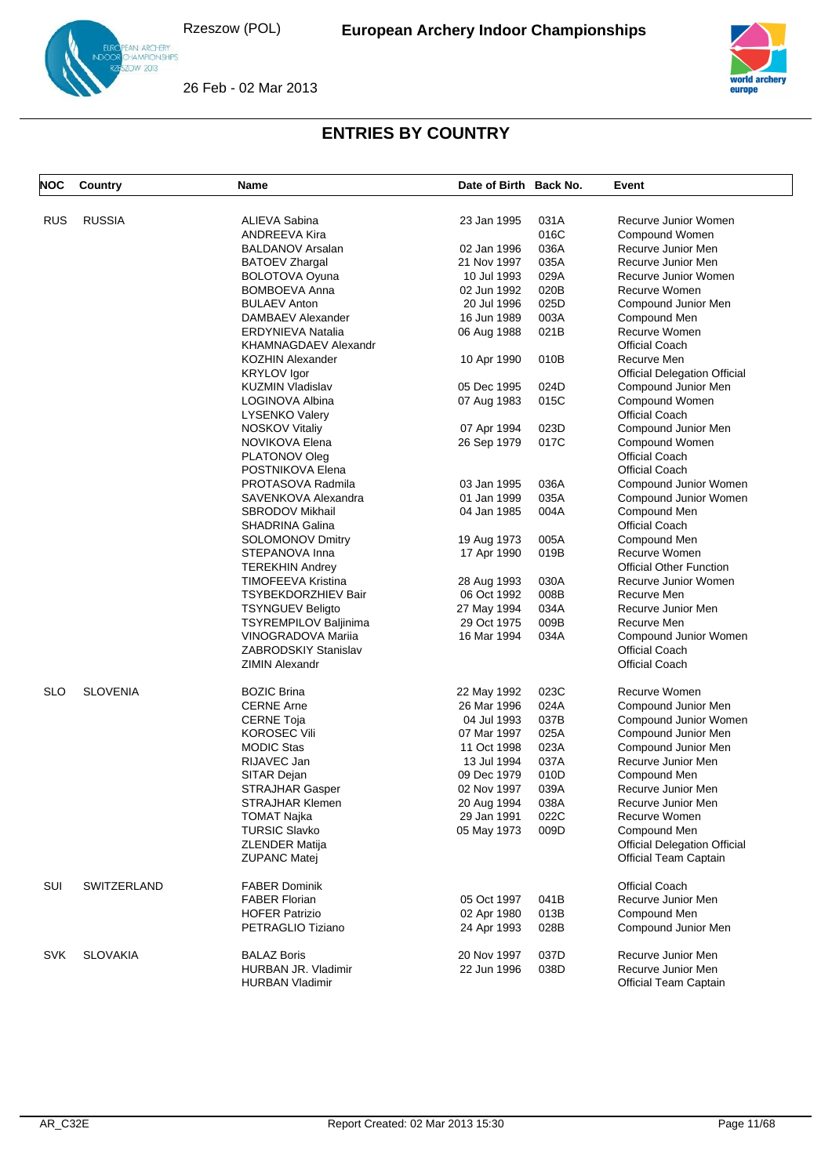

26 Feb - 02 Mar 2013



| <b>RUSSIA</b><br><b>RUS</b><br>ALIEVA Sabina<br>23 Jan 1995<br>031A<br>Recurve Junior Women<br>ANDREEVA Kira<br>016C<br>Compound Women<br><b>BALDANOV Arsalan</b><br>036A<br>02 Jan 1996<br>Recurve Junior Men<br>035A<br><b>BATOEV Zhargal</b><br>21 Nov 1997<br>Recurve Junior Men<br>029A<br><b>BOLOTOVA Oyuna</b><br>Recurve Junior Women<br>10 Jul 1993<br><b>BOMBOEVA Anna</b><br>020B<br>Recurve Women<br>02 Jun 1992<br><b>BULAEV Anton</b><br>025D<br>20 Jul 1996<br>Compound Junior Men<br>003A<br>DAMBAEV Alexander<br>16 Jun 1989<br>Compound Men<br><b>ERDYNIEVA Natalia</b><br>021B<br>Recurve Women<br>06 Aug 1988<br>KHAMNAGDAEV Alexandr<br><b>Official Coach</b><br><b>KOZHIN Alexander</b><br>10 Apr 1990<br>010B<br>Recurve Men<br><b>KRYLOV</b> Igor<br><b>Official Delegation Official</b><br>05 Dec 1995<br>024D<br><b>KUZMIN Vladislav</b><br>Compound Junior Men<br>015C<br>Compound Women<br>LOGINOVA Albina<br>07 Aug 1983<br><b>Official Coach</b><br><b>LYSENKO Valery</b><br><b>NOSKOV Vitaliy</b><br>023D<br>07 Apr 1994<br>Compound Junior Men<br>NOVIKOVA Elena<br>017C<br>Compound Women<br>26 Sep 1979<br>PLATONOV Oleg<br><b>Official Coach</b><br>POSTNIKOVA Elena<br><b>Official Coach</b><br>PROTASOVA Radmila<br>03 Jan 1995<br>036A<br>Compound Junior Women<br>SAVENKOVA Alexandra<br>01 Jan 1999<br>035A<br>Compound Junior Women<br><b>SBRODOV Mikhail</b><br>004A<br>Compound Men<br>04 Jan 1985<br><b>SHADRINA Galina</b><br><b>Official Coach</b><br>005A<br><b>SOLOMONOV Dmitry</b><br>19 Aug 1973<br>Compound Men<br>019B<br>Recurve Women<br>STEPANOVA Inna<br>17 Apr 1990<br><b>Official Other Function</b><br><b>TEREKHIN Andrey</b><br>030A<br>TIMOFEEVA Kristina<br>28 Aug 1993<br>Recurve Junior Women<br>008B<br><b>TSYBEKDORZHIEV Bair</b><br>06 Oct 1992<br>Recurve Men<br>034A<br>Recurve Junior Men<br><b>TSYNGUEV Beligto</b><br>27 May 1994<br>TSYREMPILOV Baljinima<br>009B<br>Recurve Men<br>29 Oct 1975<br><b>VINOGRADOVA Marija</b><br>16 Mar 1994<br>034A<br>Compound Junior Women<br><b>ZABRODSKIY Stanislav</b><br><b>Official Coach</b><br><b>ZIMIN Alexandr</b><br><b>Official Coach</b><br><b>SLO</b><br><b>SLOVENIA</b><br>023C<br>Recurve Women<br><b>BOZIC Brina</b><br>22 May 1992<br><b>CERNE Arne</b><br>024A<br>Compound Junior Men<br>26 Mar 1996<br>04 Jul 1993<br>037B<br><b>CERNE Toja</b><br>Compound Junior Women<br><b>KOROSEC Vili</b><br>025A<br>Compound Junior Men<br>07 Mar 1997<br><b>MODIC Stas</b><br>023A<br>11 Oct 1998<br>Compound Junior Men<br>RIJAVEC Jan<br>13 Jul 1994<br>037A<br>Recurve Junior Men<br>SITAR Dejan<br>010D<br>09 Dec 1979<br>Compound Men<br>039A<br><b>STRAJHAR Gasper</b><br>02 Nov 1997<br>Recurve Junior Men<br>STRAJHAR Klemen<br>20 Aug 1994<br>038A<br>Recurve Junior Men<br><b>TOMAT Najka</b><br>29 Jan 1991<br>022C<br>Recurve Women<br><b>TURSIC Slavko</b><br>05 May 1973<br>009D<br>Compound Men<br><b>Official Delegation Official</b><br><b>ZLENDER Matija</b><br><b>ZUPANC Matej</b><br><b>Official Team Captain</b><br>SUI<br>SWITZERLAND<br><b>FABER Dominik</b><br><b>Official Coach</b><br><b>FABER Florian</b><br>05 Oct 1997<br>Recurve Junior Men<br>041B<br><b>HOFER Patrizio</b><br>013B<br>Compound Men<br>02 Apr 1980<br>PETRAGLIO Tiziano<br>028B<br>Compound Junior Men<br>24 Apr 1993<br><b>SVK</b><br><b>SLOVAKIA</b><br><b>BALAZ Boris</b><br>20 Nov 1997<br>037D<br>Recurve Junior Men<br>HURBAN JR. Vladimir<br>22 Jun 1996<br>038D<br>Recurve Junior Men<br><b>Official Team Captain</b><br><b>HURBAN Vladimir</b> | <b>NOC</b> | Country | Name | Date of Birth Back No. | Event |
|------------------------------------------------------------------------------------------------------------------------------------------------------------------------------------------------------------------------------------------------------------------------------------------------------------------------------------------------------------------------------------------------------------------------------------------------------------------------------------------------------------------------------------------------------------------------------------------------------------------------------------------------------------------------------------------------------------------------------------------------------------------------------------------------------------------------------------------------------------------------------------------------------------------------------------------------------------------------------------------------------------------------------------------------------------------------------------------------------------------------------------------------------------------------------------------------------------------------------------------------------------------------------------------------------------------------------------------------------------------------------------------------------------------------------------------------------------------------------------------------------------------------------------------------------------------------------------------------------------------------------------------------------------------------------------------------------------------------------------------------------------------------------------------------------------------------------------------------------------------------------------------------------------------------------------------------------------------------------------------------------------------------------------------------------------------------------------------------------------------------------------------------------------------------------------------------------------------------------------------------------------------------------------------------------------------------------------------------------------------------------------------------------------------------------------------------------------------------------------------------------------------------------------------------------------------------------------------------------------------------------------------------------------------------------------------------------------------------------------------------------------------------------------------------------------------------------------------------------------------------------------------------------------------------------------------------------------------------------------------------------------------------------------------------------------------------------------------------------------------------------------------------------------------------------------------------------------------------------------------------------------------------------------------------------------------------------------------------------------------------------------------------------------------------------------------------------------------------------------------------------------------------------------------------------------------------------|------------|---------|------|------------------------|-------|
|                                                                                                                                                                                                                                                                                                                                                                                                                                                                                                                                                                                                                                                                                                                                                                                                                                                                                                                                                                                                                                                                                                                                                                                                                                                                                                                                                                                                                                                                                                                                                                                                                                                                                                                                                                                                                                                                                                                                                                                                                                                                                                                                                                                                                                                                                                                                                                                                                                                                                                                                                                                                                                                                                                                                                                                                                                                                                                                                                                                                                                                                                                                                                                                                                                                                                                                                                                                                                                                                                                                                                                              |            |         |      |                        |       |
|                                                                                                                                                                                                                                                                                                                                                                                                                                                                                                                                                                                                                                                                                                                                                                                                                                                                                                                                                                                                                                                                                                                                                                                                                                                                                                                                                                                                                                                                                                                                                                                                                                                                                                                                                                                                                                                                                                                                                                                                                                                                                                                                                                                                                                                                                                                                                                                                                                                                                                                                                                                                                                                                                                                                                                                                                                                                                                                                                                                                                                                                                                                                                                                                                                                                                                                                                                                                                                                                                                                                                                              |            |         |      |                        |       |
|                                                                                                                                                                                                                                                                                                                                                                                                                                                                                                                                                                                                                                                                                                                                                                                                                                                                                                                                                                                                                                                                                                                                                                                                                                                                                                                                                                                                                                                                                                                                                                                                                                                                                                                                                                                                                                                                                                                                                                                                                                                                                                                                                                                                                                                                                                                                                                                                                                                                                                                                                                                                                                                                                                                                                                                                                                                                                                                                                                                                                                                                                                                                                                                                                                                                                                                                                                                                                                                                                                                                                                              |            |         |      |                        |       |
|                                                                                                                                                                                                                                                                                                                                                                                                                                                                                                                                                                                                                                                                                                                                                                                                                                                                                                                                                                                                                                                                                                                                                                                                                                                                                                                                                                                                                                                                                                                                                                                                                                                                                                                                                                                                                                                                                                                                                                                                                                                                                                                                                                                                                                                                                                                                                                                                                                                                                                                                                                                                                                                                                                                                                                                                                                                                                                                                                                                                                                                                                                                                                                                                                                                                                                                                                                                                                                                                                                                                                                              |            |         |      |                        |       |
|                                                                                                                                                                                                                                                                                                                                                                                                                                                                                                                                                                                                                                                                                                                                                                                                                                                                                                                                                                                                                                                                                                                                                                                                                                                                                                                                                                                                                                                                                                                                                                                                                                                                                                                                                                                                                                                                                                                                                                                                                                                                                                                                                                                                                                                                                                                                                                                                                                                                                                                                                                                                                                                                                                                                                                                                                                                                                                                                                                                                                                                                                                                                                                                                                                                                                                                                                                                                                                                                                                                                                                              |            |         |      |                        |       |
|                                                                                                                                                                                                                                                                                                                                                                                                                                                                                                                                                                                                                                                                                                                                                                                                                                                                                                                                                                                                                                                                                                                                                                                                                                                                                                                                                                                                                                                                                                                                                                                                                                                                                                                                                                                                                                                                                                                                                                                                                                                                                                                                                                                                                                                                                                                                                                                                                                                                                                                                                                                                                                                                                                                                                                                                                                                                                                                                                                                                                                                                                                                                                                                                                                                                                                                                                                                                                                                                                                                                                                              |            |         |      |                        |       |
|                                                                                                                                                                                                                                                                                                                                                                                                                                                                                                                                                                                                                                                                                                                                                                                                                                                                                                                                                                                                                                                                                                                                                                                                                                                                                                                                                                                                                                                                                                                                                                                                                                                                                                                                                                                                                                                                                                                                                                                                                                                                                                                                                                                                                                                                                                                                                                                                                                                                                                                                                                                                                                                                                                                                                                                                                                                                                                                                                                                                                                                                                                                                                                                                                                                                                                                                                                                                                                                                                                                                                                              |            |         |      |                        |       |
|                                                                                                                                                                                                                                                                                                                                                                                                                                                                                                                                                                                                                                                                                                                                                                                                                                                                                                                                                                                                                                                                                                                                                                                                                                                                                                                                                                                                                                                                                                                                                                                                                                                                                                                                                                                                                                                                                                                                                                                                                                                                                                                                                                                                                                                                                                                                                                                                                                                                                                                                                                                                                                                                                                                                                                                                                                                                                                                                                                                                                                                                                                                                                                                                                                                                                                                                                                                                                                                                                                                                                                              |            |         |      |                        |       |
|                                                                                                                                                                                                                                                                                                                                                                                                                                                                                                                                                                                                                                                                                                                                                                                                                                                                                                                                                                                                                                                                                                                                                                                                                                                                                                                                                                                                                                                                                                                                                                                                                                                                                                                                                                                                                                                                                                                                                                                                                                                                                                                                                                                                                                                                                                                                                                                                                                                                                                                                                                                                                                                                                                                                                                                                                                                                                                                                                                                                                                                                                                                                                                                                                                                                                                                                                                                                                                                                                                                                                                              |            |         |      |                        |       |
|                                                                                                                                                                                                                                                                                                                                                                                                                                                                                                                                                                                                                                                                                                                                                                                                                                                                                                                                                                                                                                                                                                                                                                                                                                                                                                                                                                                                                                                                                                                                                                                                                                                                                                                                                                                                                                                                                                                                                                                                                                                                                                                                                                                                                                                                                                                                                                                                                                                                                                                                                                                                                                                                                                                                                                                                                                                                                                                                                                                                                                                                                                                                                                                                                                                                                                                                                                                                                                                                                                                                                                              |            |         |      |                        |       |
|                                                                                                                                                                                                                                                                                                                                                                                                                                                                                                                                                                                                                                                                                                                                                                                                                                                                                                                                                                                                                                                                                                                                                                                                                                                                                                                                                                                                                                                                                                                                                                                                                                                                                                                                                                                                                                                                                                                                                                                                                                                                                                                                                                                                                                                                                                                                                                                                                                                                                                                                                                                                                                                                                                                                                                                                                                                                                                                                                                                                                                                                                                                                                                                                                                                                                                                                                                                                                                                                                                                                                                              |            |         |      |                        |       |
|                                                                                                                                                                                                                                                                                                                                                                                                                                                                                                                                                                                                                                                                                                                                                                                                                                                                                                                                                                                                                                                                                                                                                                                                                                                                                                                                                                                                                                                                                                                                                                                                                                                                                                                                                                                                                                                                                                                                                                                                                                                                                                                                                                                                                                                                                                                                                                                                                                                                                                                                                                                                                                                                                                                                                                                                                                                                                                                                                                                                                                                                                                                                                                                                                                                                                                                                                                                                                                                                                                                                                                              |            |         |      |                        |       |
|                                                                                                                                                                                                                                                                                                                                                                                                                                                                                                                                                                                                                                                                                                                                                                                                                                                                                                                                                                                                                                                                                                                                                                                                                                                                                                                                                                                                                                                                                                                                                                                                                                                                                                                                                                                                                                                                                                                                                                                                                                                                                                                                                                                                                                                                                                                                                                                                                                                                                                                                                                                                                                                                                                                                                                                                                                                                                                                                                                                                                                                                                                                                                                                                                                                                                                                                                                                                                                                                                                                                                                              |            |         |      |                        |       |
|                                                                                                                                                                                                                                                                                                                                                                                                                                                                                                                                                                                                                                                                                                                                                                                                                                                                                                                                                                                                                                                                                                                                                                                                                                                                                                                                                                                                                                                                                                                                                                                                                                                                                                                                                                                                                                                                                                                                                                                                                                                                                                                                                                                                                                                                                                                                                                                                                                                                                                                                                                                                                                                                                                                                                                                                                                                                                                                                                                                                                                                                                                                                                                                                                                                                                                                                                                                                                                                                                                                                                                              |            |         |      |                        |       |
|                                                                                                                                                                                                                                                                                                                                                                                                                                                                                                                                                                                                                                                                                                                                                                                                                                                                                                                                                                                                                                                                                                                                                                                                                                                                                                                                                                                                                                                                                                                                                                                                                                                                                                                                                                                                                                                                                                                                                                                                                                                                                                                                                                                                                                                                                                                                                                                                                                                                                                                                                                                                                                                                                                                                                                                                                                                                                                                                                                                                                                                                                                                                                                                                                                                                                                                                                                                                                                                                                                                                                                              |            |         |      |                        |       |
|                                                                                                                                                                                                                                                                                                                                                                                                                                                                                                                                                                                                                                                                                                                                                                                                                                                                                                                                                                                                                                                                                                                                                                                                                                                                                                                                                                                                                                                                                                                                                                                                                                                                                                                                                                                                                                                                                                                                                                                                                                                                                                                                                                                                                                                                                                                                                                                                                                                                                                                                                                                                                                                                                                                                                                                                                                                                                                                                                                                                                                                                                                                                                                                                                                                                                                                                                                                                                                                                                                                                                                              |            |         |      |                        |       |
|                                                                                                                                                                                                                                                                                                                                                                                                                                                                                                                                                                                                                                                                                                                                                                                                                                                                                                                                                                                                                                                                                                                                                                                                                                                                                                                                                                                                                                                                                                                                                                                                                                                                                                                                                                                                                                                                                                                                                                                                                                                                                                                                                                                                                                                                                                                                                                                                                                                                                                                                                                                                                                                                                                                                                                                                                                                                                                                                                                                                                                                                                                                                                                                                                                                                                                                                                                                                                                                                                                                                                                              |            |         |      |                        |       |
|                                                                                                                                                                                                                                                                                                                                                                                                                                                                                                                                                                                                                                                                                                                                                                                                                                                                                                                                                                                                                                                                                                                                                                                                                                                                                                                                                                                                                                                                                                                                                                                                                                                                                                                                                                                                                                                                                                                                                                                                                                                                                                                                                                                                                                                                                                                                                                                                                                                                                                                                                                                                                                                                                                                                                                                                                                                                                                                                                                                                                                                                                                                                                                                                                                                                                                                                                                                                                                                                                                                                                                              |            |         |      |                        |       |
|                                                                                                                                                                                                                                                                                                                                                                                                                                                                                                                                                                                                                                                                                                                                                                                                                                                                                                                                                                                                                                                                                                                                                                                                                                                                                                                                                                                                                                                                                                                                                                                                                                                                                                                                                                                                                                                                                                                                                                                                                                                                                                                                                                                                                                                                                                                                                                                                                                                                                                                                                                                                                                                                                                                                                                                                                                                                                                                                                                                                                                                                                                                                                                                                                                                                                                                                                                                                                                                                                                                                                                              |            |         |      |                        |       |
|                                                                                                                                                                                                                                                                                                                                                                                                                                                                                                                                                                                                                                                                                                                                                                                                                                                                                                                                                                                                                                                                                                                                                                                                                                                                                                                                                                                                                                                                                                                                                                                                                                                                                                                                                                                                                                                                                                                                                                                                                                                                                                                                                                                                                                                                                                                                                                                                                                                                                                                                                                                                                                                                                                                                                                                                                                                                                                                                                                                                                                                                                                                                                                                                                                                                                                                                                                                                                                                                                                                                                                              |            |         |      |                        |       |
|                                                                                                                                                                                                                                                                                                                                                                                                                                                                                                                                                                                                                                                                                                                                                                                                                                                                                                                                                                                                                                                                                                                                                                                                                                                                                                                                                                                                                                                                                                                                                                                                                                                                                                                                                                                                                                                                                                                                                                                                                                                                                                                                                                                                                                                                                                                                                                                                                                                                                                                                                                                                                                                                                                                                                                                                                                                                                                                                                                                                                                                                                                                                                                                                                                                                                                                                                                                                                                                                                                                                                                              |            |         |      |                        |       |
|                                                                                                                                                                                                                                                                                                                                                                                                                                                                                                                                                                                                                                                                                                                                                                                                                                                                                                                                                                                                                                                                                                                                                                                                                                                                                                                                                                                                                                                                                                                                                                                                                                                                                                                                                                                                                                                                                                                                                                                                                                                                                                                                                                                                                                                                                                                                                                                                                                                                                                                                                                                                                                                                                                                                                                                                                                                                                                                                                                                                                                                                                                                                                                                                                                                                                                                                                                                                                                                                                                                                                                              |            |         |      |                        |       |
|                                                                                                                                                                                                                                                                                                                                                                                                                                                                                                                                                                                                                                                                                                                                                                                                                                                                                                                                                                                                                                                                                                                                                                                                                                                                                                                                                                                                                                                                                                                                                                                                                                                                                                                                                                                                                                                                                                                                                                                                                                                                                                                                                                                                                                                                                                                                                                                                                                                                                                                                                                                                                                                                                                                                                                                                                                                                                                                                                                                                                                                                                                                                                                                                                                                                                                                                                                                                                                                                                                                                                                              |            |         |      |                        |       |
|                                                                                                                                                                                                                                                                                                                                                                                                                                                                                                                                                                                                                                                                                                                                                                                                                                                                                                                                                                                                                                                                                                                                                                                                                                                                                                                                                                                                                                                                                                                                                                                                                                                                                                                                                                                                                                                                                                                                                                                                                                                                                                                                                                                                                                                                                                                                                                                                                                                                                                                                                                                                                                                                                                                                                                                                                                                                                                                                                                                                                                                                                                                                                                                                                                                                                                                                                                                                                                                                                                                                                                              |            |         |      |                        |       |
|                                                                                                                                                                                                                                                                                                                                                                                                                                                                                                                                                                                                                                                                                                                                                                                                                                                                                                                                                                                                                                                                                                                                                                                                                                                                                                                                                                                                                                                                                                                                                                                                                                                                                                                                                                                                                                                                                                                                                                                                                                                                                                                                                                                                                                                                                                                                                                                                                                                                                                                                                                                                                                                                                                                                                                                                                                                                                                                                                                                                                                                                                                                                                                                                                                                                                                                                                                                                                                                                                                                                                                              |            |         |      |                        |       |
|                                                                                                                                                                                                                                                                                                                                                                                                                                                                                                                                                                                                                                                                                                                                                                                                                                                                                                                                                                                                                                                                                                                                                                                                                                                                                                                                                                                                                                                                                                                                                                                                                                                                                                                                                                                                                                                                                                                                                                                                                                                                                                                                                                                                                                                                                                                                                                                                                                                                                                                                                                                                                                                                                                                                                                                                                                                                                                                                                                                                                                                                                                                                                                                                                                                                                                                                                                                                                                                                                                                                                                              |            |         |      |                        |       |
|                                                                                                                                                                                                                                                                                                                                                                                                                                                                                                                                                                                                                                                                                                                                                                                                                                                                                                                                                                                                                                                                                                                                                                                                                                                                                                                                                                                                                                                                                                                                                                                                                                                                                                                                                                                                                                                                                                                                                                                                                                                                                                                                                                                                                                                                                                                                                                                                                                                                                                                                                                                                                                                                                                                                                                                                                                                                                                                                                                                                                                                                                                                                                                                                                                                                                                                                                                                                                                                                                                                                                                              |            |         |      |                        |       |
|                                                                                                                                                                                                                                                                                                                                                                                                                                                                                                                                                                                                                                                                                                                                                                                                                                                                                                                                                                                                                                                                                                                                                                                                                                                                                                                                                                                                                                                                                                                                                                                                                                                                                                                                                                                                                                                                                                                                                                                                                                                                                                                                                                                                                                                                                                                                                                                                                                                                                                                                                                                                                                                                                                                                                                                                                                                                                                                                                                                                                                                                                                                                                                                                                                                                                                                                                                                                                                                                                                                                                                              |            |         |      |                        |       |
|                                                                                                                                                                                                                                                                                                                                                                                                                                                                                                                                                                                                                                                                                                                                                                                                                                                                                                                                                                                                                                                                                                                                                                                                                                                                                                                                                                                                                                                                                                                                                                                                                                                                                                                                                                                                                                                                                                                                                                                                                                                                                                                                                                                                                                                                                                                                                                                                                                                                                                                                                                                                                                                                                                                                                                                                                                                                                                                                                                                                                                                                                                                                                                                                                                                                                                                                                                                                                                                                                                                                                                              |            |         |      |                        |       |
|                                                                                                                                                                                                                                                                                                                                                                                                                                                                                                                                                                                                                                                                                                                                                                                                                                                                                                                                                                                                                                                                                                                                                                                                                                                                                                                                                                                                                                                                                                                                                                                                                                                                                                                                                                                                                                                                                                                                                                                                                                                                                                                                                                                                                                                                                                                                                                                                                                                                                                                                                                                                                                                                                                                                                                                                                                                                                                                                                                                                                                                                                                                                                                                                                                                                                                                                                                                                                                                                                                                                                                              |            |         |      |                        |       |
|                                                                                                                                                                                                                                                                                                                                                                                                                                                                                                                                                                                                                                                                                                                                                                                                                                                                                                                                                                                                                                                                                                                                                                                                                                                                                                                                                                                                                                                                                                                                                                                                                                                                                                                                                                                                                                                                                                                                                                                                                                                                                                                                                                                                                                                                                                                                                                                                                                                                                                                                                                                                                                                                                                                                                                                                                                                                                                                                                                                                                                                                                                                                                                                                                                                                                                                                                                                                                                                                                                                                                                              |            |         |      |                        |       |
|                                                                                                                                                                                                                                                                                                                                                                                                                                                                                                                                                                                                                                                                                                                                                                                                                                                                                                                                                                                                                                                                                                                                                                                                                                                                                                                                                                                                                                                                                                                                                                                                                                                                                                                                                                                                                                                                                                                                                                                                                                                                                                                                                                                                                                                                                                                                                                                                                                                                                                                                                                                                                                                                                                                                                                                                                                                                                                                                                                                                                                                                                                                                                                                                                                                                                                                                                                                                                                                                                                                                                                              |            |         |      |                        |       |
|                                                                                                                                                                                                                                                                                                                                                                                                                                                                                                                                                                                                                                                                                                                                                                                                                                                                                                                                                                                                                                                                                                                                                                                                                                                                                                                                                                                                                                                                                                                                                                                                                                                                                                                                                                                                                                                                                                                                                                                                                                                                                                                                                                                                                                                                                                                                                                                                                                                                                                                                                                                                                                                                                                                                                                                                                                                                                                                                                                                                                                                                                                                                                                                                                                                                                                                                                                                                                                                                                                                                                                              |            |         |      |                        |       |
|                                                                                                                                                                                                                                                                                                                                                                                                                                                                                                                                                                                                                                                                                                                                                                                                                                                                                                                                                                                                                                                                                                                                                                                                                                                                                                                                                                                                                                                                                                                                                                                                                                                                                                                                                                                                                                                                                                                                                                                                                                                                                                                                                                                                                                                                                                                                                                                                                                                                                                                                                                                                                                                                                                                                                                                                                                                                                                                                                                                                                                                                                                                                                                                                                                                                                                                                                                                                                                                                                                                                                                              |            |         |      |                        |       |
|                                                                                                                                                                                                                                                                                                                                                                                                                                                                                                                                                                                                                                                                                                                                                                                                                                                                                                                                                                                                                                                                                                                                                                                                                                                                                                                                                                                                                                                                                                                                                                                                                                                                                                                                                                                                                                                                                                                                                                                                                                                                                                                                                                                                                                                                                                                                                                                                                                                                                                                                                                                                                                                                                                                                                                                                                                                                                                                                                                                                                                                                                                                                                                                                                                                                                                                                                                                                                                                                                                                                                                              |            |         |      |                        |       |
|                                                                                                                                                                                                                                                                                                                                                                                                                                                                                                                                                                                                                                                                                                                                                                                                                                                                                                                                                                                                                                                                                                                                                                                                                                                                                                                                                                                                                                                                                                                                                                                                                                                                                                                                                                                                                                                                                                                                                                                                                                                                                                                                                                                                                                                                                                                                                                                                                                                                                                                                                                                                                                                                                                                                                                                                                                                                                                                                                                                                                                                                                                                                                                                                                                                                                                                                                                                                                                                                                                                                                                              |            |         |      |                        |       |
|                                                                                                                                                                                                                                                                                                                                                                                                                                                                                                                                                                                                                                                                                                                                                                                                                                                                                                                                                                                                                                                                                                                                                                                                                                                                                                                                                                                                                                                                                                                                                                                                                                                                                                                                                                                                                                                                                                                                                                                                                                                                                                                                                                                                                                                                                                                                                                                                                                                                                                                                                                                                                                                                                                                                                                                                                                                                                                                                                                                                                                                                                                                                                                                                                                                                                                                                                                                                                                                                                                                                                                              |            |         |      |                        |       |
|                                                                                                                                                                                                                                                                                                                                                                                                                                                                                                                                                                                                                                                                                                                                                                                                                                                                                                                                                                                                                                                                                                                                                                                                                                                                                                                                                                                                                                                                                                                                                                                                                                                                                                                                                                                                                                                                                                                                                                                                                                                                                                                                                                                                                                                                                                                                                                                                                                                                                                                                                                                                                                                                                                                                                                                                                                                                                                                                                                                                                                                                                                                                                                                                                                                                                                                                                                                                                                                                                                                                                                              |            |         |      |                        |       |
|                                                                                                                                                                                                                                                                                                                                                                                                                                                                                                                                                                                                                                                                                                                                                                                                                                                                                                                                                                                                                                                                                                                                                                                                                                                                                                                                                                                                                                                                                                                                                                                                                                                                                                                                                                                                                                                                                                                                                                                                                                                                                                                                                                                                                                                                                                                                                                                                                                                                                                                                                                                                                                                                                                                                                                                                                                                                                                                                                                                                                                                                                                                                                                                                                                                                                                                                                                                                                                                                                                                                                                              |            |         |      |                        |       |
|                                                                                                                                                                                                                                                                                                                                                                                                                                                                                                                                                                                                                                                                                                                                                                                                                                                                                                                                                                                                                                                                                                                                                                                                                                                                                                                                                                                                                                                                                                                                                                                                                                                                                                                                                                                                                                                                                                                                                                                                                                                                                                                                                                                                                                                                                                                                                                                                                                                                                                                                                                                                                                                                                                                                                                                                                                                                                                                                                                                                                                                                                                                                                                                                                                                                                                                                                                                                                                                                                                                                                                              |            |         |      |                        |       |
|                                                                                                                                                                                                                                                                                                                                                                                                                                                                                                                                                                                                                                                                                                                                                                                                                                                                                                                                                                                                                                                                                                                                                                                                                                                                                                                                                                                                                                                                                                                                                                                                                                                                                                                                                                                                                                                                                                                                                                                                                                                                                                                                                                                                                                                                                                                                                                                                                                                                                                                                                                                                                                                                                                                                                                                                                                                                                                                                                                                                                                                                                                                                                                                                                                                                                                                                                                                                                                                                                                                                                                              |            |         |      |                        |       |
|                                                                                                                                                                                                                                                                                                                                                                                                                                                                                                                                                                                                                                                                                                                                                                                                                                                                                                                                                                                                                                                                                                                                                                                                                                                                                                                                                                                                                                                                                                                                                                                                                                                                                                                                                                                                                                                                                                                                                                                                                                                                                                                                                                                                                                                                                                                                                                                                                                                                                                                                                                                                                                                                                                                                                                                                                                                                                                                                                                                                                                                                                                                                                                                                                                                                                                                                                                                                                                                                                                                                                                              |            |         |      |                        |       |
|                                                                                                                                                                                                                                                                                                                                                                                                                                                                                                                                                                                                                                                                                                                                                                                                                                                                                                                                                                                                                                                                                                                                                                                                                                                                                                                                                                                                                                                                                                                                                                                                                                                                                                                                                                                                                                                                                                                                                                                                                                                                                                                                                                                                                                                                                                                                                                                                                                                                                                                                                                                                                                                                                                                                                                                                                                                                                                                                                                                                                                                                                                                                                                                                                                                                                                                                                                                                                                                                                                                                                                              |            |         |      |                        |       |
|                                                                                                                                                                                                                                                                                                                                                                                                                                                                                                                                                                                                                                                                                                                                                                                                                                                                                                                                                                                                                                                                                                                                                                                                                                                                                                                                                                                                                                                                                                                                                                                                                                                                                                                                                                                                                                                                                                                                                                                                                                                                                                                                                                                                                                                                                                                                                                                                                                                                                                                                                                                                                                                                                                                                                                                                                                                                                                                                                                                                                                                                                                                                                                                                                                                                                                                                                                                                                                                                                                                                                                              |            |         |      |                        |       |
|                                                                                                                                                                                                                                                                                                                                                                                                                                                                                                                                                                                                                                                                                                                                                                                                                                                                                                                                                                                                                                                                                                                                                                                                                                                                                                                                                                                                                                                                                                                                                                                                                                                                                                                                                                                                                                                                                                                                                                                                                                                                                                                                                                                                                                                                                                                                                                                                                                                                                                                                                                                                                                                                                                                                                                                                                                                                                                                                                                                                                                                                                                                                                                                                                                                                                                                                                                                                                                                                                                                                                                              |            |         |      |                        |       |
|                                                                                                                                                                                                                                                                                                                                                                                                                                                                                                                                                                                                                                                                                                                                                                                                                                                                                                                                                                                                                                                                                                                                                                                                                                                                                                                                                                                                                                                                                                                                                                                                                                                                                                                                                                                                                                                                                                                                                                                                                                                                                                                                                                                                                                                                                                                                                                                                                                                                                                                                                                                                                                                                                                                                                                                                                                                                                                                                                                                                                                                                                                                                                                                                                                                                                                                                                                                                                                                                                                                                                                              |            |         |      |                        |       |
|                                                                                                                                                                                                                                                                                                                                                                                                                                                                                                                                                                                                                                                                                                                                                                                                                                                                                                                                                                                                                                                                                                                                                                                                                                                                                                                                                                                                                                                                                                                                                                                                                                                                                                                                                                                                                                                                                                                                                                                                                                                                                                                                                                                                                                                                                                                                                                                                                                                                                                                                                                                                                                                                                                                                                                                                                                                                                                                                                                                                                                                                                                                                                                                                                                                                                                                                                                                                                                                                                                                                                                              |            |         |      |                        |       |
|                                                                                                                                                                                                                                                                                                                                                                                                                                                                                                                                                                                                                                                                                                                                                                                                                                                                                                                                                                                                                                                                                                                                                                                                                                                                                                                                                                                                                                                                                                                                                                                                                                                                                                                                                                                                                                                                                                                                                                                                                                                                                                                                                                                                                                                                                                                                                                                                                                                                                                                                                                                                                                                                                                                                                                                                                                                                                                                                                                                                                                                                                                                                                                                                                                                                                                                                                                                                                                                                                                                                                                              |            |         |      |                        |       |
|                                                                                                                                                                                                                                                                                                                                                                                                                                                                                                                                                                                                                                                                                                                                                                                                                                                                                                                                                                                                                                                                                                                                                                                                                                                                                                                                                                                                                                                                                                                                                                                                                                                                                                                                                                                                                                                                                                                                                                                                                                                                                                                                                                                                                                                                                                                                                                                                                                                                                                                                                                                                                                                                                                                                                                                                                                                                                                                                                                                                                                                                                                                                                                                                                                                                                                                                                                                                                                                                                                                                                                              |            |         |      |                        |       |
|                                                                                                                                                                                                                                                                                                                                                                                                                                                                                                                                                                                                                                                                                                                                                                                                                                                                                                                                                                                                                                                                                                                                                                                                                                                                                                                                                                                                                                                                                                                                                                                                                                                                                                                                                                                                                                                                                                                                                                                                                                                                                                                                                                                                                                                                                                                                                                                                                                                                                                                                                                                                                                                                                                                                                                                                                                                                                                                                                                                                                                                                                                                                                                                                                                                                                                                                                                                                                                                                                                                                                                              |            |         |      |                        |       |
|                                                                                                                                                                                                                                                                                                                                                                                                                                                                                                                                                                                                                                                                                                                                                                                                                                                                                                                                                                                                                                                                                                                                                                                                                                                                                                                                                                                                                                                                                                                                                                                                                                                                                                                                                                                                                                                                                                                                                                                                                                                                                                                                                                                                                                                                                                                                                                                                                                                                                                                                                                                                                                                                                                                                                                                                                                                                                                                                                                                                                                                                                                                                                                                                                                                                                                                                                                                                                                                                                                                                                                              |            |         |      |                        |       |
|                                                                                                                                                                                                                                                                                                                                                                                                                                                                                                                                                                                                                                                                                                                                                                                                                                                                                                                                                                                                                                                                                                                                                                                                                                                                                                                                                                                                                                                                                                                                                                                                                                                                                                                                                                                                                                                                                                                                                                                                                                                                                                                                                                                                                                                                                                                                                                                                                                                                                                                                                                                                                                                                                                                                                                                                                                                                                                                                                                                                                                                                                                                                                                                                                                                                                                                                                                                                                                                                                                                                                                              |            |         |      |                        |       |
|                                                                                                                                                                                                                                                                                                                                                                                                                                                                                                                                                                                                                                                                                                                                                                                                                                                                                                                                                                                                                                                                                                                                                                                                                                                                                                                                                                                                                                                                                                                                                                                                                                                                                                                                                                                                                                                                                                                                                                                                                                                                                                                                                                                                                                                                                                                                                                                                                                                                                                                                                                                                                                                                                                                                                                                                                                                                                                                                                                                                                                                                                                                                                                                                                                                                                                                                                                                                                                                                                                                                                                              |            |         |      |                        |       |
|                                                                                                                                                                                                                                                                                                                                                                                                                                                                                                                                                                                                                                                                                                                                                                                                                                                                                                                                                                                                                                                                                                                                                                                                                                                                                                                                                                                                                                                                                                                                                                                                                                                                                                                                                                                                                                                                                                                                                                                                                                                                                                                                                                                                                                                                                                                                                                                                                                                                                                                                                                                                                                                                                                                                                                                                                                                                                                                                                                                                                                                                                                                                                                                                                                                                                                                                                                                                                                                                                                                                                                              |            |         |      |                        |       |
|                                                                                                                                                                                                                                                                                                                                                                                                                                                                                                                                                                                                                                                                                                                                                                                                                                                                                                                                                                                                                                                                                                                                                                                                                                                                                                                                                                                                                                                                                                                                                                                                                                                                                                                                                                                                                                                                                                                                                                                                                                                                                                                                                                                                                                                                                                                                                                                                                                                                                                                                                                                                                                                                                                                                                                                                                                                                                                                                                                                                                                                                                                                                                                                                                                                                                                                                                                                                                                                                                                                                                                              |            |         |      |                        |       |
|                                                                                                                                                                                                                                                                                                                                                                                                                                                                                                                                                                                                                                                                                                                                                                                                                                                                                                                                                                                                                                                                                                                                                                                                                                                                                                                                                                                                                                                                                                                                                                                                                                                                                                                                                                                                                                                                                                                                                                                                                                                                                                                                                                                                                                                                                                                                                                                                                                                                                                                                                                                                                                                                                                                                                                                                                                                                                                                                                                                                                                                                                                                                                                                                                                                                                                                                                                                                                                                                                                                                                                              |            |         |      |                        |       |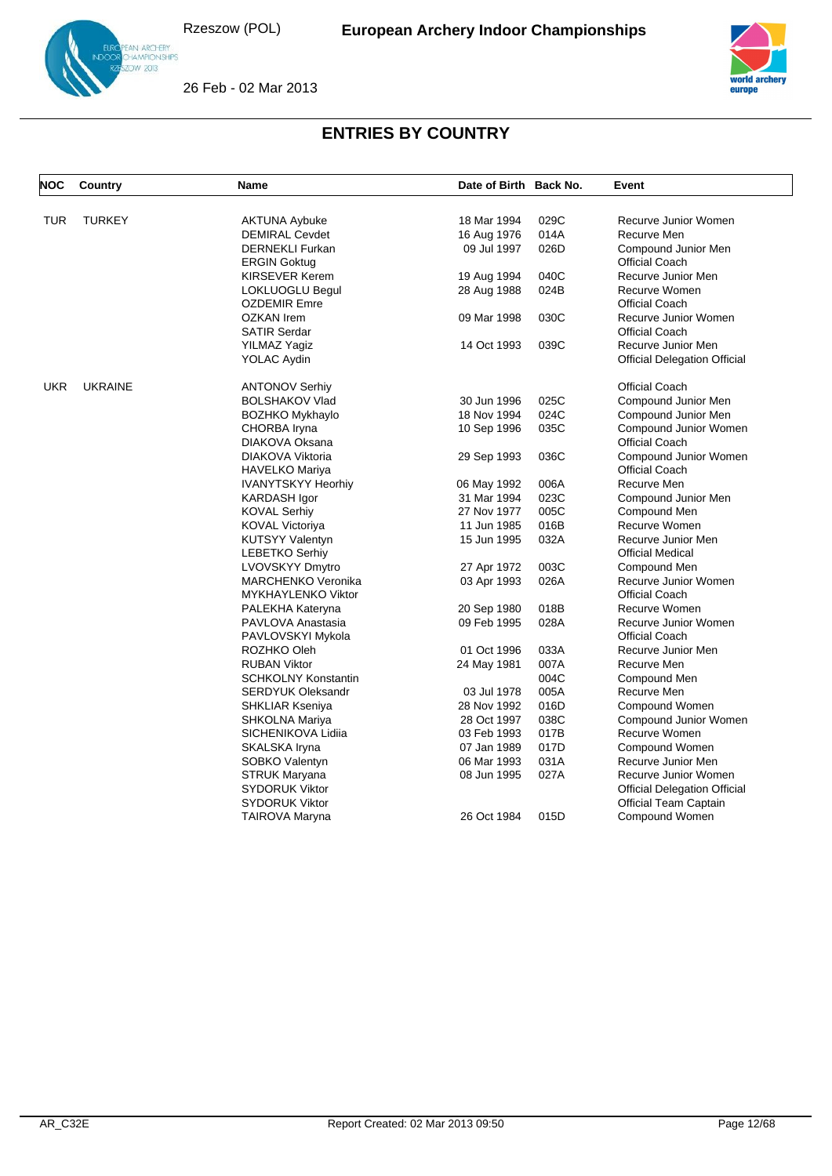26 Feb - 02 Mar 2013





| <b>NOC</b> | <b>Country</b> | <b>Name</b>                                     | Date of Birth Back No. |              | Event                                        |
|------------|----------------|-------------------------------------------------|------------------------|--------------|----------------------------------------------|
|            |                |                                                 |                        |              |                                              |
| <b>TUR</b> | <b>TURKEY</b>  | <b>AKTUNA Aybuke</b>                            | 18 Mar 1994            | 029C         | Recurve Junior Women                         |
|            |                | <b>DEMIRAL Cevdet</b><br><b>DERNEKLI Furkan</b> | 16 Aug 1976            | 014A<br>026D | Recurve Men                                  |
|            |                |                                                 | 09 Jul 1997            |              | Compound Junior Men<br><b>Official Coach</b> |
|            |                | <b>ERGIN Goktug</b>                             |                        |              |                                              |
|            |                | <b>KIRSEVER Kerem</b>                           | 19 Aug 1994            | 040C         | Recurve Junior Men                           |
|            |                | LOKLUOGLU Begul<br><b>OZDEMIR Emre</b>          | 28 Aug 1988            | 024B         | Recurve Women<br><b>Official Coach</b>       |
|            |                | <b>OZKAN</b> Irem                               | 09 Mar 1998            | 030C         | Recurve Junior Women                         |
|            |                | <b>SATIR Serdar</b>                             |                        |              | <b>Official Coach</b>                        |
|            |                | YILMAZ Yagiz                                    | 14 Oct 1993            | 039C         | Recurve Junior Men                           |
|            |                | YOLAC Aydin                                     |                        |              | <b>Official Delegation Official</b>          |
| <b>UKR</b> | <b>UKRAINE</b> | <b>ANTONOV Serhiy</b>                           |                        |              | <b>Official Coach</b>                        |
|            |                | <b>BOLSHAKOV Vlad</b>                           | 30 Jun 1996            | 025C         | Compound Junior Men                          |
|            |                | <b>BOZHKO Mykhaylo</b>                          | 18 Nov 1994            | 024C         | Compound Junior Men                          |
|            |                | CHORBA Iryna                                    | 10 Sep 1996            | 035C         | Compound Junior Women                        |
|            |                | DIAKOVA Oksana                                  |                        |              | <b>Official Coach</b>                        |
|            |                | DIAKOVA Viktoria                                | 29 Sep 1993            | 036C         | Compound Junior Women                        |
|            |                | <b>HAVELKO Mariya</b>                           |                        |              | <b>Official Coach</b>                        |
|            |                | <b>IVANYTSKYY Heorhiy</b>                       | 06 May 1992            | 006A         | Recurve Men                                  |
|            |                | KARDASH Igor                                    | 31 Mar 1994            | 023C         | Compound Junior Men                          |
|            |                | <b>KOVAL Serhiy</b>                             | 27 Nov 1977            | 005C         | Compound Men                                 |
|            |                | <b>KOVAL Victoriya</b>                          | 11 Jun 1985            | 016B         | Recurve Women                                |
|            |                | <b>KUTSYY Valentyn</b>                          | 15 Jun 1995            | 032A         | Recurve Junior Men                           |
|            |                | <b>LEBETKO Serhiy</b>                           |                        |              | <b>Official Medical</b>                      |
|            |                | <b>LVOVSKYY Dmytro</b>                          | 27 Apr 1972            | 003C         | Compound Men                                 |
|            |                | <b>MARCHENKO Veronika</b>                       | 03 Apr 1993            | 026A         | Recurve Junior Women                         |
|            |                | <b>MYKHAYLENKO Viktor</b>                       |                        |              | <b>Official Coach</b>                        |
|            |                | PALEKHA Kateryna                                | 20 Sep 1980            | 018B         | Recurve Women                                |
|            |                | PAVLOVA Anastasia                               | 09 Feb 1995            | 028A         | Recurve Junior Women                         |
|            |                | PAVLOVSKYI Mykola                               |                        |              | <b>Official Coach</b>                        |
|            |                | ROZHKO Oleh                                     | 01 Oct 1996            | 033A         | Recurve Junior Men                           |
|            |                | <b>RUBAN Viktor</b>                             | 24 May 1981            | 007A         | Recurve Men                                  |
|            |                | <b>SCHKOLNY Konstantin</b>                      |                        | 004C         | Compound Men                                 |
|            |                | <b>SERDYUK Oleksandr</b>                        | 03 Jul 1978            | 005A         | Recurve Men                                  |
|            |                | <b>SHKLIAR Kseniya</b>                          | 28 Nov 1992            | 016D         | Compound Women                               |
|            |                | SHKOLNA Mariya                                  | 28 Oct 1997            | 038C         | Compound Junior Women                        |
|            |                | SICHENIKOVA Lidiia                              | 03 Feb 1993            | 017B         | Recurve Women                                |
|            |                | SKALSKA Iryna                                   | 07 Jan 1989            | 017D         | Compound Women                               |
|            |                | SOBKO Valentyn                                  | 06 Mar 1993            | 031A         | Recurve Junior Men                           |
|            |                | <b>STRUK Maryana</b>                            | 08 Jun 1995            | 027A         | Recurve Junior Women                         |
|            |                | <b>SYDORUK Viktor</b>                           |                        |              | <b>Official Delegation Official</b>          |
|            |                | <b>SYDORUK Viktor</b>                           |                        |              | <b>Official Team Captain</b>                 |
|            |                | TAIROVA Maryna                                  | 26 Oct 1984            | 015D         | Compound Women                               |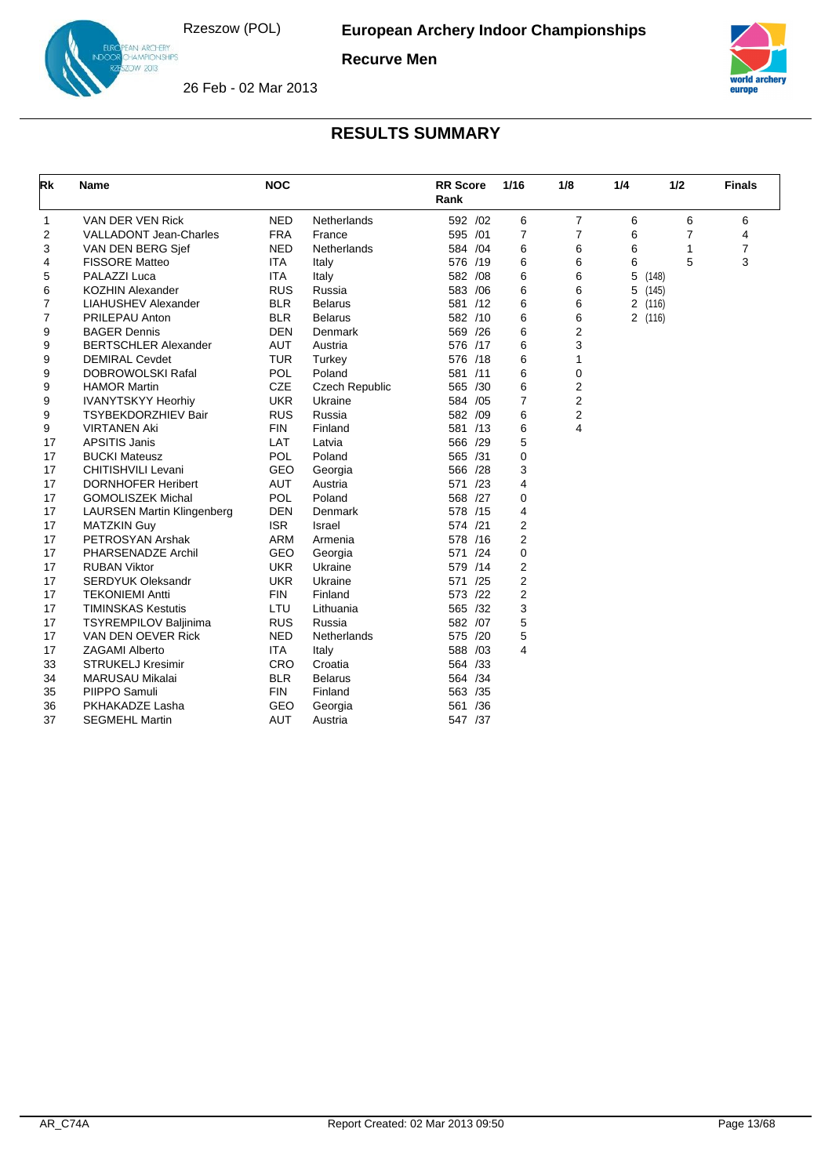

**Recurve Men**



europe

26 Feb - 02 Mar 2013

| Rk | <b>Name</b>                       | <b>NOC</b> |                       | <b>RR</b> Score<br>Rank | 1/16           | 1/8            | 1/4     | 1/2   | <b>Finals</b>  |
|----|-----------------------------------|------------|-----------------------|-------------------------|----------------|----------------|---------|-------|----------------|
| 1  | VAN DER VEN Rick                  | <b>NED</b> | <b>Netherlands</b>    | 592 /02                 | 6              | 7              | 6       | 6     | 6              |
| 2  | <b>VALLADONT Jean-Charles</b>     | <b>FRA</b> | France                | 595 /01                 | $\overline{7}$ | $\overline{7}$ | 6       | 7     | 4              |
| 3  | VAN DEN BERG Sjef                 | <b>NED</b> | Netherlands           | 584 /04                 | 6              | 6              | 6       | 1     | $\overline{7}$ |
| 4  | <b>FISSORE Matteo</b>             | <b>ITA</b> | Italy                 | 576 /19                 | 6              | 6              | 6       | 5     | 3              |
| 5  | PALAZZI Luca                      | <b>ITA</b> | Italy                 | 582 /08                 | 6              | 6              | 5       | (148) |                |
| 6  | <b>KOZHIN Alexander</b>           | <b>RUS</b> | Russia                | 583 /06                 | 6              | 6              | 5       | (145) |                |
| 7  | <b>LIAHUSHEV Alexander</b>        | <b>BLR</b> | <b>Belarus</b>        | 581 /12                 | 6              | 6              | 2 (116) |       |                |
| 7  | PRILEPAU Anton                    | <b>BLR</b> | <b>Belarus</b>        | 582 /10                 | 6              | 6              | 2 (116) |       |                |
| 9  | <b>BAGER Dennis</b>               | <b>DEN</b> | Denmark               | 569 /26                 | 6              | 2              |         |       |                |
| 9  | <b>BERTSCHLER Alexander</b>       | <b>AUT</b> | Austria               | 576 /17                 | 6              | 3              |         |       |                |
| 9  | <b>DEMIRAL Cevdet</b>             | <b>TUR</b> | Turkey                | 576 /18                 | 6              | 1              |         |       |                |
| 9  | <b>DOBROWOLSKI Rafal</b>          | <b>POL</b> | Poland                | 581 /11                 | 6              | 0              |         |       |                |
| 9  | <b>HAMOR Martin</b>               | <b>CZE</b> | <b>Czech Republic</b> | 565 /30                 | 6              | 2              |         |       |                |
| 9  | <b>IVANYTSKYY Heorhiv</b>         | <b>UKR</b> | Ukraine               | 584 /05                 | $\overline{7}$ | 2              |         |       |                |
| 9  | <b>TSYBEKDORZHIEV Bair</b>        | <b>RUS</b> | Russia                | 582 /09                 | 6              | 2              |         |       |                |
| 9  | <b>VIRTANEN Aki</b>               | <b>FIN</b> | Finland               | 581 /13                 | 6              | 4              |         |       |                |
| 17 | <b>APSITIS Janis</b>              | <b>LAT</b> | Latvia                | 566 /29                 | 5              |                |         |       |                |
| 17 | <b>BUCKI Mateusz</b>              | <b>POL</b> | Poland                | 565 /31                 | 0              |                |         |       |                |
| 17 | CHITISHVILI Levani                | GEO        | Georgia               | 566 /28                 | 3              |                |         |       |                |
| 17 | <b>DORNHOFER Heribert</b>         | <b>AUT</b> | Austria               | 571 /23                 | 4              |                |         |       |                |
| 17 | <b>GOMOLISZEK Michal</b>          | POL        | Poland                | 568 /27                 | 0              |                |         |       |                |
| 17 | <b>LAURSEN Martin Klingenberg</b> | <b>DEN</b> | Denmark               | 578 /15                 | 4              |                |         |       |                |
| 17 | <b>MATZKIN Guy</b>                | <b>ISR</b> | Israel                | 574 /21                 | $\overline{2}$ |                |         |       |                |
| 17 | PETROSYAN Arshak                  | <b>ARM</b> | Armenia               | 578 /16                 | 2              |                |         |       |                |
| 17 | PHARSENADZE Archil                | <b>GEO</b> | Georgia               | 571 /24                 | 0              |                |         |       |                |
| 17 | <b>RUBAN Viktor</b>               | <b>UKR</b> | Ukraine               | 579 /14                 | 2              |                |         |       |                |
| 17 | <b>SERDYUK Oleksandr</b>          | <b>UKR</b> | Ukraine               | 571 /25                 | $\overline{2}$ |                |         |       |                |
| 17 | <b>TEKONIEMI Antti</b>            | <b>FIN</b> | Finland               | 573 /22                 | $\overline{2}$ |                |         |       |                |
| 17 | <b>TIMINSKAS Kestutis</b>         | LTU        | Lithuania             | 565 /32                 | 3              |                |         |       |                |
| 17 | <b>TSYREMPILOV Baljinima</b>      | <b>RUS</b> | Russia                | 582 /07                 | 5              |                |         |       |                |
| 17 | VAN DEN OEVER Rick                | <b>NED</b> | Netherlands           | 575 /20                 | 5              |                |         |       |                |
| 17 | <b>ZAGAMI Alberto</b>             | <b>ITA</b> | Italy                 | 588 /03                 | 4              |                |         |       |                |
| 33 | <b>STRUKELJ Kresimir</b>          | CRO        | Croatia               | 564 /33                 |                |                |         |       |                |
| 34 | <b>MARUSAU Mikalai</b>            | <b>BLR</b> | <b>Belarus</b>        | 564 /34                 |                |                |         |       |                |
| 35 | PIIPPO Samuli                     | <b>FIN</b> | Finland               | 563 /35                 |                |                |         |       |                |
| 36 | PKHAKADZE Lasha                   | <b>GEO</b> | Georgia               | 561 /36                 |                |                |         |       |                |
| 37 | <b>SEGMEHL Martin</b>             | AUT        | Austria               | 547 /37                 |                |                |         |       |                |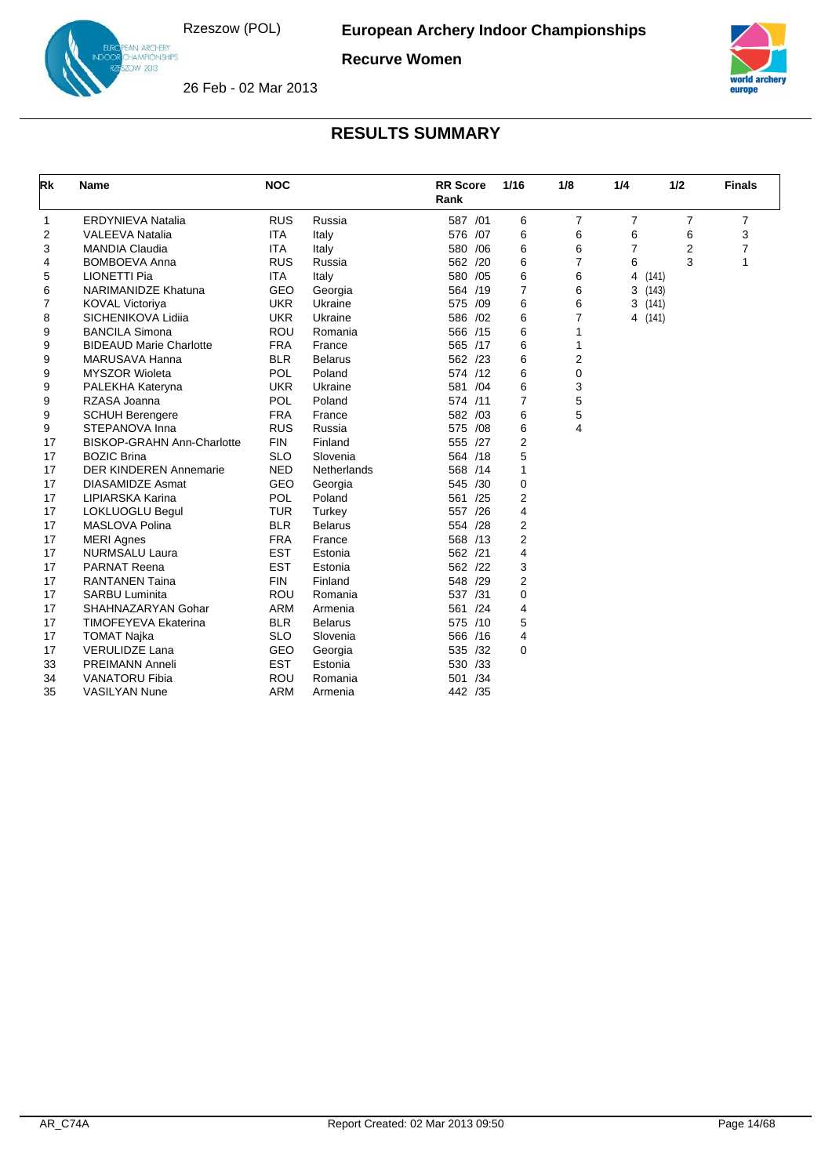

**Recurve Women**



26 Feb - 02 Mar 2013

| Rk | <b>Name</b>                       | <b>NOC</b> |                | <b>RR Score</b><br>Rank | 1/16           | 1/8            | 1/4 | 1/2   | <b>Finals</b> |
|----|-----------------------------------|------------|----------------|-------------------------|----------------|----------------|-----|-------|---------------|
| 1  | <b>ERDYNIEVA Natalia</b>          | <b>RUS</b> | Russia         | 587 /01                 | 6              | $\overline{7}$ | 7   | 7     | 7             |
| 2  | <b>VALEEVA Natalia</b>            | <b>ITA</b> | Italy          | 576 /07                 | 6              | 6              | 6   | 6     | 3             |
| 3  | <b>MANDIA Claudia</b>             | <b>ITA</b> | Italy          | 580 / 06                | 6              | 6              | 7   | 2     | 7             |
| 4  | <b>BOMBOEVA Anna</b>              | <b>RUS</b> | Russia         | 562 /20                 | 6              | 7              | 6   | 3     | $\mathbf{1}$  |
| 5  | <b>LIONETTI Pia</b>               | <b>ITA</b> | Italy          | 580 /05                 | 6              | 6              | 4   | (141) |               |
| 6  | <b>NARIMANIDZE Khatuna</b>        | GEO        | Georgia        | 564 /19                 | 7              | 6              | 3   | (143) |               |
| 7  | <b>KOVAL Victoriya</b>            | <b>UKR</b> | Ukraine        | 575 /09                 | 6              | 6              | 3   | (141) |               |
| 8  | SICHENIKOVA Lidija                | <b>UKR</b> | Ukraine        | 586 /02                 | 6              | 7              | 4   | (141) |               |
| 9  | <b>BANCILA Simona</b>             | <b>ROU</b> | Romania        | 566 /15                 | 6              | 1              |     |       |               |
| 9  | <b>BIDEAUD Marie Charlotte</b>    | <b>FRA</b> | France         | 565 /17                 | 6              | 1              |     |       |               |
| 9  | <b>MARUSAVA Hanna</b>             | <b>BLR</b> | <b>Belarus</b> | 562 /23                 | 6              | 2              |     |       |               |
| 9  | <b>MYSZOR Wioleta</b>             | <b>POL</b> | Poland         | 574 /12                 | 6              | 0              |     |       |               |
| 9  | PALEKHA Kateryna                  | <b>UKR</b> | Ukraine        | 581 /04                 | 6              | 3              |     |       |               |
| 9  | RZASA Joanna                      | <b>POL</b> | Poland         | 574 /11                 | 7              | 5              |     |       |               |
| 9  | <b>SCHUH Berengere</b>            | <b>FRA</b> | France         | 582 /03                 | 6              | 5              |     |       |               |
| 9  | STEPANOVA Inna                    | <b>RUS</b> | Russia         | 575 /08                 | 6              | 4              |     |       |               |
| 17 | <b>BISKOP-GRAHN Ann-Charlotte</b> | <b>FIN</b> | Finland        | 555 /27                 | $\overline{2}$ |                |     |       |               |
| 17 | <b>BOZIC Brina</b>                | <b>SLO</b> | Slovenia       | 564 /18                 | 5              |                |     |       |               |
| 17 | <b>DER KINDEREN Annemarie</b>     | <b>NED</b> | Netherlands    | 568 /14                 | 1              |                |     |       |               |
| 17 | <b>DIASAMIDZE Asmat</b>           | GEO        | Georgia        | 545 /30                 | 0              |                |     |       |               |
| 17 | LIPIARSKA Karina                  | <b>POL</b> | Poland         | 561 /25                 | 2              |                |     |       |               |
| 17 | LOKLUOGLU Begul                   | <b>TUR</b> | Turkey         | 557 /26                 | 4              |                |     |       |               |
| 17 | MASLOVA Polina                    | <b>BLR</b> | <b>Belarus</b> | 554 /28                 | 2              |                |     |       |               |
| 17 | <b>MERI Agnes</b>                 | <b>FRA</b> | France         | 568 /13                 | 2              |                |     |       |               |
| 17 | <b>NURMSALU Laura</b>             | <b>EST</b> | Estonia        | 562 /21                 | 4              |                |     |       |               |
| 17 | <b>PARNAT Reena</b>               | <b>EST</b> | Estonia        | 562 /22                 | 3              |                |     |       |               |
| 17 | <b>RANTANEN Taina</b>             | <b>FIN</b> | Finland        | 548 /29                 | 2              |                |     |       |               |
| 17 | <b>SARBU Luminita</b>             | <b>ROU</b> | Romania        | 537 /31                 | 0              |                |     |       |               |
| 17 | SHAHNAZARYAN Gohar                | <b>ARM</b> | Armenia        | 561 /24                 | $\overline{4}$ |                |     |       |               |
| 17 | <b>TIMOFEYEVA Ekaterina</b>       | <b>BLR</b> | <b>Belarus</b> | 575 /10                 | 5              |                |     |       |               |
| 17 | <b>TOMAT Najka</b>                | <b>SLO</b> | Slovenia       | 566 /16                 | 4              |                |     |       |               |
| 17 | <b>VERULIDZE Lana</b>             | GEO        | Georgia        | 535 /32                 | 0              |                |     |       |               |
| 33 | <b>PREIMANN Anneli</b>            | <b>EST</b> | Estonia        | 530 /33                 |                |                |     |       |               |
| 34 | <b>VANATORU Fibia</b>             | <b>ROU</b> | Romania        | /34<br>501              |                |                |     |       |               |
| 35 | <b>VASILYAN Nune</b>              | <b>ARM</b> | Armenia        | 442 /35                 |                |                |     |       |               |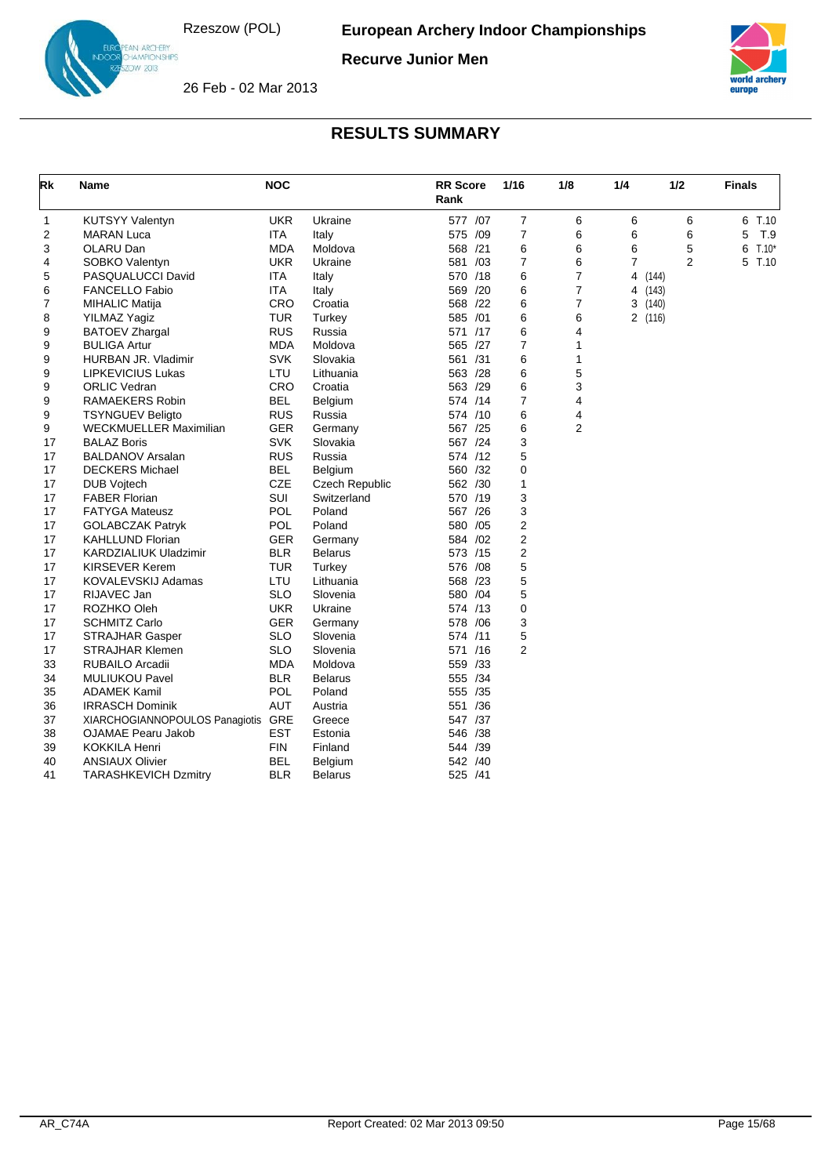

**Recurve Junior Men**



26 Feb - 02 Mar 2013

| <b>Rk</b>   | <b>Name</b>                        | <b>NOC</b> |                       | <b>RR</b> Score<br>Rank | 1/16           | 1/8            | 1/4     | 1/2            | <b>Finals</b> |
|-------------|------------------------------------|------------|-----------------------|-------------------------|----------------|----------------|---------|----------------|---------------|
| $\mathbf 1$ | <b>KUTSYY Valentyn</b>             | <b>UKR</b> | Ukraine               | 577 /07                 | 7              | 6              | 6       | 6              | 6 T.10        |
| 2           | <b>MARAN Luca</b>                  | ITA.       | Italy                 | 575 /09                 | $\overline{7}$ | 6              | 6       | 6              | T.9<br>5      |
| 3           | OLARU Dan                          | MDA        | Moldova               | 568 /21                 | 6              | 6              | 6       | 5              | $T.10*$<br>6  |
| 4           | SOBKO Valentyn                     | <b>UKR</b> | Ukraine               | 581 /03                 | 7              | 6              | 7       | $\overline{2}$ | T.10<br>5     |
| 5           | PASQUALUCCI David                  | ITA.       | Italy                 | 570 /18                 | 6              | $\overline{7}$ | 4       | (144)          |               |
| 6           | <b>FANCELLO Fabio</b>              | <b>ITA</b> | Italy                 | 569 /20                 | 6              | 7              | 4       | (143)          |               |
| 7           | <b>MIHALIC Matija</b>              | <b>CRO</b> | Croatia               | 568 /22                 | 6              | $\overline{7}$ | 3       | (140)          |               |
| 8           | <b>YILMAZ Yagiz</b>                | <b>TUR</b> | Turkey                | 585 /01                 | 6              | 6              | 2 (116) |                |               |
| 9           | <b>BATOEV Zhargal</b>              | RUS        | Russia                | 571 /17                 | 6              | 4              |         |                |               |
| 9           | <b>BULIGA Artur</b>                | <b>MDA</b> | Moldova               | 565 /27                 | $\overline{7}$ | 1              |         |                |               |
| 9           | HURBAN JR. Vladimir                | <b>SVK</b> | Slovakia              | 561 /31                 | 6              | 1              |         |                |               |
| 9           | <b>LIPKEVICIUS Lukas</b>           | LTU        | Lithuania             | 563 /28                 | 6              | 5              |         |                |               |
| 9           | <b>ORLIC Vedran</b>                | CRO        | Croatia               | 563 /29                 | 6              | 3              |         |                |               |
| 9           | RAMAEKERS Robin                    | <b>BEL</b> | Belgium               | 574 /14                 | $\overline{7}$ | 4              |         |                |               |
| 9           | <b>TSYNGUEV Beligto</b>            | <b>RUS</b> | Russia                | 574 /10                 | 6              | 4              |         |                |               |
| 9           | WECKMUELLER Maximilian             | <b>GER</b> | Germany               | 567 /25                 | 6              | 2              |         |                |               |
| 17          | <b>BALAZ Boris</b>                 | <b>SVK</b> | Slovakia              | 567 /24                 | 3              |                |         |                |               |
| 17          | <b>BALDANOV Arsalan</b>            | <b>RUS</b> | Russia                | 574 /12                 | 5              |                |         |                |               |
| 17          | <b>DECKERS Michael</b>             | <b>BEL</b> | Belgium               | 560 /32                 | 0              |                |         |                |               |
| 17          | <b>DUB Vojtech</b>                 | <b>CZE</b> | <b>Czech Republic</b> | 562 /30                 | 1              |                |         |                |               |
| 17          | <b>FABER Florian</b>               | <b>SUI</b> | Switzerland           | 570 /19                 | 3              |                |         |                |               |
| 17          | <b>FATYGA Mateusz</b>              | <b>POL</b> | Poland                | 567 /26                 | 3              |                |         |                |               |
| 17          | <b>GOLABCZAK Patryk</b>            | <b>POL</b> | Poland                | 580 /05                 | 2              |                |         |                |               |
| 17          | <b>KAHLLUND Florian</b>            | <b>GER</b> | Germany               | 584 /02                 | 2              |                |         |                |               |
| 17          | KARDZIALIUK Uladzimir              | <b>BLR</b> | <b>Belarus</b>        | 573 /15                 | 2              |                |         |                |               |
| 17          | <b>KIRSEVER Kerem</b>              | <b>TUR</b> | Turkey                | 576 /08                 | 5              |                |         |                |               |
| 17          | KOVALEVSKIJ Adamas                 | LTU        | Lithuania             | 568 /23                 | 5              |                |         |                |               |
| 17          | RIJAVEC Jan                        | <b>SLO</b> | Slovenia              | 580 /04                 | 5              |                |         |                |               |
| 17          | ROZHKO Oleh                        | <b>UKR</b> | Ukraine               | 574 /13                 | 0              |                |         |                |               |
| 17          | <b>SCHMITZ Carlo</b>               | <b>GER</b> | Germany               | 578 / 06                | 3              |                |         |                |               |
| 17          | <b>STRAJHAR Gasper</b>             | <b>SLO</b> | Slovenia              | 574 /11                 | 5              |                |         |                |               |
| 17          | <b>STRAJHAR Klemen</b>             | <b>SLO</b> | Slovenia              | 571 /16                 | $\overline{2}$ |                |         |                |               |
| 33          | RUBAILO Arcadii                    | <b>MDA</b> | Moldova               | 559 /33                 |                |                |         |                |               |
| 34          | <b>MULIUKOU Pavel</b>              | <b>BLR</b> | <b>Belarus</b>        | 555 /34                 |                |                |         |                |               |
| 35          | <b>ADAMEK Kamil</b>                | <b>POL</b> | Poland                | 555 /35                 |                |                |         |                |               |
| 36          | <b>IRRASCH Dominik</b>             | <b>AUT</b> | Austria               | 551 /36                 |                |                |         |                |               |
| 37          | XIARCHOGIANNOPOULOS Panagiotis GRE |            | Greece                | 547 /37                 |                |                |         |                |               |
| 38          | OJAMAE Pearu Jakob                 | <b>EST</b> | Estonia               | 546 /38                 |                |                |         |                |               |
| 39          | <b>KOKKILA Henri</b>               | FIN        | Finland               | 544 /39                 |                |                |         |                |               |
| 40          | <b>ANSIAUX Olivier</b>             | <b>BEL</b> | Belgium               | 542 /40                 |                |                |         |                |               |
| 41          | <b>TARASHKEVICH Dzmitry</b>        | BLR        | Belarus               | 525 /41                 |                |                |         |                |               |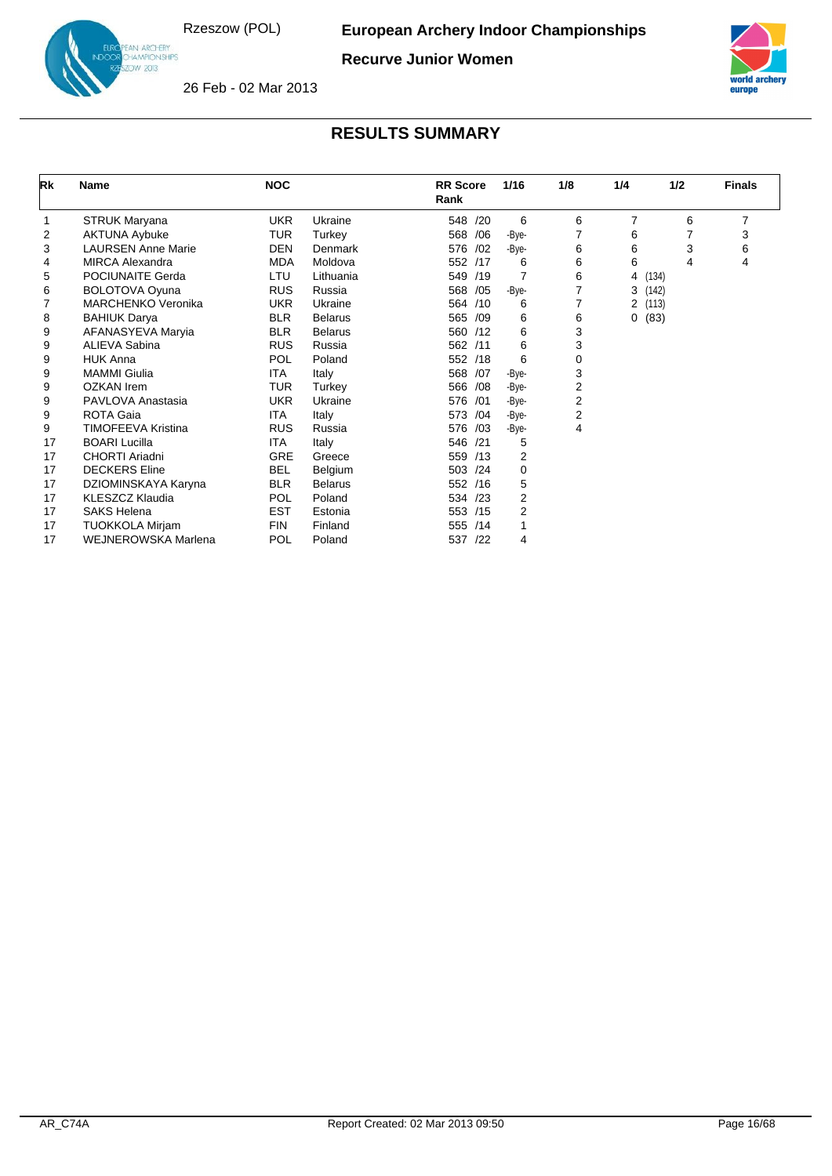

**Recurve Junior Women**



26 Feb - 02 Mar 2013

| Rk | <b>Name</b>               | <b>NOC</b> |                | <b>RR</b> Score<br>Rank | 1/16           | 1/8 | 1/4            | 1/2   | <b>Finals</b> |
|----|---------------------------|------------|----------------|-------------------------|----------------|-----|----------------|-------|---------------|
|    | STRUK Maryana             | <b>UKR</b> | Ukraine        | 548 /20                 | 6              | 6   | $\overline{7}$ | 6     | 7             |
| 2  | <b>AKTUNA Aybuke</b>      | <b>TUR</b> | Turkey         | 568<br>/06              | -Bye-          | 7   | 6              | 7     | 3             |
| 3  | <b>LAURSEN Anne Marie</b> | <b>DEN</b> | Denmark        | 576<br>/02              | -Bye-          | 6   | 6              | 3     | 6             |
| 4  | <b>MIRCA Alexandra</b>    | <b>MDA</b> | Moldova        | 552 /17                 | 6              | 6   | 6              | 4     | 4             |
| 5  | POCIUNAITE Gerda          | LTU        | Lithuania      | 549 /19                 | 7              | 6   | 4              | (134) |               |
| 6  | <b>BOLOTOVA Oyuna</b>     | <b>RUS</b> | Russia         | 568<br>/05              | -Bye-          | 7   | 3              | (142) |               |
|    | <b>MARCHENKO Veronika</b> | <b>UKR</b> | Ukraine        | 564 /10                 | 6              | 7   | 2              | (113) |               |
| 8  | <b>BAHIUK Darya</b>       | <b>BLR</b> | <b>Belarus</b> | 565 /09                 | 6              | 6   | 0              | (83)  |               |
| 9  | AFANASYEVA Maryia         | <b>BLR</b> | <b>Belarus</b> | 560 /12                 | 6              | 3   |                |       |               |
| 9  | <b>ALIEVA Sabina</b>      | <b>RUS</b> | Russia         | 562 /11                 | 6              | 3   |                |       |               |
| 9  | <b>HUK Anna</b>           | <b>POL</b> | Poland         | 552 /18                 | 6              | 0   |                |       |               |
| 9  | <b>MAMMI</b> Giulia       | ITA        | Italy          | 568 /07                 | -Bye-          | 3   |                |       |               |
| 9  | <b>OZKAN</b> Irem         | TUR        | Turkey         | 566 /08                 | -Bye-          | 2   |                |       |               |
| 9  | PAVLOVA Anastasia         | <b>UKR</b> | Ukraine        | 576 /01                 | -Bye-          | 2   |                |       |               |
| 9  | ROTA Gaia                 | ITA        | Italy          | /04<br>573              | -Bye-          | 2   |                |       |               |
| 9  | <b>TIMOFEEVA Kristina</b> | <b>RUS</b> | Russia         | 576 /03                 | -Bye-          | 4   |                |       |               |
| 17 | <b>BOARI Lucilla</b>      | ITA        | Italy          | 546 /21                 | 5              |     |                |       |               |
| 17 | CHORTI Ariadni            | GRE        | Greece         | 559 /13                 | $\overline{2}$ |     |                |       |               |
| 17 | <b>DECKERS</b> Eline      | <b>BEL</b> | Belgium        | 503 /24                 | 0              |     |                |       |               |
| 17 | DZIOMINSKAYA Karyna       | <b>BLR</b> | <b>Belarus</b> | 552 /16                 | 5              |     |                |       |               |
| 17 | <b>KLESZCZ Klaudia</b>    | <b>POL</b> | Poland         | 534 /23                 | 2              |     |                |       |               |
| 17 | <b>SAKS Helena</b>        | <b>EST</b> | Estonia        | 553 /15                 | 2              |     |                |       |               |
| 17 | <b>TUOKKOLA Mirjam</b>    | <b>FIN</b> | Finland        | 555 /14                 |                |     |                |       |               |
| 17 | WEJNEROWSKA Marlena       | <b>POL</b> | Poland         | 537<br>/22              | 4              |     |                |       |               |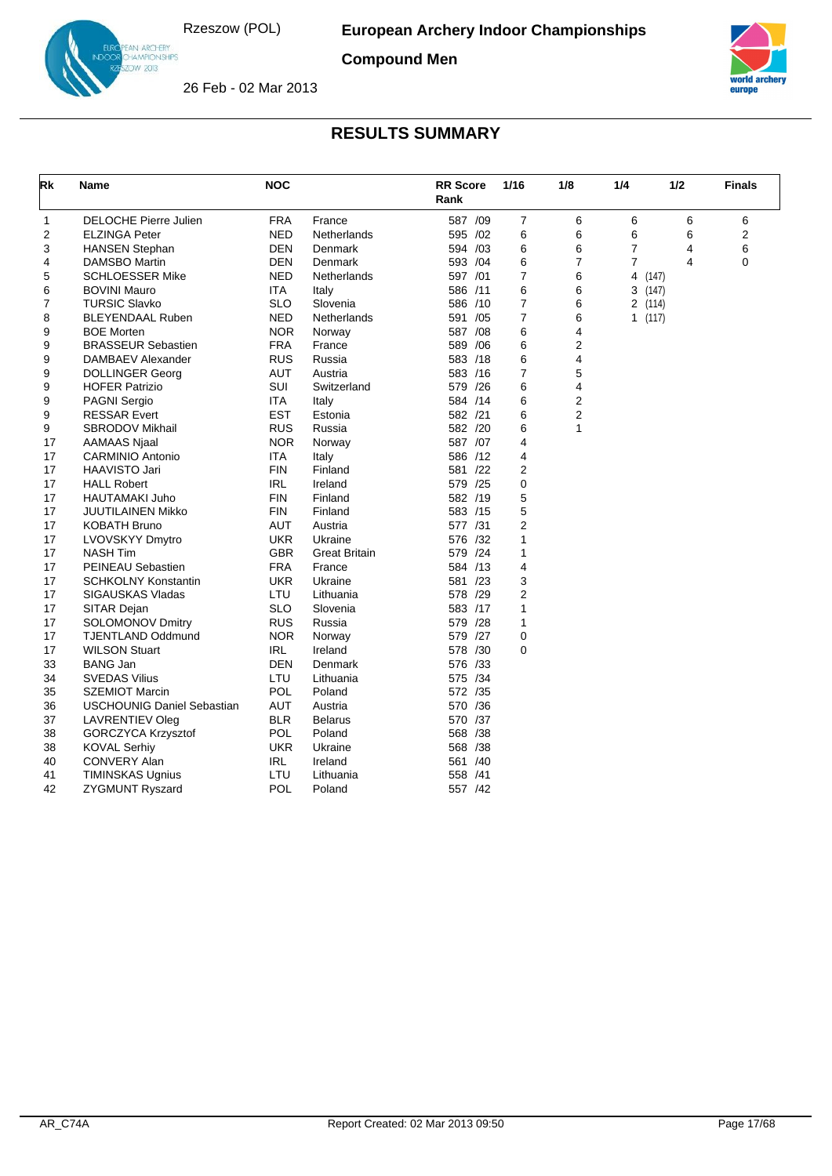

IN ARC<del>HE</del>RY<br>HAMPIONSHIPS<br>DW 2013

**Compound Men**



26 Feb - 02 Mar 2013

| Rk | <b>Name</b>                       | <b>NOC</b> |                      | <b>RR</b> Score<br>Rank | 1/16           | 1/8 | 1/4            | 1/2 | <b>Finals</b>  |
|----|-----------------------------------|------------|----------------------|-------------------------|----------------|-----|----------------|-----|----------------|
| 1  | <b>DELOCHE Pierre Julien</b>      | <b>FRA</b> | France               | 587 /09                 | $\overline{7}$ | 6   | 6              | 6   | 6              |
| 2  | <b>ELZINGA Peter</b>              | <b>NED</b> | Netherlands          | 595 /02                 | 6              | 6   | 6              | 6   | $\overline{2}$ |
| 3  | <b>HANSEN Stephan</b>             | DEN        | Denmark              | 594 /03                 | 6              | 6   | $\overline{7}$ | 4   | 6              |
| 4  | <b>DAMSBO Martin</b>              | <b>DEN</b> | Denmark              | 593 /04                 | 6              | 7   | $\overline{7}$ | 4   | 0              |
| 5  | <b>SCHLOESSER Mike</b>            | <b>NED</b> | Netherlands          | 597 /01                 | $\overline{7}$ | 6   | 4<br>(147)     |     |                |
| 6  | <b>BOVINI Mauro</b>               | ITA        | Italy                | 586 /11                 | 6              | 6   | 3(147)         |     |                |
| 7  | <b>TURSIC Slavko</b>              | <b>SLO</b> | Slovenia             | 586 /10                 | $\overline{7}$ | 6   | 2(114)         |     |                |
| 8  | <b>BLEYENDAAL Ruben</b>           | <b>NED</b> | Netherlands          | 591 /05                 | $\overline{7}$ | 6   | 1 $(117)$      |     |                |
| 9  | <b>BOE Morten</b>                 | <b>NOR</b> | Norway               | 587 /08                 | 6              | 4   |                |     |                |
| 9  | <b>BRASSEUR Sebastien</b>         | <b>FRA</b> | France               | 589 / 06                | 6              | 2   |                |     |                |
| 9  | DAMBAEV Alexander                 | <b>RUS</b> | Russia               | 583 /18                 | 6              | 4   |                |     |                |
| 9  | <b>DOLLINGER Georg</b>            | AUT        | Austria              | 583 /16                 | $\overline{7}$ | 5   |                |     |                |
| 9  | <b>HOFER Patrizio</b>             | SUI        | Switzerland          | 579 /26                 | 6              | 4   |                |     |                |
| 9  | PAGNI Sergio                      | ITA        | Italy                | 584 /14                 | 6              | 2   |                |     |                |
| 9  | <b>RESSAR Evert</b>               | <b>EST</b> | Estonia              | 582 /21                 | 6              | 2   |                |     |                |
| 9  | SBRODOV Mikhail                   | <b>RUS</b> | Russia               | 582 /20                 | 6              | 1   |                |     |                |
| 17 | AAMAAS Njaal                      | <b>NOR</b> | Norway               | 587 /07                 | 4              |     |                |     |                |
| 17 | <b>CARMINIO Antonio</b>           | ITA        | Italy                | 586 /12                 | $\overline{4}$ |     |                |     |                |
| 17 | HAAVISTO Jari                     | <b>FIN</b> | Finland              | 581 /22                 | $\overline{2}$ |     |                |     |                |
| 17 | <b>HALL Robert</b>                | IRL        | Ireland              | 579 /25                 | 0              |     |                |     |                |
| 17 | HAUTAMAKI Juho                    | <b>FIN</b> | Finland              | 582 /19                 | 5              |     |                |     |                |
| 17 | JUUTILAINEN Mikko                 | <b>FIN</b> | Finland              | 583 /15                 | 5              |     |                |     |                |
| 17 | KOBATH Bruno                      | AUT        | Austria              | 577 /31                 | 2              |     |                |     |                |
| 17 | LVOVSKYY Dmytro                   | <b>UKR</b> | Ukraine              | 576 /32                 | 1              |     |                |     |                |
| 17 | <b>NASH Tim</b>                   | <b>GBR</b> | <b>Great Britain</b> | 579 /24                 | 1              |     |                |     |                |
| 17 | <b>PEINEAU Sebastien</b>          | <b>FRA</b> | France               | 584 /13                 | 4              |     |                |     |                |
| 17 | <b>SCHKOLNY Konstantin</b>        | UKR        | Ukraine              | 581 /23                 | 3              |     |                |     |                |
| 17 | <b>SIGAUSKAS Vladas</b>           | LTU        | Lithuania            | 578 /29                 | $\overline{2}$ |     |                |     |                |
| 17 | SITAR Dejan                       | <b>SLO</b> | Slovenia             | 583 /17                 | 1              |     |                |     |                |
| 17 | <b>SOLOMONOV Dmitry</b>           | <b>RUS</b> | Russia               | 579 /28                 | 1              |     |                |     |                |
| 17 | <b>TJENTLAND Oddmund</b>          | <b>NOR</b> | Norway               | 579 /27                 | $\mathbf 0$    |     |                |     |                |
| 17 | <b>WILSON Stuart</b>              | <b>IRL</b> | Ireland              | 578 /30                 | 0              |     |                |     |                |
| 33 | <b>BANG Jan</b>                   | DEN        | Denmark              | 576 /33                 |                |     |                |     |                |
| 34 | <b>SVEDAS Vilius</b>              | LTU        | Lithuania            | 575 /34                 |                |     |                |     |                |
| 35 | <b>SZEMIOT Marcin</b>             | POL        | Poland               | 572 /35                 |                |     |                |     |                |
| 36 | <b>USCHOUNIG Daniel Sebastian</b> | <b>AUT</b> | Austria              | 570 /36                 |                |     |                |     |                |
| 37 | <b>LAVRENTIEV Oleg</b>            | <b>BLR</b> | <b>Belarus</b>       | 570 /37                 |                |     |                |     |                |
| 38 | <b>GORCZYCA Krzysztof</b>         | POL        | Poland               | 568 /38                 |                |     |                |     |                |
| 38 | <b>KOVAL Serhiy</b>               | UKR        | Ukraine              | 568 /38                 |                |     |                |     |                |
| 40 | CONVERY Alan                      | IRL        | Ireland              | 561 /40                 |                |     |                |     |                |
| 41 | TIMINSKAS Ugnius                  | LTU        | Lithuania            | 558 /41                 |                |     |                |     |                |
| 42 | <b>ZYGMUNT Ryszard</b>            | <b>POL</b> | Poland               | 557 /42                 |                |     |                |     |                |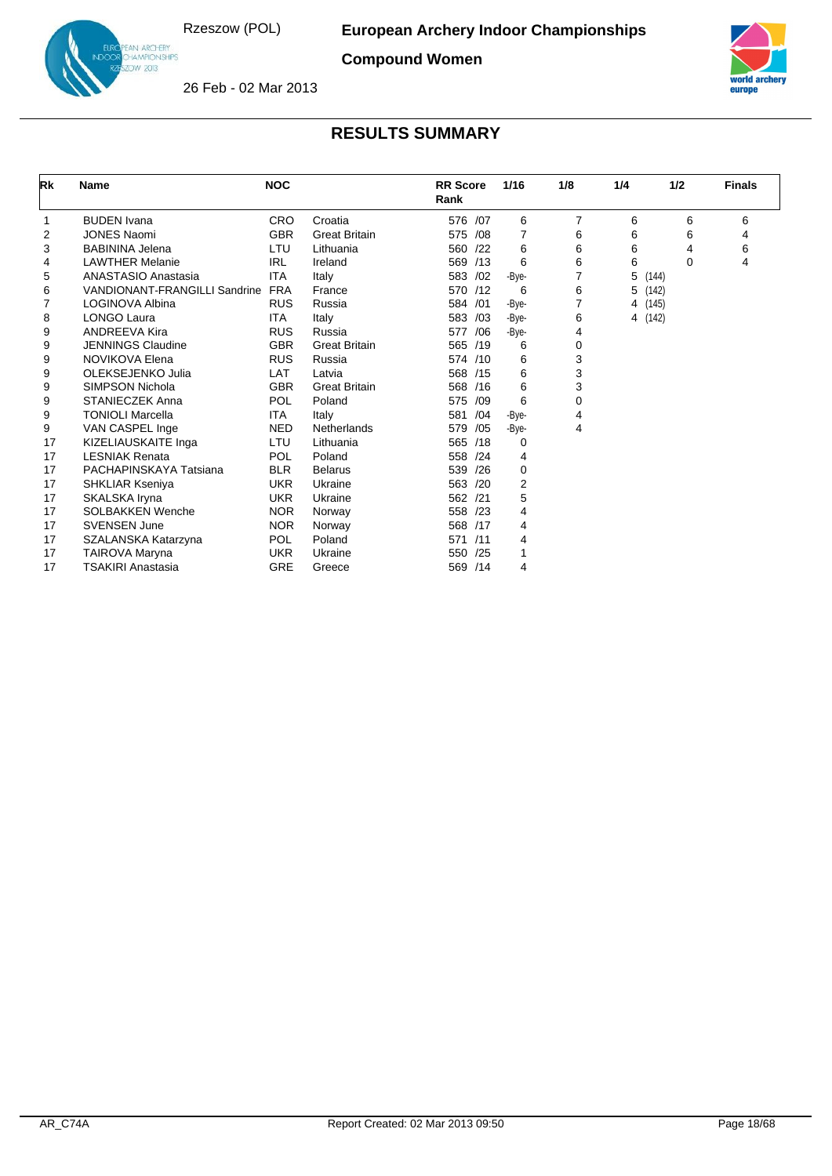

IN ARC<del>HE</del>RY<br>HAMPIONSHIPS<br>DW 2013

**Compound Women**



26 Feb - 02 Mar 2013

| Rk | <b>Name</b>                          | <b>NOC</b> |                      | <b>RR Score</b><br>Rank | 1/16  | 1/8            | 1/4            | 1/2   | <b>Finals</b> |
|----|--------------------------------------|------------|----------------------|-------------------------|-------|----------------|----------------|-------|---------------|
| 1  | <b>BUDEN</b> Ivana                   | <b>CRO</b> | Croatia              | 576 /07                 | 6     | 7              | 6              | 6     | 6             |
| 2  | <b>JONES Naomi</b>                   | <b>GBR</b> | <b>Great Britain</b> | 575<br>/08              | 7     | 6              | 6              | 6     | 4             |
| 3  | <b>BABININA Jelena</b>               | LTU        | Lithuania            | 560<br>/22              | 6     | 6              | 6              | 4     | 6             |
| 4  | <b>LAWTHER Melanie</b>               | <b>IRL</b> | Ireland              | 569<br>/13              | 6     | 6              | 6              | 0     | 4             |
| 5  | <b>ANASTASIO Anastasia</b>           | <b>ITA</b> | Italy                | 583 /02                 | -Bye- | $\overline{7}$ | 5              | (144) |               |
| 6  | <b>VANDIONANT-FRANGILLI Sandrine</b> | <b>FRA</b> | France               | 570 /12                 | 6     | 6              | 5              | (142) |               |
| 7  | LOGINOVA Albina                      | <b>RUS</b> | Russia               | 584<br>/01              | -Bye- | $\overline{7}$ | 4              | (145) |               |
| 8  | <b>LONGO Laura</b>                   | ITA.       | Italy                | 583 /03                 | -Bye- | 6              | $\overline{4}$ | (142) |               |
| 9  | <b>ANDREEVA Kira</b>                 | <b>RUS</b> | Russia               | 577<br>/06              | -Bye- | 4              |                |       |               |
| 9  | <b>JENNINGS Claudine</b>             | <b>GBR</b> | <b>Great Britain</b> | 565 /19                 | 6     | 0              |                |       |               |
| 9  | NOVIKOVA Elena                       | <b>RUS</b> | Russia               | 574 /10                 | 6     | 3              |                |       |               |
| 9  | OLEKSEJENKO Julia                    | LAT        | Latvia               | 568 /15                 | 6     | 3              |                |       |               |
| 9  | SIMPSON Nichola                      | <b>GBR</b> | <b>Great Britain</b> | 568<br>/16              | 6     | 3              |                |       |               |
| 9  | <b>STANIECZEK Anna</b>               | POL        | Poland               | 575<br>/09              | 6     | 0              |                |       |               |
| 9  | TONIOLI Marcella                     | ITA        | Italy                | /04<br>581              | -Bye- | 4              |                |       |               |
| 9  | VAN CASPEL Inge                      | <b>NED</b> | Netherlands          | 579<br>/05              | -Bye- | 4              |                |       |               |
| 17 | KIZELIAUSKAITE Inga                  | LTU        | Lithuania            | 565 /18                 | 0     |                |                |       |               |
| 17 | <b>LESNIAK Renata</b>                | POL        | Poland               | 558<br>/24              | 4     |                |                |       |               |
| 17 | PACHAPINSKAYA Tatsiana               | <b>BLR</b> | <b>Belarus</b>       | 539<br>/26              | 0     |                |                |       |               |
| 17 | <b>SHKLIAR Kseniya</b>               | <b>UKR</b> | Ukraine              | 563<br>/20              | 2     |                |                |       |               |
| 17 | SKALSKA Iryna                        | <b>UKR</b> | Ukraine              | 562<br>/21              | 5     |                |                |       |               |
| 17 | <b>SOLBAKKEN Wenche</b>              | <b>NOR</b> | Norway               | 558 /23                 | 4     |                |                |       |               |
| 17 | <b>SVENSEN June</b>                  | <b>NOR</b> | Norway               | 568 /17                 | 4     |                |                |       |               |
| 17 | SZALANSKA Katarzyna                  | <b>POL</b> | Poland               | 571<br>/11              | 4     |                |                |       |               |
| 17 | TAIROVA Maryna                       | <b>UKR</b> | Ukraine              | 550<br>/25              | 1     |                |                |       |               |
| 17 | <b>TSAKIRI Anastasia</b>             | <b>GRE</b> | Greece               | 569 /14                 | 4     |                |                |       |               |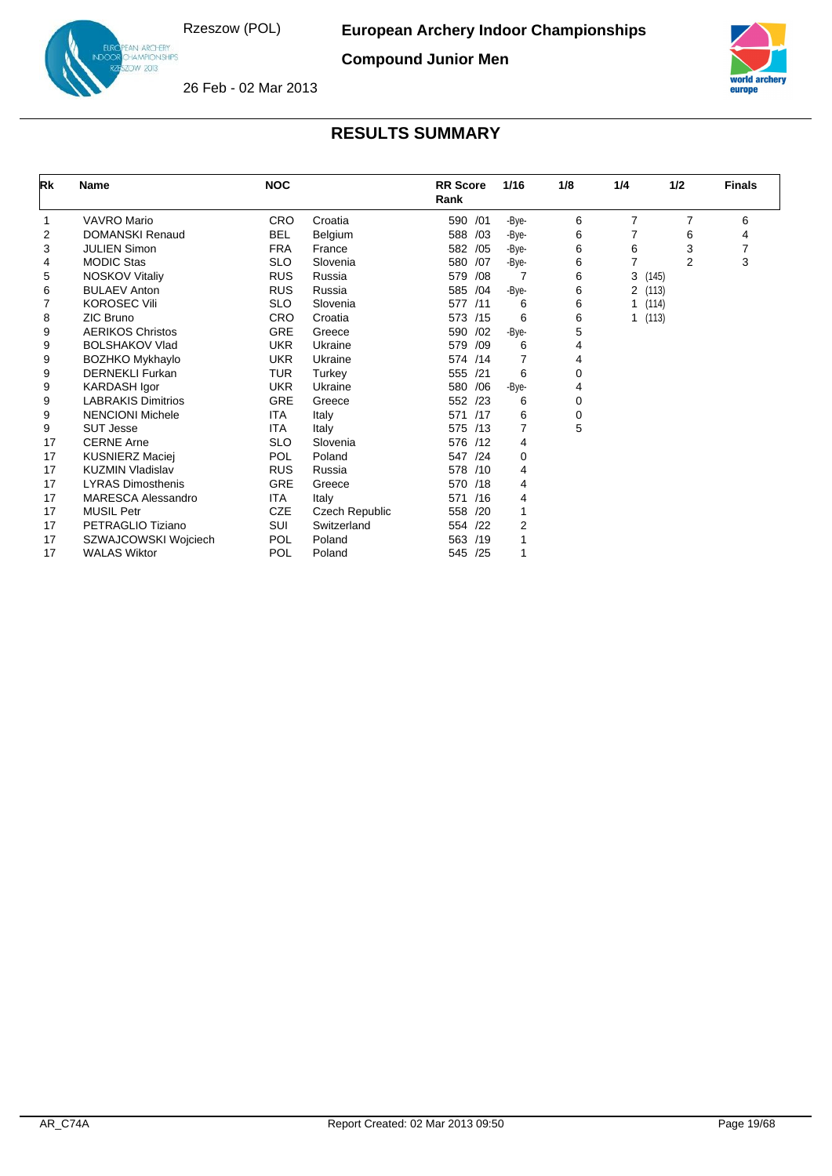

IN ARC<del>HE</del>RY<br>HAMPIONSHIPS<br>DW 2013

**Compound Junior Men**



26 Feb - 02 Mar 2013

| Rk | <b>Name</b>               | <b>NOC</b> |                | <b>RR</b> Score<br>Rank | 1/16  | 1/8 | 1/4            | 1/2   | <b>Finals</b> |
|----|---------------------------|------------|----------------|-------------------------|-------|-----|----------------|-------|---------------|
|    | <b>VAVRO Mario</b>        | <b>CRO</b> | Croatia        | /01<br>590              | -Bye- | 6   | $\overline{7}$ | 7     | 6             |
| 2  | <b>DOMANSKI Renaud</b>    | <b>BEL</b> | Belgium        | 588<br>/03              | -Bye- | 6   | $\overline{7}$ | 6     | 4             |
| 3  | <b>JULIEN Simon</b>       | <b>FRA</b> | France         | 582<br>/05              | -Bye- | 6   | 6              | 3     |               |
| 4  | <b>MODIC Stas</b>         | <b>SLO</b> | Slovenia       | 580<br>/07              | -Bye- | 6   | $\overline{7}$ | 2     | 3             |
| 5  | <b>NOSKOV Vitaliy</b>     | <b>RUS</b> | Russia         | 579<br>/08              | 7     | 6   | 3              | (145) |               |
| 6  | <b>BULAEV Anton</b>       | <b>RUS</b> | Russia         | 585<br>/04              | -Bye- | 6   | 2              | (113) |               |
| 7  | <b>KOROSEC Vili</b>       | <b>SLO</b> | Slovenia       | 577<br>/11              | 6     | 6   | 1              | (114) |               |
| 8  | ZIC Bruno                 | CRO        | Croatia        | 573<br>/15              | 6     | 6   | 1              | (113) |               |
| 9  | <b>AERIKOS Christos</b>   | GRE        | Greece         | 590<br>/02              | -Bye- | 5   |                |       |               |
| 9  | <b>BOLSHAKOV Vlad</b>     | <b>UKR</b> | Ukraine        | 579<br>/09              | 6     | 4   |                |       |               |
| 9  | BOZHKO Mykhaylo           | <b>UKR</b> | Ukraine        | 574 /14                 | 7     | 4   |                |       |               |
| 9  | <b>DERNEKLI Furkan</b>    | <b>TUR</b> | Turkey         | 555<br>/21              | 6     | 0   |                |       |               |
| 9  | <b>KARDASH Igor</b>       | <b>UKR</b> | Ukraine        | 580<br>/06              | -Bye- | 4   |                |       |               |
| 9  | <b>LABRAKIS Dimitrios</b> | <b>GRE</b> | Greece         | 552 /23                 | 6     | 0   |                |       |               |
| 9  | <b>NENCIONI Michele</b>   | <b>ITA</b> | Italy          | 571<br>/17              | 6     | 0   |                |       |               |
| 9  | <b>SUT Jesse</b>          | ITA.       | Italy          | 575<br>/13              | 7     | 5   |                |       |               |
| 17 | <b>CERNE Arne</b>         | <b>SLO</b> | Slovenia       | 576 /12                 | 4     |     |                |       |               |
| 17 | <b>KUSNIERZ Maciej</b>    | <b>POL</b> | Poland         | 547<br>/24              | 0     |     |                |       |               |
| 17 | <b>KUZMIN Vladislav</b>   | <b>RUS</b> | Russia         | 578<br>/10              | 4     |     |                |       |               |
| 17 | <b>LYRAS Dimosthenis</b>  | GRE        | Greece         | 570 /18                 | 4     |     |                |       |               |
| 17 | <b>MARESCA Alessandro</b> | <b>ITA</b> | Italy          | /16<br>571              | 4     |     |                |       |               |
| 17 | <b>MUSIL Petr</b>         | <b>CZE</b> | Czech Republic | 558<br>/20              | 1     |     |                |       |               |
| 17 | PETRAGLIO Tiziano         | SUI        | Switzerland    | 554 /22                 | 2     |     |                |       |               |
| 17 | SZWAJCOWSKI Wojciech      | <b>POL</b> | Poland         | 563<br>/19              |       |     |                |       |               |
| 17 | <b>WALAS Wiktor</b>       | POL        | Poland         | 545<br>/25              | 1     |     |                |       |               |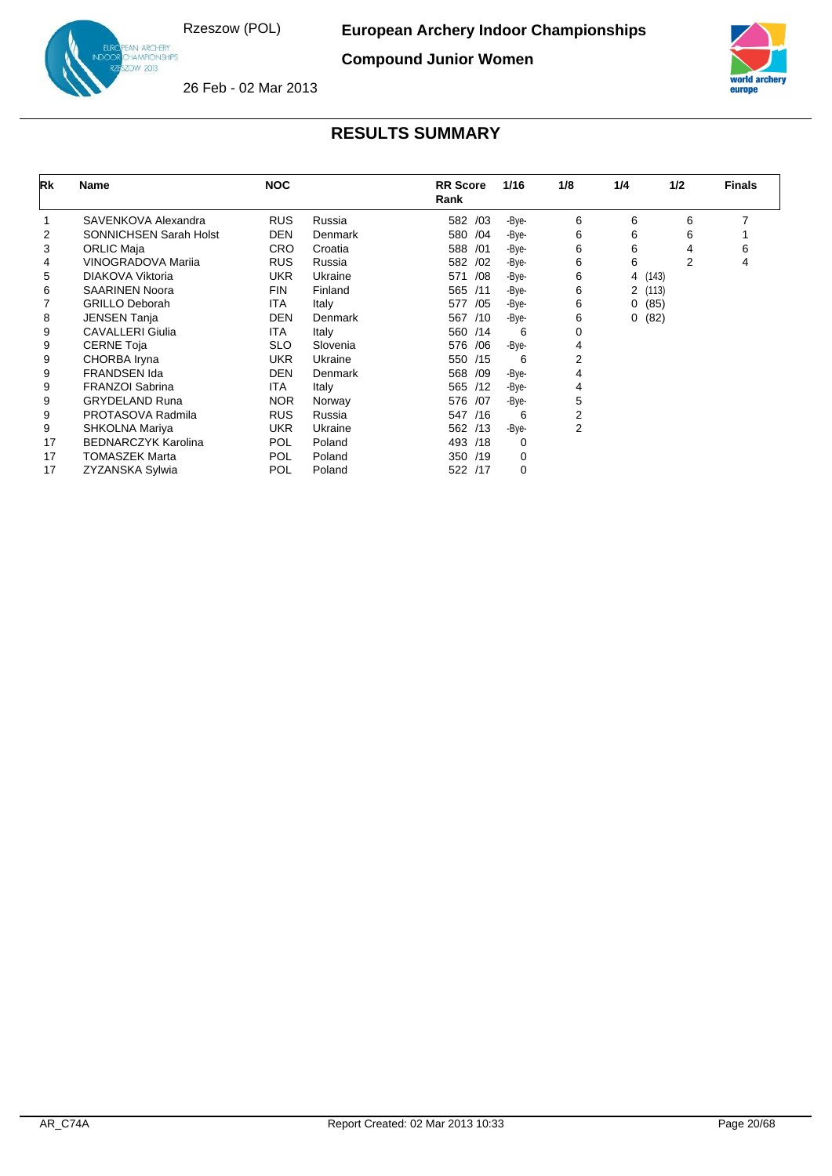IN ARCHERY<br>IAMPIONSHIPS<br>IW 2013

**Compound Junior Women**



26 Feb - 02 Mar 2013

| Rk | Name                          | <b>NOC</b> |          | <b>RR</b> Score<br>Rank | 1/16  | 1/8 | 1/4            | 1/2   | <b>Finals</b> |
|----|-------------------------------|------------|----------|-------------------------|-------|-----|----------------|-------|---------------|
|    | SAVENKOVA Alexandra           | <b>RUS</b> | Russia   | 582 /03                 | -Bye- | 6   | 6              | 6     | 7             |
| 2  | <b>SONNICHSEN Sarah Holst</b> | <b>DEN</b> | Denmark  | 580 /04                 | -Bye- | 6   | 6              | 6     |               |
| 3  | <b>ORLIC Maja</b>             | <b>CRO</b> | Croatia  | 588 /01                 | -Bye- | 6   | 6              | 4     | 6             |
| 4  | VINOGRADOVA Marija            | <b>RUS</b> | Russia   | 582 /02                 | -Bye- | 6   | 6              | 2     | 4             |
| 5  | DIAKOVA Viktoria              | <b>UKR</b> | Ukraine  | 571<br>/08              | -Bye- | 6   | 4              | (143) |               |
| 6  | <b>SAARINEN Noora</b>         | <b>FIN</b> | Finland  | 565 /11                 | -Bye- | 6   | $\overline{2}$ | (113) |               |
|    | <b>GRILLO Deborah</b>         | <b>ITA</b> | Italy    | 577<br>/05              | -Bye- | 6   | 0              | (85)  |               |
| 8  | <b>JENSEN Tanja</b>           | <b>DEN</b> | Denmark  | 567 /10                 | -Bye- | 6   | 0              | (82)  |               |
| 9  | <b>CAVALLERI Giulia</b>       | <b>ITA</b> | Italy    | 560 /14                 | 6     | 0   |                |       |               |
| 9  | <b>CERNE Toja</b>             | <b>SLO</b> | Slovenia | 576 /06                 | -Bye- | 4   |                |       |               |
| 9  | CHORBA Iryna                  | <b>UKR</b> | Ukraine  | 550 /15                 | 6     | 2   |                |       |               |
| 9  | <b>FRANDSEN Ida</b>           | <b>DEN</b> | Denmark  | /09<br>568              | -Bye- | 4   |                |       |               |
| 9  | <b>FRANZOI Sabrina</b>        | ITA.       | Italy    | 565 /12                 | -Bye- | 4   |                |       |               |
| 9  | <b>GRYDELAND Runa</b>         | <b>NOR</b> | Norway   | 576 /07                 | -Bye- | 5   |                |       |               |
| 9  | PROTASOVA Radmila             | <b>RUS</b> | Russia   | 547<br>/16              | 6     | 2   |                |       |               |
| 9  | SHKOLNA Mariya                | <b>UKR</b> | Ukraine  | 562 /13                 | -Bye- | 2   |                |       |               |
| 17 | <b>BEDNARCZYK Karolina</b>    | <b>POL</b> | Poland   | 493 /18                 | 0     |     |                |       |               |
| 17 | TOMASZEK Marta                | <b>POL</b> | Poland   | 350 /19                 | 0     |     |                |       |               |
| 17 | ZYZANSKA Sylwia               | <b>POL</b> | Poland   | 522 /17                 | 0     |     |                |       |               |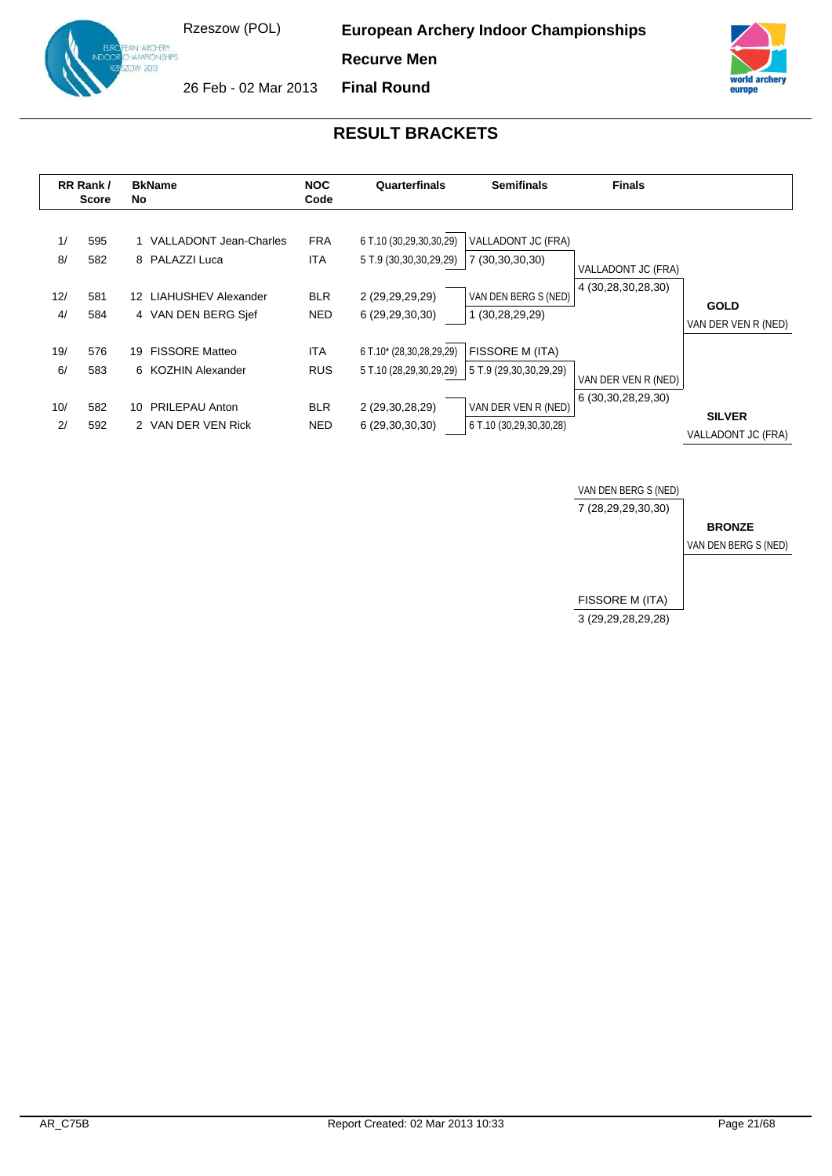**European Archery Indoor Championships**

**Recurve Men**



**ARCHERY** 

**Final Round**





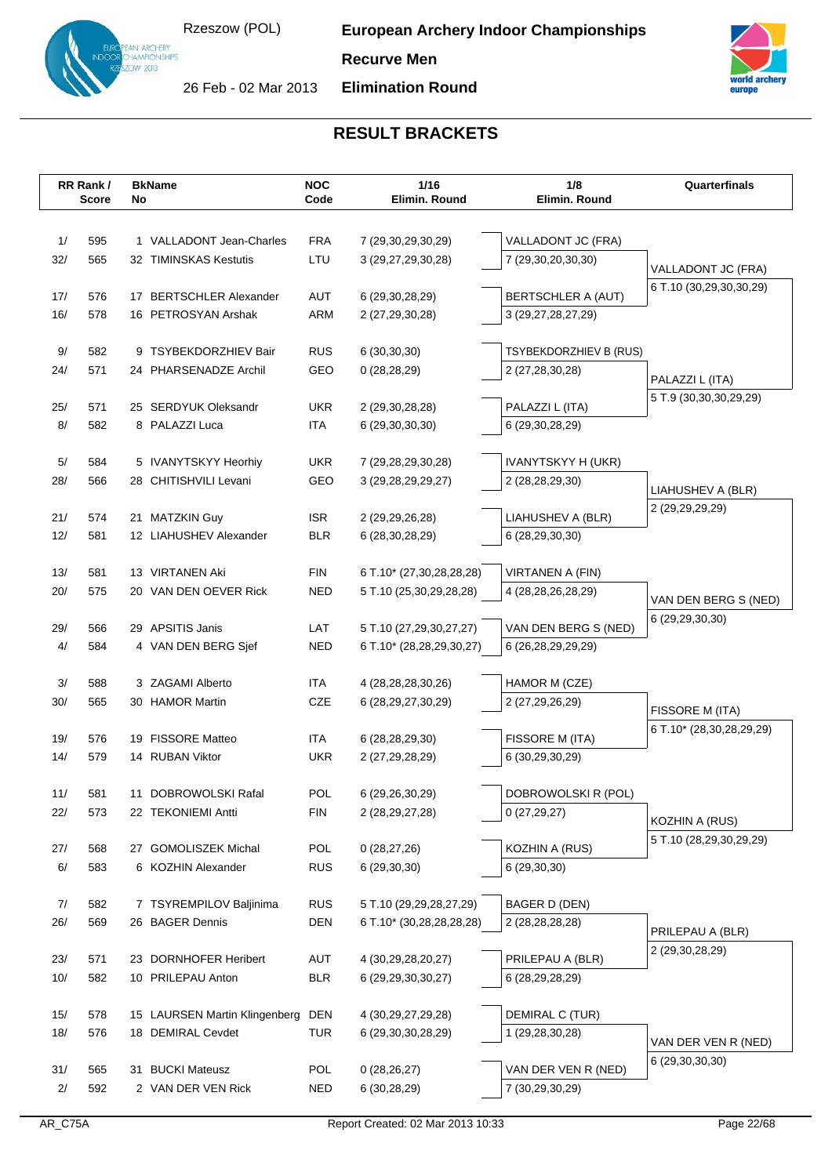## **Recurve Men**



N ARCHERY<br>AMPIONSHIPS

**Elimination Round**



|           | RR Rank/     |    | <b>BkName</b>                       | <b>NOC</b> | 1/16                                             | 1/8                                       | Quarterfinals            |
|-----------|--------------|----|-------------------------------------|------------|--------------------------------------------------|-------------------------------------------|--------------------------|
|           | <b>Score</b> | No |                                     | Code       | Elimin. Round                                    | Elimin. Round                             |                          |
|           |              |    |                                     |            |                                                  |                                           |                          |
| 1/        | 595          |    | 1 VALLADONT Jean-Charles            | <b>FRA</b> | 7 (29,30,29,30,29)                               | VALLADONT JC (FRA)                        |                          |
| 32/       | 565          |    | 32 TIMINSKAS Kestutis               | LTU        | 3 (29,27,29,30,28)                               | 7 (29,30,20,30,30)                        | VALLADONT JC (FRA)       |
|           |              |    |                                     |            |                                                  |                                           | 6 T.10 (30,29,30,30,29)  |
| 17/       | 576          | 17 | <b>BERTSCHLER Alexander</b>         | AUT        | 6 (29, 30, 28, 29)                               | BERTSCHLER A (AUT)                        |                          |
| 16/       | 578          |    | 16 PETROSYAN Arshak                 | ARM        | 2 (27,29,30,28)                                  | 3 (29,27,28,27,29)                        |                          |
| 9/        | 582          |    | 9 TSYBEKDORZHIEV Bair               | <b>RUS</b> |                                                  |                                           |                          |
| 24/       | 571          |    | 24 PHARSENADZE Archil               | GEO        | 6(30,30,30)<br>0(28, 28, 29)                     | TSYBEKDORZHIEV B (RUS)<br>2 (27,28,30,28) |                          |
|           |              |    |                                     |            |                                                  |                                           | PALAZZI L (ITA)          |
| 25/       | 571          |    | 25 SERDYUK Oleksandr                | <b>UKR</b> | 2 (29,30,28,28)                                  | PALAZZI L (ITA)                           | 5 T.9 (30,30,30,29,29)   |
| 8/        | 582          |    | 8 PALAZZI Luca                      | <b>ITA</b> | 6 (29, 30, 30, 30)                               | 6 (29,30,28,29)                           |                          |
|           |              |    |                                     |            |                                                  |                                           |                          |
| 5/        | 584          |    | 5 IVANYTSKYY Heorhiy                | <b>UKR</b> | 7 (29,28,29,30,28)                               | IVANYTSKYY H (UKR)                        |                          |
| 28/       | 566          |    | 28 CHITISHVILI Levani               | GEO        | 3 (29, 28, 29, 29, 27)                           | 2 (28,28,29,30)                           |                          |
|           |              |    |                                     |            |                                                  |                                           | LIAHUSHEV A (BLR)        |
| 21/       | 574          |    | 21 MATZKIN Guy                      | <b>ISR</b> | 2 (29, 29, 26, 28)                               | LIAHUSHEV A (BLR)                         | 2 (29,29,29,29)          |
| 12/       | 581          |    | 12 LIAHUSHEV Alexander              | <b>BLR</b> | 6 (28, 30, 28, 29)                               | 6 (28,29,30,30)                           |                          |
|           |              |    |                                     |            |                                                  |                                           |                          |
| 13/       | 581          |    | 13 VIRTANEN Aki                     | <b>FIN</b> | 6 T.10* (27,30,28,28,28)                         | VIRTANEN A (FIN)                          |                          |
| 20/       | 575          |    | 20 VAN DEN OEVER Rick               | <b>NED</b> | 5 T.10 (25,30,29,28,28)                          | 4 (28, 28, 26, 28, 29)                    | VAN DEN BERG S (NED)     |
|           |              |    |                                     |            |                                                  |                                           | 6 (29,29,30,30)          |
| 29/       | 566          |    | 29 APSITIS Janis                    | LAT        | 5 T.10 (27,29,30,27,27)                          | VAN DEN BERG S (NED)                      |                          |
| 4/        | 584          |    | 4 VAN DEN BERG Sjef                 | <b>NED</b> | 6 T.10* (28,28,29,30,27)                         | 6 (26,28,29,29,29)                        |                          |
|           |              |    |                                     |            |                                                  |                                           |                          |
| 3/<br>30/ | 588<br>565   |    | 3 ZAGAMI Alberto<br>30 HAMOR Martin | ITA<br>CZE | 4 (28, 28, 28, 30, 26)<br>6 (28, 29, 27, 30, 29) | HAMOR M (CZE)<br>2 (27,29,26,29)          |                          |
|           |              |    |                                     |            |                                                  |                                           | FISSORE M (ITA)          |
| 19/       | 576          |    | 19 FISSORE Matteo                   | ITA        | 6 (28,28,29,30)                                  | FISSORE M (ITA)                           | 6 T.10* (28,30,28,29,29) |
| 14/       | 579          |    | 14 RUBAN Viktor                     | <b>UKR</b> | 2 (27, 29, 28, 29)                               | 6 (30,29,30,29)                           |                          |
|           |              |    |                                     |            |                                                  |                                           |                          |
| 11/       | 581          | 11 | DOBROWOLSKI Rafal                   | <b>POL</b> | 6 (29,26,30,29)                                  | DOBROWOLSKI R (POL)                       |                          |
| 22/       | 573          |    | 22 TEKONIEMI Antti                  | <b>FIN</b> | 2 (28, 29, 27, 28)                               | 0(27, 29, 27)                             |                          |
|           |              |    |                                     |            |                                                  |                                           | KOZHIN A (RUS)           |
| 27/       | 568          |    | 27 GOMOLISZEK Michal                | POL        | 0(28, 27, 26)                                    | KOZHIN A (RUS)                            | 5 T.10 (28,29,30,29,29)  |
| 6/        | 583          |    | 6 KOZHIN Alexander                  | <b>RUS</b> | 6(29,30,30)                                      | 6(29,30,30)                               |                          |
|           |              |    |                                     |            |                                                  |                                           |                          |
| 7/        | 582          |    | 7 TSYREMPILOV Baljinima             | <b>RUS</b> | 5 T.10 (29,29,28,27,29)                          | BAGER D (DEN)                             |                          |
| 26/       | 569          |    | 26 BAGER Dennis                     | <b>DEN</b> | 6 T.10* (30,28,28,28,28)                         | 2 (28, 28, 28, 28)                        | PRILEPAU A (BLR)         |
|           |              |    |                                     |            |                                                  |                                           | 2 (29,30,28,29)          |
| 23/       | 571          |    | 23 DORNHOFER Heribert               | AUT        | 4 (30,29,28,20,27)                               | PRILEPAU A (BLR)                          |                          |
| 10/       | 582          |    | 10 PRILEPAU Anton                   | <b>BLR</b> | 6 (29, 29, 30, 30, 27)                           | 6 (28,29,28,29)                           |                          |
|           |              |    |                                     |            |                                                  |                                           |                          |
| 15/       | 578          |    | 15 LAURSEN Martin Klingenberg       | DEN        | 4 (30, 29, 27, 29, 28)                           | DEMIRAL C (TUR)                           |                          |
| 18/       | 576          |    | 18 DEMIRAL Cevdet                   | <b>TUR</b> | 6 (29,30,30,28,29)                               | 1 (29,28,30,28)                           | VAN DER VEN R (NED)      |
|           | 565          |    | <b>BUCKI Mateusz</b>                | POL        |                                                  | VAN DER VEN R (NED)                       | 6 (29, 30, 30, 30)       |
| 31/<br>2/ | 592          | 31 | 2 VAN DER VEN Rick                  | <b>NED</b> | 0(28, 26, 27)<br>6 (30,28,29)                    | 7 (30,29,30,29)                           |                          |
|           |              |    |                                     |            |                                                  |                                           |                          |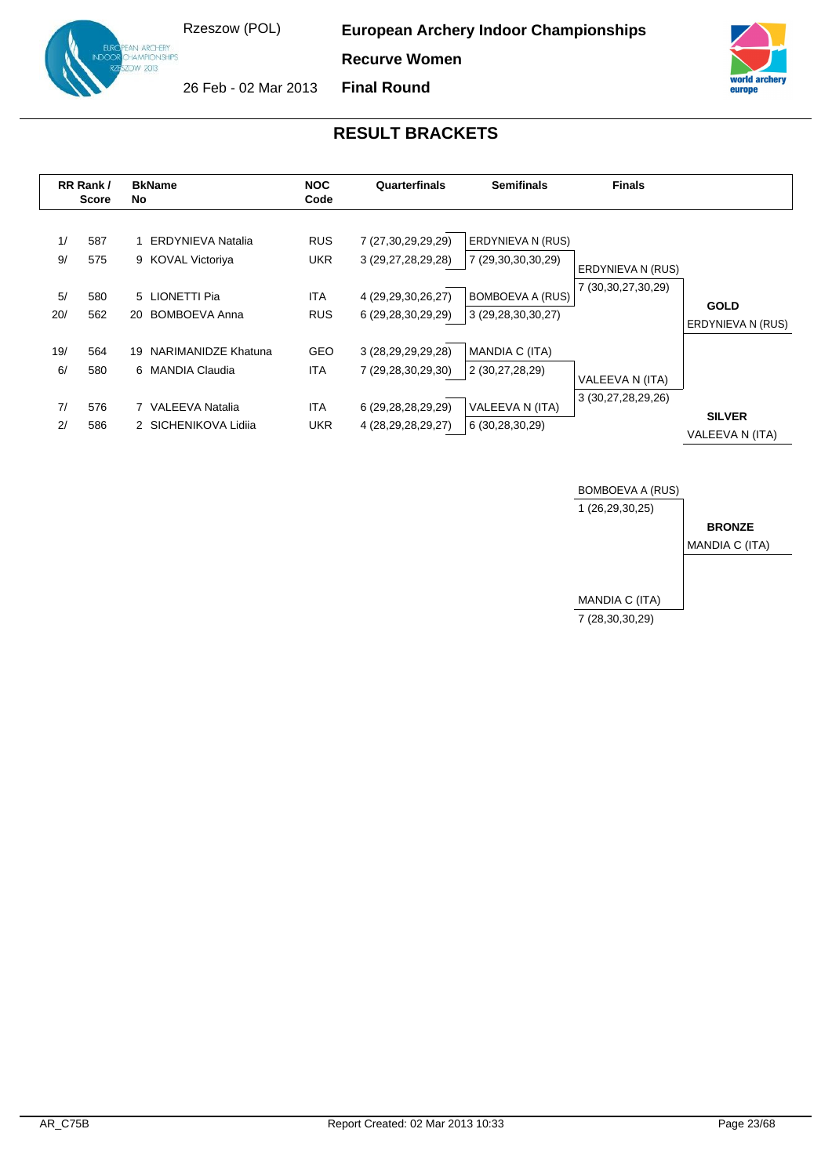**European Archery Indoor Championships**

**Recurve Women**







|                       | RR Rank/<br>Score        | <b>BkName</b><br>No                                                                     | <b>NOC</b><br>Code                                   | Quarterfinals                                                                                | <b>Semifinals</b>                                                                        | <b>Finals</b>                               |                                  |
|-----------------------|--------------------------|-----------------------------------------------------------------------------------------|------------------------------------------------------|----------------------------------------------------------------------------------------------|------------------------------------------------------------------------------------------|---------------------------------------------|----------------------------------|
| 1/<br>9/<br>5/<br>20/ | 587<br>575<br>580<br>562 | <b>ERDYNIEVA Natalia</b><br>9 KOVAL Victoriya<br>5 LIONETTI Pia<br>BOMBOEVA Anna<br>20  | <b>RUS</b><br><b>UKR</b><br><b>ITA</b><br><b>RUS</b> | 7 (27,30,29,29,29)<br>3 (29,27,28,29,28)<br>4 (29, 29, 30, 26, 27)<br>6 (29,28,30,29,29)     | ERDYNIEVA N (RUS)<br>7 (29,30,30,30,29)<br><b>BOMBOEVA A (RUS)</b><br>3 (29,28,30,30,27) | ERDYNIEVA N (RUS)<br>7 (30, 30, 27, 30, 29) | <b>GOLD</b><br>ERDYNIEVA N (RUS) |
| 19/<br>6/<br>7/<br>2/ | 564<br>580<br>576<br>586 | 19 NARIMANIDZE Khatuna<br>6 MANDIA Claudia<br>7 VALEEVA Natalia<br>2 SICHENIKOVA Lidija | <b>GEO</b><br>ITA<br><b>ITA</b><br><b>UKR</b>        | 3 (28, 29, 29, 29, 28)<br>7 (29,28,30,29,30)<br>6 (29,28,28,29,29)<br>4 (28, 29, 28, 29, 27) | MANDIA C (ITA)<br>2 (30,27,28,29)<br>VALEEVA N (ITA)<br>6 (30,28,30,29)                  | VALEEVA N (ITA)<br>3 (30,27,28,29,26)       | <b>SILVER</b><br>VALEEVA N (ITA) |

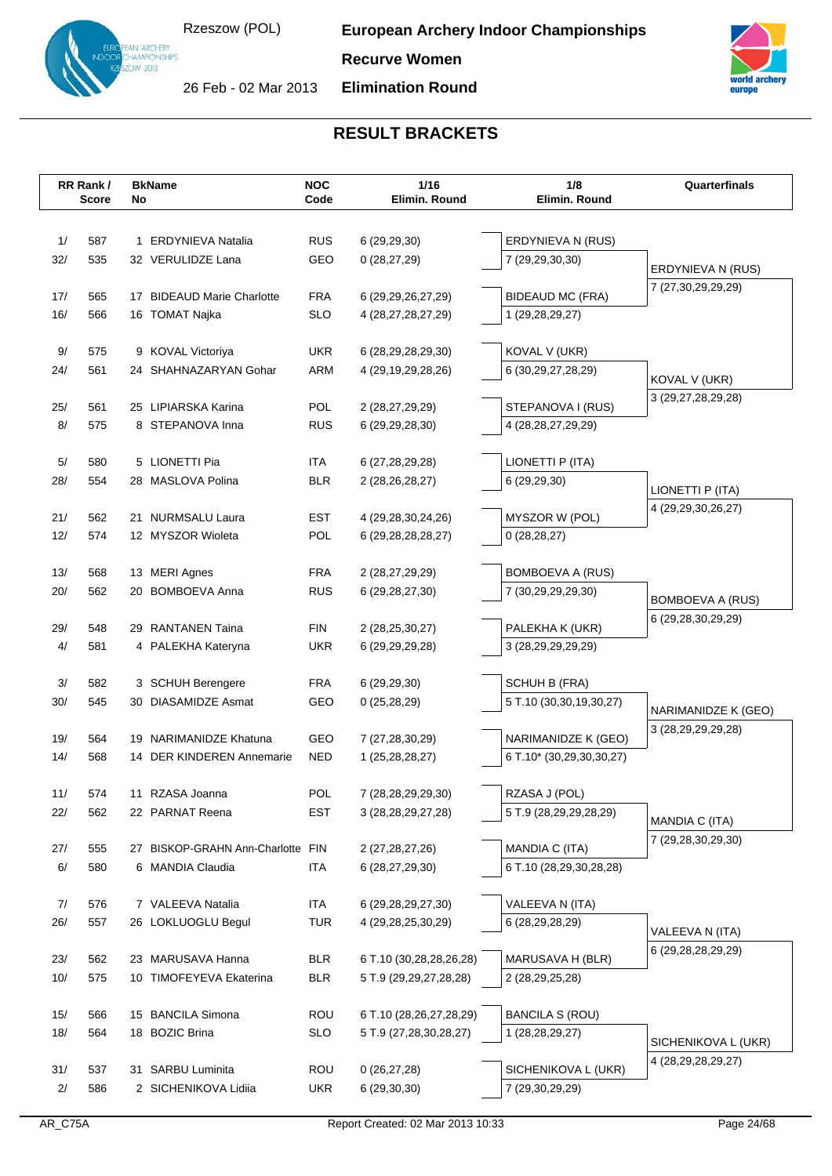**European Archery Indoor Championships**

**Recurve Women**

 $v$  2013 26 Feb - 02 Mar 2013

N ARCHERY<br>AMPIONSHIPS

**Elimination Round**



|            | RR Rank/<br><b>Score</b> | No | <b>BkName</b>                                | <b>NOC</b><br>Code       | 1/16<br>Elimin. Round                             | 1/8<br>Elimin. Round                   | Quarterfinals           |
|------------|--------------------------|----|----------------------------------------------|--------------------------|---------------------------------------------------|----------------------------------------|-------------------------|
|            |                          |    |                                              |                          |                                                   |                                        |                         |
|            |                          |    |                                              |                          |                                                   |                                        |                         |
| 1/         | 587                      |    | 1 ERDYNIEVA Natalia                          | <b>RUS</b>               | 6(29, 29, 30)                                     | ERDYNIEVA N (RUS)                      |                         |
| 32/        | 535                      |    | 32 VERULIDZE Lana                            | GEO                      | 0(28, 27, 29)                                     | 7 (29,29,30,30)                        | ERDYNIEVA N (RUS)       |
|            |                          |    |                                              |                          |                                                   |                                        | 7 (27,30,29,29,29)      |
| 17/<br>16/ | 565<br>566               |    | 17 BIDEAUD Marie Charlotte<br>16 TOMAT Najka | <b>FRA</b><br><b>SLO</b> | 6 (29, 29, 26, 27, 29)                            | <b>BIDEAUD MC (FRA)</b>                |                         |
|            |                          |    |                                              |                          | 4 (28,27,28,27,29)                                | 1 (29,28,29,27)                        |                         |
| 9/         | 575                      |    | 9 KOVAL Victoriya                            | <b>UKR</b>               | 6 (28,29,28,29,30)                                | KOVAL V (UKR)                          |                         |
| 24/        | 561                      |    | 24 SHAHNAZARYAN Gohar                        | <b>ARM</b>               | 4 (29, 19, 29, 28, 26)                            | 6 (30,29,27,28,29)                     |                         |
|            |                          |    |                                              |                          |                                                   |                                        | KOVAL V (UKR)           |
| 25/        | 561                      |    | 25 LIPIARSKA Karina                          | POL                      | 2 (28,27,29,29)                                   | STEPANOVA I (RUS)                      | 3 (29,27,28,29,28)      |
| 8/         | 575                      |    | 8 STEPANOVA Inna                             | <b>RUS</b>               | 6 (29, 29, 28, 30)                                | 4 (28, 28, 27, 29, 29)                 |                         |
|            |                          |    |                                              |                          |                                                   |                                        |                         |
| 5/         | 580                      |    | 5 LIONETTI Pia                               | ITA.                     | 6 (27, 28, 29, 28)                                | LIONETTI P (ITA)                       |                         |
| 28/        | 554                      |    | 28 MASLOVA Polina                            | <b>BLR</b>               | 2 (28,26,28,27)                                   | 6 (29,29,30)                           | LIONETTI P (ITA)        |
|            |                          |    |                                              |                          |                                                   |                                        | 4 (29, 29, 30, 26, 27)  |
| 21/        | 562                      |    | 21 NURMSALU Laura                            | <b>EST</b>               | 4 (29, 28, 30, 24, 26)                            | MYSZOR W (POL)                         |                         |
| 12/        | 574                      |    | 12 MYSZOR Wioleta                            | POL                      | 6 (29, 28, 28, 28, 27)                            | 0(28, 28, 27)                          |                         |
|            |                          |    |                                              |                          |                                                   |                                        |                         |
| 13/        | 568                      |    | 13 MERI Agnes                                | <b>FRA</b>               | 2 (28,27,29,29)                                   | BOMBOEVA A (RUS)                       |                         |
| 20/        | 562                      | 20 | <b>BOMBOEVA Anna</b>                         | <b>RUS</b>               | 6 (29, 28, 27, 30)                                | 7 (30,29,29,29,30)                     | <b>BOMBOEVA A (RUS)</b> |
| 29/        | 548                      |    | 29 RANTANEN Taina                            | <b>FIN</b>               |                                                   |                                        | 6 (29,28,30,29,29)      |
| 4/         | 581                      |    | 4 PALEKHA Kateryna                           | <b>UKR</b>               | 2 (28, 25, 30, 27)<br>6 (29, 29, 29, 28)          | PALEKHA K (UKR)<br>3 (28,29,29,29,29)  |                         |
|            |                          |    |                                              |                          |                                                   |                                        |                         |
| 3/         | 582                      |    | 3 SCHUH Berengere                            | <b>FRA</b>               | 6(29, 29, 30)                                     | SCHUH B (FRA)                          |                         |
| 30/        | 545                      |    | 30 DIASAMIDZE Asmat                          | GEO                      | 0(25, 28, 29)                                     | 5 T.10 (30,30,19,30,27)                |                         |
|            |                          |    |                                              |                          |                                                   |                                        | NARIMANIDZE K (GEO)     |
| 19/        | 564                      |    | 19 NARIMANIDZE Khatuna                       | GEO                      | 7 (27,28,30,29)                                   | NARIMANIDZE K (GEO)                    | 3 (28, 29, 29, 29, 28)  |
| 14/        | 568                      |    | 14 DER KINDEREN Annemarie                    | <b>NED</b>               | 1 (25,28,28,27)                                   | 6 T.10* (30,29,30,30,27)               |                         |
|            |                          |    |                                              |                          |                                                   |                                        |                         |
| 11/        | 574                      |    | 11 RZASA Joanna                              | POL                      | 7 (28,28,29,29,30)                                | RZASA J (POL)                          |                         |
| 22/        | 562                      |    | 22 PARNAT Reena                              | EST                      | 3 (28, 28, 29, 27, 28)                            | 5 T.9 (28,29,29,28,29)                 | MANDIA C (ITA)          |
|            |                          |    |                                              |                          |                                                   |                                        | 7 (29,28,30,29,30)      |
| 27/        | 555                      |    | 27 BISKOP-GRAHN Ann-Charlotte FIN            |                          | 2 (27, 28, 27, 26)                                | MANDIA C (ITA)                         |                         |
| 6/         | 580                      |    | 6 MANDIA Claudia                             | <b>ITA</b>               | 6 (28,27,29,30)                                   | 6 T.10 (28,29,30,28,28)                |                         |
|            |                          |    |                                              |                          |                                                   |                                        |                         |
| 7/         | 576                      |    | 7 VALEEVA Natalia                            | <b>ITA</b>               | 6 (29, 28, 29, 27, 30)                            | VALEEVA N (ITA)                        |                         |
| 26/        | 557                      |    | 26 LOKLUOGLU Begul                           | <b>TUR</b>               | 4 (29, 28, 25, 30, 29)                            | 6 (28,29,28,29)                        | VALEEVA N (ITA)         |
|            |                          |    |                                              |                          |                                                   |                                        | 6 (29,28,28,29,29)      |
| 23/<br>10/ | 562<br>575               |    | 23 MARUSAVA Hanna<br>10 TIMOFEYEVA Ekaterina | <b>BLR</b><br><b>BLR</b> | 6 T.10 (30,28,28,26,28)<br>5 T.9 (29,29,27,28,28) | MARUSAVA H (BLR)<br>2 (28, 29, 25, 28) |                         |
|            |                          |    |                                              |                          |                                                   |                                        |                         |
| 15/        | 566                      |    | 15 BANCILA Simona                            | <b>ROU</b>               | 6 T.10 (28,26,27,28,29)                           | <b>BANCILA S (ROU)</b>                 |                         |
| 18/        | 564                      |    | 18 BOZIC Brina                               | <b>SLO</b>               | 5 T.9 (27,28,30,28,27)                            | 1 (28,28,29,27)                        |                         |
|            |                          |    |                                              |                          |                                                   |                                        | SICHENIKOVA L (UKR)     |
| 31/        | 537                      |    | 31 SARBU Luminita                            | <b>ROU</b>               | 0(26, 27, 28)                                     | SICHENIKOVA L (UKR)                    | 4 (28, 29, 28, 29, 27)  |
| 2/         | 586                      |    | 2 SICHENIKOVA Lidiia                         | UKR                      | 6(29,30,30)                                       | 7 (29,30,29,29)                        |                         |
|            |                          |    |                                              |                          |                                                   |                                        |                         |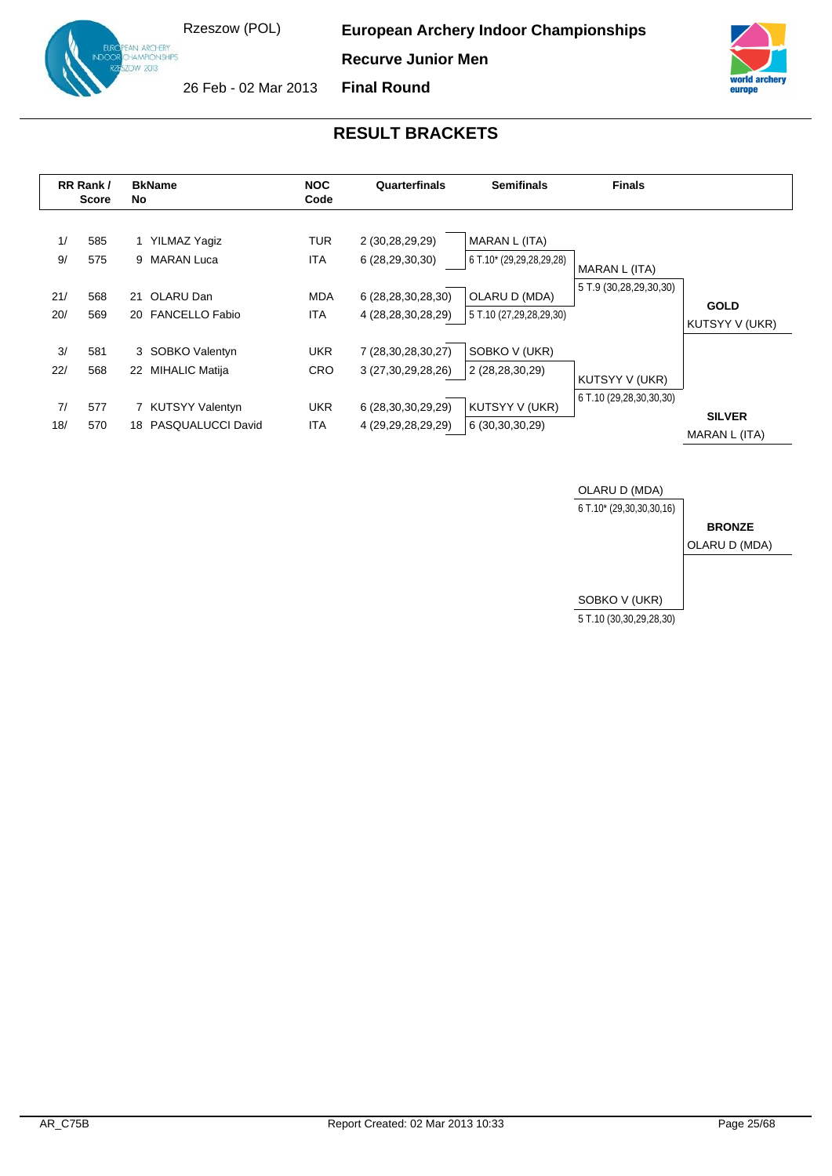**European Archery Indoor Championships**

**Recurve Junior Men**

**Final Round**



europ

AN ARCHERY<br>HAMPIONSHIPS W 2013 26 Feb - 02 Mar 2013

|                        | RR Rank/<br><b>Score</b> | <b>BkName</b><br>No                                                                      | <b>NOC</b><br>Code                                   | Quarterfinals                                                                                | <b>Semifinals</b>                                                                     | <b>Finals</b>                             |                                |
|------------------------|--------------------------|------------------------------------------------------------------------------------------|------------------------------------------------------|----------------------------------------------------------------------------------------------|---------------------------------------------------------------------------------------|-------------------------------------------|--------------------------------|
| 1/<br>9/<br>21/<br>20/ | 585<br>575<br>568<br>569 | YILMAZ Yaqiz<br>9 MARAN Luca<br>OLARU Dan<br>21<br>20 FANCELLO Fabio                     | <b>TUR</b><br><b>ITA</b><br><b>MDA</b><br><b>ITA</b> | 2 (30,28,29,29)<br>6 (28,29,30,30)<br>6 (28,28,30,28,30)<br>4 (28, 28, 30, 28, 29)           | MARAN L (ITA)<br>6 T.10* (29,29,28,29,28)<br>OLARU D (MDA)<br>5 T.10 (27,29,28,29,30) | MARAN L (ITA)<br>5 T.9 (30,28,29,30,30)   | <b>GOLD</b><br>KUTSYY V (UKR)  |
| 3/<br>22/<br>7/<br>18/ | 581<br>568<br>577<br>570 | 3 SOBKO Valentyn<br>MIHALIC Matija<br>22<br>7 KUTSYY Valentyn<br>PASQUALUCCI David<br>18 | <b>UKR</b><br><b>CRO</b><br><b>UKR</b><br><b>ITA</b> | 7 (28, 30, 28, 30, 27)<br>3 (27,30,29,28,26)<br>6 (28,30,30,29,29)<br>4 (29, 29, 28, 29, 29) | SOBKO V (UKR)<br>2 (28,28,30,29)<br>KUTSYY V (UKR)<br>6 (30,30,30,29)                 | KUTSYY V (UKR)<br>6 T.10 (29,28,30,30,30) | <b>SILVER</b><br>MARAN L (ITA) |

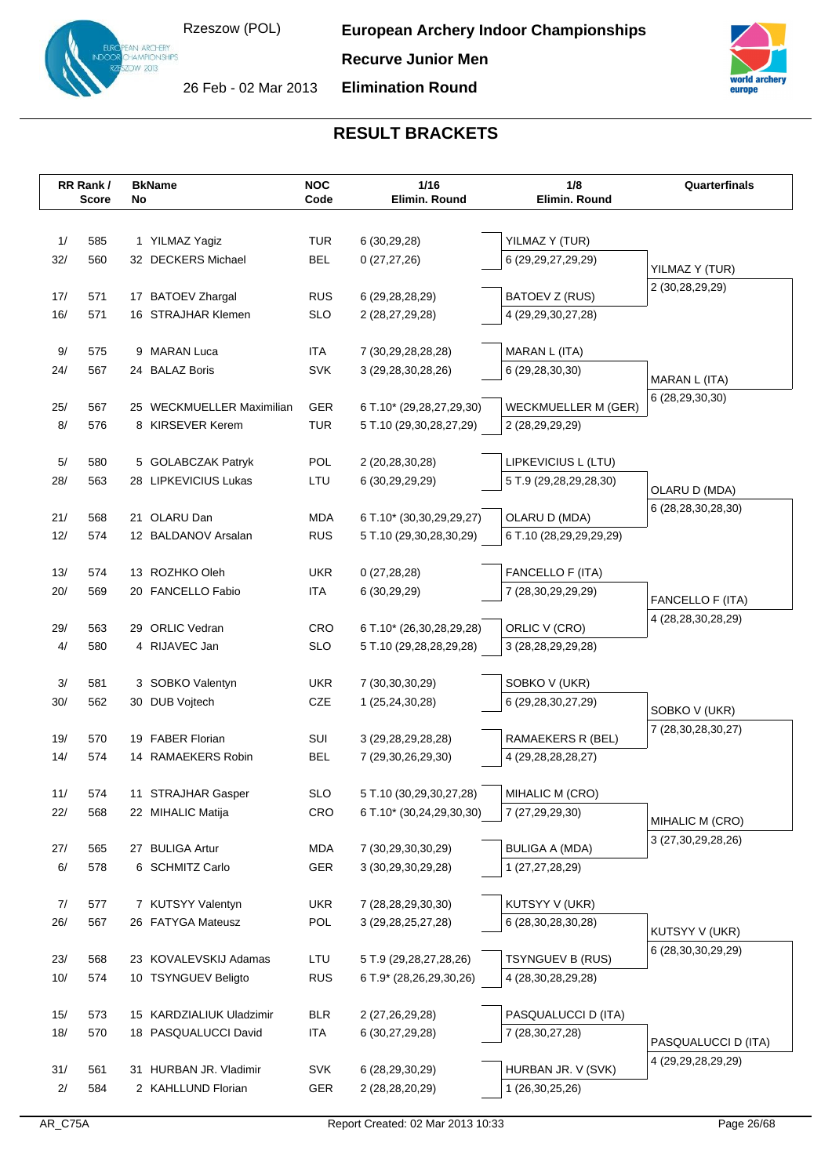N ARCHERY<br>AMPIONSHIPS  $v$  2013



26 Feb - 02 Mar 2013

**Elimination Round**



|      | RR Rank/     | <b>BkName</b>             | <b>NOC</b>        | 1/16                                              | 1/8                        | Quarterfinals                    |
|------|--------------|---------------------------|-------------------|---------------------------------------------------|----------------------------|----------------------------------|
|      | <b>Score</b> | No                        | Code              | Elimin. Round                                     | Elimin. Round              |                                  |
|      |              |                           |                   |                                                   |                            |                                  |
| 1/   | 585          | 1 YILMAZ Yagiz            | <b>TUR</b>        | 6 (30,29,28)                                      | YILMAZ Y (TUR)             |                                  |
| 32/  | 560          | 32 DECKERS Michael        | <b>BEL</b>        | 0(27, 27, 26)                                     | 6 (29,29,27,29,29)         | YILMAZ Y (TUR)                   |
| 17/  | 571          | 17 BATOEV Zhargal         | <b>RUS</b>        |                                                   | BATOEV Z (RUS)             | 2 (30,28,29,29)                  |
| 16/  | 571          | 16 STRAJHAR Klemen        | <b>SLO</b>        | 6 (29, 28, 28, 29)<br>2 (28,27,29,28)             | 4 (29,29,30,27,28)         |                                  |
|      |              |                           |                   |                                                   |                            |                                  |
| $9/$ | 575          | 9 MARAN Luca              | ITA               | 7 (30,29,28,28,28)                                | MARAN L (ITA)              |                                  |
| 24/  | 567          | 24 BALAZ Boris            | <b>SVK</b>        | 3 (29, 28, 30, 28, 26)                            | 6 (29,28,30,30)            |                                  |
|      |              |                           |                   |                                                   |                            | MARAN L (ITA)<br>6 (28,29,30,30) |
| 25/  | 567          | 25 WECKMUELLER Maximilian | <b>GER</b>        | 6 T.10* (29,28,27,29,30)                          | <b>WECKMUELLER M (GER)</b> |                                  |
| 8/   | 576          | 8 KIRSEVER Kerem          | <b>TUR</b>        | 5 T.10 (29,30,28,27,29)                           | 2 (28,29,29,29)            |                                  |
|      |              |                           |                   |                                                   |                            |                                  |
| $5/$ | 580          | 5 GOLABCZAK Patryk        | POL               | 2 (20,28,30,28)                                   | LIPKEVICIUS L (LTU)        |                                  |
| 28/  | 563          | 28 LIPKEVICIUS Lukas      | LTU               | 6 (30,29,29,29)                                   | 5 T.9 (29,28,29,28,30)     | OLARU D (MDA)                    |
| 21/  | 568          | 21 OLARU Dan              | <b>MDA</b>        | 6 T.10* (30,30,29,29,27)                          | OLARU D (MDA)              | 6 (28,28,30,28,30)               |
| 12/  | 574          | 12 BALDANOV Arsalan       | <b>RUS</b>        | 5 T.10 (29,30,28,30,29)                           | 6 T.10 (28,29,29,29,29)    |                                  |
|      |              |                           |                   |                                                   |                            |                                  |
| 13/  | 574          | 13 ROZHKO Oleh            | <b>UKR</b>        | 0(27, 28, 28)                                     | FANCELLO F (ITA)           |                                  |
| 20/  | 569          | 20 FANCELLO Fabio         | ITA               | 6 (30,29,29)                                      | 7 (28,30,29,29,29)         |                                  |
|      |              |                           |                   |                                                   |                            | FANCELLO F (ITA)                 |
| 29/  | 563          | 29 ORLIC Vedran           | CRO               | 6 T.10* (26,30,28,29,28)                          | ORLIC V (CRO)              | 4 (28, 28, 30, 28, 29)           |
| 4/   | 580          | 4 RIJAVEC Jan             | <b>SLO</b>        | 5 T.10 (29,28,28,29,28)                           | 3 (28, 28, 29, 29, 28)     |                                  |
|      |              |                           |                   |                                                   |                            |                                  |
| $3/$ | 581          | 3 SOBKO Valentyn          | <b>UKR</b>        | 7 (30, 30, 30, 29)                                | SOBKO V (UKR)              |                                  |
| 30/  | 562          | 30 DUB Vojtech            | CZE               | 1 (25,24,30,28)                                   | 6 (29,28,30,27,29)         | SOBKO V (UKR)                    |
| 19/  | 570          | 19 FABER Florian          | SUI               | 3 (29, 28, 29, 28, 28)                            | RAMAEKERS R (BEL)          | 7 (28,30,28,30,27)               |
| 14/  | 574          | 14 RAMAEKERS Robin        | <b>BEL</b>        | 7 (29,30,26,29,30)                                | 4 (29,28,28,28,27)         |                                  |
|      |              |                           |                   |                                                   |                            |                                  |
| 11/  | 574          | 11 STRAJHAR Gasper        | <b>SLO</b>        | 5 T.10 (30,29,30,27,28)                           | MIHALIC M (CRO)            |                                  |
| 22/  | 568          | 22 MIHALIC Matija         | CRO               | 6 T.10* (30,24,29,30,30)                          | 7 (27,29,29,30)            |                                  |
|      |              |                           |                   |                                                   |                            | MIHALIC M (CRO)                  |
| 27/  | 565          | 27 BULIGA Artur           | MDA               | 7 (30,29,30,30,29)                                | <b>BULIGA A (MDA)</b>      | 3 (27, 30, 29, 28, 26)           |
| 6/   | 578          | 6 SCHMITZ Carlo           | GER               | 3 (30,29,30,29,28)                                | 1 (27,27,28,29)            |                                  |
|      |              |                           |                   |                                                   |                            |                                  |
| 7/   | 577          | 7 KUTSYY Valentyn         | <b>UKR</b>        | 7 (28,28,29,30,30)                                | KUTSYY V (UKR)             |                                  |
| 26/  | 567          | 26 FATYGA Mateusz         | POL               | 3 (29, 28, 25, 27, 28)                            | 6 (28, 30, 28, 30, 28)     | KUTSYY V (UKR)                   |
| 23/  | 568          | 23 KOVALEVSKIJ Adamas     |                   |                                                   | TSYNGUEV B (RUS)           | 6 (28, 30, 30, 29, 29)           |
| 10/  | 574          | 10 TSYNGUEV Beligto       | LTU<br><b>RUS</b> | 5 T.9 (29,28,27,28,26)<br>6 T.9* (28,26,29,30,26) | 4 (28, 30, 28, 29, 28)     |                                  |
|      |              |                           |                   |                                                   |                            |                                  |
| 15/  | 573          | 15 KARDZIALIUK Uladzimir  | <b>BLR</b>        | 2 (27,26,29,28)                                   | PASQUALUCCI D (ITA)        |                                  |
| 18/  | 570          | 18 PASQUALUCCI David      | <b>ITA</b>        | 6 (30,27,29,28)                                   | 7 (28, 30, 27, 28)         |                                  |
|      |              |                           |                   |                                                   |                            | PASQUALUCCI D (ITA)              |
| 31/  | 561          | 31 HURBAN JR. Vladimir    | <b>SVK</b>        | 6 (28, 29, 30, 29)                                | HURBAN JR. V (SVK)         | 4 (29, 29, 28, 29, 29)           |
| 2/   | 584          | 2 KAHLLUND Florian        | GER               | 2 (28,28,20,29)                                   | 1 (26,30,25,26)            |                                  |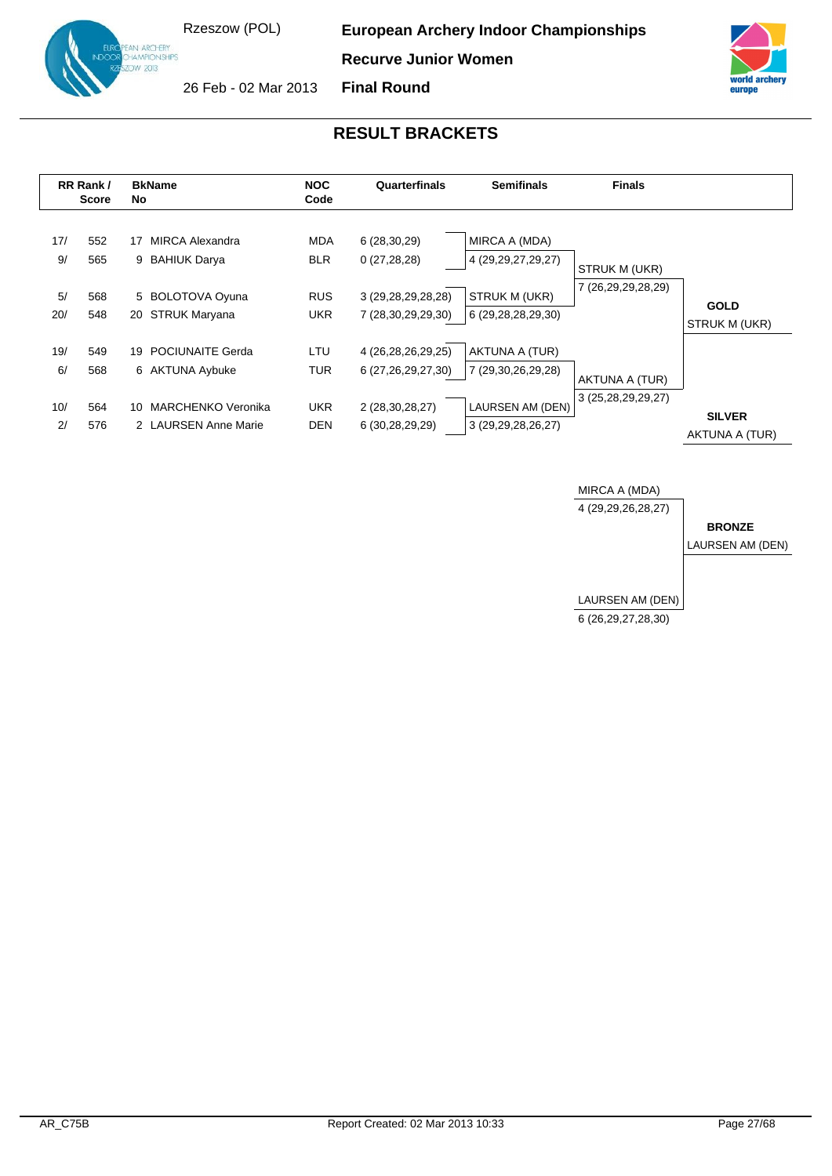**ARCHERY** AMPIONSHIPS  $v \propto 1$ 

**European Archery Indoor Championships**

**Recurve Junior Women**



26 Feb - 02 Mar 2013 **Final Round**



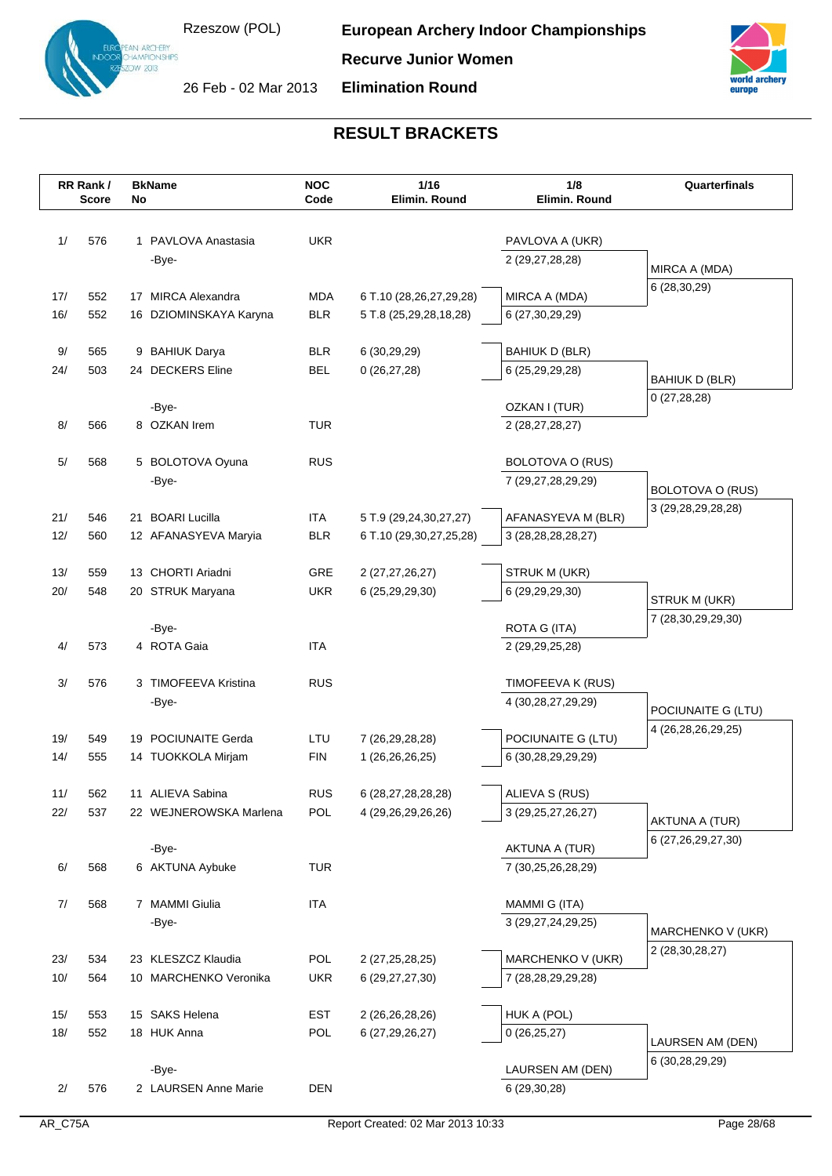

**Recurve Junior Women**



26 Feb - 02 Mar 2013

**Elimination Round**

|            | RR Rank/     | <b>BkName</b>          | <b>NOC</b>        | 1/16                               | 1/8                              | Quarterfinals                          |
|------------|--------------|------------------------|-------------------|------------------------------------|----------------------------------|----------------------------------------|
|            | <b>Score</b> | No                     | Code              | Elimin. Round                      | Elimin. Round                    |                                        |
|            |              |                        |                   |                                    |                                  |                                        |
| 1/         | 576          | 1 PAVLOVA Anastasia    | <b>UKR</b>        |                                    | PAVLOVA A (UKR)                  |                                        |
|            |              | -Bye-                  |                   |                                    | 2 (29,27,28,28)                  | MIRCA A (MDA)                          |
| 17/        | 552          | 17 MIRCA Alexandra     | <b>MDA</b>        | 6 T.10 (28,26,27,29,28)            | MIRCA A (MDA)                    | 6 (28,30,29)                           |
| 16/        | 552          | 16 DZIOMINSKAYA Karyna | <b>BLR</b>        | 5 T.8 (25,29,28,18,28)             | 6 (27, 30, 29, 29)               |                                        |
|            |              |                        |                   |                                    |                                  |                                        |
| 9/         | 565          | 9 BAHIUK Darya         | <b>BLR</b>        | 6 (30,29,29)                       | <b>BAHIUK D (BLR)</b>            |                                        |
| 24/        | 503          | 24 DECKERS Eline       | <b>BEL</b>        | 0(26, 27, 28)                      | 6 (25,29,29,28)                  | <b>BAHIUK D (BLR)</b>                  |
|            |              |                        |                   |                                    |                                  | 0(27, 28, 28)                          |
| 8/         | 566          | -Bye-<br>8 OZKAN Irem  | <b>TUR</b>        |                                    | OZKAN I (TUR)<br>2 (28,27,28,27) |                                        |
|            |              |                        |                   |                                    |                                  |                                        |
| $5/$       | 568          | 5 BOLOTOVA Oyuna       | <b>RUS</b>        |                                    | BOLOTOVA O (RUS)                 |                                        |
|            |              | -Bye-                  |                   |                                    | 7 (29,27,28,29,29)               |                                        |
|            |              |                        |                   |                                    |                                  | BOLOTOVA O (RUS)<br>3 (29,28,29,28,28) |
| 21/        | 546          | 21 BOARI Lucilla       | <b>ITA</b>        | 5 T.9 (29,24,30,27,27)             | AFANASYEVA M (BLR)               |                                        |
| 12/        | 560          | 12 AFANASYEVA Maryia   | <b>BLR</b>        | 6 T.10 (29,30,27,25,28)            | 3 (28, 28, 28, 28, 27)           |                                        |
|            |              | 13 CHORTI Ariadni      |                   |                                    | STRUK M (UKR)                    |                                        |
| 13/<br>20/ | 559<br>548   | 20 STRUK Maryana       | GRE<br><b>UKR</b> | 2 (27,27,26,27)<br>6 (25,29,29,30) | 6 (29,29,29,30)                  |                                        |
|            |              |                        |                   |                                    |                                  | STRUK M (UKR)                          |
|            |              | -Bye-                  |                   |                                    | ROTA G (ITA)                     | 7 (28,30,29,29,30)                     |
| 4/         | 573          | 4 ROTA Gaia            | <b>ITA</b>        |                                    | 2 (29, 29, 25, 28)               |                                        |
|            |              |                        |                   |                                    |                                  |                                        |
| 3/         | 576          | 3 TIMOFEEVA Kristina   | <b>RUS</b>        |                                    | TIMOFEEVA K (RUS)                |                                        |
|            |              | -Bye-                  |                   |                                    | 4 (30,28,27,29,29)               | POCIUNAITE G (LTU)                     |
| 19/        | 549          | 19 POCIUNAITE Gerda    | LTU               | 7 (26, 29, 28, 28)                 | POCIUNAITE G (LTU)               | 4 (26, 28, 26, 29, 25)                 |
| 14/        | 555          | 14 TUOKKOLA Mirjam     | <b>FIN</b>        | 1 (26,26,26,25)                    | 6 (30,28,29,29,29)               |                                        |
|            |              |                        |                   |                                    |                                  |                                        |
| 11/        | 562          | 11 ALIEVA Sabina       | <b>RUS</b>        | 6 (28,27,28,28,28)                 | ALIEVA S (RUS)                   |                                        |
| 22/        | 537          | 22 WEJNEROWSKA Marlena | POL               | 4 (29, 26, 29, 26, 26)             | 3 (29, 25, 27, 26, 27)           | AKTUNA A (TUR)                         |
|            |              |                        |                   |                                    |                                  | 6 (27,26,29,27,30)                     |
|            |              | -Bye-                  |                   |                                    | <b>AKTUNA A (TUR)</b>            |                                        |
| 6/         | 568          | 6 AKTUNA Aybuke        | <b>TUR</b>        |                                    | 7 (30,25,26,28,29)               |                                        |
| 7/         | 568          | 7 MAMMI Giulia         | <b>ITA</b>        |                                    | MAMMI G (ITA)                    |                                        |
|            |              | -Bye-                  |                   |                                    | 3 (29,27,24,29,25)               |                                        |
|            |              |                        |                   |                                    |                                  | MARCHENKO V (UKR)                      |
| 23/        | 534          | 23 KLESZCZ Klaudia     | POL               | 2 (27, 25, 28, 25)                 | MARCHENKO V (UKR)                | 2 (28, 30, 28, 27)                     |
| 10/        | 564          | 10 MARCHENKO Veronika  | <b>UKR</b>        | 6 (29, 27, 27, 30)                 | 7 (28,28,29,29,28)               |                                        |
|            |              |                        |                   |                                    |                                  |                                        |
| 15/        | 553          | 15 SAKS Helena         | <b>EST</b>        | 2 (26,26,28,26)                    | HUK A (POL)                      |                                        |
| 18/        | 552          | 18 HUK Anna            | POL               | 6 (27, 29, 26, 27)                 | 0(26, 25, 27)                    | LAURSEN AM (DEN)                       |
|            |              | -Bye-                  |                   |                                    | LAURSEN AM (DEN)                 | 6 (30,28,29,29)                        |
| 2/         | 576          | 2 LAURSEN Anne Marie   | <b>DEN</b>        |                                    | 6 (29,30,28)                     |                                        |
|            |              |                        |                   |                                    |                                  |                                        |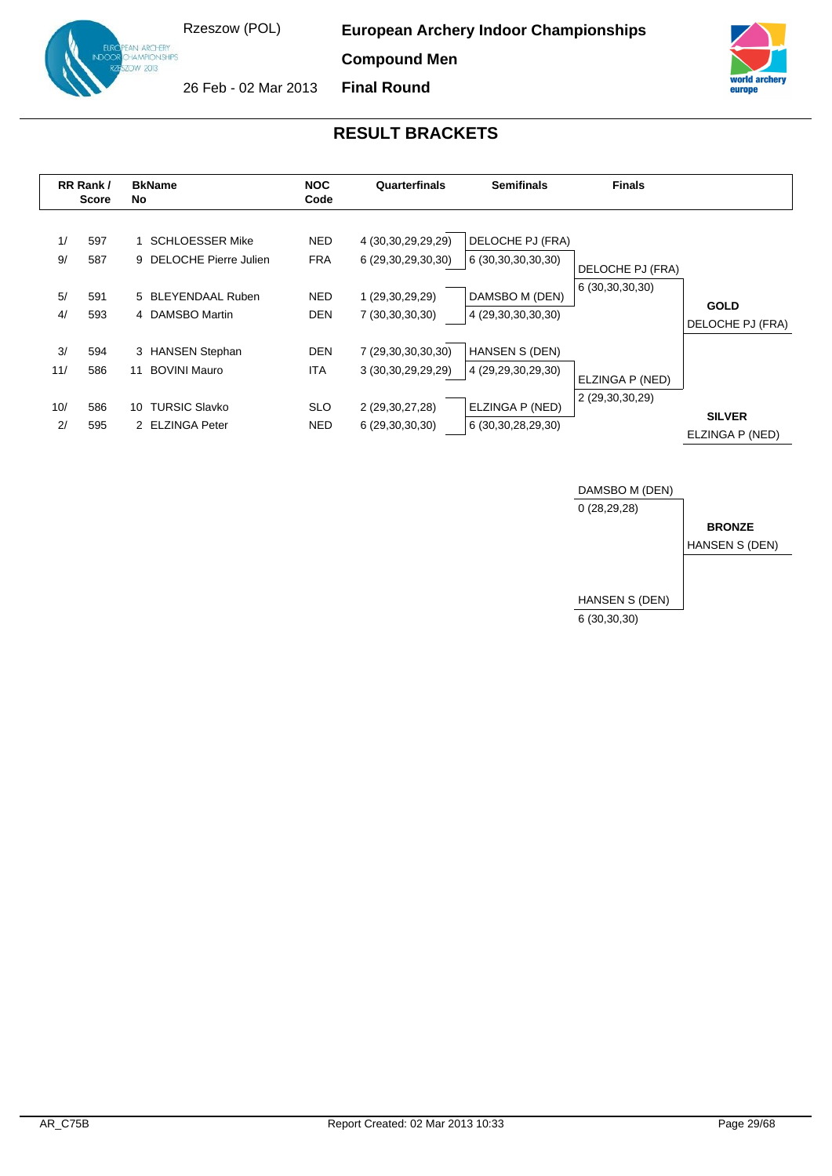**European Archery Indoor Championships**

**Compound Men**



26 Feb - 02 Mar 2013 **Final Round**



|                        | RR Rank/<br><b>Score</b> | <b>BkName</b><br>No                                                                            | <b>NOC</b><br>Code                                   | Quarterfinals                                                                     | <b>Semifinals</b>                                                                        | <b>Finals</b>                       |                                  |
|------------------------|--------------------------|------------------------------------------------------------------------------------------------|------------------------------------------------------|-----------------------------------------------------------------------------------|------------------------------------------------------------------------------------------|-------------------------------------|----------------------------------|
| 1/<br>9/<br>5/<br>4/   | 597<br>587<br>591<br>593 | <b>SCHLOESSER Mike</b><br>9 DELOCHE Pierre Julien<br>5 BLEYENDAAL Ruben<br>4 DAMSBO Martin     | <b>NED</b><br><b>FRA</b><br><b>NED</b><br><b>DEN</b> | 4 (30,30,29,29,29)<br>6 (29,30,29,30,30)<br>1 (29,30,29,29)<br>7 (30,30,30,30)    | DELOCHE PJ (FRA)<br>6 (30,30,30,30,30)<br>DAMSBO M (DEN)<br>4 (29,30,30,30,30)           | DELOCHE PJ (FRA)<br>6 (30,30,30,30) | <b>GOLD</b><br>DELOCHE PJ (FRA)  |
| 3/<br>11/<br>10/<br>2/ | 594<br>586<br>586<br>595 | 3 HANSEN Stephan<br><b>BOVINI Mauro</b><br>11<br><b>TURSIC Slavko</b><br>10<br>2 ELZINGA Peter | <b>DEN</b><br><b>ITA</b><br><b>SLO</b><br>NED.       | 7 (29,30,30,30,30)<br>3 (30, 30, 29, 29, 29)<br>2 (29,30,27,28)<br>6(29,30,30,30) | <b>HANSEN S (DEN)</b><br>4 (29,29,30,29,30)<br>ELZINGA P (NED)<br>6 (30, 30, 28, 29, 30) | ELZINGA P (NED)<br>2 (29,30,30,29)  | <b>SILVER</b><br>ELZINGA P (NED) |

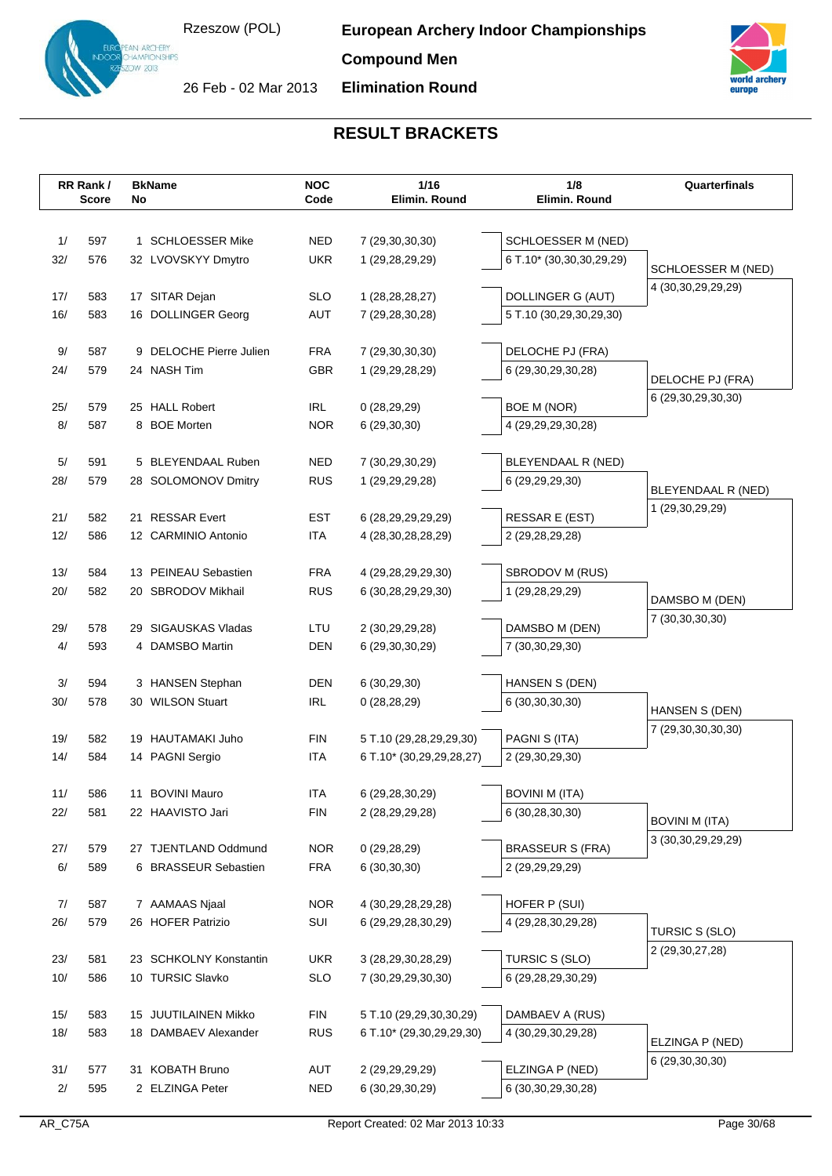**Compound Men**



26 Feb - 02 Mar 2013

**Elimination Round**



|           | RR Rank/     | <b>BkName</b>             | <b>NOC</b>        | 1/16<br>Elimin, Round    | 1/8                      | Quarterfinals          |
|-----------|--------------|---------------------------|-------------------|--------------------------|--------------------------|------------------------|
|           | <b>Score</b> | No                        | Code              |                          | Elimin. Round            |                        |
|           |              |                           |                   |                          |                          |                        |
| 1/        | 597          | 1 SCHLOESSER Mike         | <b>NED</b>        | 7 (29,30,30,30)          | SCHLOESSER M (NED)       |                        |
| 32/       | 576          | 32 LVOVSKYY Dmytro        | <b>UKR</b>        | 1 (29,28,29,29)          | 6 T.10* (30,30,30,29,29) | SCHLOESSER M (NED)     |
| 17/       | 583          | 17 SITAR Dejan            | <b>SLO</b>        | 1 (28, 28, 28, 27)       | DOLLINGER G (AUT)        | 4 (30, 30, 29, 29, 29) |
| 16/       | 583          | 16 DOLLINGER Georg        | AUT               | 7 (29,28,30,28)          | 5 T.10 (30,29,30,29,30)  |                        |
|           |              |                           |                   |                          |                          |                        |
| 9/        | 587          | 9 DELOCHE Pierre Julien   | <b>FRA</b>        | 7 (29,30,30,30)          | DELOCHE PJ (FRA)         |                        |
| 24/       | 579          | 24 NASH Tim               | <b>GBR</b>        | 1 (29,29,28,29)          | 6 (29,30,29,30,28)       | DELOCHE PJ (FRA)       |
|           |              |                           |                   |                          |                          | 6 (29,30,29,30,30)     |
| 25/       | 579          | 25 HALL Robert            | <b>IRL</b>        | 0(28, 29, 29)            | BOE M (NOR)              |                        |
| 8/        | 587          | <b>BOE Morten</b><br>8    | <b>NOR</b>        | 6 (29,30,30)             | 4 (29,29,29,30,28)       |                        |
|           |              |                           |                   |                          |                          |                        |
| 5/<br>28/ | 591<br>579   | 5 BLEYENDAAL Ruben        | NED<br><b>RUS</b> | 7 (30,29,30,29)          | BLEYENDAAL R (NED)       |                        |
|           |              | 28 SOLOMONOV Dmitry       |                   | 1 (29, 29, 29, 28)       | 6 (29,29,29,30)          | BLEYENDAAL R (NED)     |
| 21/       | 582          | 21 RESSAR Evert           | <b>EST</b>        | 6 (28,29,29,29,29)       | RESSAR E (EST)           | 1 (29,30,29,29)        |
| 12/       | 586          | 12 CARMINIO Antonio       | <b>ITA</b>        | 4 (28, 30, 28, 28, 29)   | 2 (29,28,29,28)          |                        |
|           |              |                           |                   |                          |                          |                        |
| 13/       | 584          | 13 PEINEAU Sebastien      | FRA               | 4 (29,28,29,29,30)       | SBRODOV M (RUS)          |                        |
| 20/       | 582          | 20 SBRODOV Mikhail        | <b>RUS</b>        | 6 (30,28,29,29,30)       | 1 (29,28,29,29)          | DAMSBO M (DEN)         |
|           |              |                           |                   |                          |                          | 7 (30, 30, 30, 30)     |
| 29/       | 578          | 29 SIGAUSKAS Vladas       | LTU               | 2 (30,29,29,28)          | DAMSBO M (DEN)           |                        |
| 4/        | 593          | 4 DAMSBO Martin           | DEN               | 6 (29,30,30,29)          | 7 (30, 30, 29, 30)       |                        |
| 3/        | 594          | 3 HANSEN Stephan          | <b>DEN</b>        | 6(30, 29, 30)            | HANSEN S (DEN)           |                        |
| 30/       | 578          | 30 WILSON Stuart          | <b>IRL</b>        | 0(28, 28, 29)            | 6 (30, 30, 30, 30)       |                        |
|           |              |                           |                   |                          |                          | HANSEN S (DEN)         |
| 19/       | 582          | 19 HAUTAMAKI Juho         | FIN               | 5 T.10 (29,28,29,29,30)  | PAGNI S (ITA)            | 7 (29,30,30,30,30)     |
| 14/       | 584          | 14 PAGNI Sergio           | <b>ITA</b>        | 6 T.10* (30,29,29,28,27) | 2 (29,30,29,30)          |                        |
|           |              |                           |                   |                          |                          |                        |
| 11/       | 586          | <b>BOVINI Mauro</b><br>11 | <b>ITA</b>        | 6 (29,28,30,29)          | <b>BOVINI M (ITA)</b>    |                        |
| 22/       | 581          | 22 HAAVISTO Jari          | <b>FIN</b>        | 2 (28,29,29,28)          | 6 (30,28,30,30)          | <b>BOVINI M (ITA)</b>  |
|           |              |                           |                   |                          |                          | 3 (30, 30, 29, 29, 29) |
| 27/       | 579          | 27 TJENTLAND Oddmund      | <b>NOR</b>        | 0(29, 28, 29)            | <b>BRASSEUR S (FRA)</b>  |                        |
| 6/        | 589          | 6 BRASSEUR Sebastien      | <b>FRA</b>        | 6(30,30,30)              | 2 (29,29,29,29)          |                        |
| 7/        | 587          | 7 AAMAAS Njaal            | <b>NOR</b>        | 4 (30,29,28,29,28)       | HOFER P (SUI)            |                        |
| 26/       | 579          | 26 HOFER Patrizio         | SUI               | 6 (29, 29, 28, 30, 29)   | 4 (29,28,30,29,28)       |                        |
|           |              |                           |                   |                          |                          | TURSIC S (SLO)         |
| 23/       | 581          | 23 SCHKOLNY Konstantin    | <b>UKR</b>        | 3 (28,29,30,28,29)       | TURSIC S (SLO)           | 2 (29,30,27,28)        |
| 10/       | 586          | 10 TURSIC Slavko          | <b>SLO</b>        | 7 (30,29,29,30,30)       | 6 (29,28,29,30,29)       |                        |
|           |              |                           |                   |                          |                          |                        |
| 15/       | 583          | 15 JUUTILAINEN Mikko      | <b>FIN</b>        | 5 T.10 (29,29,30,30,29)  | DAMBAEV A (RUS)          |                        |
| 18/       | 583          | 18 DAMBAEV Alexander      | <b>RUS</b>        | 6 T.10* (29,30,29,29,30) | 4 (30,29,30,29,28)       | ELZINGA P (NED)        |
| 31/       | 577          | 31 KOBATH Bruno           | AUT               | 2 (29,29,29,29)          | ELZINGA P (NED)          | 6 (29, 30, 30, 30)     |
| 2/        | 595          | 2 ELZINGA Peter           | NED               | 6 (30,29,30,29)          | 6 (30, 30, 29, 30, 28)   |                        |
|           |              |                           |                   |                          |                          |                        |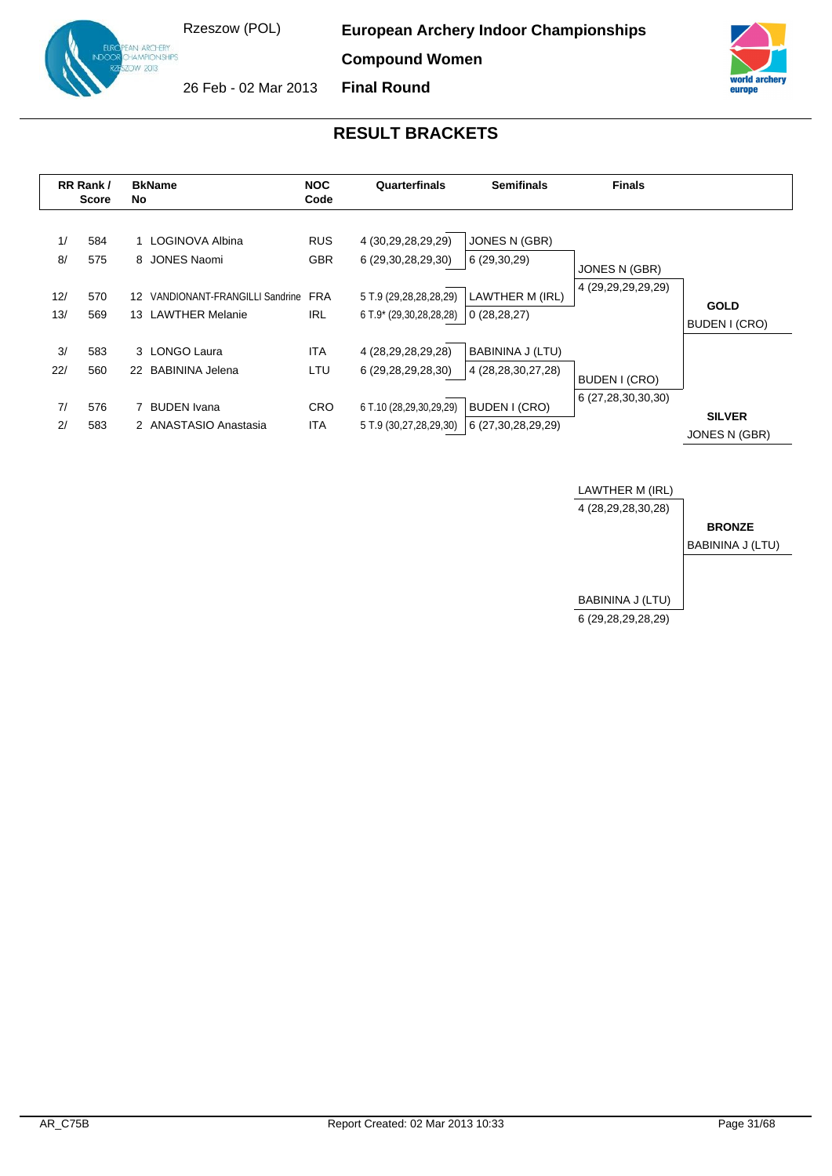**ARCHERY** AMPIONSHIPS  $v \propto 1$ 

**European Archery Indoor Championships**

**Compound Women**

**Final Round**



26 Feb - 02 Mar 2013



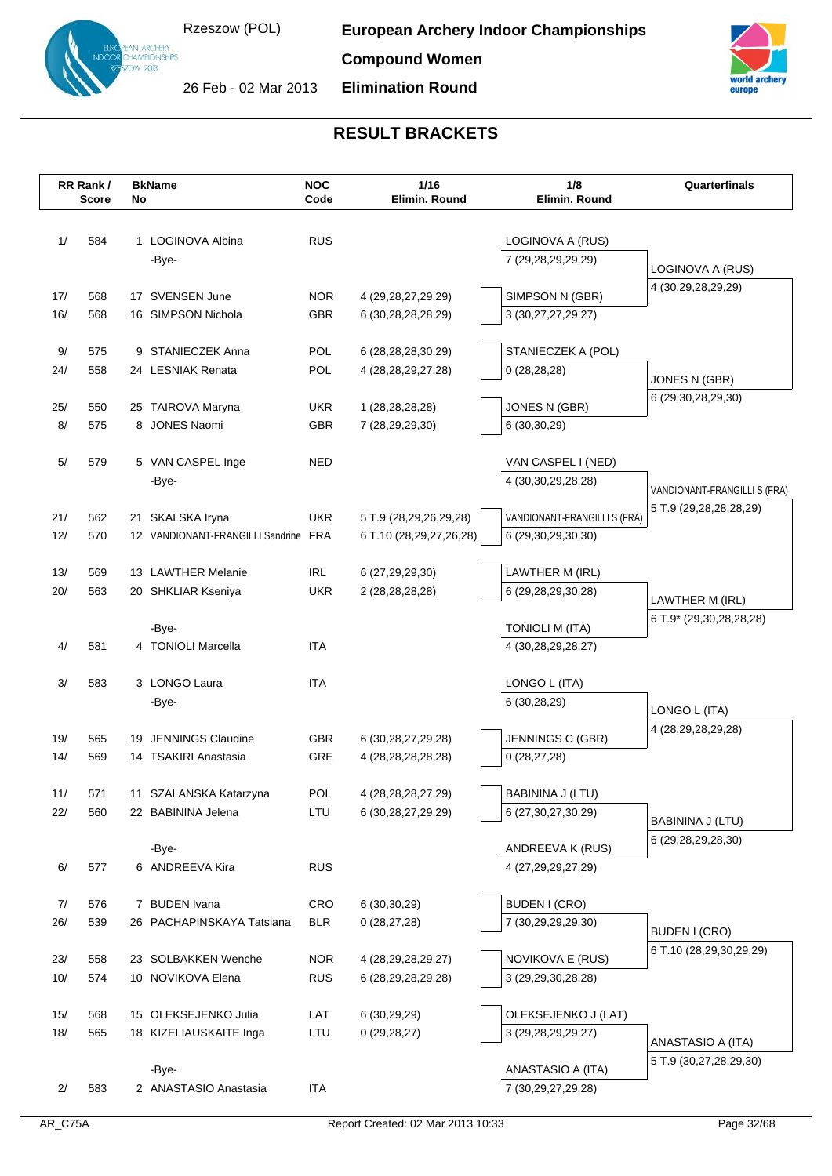**Compound Women**



**Elimination Round**



|            | RR Rank/<br><b>BkName</b><br><b>Score</b><br>No |   |                                              | <b>NOC</b><br>Code       | 1/16<br>Elimin. Round                            | 1/8<br>Elimin. Round              | Quarterfinals                              |
|------------|-------------------------------------------------|---|----------------------------------------------|--------------------------|--------------------------------------------------|-----------------------------------|--------------------------------------------|
|            |                                                 |   |                                              |                          |                                                  |                                   |                                            |
| 1/         | 584                                             |   | 1 LOGINOVA Albina                            | <b>RUS</b>               |                                                  | LOGINOVA A (RUS)                  |                                            |
|            |                                                 |   | -Bye-                                        |                          |                                                  | 7 (29,28,29,29,29)                |                                            |
|            |                                                 |   |                                              |                          |                                                  |                                   | LOGINOVA A (RUS)                           |
| 17/        | 568                                             |   | 17 SVENSEN June                              | <b>NOR</b>               | 4 (29, 28, 27, 29, 29)                           | SIMPSON N (GBR)                   | 4 (30,29,28,29,29)                         |
| 16/        | 568                                             |   | 16 SIMPSON Nichola                           | GBR                      | 6 (30,28,28,28,29)                               | 3 (30,27,27,29,27)                |                                            |
|            |                                                 |   |                                              |                          |                                                  |                                   |                                            |
| 9/         | 575                                             |   | 9 STANIECZEK Anna                            | POL                      | 6 (28, 28, 28, 30, 29)                           | STANIECZEK A (POL)                |                                            |
| 24/        | 558                                             |   | 24 LESNIAK Renata                            | POL                      | 4 (28, 28, 29, 27, 28)                           | 0(28, 28, 28)                     | JONES N (GBR)                              |
|            |                                                 |   |                                              |                          |                                                  |                                   | 6 (29,30,28,29,30)                         |
| 25/<br>8/  | 550<br>575                                      | 8 | 25 TAIROVA Maryna<br><b>JONES Naomi</b>      | <b>UKR</b><br><b>GBR</b> | 1 (28, 28, 28, 28)<br>7 (28,29,29,30)            | JONES N (GBR)<br>6 (30,30,29)     |                                            |
|            |                                                 |   |                                              |                          |                                                  |                                   |                                            |
| 5/         | 579                                             |   | 5 VAN CASPEL Inge                            | NED                      |                                                  | VAN CASPEL I (NED)                |                                            |
|            |                                                 |   | -Bye-                                        |                          |                                                  | 4 (30, 30, 29, 28, 28)            | VANDIONANT-FRANGILLI S (FRA)               |
|            |                                                 |   |                                              |                          |                                                  |                                   | 5 T.9 (29,28,28,28,29)                     |
| 21/        | 562                                             |   | 21 SKALSKA Iryna                             | <b>UKR</b>               | 5 T.9 (28,29,26,29,28)                           | VANDIONANT-FRANGILLI S (FRA)      |                                            |
| 12/        | 570                                             |   | 12 VANDIONANT-FRANGILLI Sandrine FRA         |                          | 6 T.10 (28,29,27,26,28)                          | 6 (29,30,29,30,30)                |                                            |
|            |                                                 |   |                                              |                          |                                                  |                                   |                                            |
| 13/<br>20/ | 569<br>563                                      |   | 13 LAWTHER Melanie                           | IRL<br><b>UKR</b>        | 6 (27,29,29,30)                                  | LAWTHER M (IRL)                   |                                            |
|            |                                                 |   | 20 SHKLIAR Kseniya                           |                          | 2 (28,28,28,28)                                  | 6 (29,28,29,30,28)                | LAWTHER M (IRL)                            |
|            |                                                 |   | -Bye-                                        |                          |                                                  | <b>TONIOLI M (ITA)</b>            | 6 T.9* (29,30,28,28,28)                    |
| 4/         | 581                                             |   | 4 TONIOLI Marcella                           | <b>ITA</b>               |                                                  | 4 (30,28,29,28,27)                |                                            |
|            |                                                 |   |                                              |                          |                                                  |                                   |                                            |
| 3/         | 583                                             |   | 3 LONGO Laura                                | <b>ITA</b>               |                                                  | LONGO L (ITA)                     |                                            |
|            |                                                 |   | -Bye-                                        |                          |                                                  | 6 (30,28,29)                      | LONGO L (ITA)                              |
|            |                                                 |   |                                              |                          |                                                  |                                   | 4 (28, 29, 28, 29, 28)                     |
| 19/<br>14/ | 565<br>569                                      |   | 19 JENNINGS Claudine<br>14 TSAKIRI Anastasia | <b>GBR</b><br>GRE        | 6 (30, 28, 27, 29, 28)<br>4 (28, 28, 28, 28, 28) | JENNINGS C (GBR)<br>0(28, 27, 28) |                                            |
|            |                                                 |   |                                              |                          |                                                  |                                   |                                            |
| 11/        | 571                                             |   | 11 SZALANSKA Katarzyna                       | POL                      | 4 (28, 28, 28, 27, 29)                           | BABININA J (LTU)                  |                                            |
| 22/        | 560                                             |   | 22 BABININA Jelena                           | LTU                      | 6 (30, 28, 27, 29, 29)                           | 6 (27, 30, 27, 30, 29)            |                                            |
|            |                                                 |   |                                              |                          |                                                  |                                   | BABININA J (LTU)<br>6 (29, 28, 29, 28, 30) |
|            |                                                 |   | -Bye-                                        |                          |                                                  | ANDREEVA K (RUS)                  |                                            |
| 6/         | 577                                             |   | 6 ANDREEVA Kira                              | <b>RUS</b>               |                                                  | 4 (27,29,29,27,29)                |                                            |
|            |                                                 |   |                                              |                          |                                                  |                                   |                                            |
| 7/         | 576                                             |   | 7 BUDEN Ivana<br>26 PACHAPINSKAYA Tatsiana   | <b>CRO</b>               | 6(30,30,29)                                      | <b>BUDEN I (CRO)</b>              |                                            |
| 26/        | 539                                             |   |                                              | <b>BLR</b>               | 0(28, 27, 28)                                    | 7 (30,29,29,29,30)                | BUDEN I (CRO)                              |
| 23/        | 558                                             |   | 23 SOLBAKKEN Wenche                          | <b>NOR</b>               | 4 (28, 29, 28, 29, 27)                           | NOVIKOVA E (RUS)                  | 6 T.10 (28,29,30,29,29)                    |
| 10/        | 574                                             |   | 10 NOVIKOVA Elena                            | <b>RUS</b>               | 6 (28,29,28,29,28)                               | 3 (29,29,30,28,28)                |                                            |
|            |                                                 |   |                                              |                          |                                                  |                                   |                                            |
| 15/        | 568                                             |   | 15 OLEKSEJENKO Julia                         | LAT                      | 6(30,29,29)                                      | OLEKSEJENKO J (LAT)               |                                            |
| 18/        | 565                                             |   | 18 KIZELIAUSKAITE Inga                       | LTU                      | 0(29, 28, 27)                                    | 3 (29, 28, 29, 29, 27)            | ANASTASIO A (ITA)                          |
|            |                                                 |   |                                              |                          |                                                  |                                   | 5 T.9 (30,27,28,29,30)                     |
|            |                                                 |   | -Bye-                                        |                          |                                                  | ANASTASIO A (ITA)                 |                                            |
| 2/         | 583                                             |   | 2 ANASTASIO Anastasia                        | ITA                      |                                                  | 7 (30,29,27,29,28)                |                                            |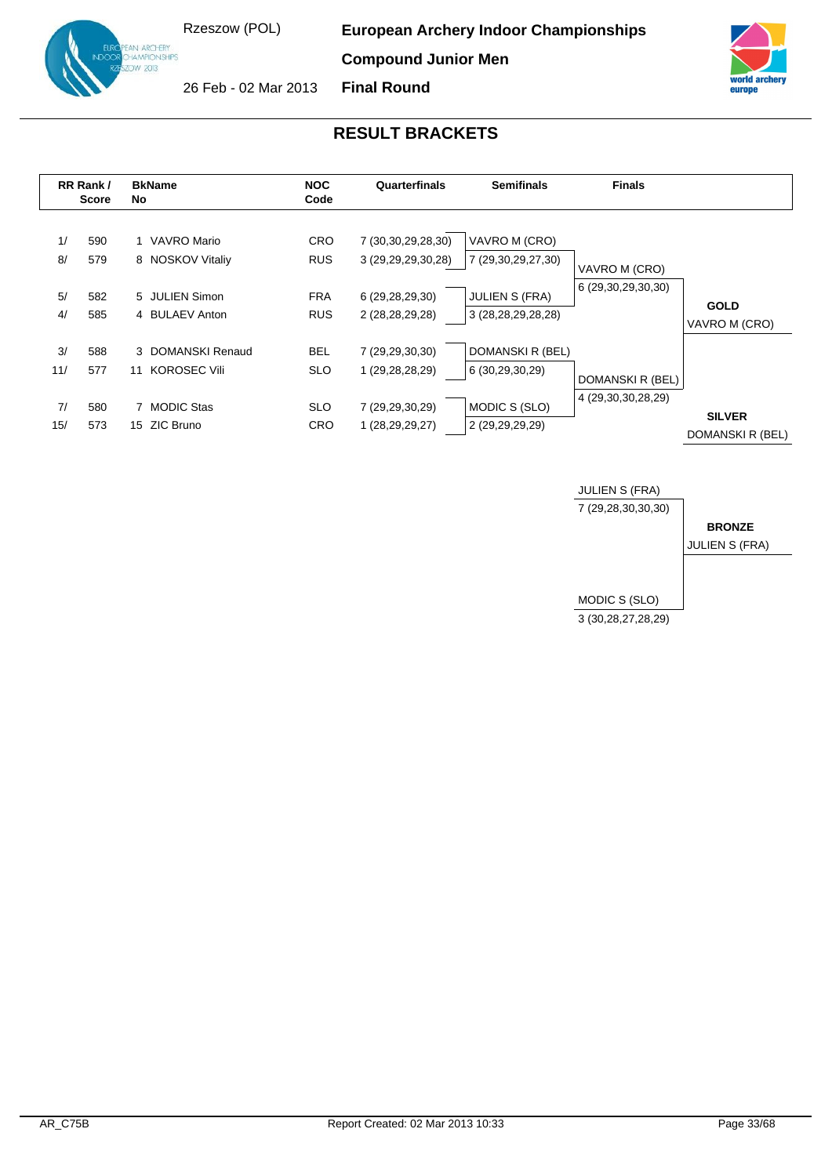IN ARCHERY<br>HAMPIONSHIPS  $v \propto 1$ 

**European Archery Indoor Championships**

**Compound Junior Men**



26 Feb - 02 Mar 2013 **Final Round**



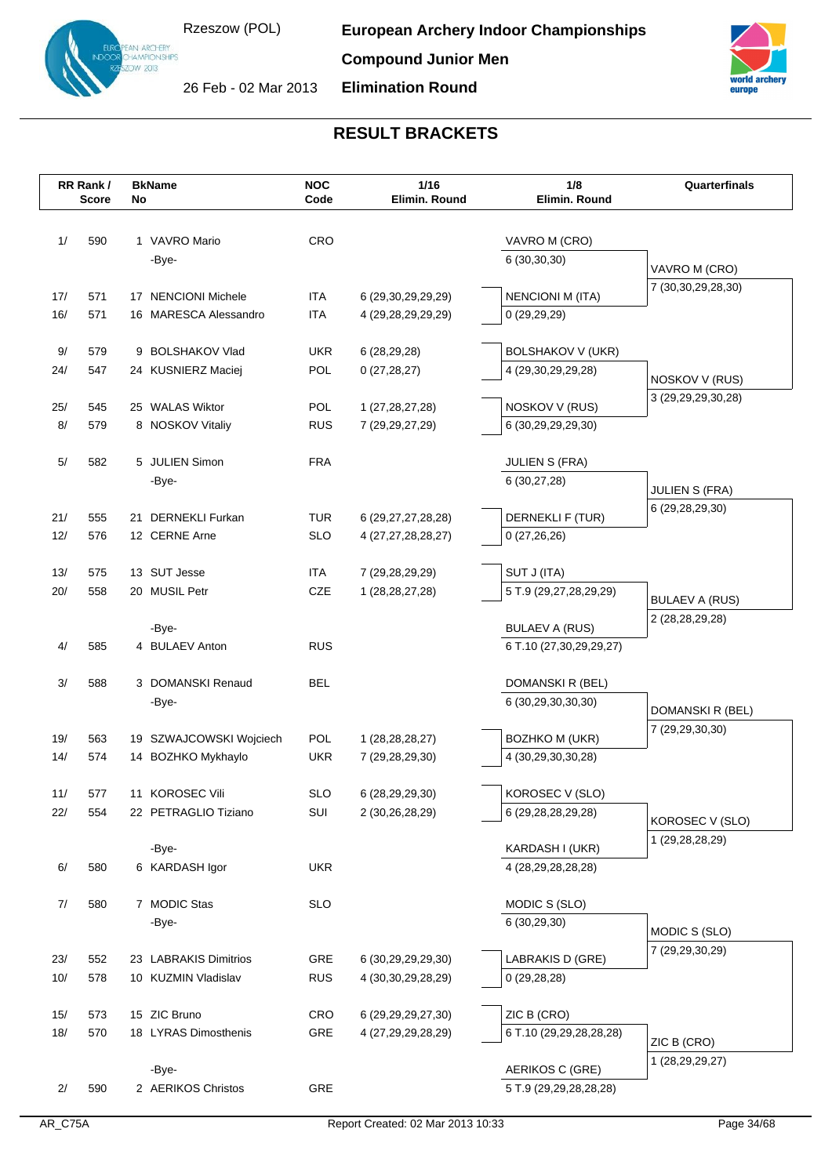**Compound Junior Men**

26 Feb - 02 Mar 2013

IN ARCHERY<br>IAMPIONSHIPS<br>IW 2013

**Elimination Round**



|            | RR Rank /<br><b>Score</b> | No | <b>BkName</b>                 | <b>NOC</b><br>Code | 1/16<br>Elimin. Round                 | 1/8<br>Elimin. Round                   | Quarterfinals                      |
|------------|---------------------------|----|-------------------------------|--------------------|---------------------------------------|----------------------------------------|------------------------------------|
|            |                           |    |                               |                    |                                       |                                        |                                    |
| 1/         | 590                       |    | 1 VAVRO Mario                 | CRO                |                                       | VAVRO M (CRO)                          |                                    |
|            |                           |    | -Bye-                         |                    |                                       | 6(30,30,30)                            | VAVRO M (CRO)                      |
| 17/        | 571                       |    | 17 NENCIONI Michele           | <b>ITA</b>         | 6 (29,30,29,29,29)                    | <b>NENCIONI M (ITA)</b>                | 7 (30, 30, 29, 28, 30)             |
| 16/        | 571                       |    | 16 MARESCA Alessandro         | <b>ITA</b>         | 4 (29,28,29,29,29)                    | 0(29,29,29)                            |                                    |
|            |                           |    |                               |                    |                                       |                                        |                                    |
| 9/         | 579                       |    | 9 BOLSHAKOV Vlad              | <b>UKR</b>         | 6(28, 29, 28)                         | <b>BOLSHAKOV V (UKR)</b>               |                                    |
| 24/        | 547                       |    | 24 KUSNIERZ Maciej            | POL                | 0(27, 28, 27)                         | 4 (29,30,29,29,28)                     | NOSKOV V (RUS)                     |
| 25/        | 545                       |    | 25 WALAS Wiktor               | POL                | 1 (27, 28, 27, 28)                    | NOSKOV V (RUS)                         | 3 (29, 29, 29, 30, 28)             |
| 8/         | 579                       |    | 8 NOSKOV Vitaliy              | <b>RUS</b>         | 7 (29, 29, 27, 29)                    | 6 (30,29,29,29,30)                     |                                    |
|            |                           |    |                               |                    |                                       |                                        |                                    |
| $5/$       | 582                       |    | 5 JULIEN Simon                | <b>FRA</b>         |                                       | <b>JULIEN S (FRA)</b>                  |                                    |
|            |                           |    | -Bye-                         |                    |                                       | 6 (30,27,28)                           | <b>JULIEN S (FRA)</b>              |
| 21/        | 555                       |    | 21 DERNEKLI Furkan            | <b>TUR</b>         | 6 (29, 27, 27, 28, 28)                | DERNEKLI F (TUR)                       | 6 (29,28,29,30)                    |
| 12/        | 576                       |    | 12 CERNE Arne                 | <b>SLO</b>         | 4 (27,27,28,28,27)                    | 0(27,26,26)                            |                                    |
|            |                           |    |                               |                    |                                       |                                        |                                    |
| 13/<br>20/ | 575<br>558                |    | 13 SUT Jesse<br>20 MUSIL Petr | <b>ITA</b><br>CZE  | 7 (29,28,29,29)<br>1 (28, 28, 27, 28) | SUT J (ITA)<br>5 T.9 (29,27,28,29,29)  |                                    |
|            |                           |    |                               |                    |                                       |                                        | <b>BULAEV A (RUS)</b>              |
|            |                           |    | -Bye-                         |                    |                                       | <b>BULAEV A (RUS)</b>                  | 2 (28, 28, 29, 28)                 |
| 4/         | 585                       |    | 4 BULAEV Anton                | <b>RUS</b>         |                                       | 6 T.10 (27,30,29,29,27)                |                                    |
|            |                           |    |                               | <b>BEL</b>         |                                       |                                        |                                    |
| 3/         | 588                       |    | 3 DOMANSKI Renaud<br>-Bye-    |                    |                                       | DOMANSKI R (BEL)<br>6 (30,29,30,30,30) |                                    |
|            |                           |    |                               |                    |                                       |                                        | DOMANSKI R (BEL)                   |
| 19/        | 563                       |    | 19 SZWAJCOWSKI Wojciech       | <b>POL</b>         | 1 (28, 28, 28, 27)                    | <b>BOZHKO M (UKR)</b>                  | 7 (29,29,30,30)                    |
| 14/        | 574                       |    | 14 BOZHKO Mykhaylo            | <b>UKR</b>         | 7 (29, 28, 29, 30)                    | 4 (30,29,30,30,28)                     |                                    |
| 11/        | 577                       |    | 11 KOROSEC Vili               | <b>SLO</b>         | 6 (28,29,29,30)                       | KOROSEC V (SLO)                        |                                    |
| 22/        | 554                       |    | 22 PETRAGLIO Tiziano          | SUI                | 2 (30,26,28,29)                       | 6 (29,28,28,29,28)                     |                                    |
|            |                           |    |                               |                    |                                       |                                        | KOROSEC V (SLO)<br>1 (29,28,28,29) |
|            |                           |    | -Bye-                         |                    |                                       | KARDASH I (UKR)                        |                                    |
| $6/$       | 580                       |    | 6 KARDASH Igor                | <b>UKR</b>         |                                       | 4 (28,29,28,28,28)                     |                                    |
| 7/         | 580                       |    | 7 MODIC Stas                  | <b>SLO</b>         |                                       | MODIC S (SLO)                          |                                    |
|            |                           |    | -Bye-                         |                    |                                       | 6 (30,29,30)                           | MODIC S (SLO)                      |
|            |                           |    |                               |                    |                                       |                                        | 7 (29,29,30,29)                    |
| 23/        | 552                       |    | 23 LABRAKIS Dimitrios         | GRE                | 6 (30,29,29,29,30)                    | LABRAKIS D (GRE)                       |                                    |
| 10/        | 578                       |    | 10 KUZMIN Vladislav           | <b>RUS</b>         | 4 (30, 30, 29, 28, 29)                | 0(29, 28, 28)                          |                                    |
| 15/        | 573                       |    | 15 ZIC Bruno                  | <b>CRO</b>         | 6 (29, 29, 29, 27, 30)                | ZIC B (CRO)                            |                                    |
| 18/        | 570                       |    | 18 LYRAS Dimosthenis          | GRE                | 4 (27,29,29,28,29)                    | 6 T.10 (29,29,28,28,28)                | ZIC B (CRO)                        |
|            |                           |    |                               |                    |                                       |                                        | 1 (28,29,29,27)                    |
|            |                           |    | -Bye-                         |                    |                                       | AERIKOS C (GRE)                        |                                    |
| 2/         | 590                       |    | 2 AERIKOS Christos            | GRE                |                                       | 5 T.9 (29,29,28,28,28)                 |                                    |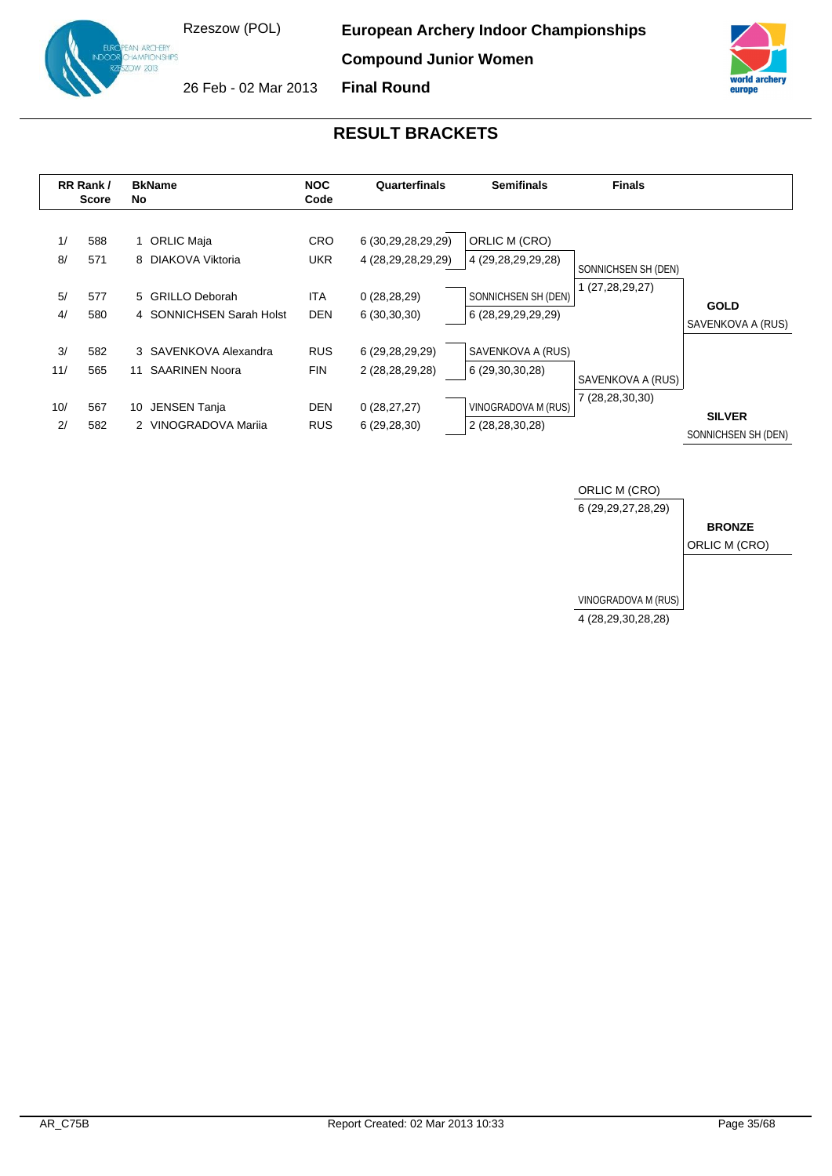**ARCHERY** AMPIONSHIPS  $N \times 10^{13}$ 

**European Archery Indoor Championships**

**Compound Junior Women**



26 Feb - 02 Mar 2013 **Final Round**



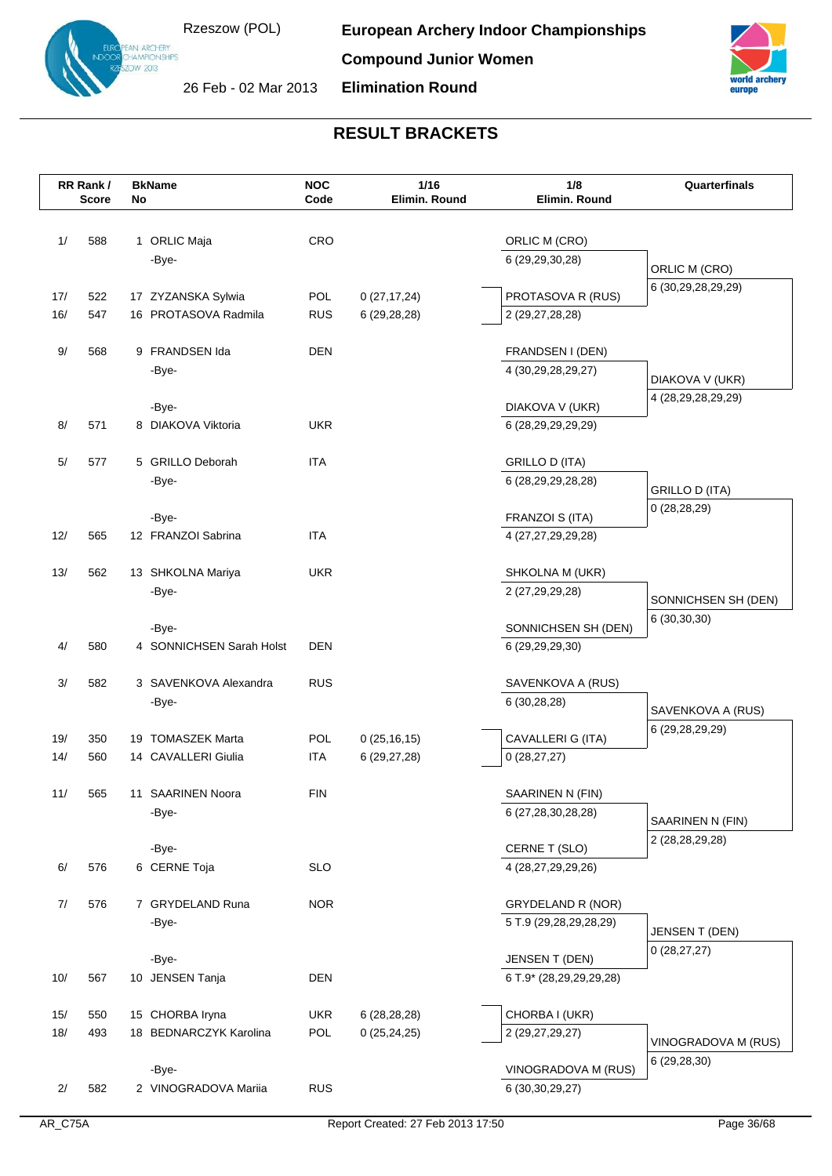**European Archery Indoor Championships**

**Compound Junior Women**



26 Feb - 02 Mar 2013

**Elimination Round**



|            | RR Rank/     |    | <b>BkName</b>                            | <b>NOC</b><br>Code       | 1/16                           | 1/8<br>Elimin. Round                   | Quarterfinals                   |
|------------|--------------|----|------------------------------------------|--------------------------|--------------------------------|----------------------------------------|---------------------------------|
|            | <b>Score</b> | No |                                          |                          | Elimin. Round                  |                                        |                                 |
| 1/         | 588          |    | 1 ORLIC Maja                             | CRO                      |                                | ORLIC M (CRO)                          |                                 |
|            |              |    | -Bye-                                    |                          |                                | 6 (29,29,30,28)                        |                                 |
|            |              |    |                                          |                          |                                |                                        | ORLIC M (CRO)                   |
| 17/        | 522          |    | 17 ZYZANSKA Sylwia                       | <b>POL</b>               | 0(27, 17, 24)                  | PROTASOVA R (RUS)                      | 6 (30,29,28,29,29)              |
| 16/        | 547          |    | 16 PROTASOVA Radmila                     | <b>RUS</b>               | 6(29, 28, 28)                  | 2 (29,27,28,28)                        |                                 |
|            |              |    |                                          |                          |                                |                                        |                                 |
| 9/         | 568          |    | 9 FRANDSEN Ida<br>-Bye-                  | <b>DEN</b>               |                                | FRANDSEN I (DEN)<br>4 (30,29,28,29,27) |                                 |
|            |              |    |                                          |                          |                                |                                        | DIAKOVA V (UKR)                 |
|            |              |    | -Bye-                                    |                          |                                | DIAKOVA V (UKR)                        | 4 (28, 29, 28, 29, 29)          |
| 8/         | 571          |    | 8 DIAKOVA Viktoria                       | <b>UKR</b>               |                                | 6 (28,29,29,29,29)                     |                                 |
|            |              |    |                                          |                          |                                |                                        |                                 |
| $5/$       | 577          |    | 5 GRILLO Deborah                         | <b>ITA</b>               |                                | GRILLO D (ITA)                         |                                 |
|            |              |    | -Bye-                                    |                          |                                | 6 (28,29,29,28,28)                     | <b>GRILLO D (ITA)</b>           |
|            |              |    | -Bye-                                    |                          |                                | FRANZOI S (ITA)                        | 0(28, 28, 29)                   |
| 12/        | 565          |    | 12 FRANZOI Sabrina                       | <b>ITA</b>               |                                | 4 (27,27,29,29,28)                     |                                 |
|            |              |    |                                          |                          |                                |                                        |                                 |
| 13/        | 562          |    | 13 SHKOLNA Mariya                        | <b>UKR</b>               |                                | SHKOLNA M (UKR)                        |                                 |
|            |              |    | -Bye-                                    |                          |                                | 2 (27,29,29,28)                        | SONNICHSEN SH (DEN)             |
|            |              |    |                                          |                          |                                |                                        | 6 (30,30,30)                    |
| 4/         | 580          |    | -Bye-<br>4 SONNICHSEN Sarah Holst        | <b>DEN</b>               |                                | SONNICHSEN SH (DEN)<br>6 (29,29,29,30) |                                 |
|            |              |    |                                          |                          |                                |                                        |                                 |
| 3/         | 582          |    | 3 SAVENKOVA Alexandra                    | <b>RUS</b>               |                                | SAVENKOVA A (RUS)                      |                                 |
|            |              |    | -Bye-                                    |                          |                                | 6(30, 28, 28)                          | SAVENKOVA A (RUS)               |
|            |              |    |                                          |                          |                                |                                        | 6 (29, 28, 29, 29)              |
| 19/<br>14/ | 350<br>560   |    | 19 TOMASZEK Marta<br>14 CAVALLERI Giulia | <b>POL</b><br><b>ITA</b> | 0(25, 16, 15)                  | CAVALLERI G (ITA)<br>0(28, 27, 27)     |                                 |
|            |              |    |                                          |                          | 6 (29,27,28)                   |                                        |                                 |
| 11/        | 565          |    | 11 SAARINEN Noora                        | <b>FIN</b>               |                                | SAARINEN N (FIN)                       |                                 |
|            |              |    | -Bye-                                    |                          |                                | 6 (27, 28, 30, 28, 28)                 | SAARINEN N (FIN)                |
|            |              |    |                                          |                          |                                |                                        | 2 (28, 28, 29, 28)              |
|            |              |    | -Bye-                                    |                          |                                | CERNE T (SLO)                          |                                 |
| 6/         | 576          |    | 6 CERNE Toja                             | <b>SLO</b>               |                                | 4 (28,27,29,29,26)                     |                                 |
| 7/         | 576          |    | 7 GRYDELAND Runa                         | <b>NOR</b>               |                                | <b>GRYDELAND R (NOR)</b>               |                                 |
|            |              |    | -Bye-                                    |                          |                                | 5 T.9 (29,28,29,28,29)                 |                                 |
|            |              |    |                                          |                          |                                |                                        | JENSEN T (DEN)<br>0(28, 27, 27) |
|            |              |    | -Bye-                                    |                          |                                | JENSEN T (DEN)                         |                                 |
| 10/        | 567          |    | 10 JENSEN Tanja                          | <b>DEN</b>               |                                | 6 T.9* (28,29,29,29,28)                |                                 |
| 15/        | 550          |    | 15 CHORBA Iryna                          | <b>UKR</b>               |                                | CHORBA I (UKR)                         |                                 |
| 18/        | 493          |    | 18 BEDNARCZYK Karolina                   | POL                      | 6(28, 28, 28)<br>0(25, 24, 25) | 2 (29,27,29,27)                        |                                 |
|            |              |    |                                          |                          |                                |                                        | VINOGRADOVA M (RUS)             |
|            |              |    | -Bye-                                    |                          |                                | VINOGRADOVA M (RUS)                    | 6 (29,28,30)                    |
| 2/         | 582          |    | 2 VINOGRADOVA Mariia                     | <b>RUS</b>               |                                | 6 (30, 30, 29, 27)                     |                                 |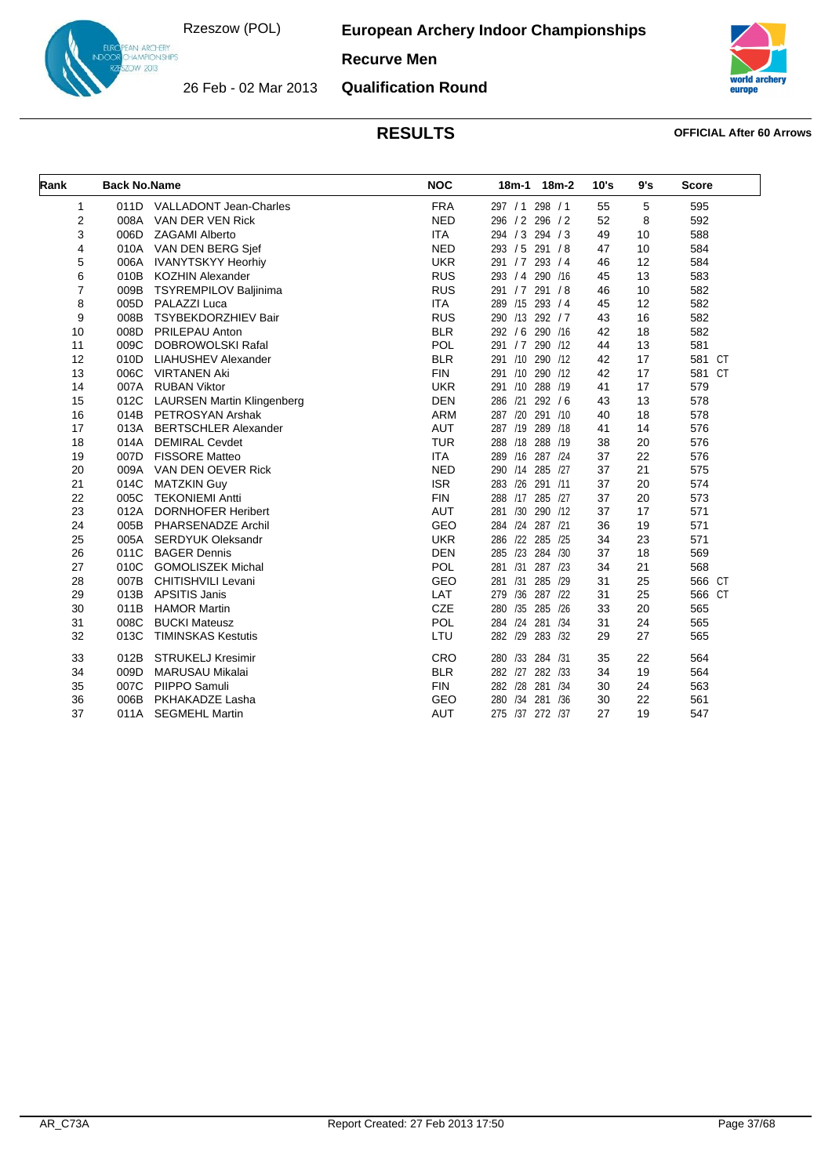**European Archery Indoor Championships**

### **Recurve Men**



26 Feb - 02 Mar 2013 **Qualification Round**



| Rank           | <b>Back No.Name</b> |                                   | <b>NOC</b> |                 | 18m-1 18m-2 | 10's | 9's | <b>Score</b> |
|----------------|---------------------|-----------------------------------|------------|-----------------|-------------|------|-----|--------------|
| 1              |                     | 011D VALLADONT Jean-Charles       | <b>FRA</b> | 297 / 1 298 / 1 |             | 55   | 5   | 595          |
| 2              | 008A                | VAN DER VEN Rick                  | <b>NED</b> | 296 / 2 296 / 2 |             | 52   | 8   | 592          |
| 3              |                     | 006D ZAGAMI Alberto               | <b>ITA</b> | 294 / 3 294 / 3 |             | 49   | 10  | 588          |
| 4              |                     | 010A VAN DEN BERG Sjef            | <b>NED</b> | 293 / 5 291 / 8 |             | 47   | 10  | 584          |
| 5              | 006A                | <b>IVANYTSKYY Heorhiv</b>         | <b>UKR</b> | 291 / 7 293 / 4 |             | 46   | 12  | 584          |
| 6              | 010B                | <b>KOZHIN Alexander</b>           | <b>RUS</b> | 293 / 4 290 /16 |             | 45   | 13  | 583          |
| $\overline{7}$ | 009B                | TSYREMPILOV Baljinima             | <b>RUS</b> | 291 / 7 291 / 8 |             | 46   | 10  | 582          |
| 8              | 005D                | PALAZZI Luca                      | <b>ITA</b> | 289 /15 293 / 4 |             | 45   | 12  | 582          |
| 9              | 008B                | TSYBEKDORZHIEV Bair               | <b>RUS</b> | 290 /13 292 / 7 |             | 43   | 16  | 582          |
| 10             | 008D                | PRILEPAU Anton                    | <b>BLR</b> | 292 / 6 290 /16 |             | 42   | 18  | 582          |
| 11             | 009C                | <b>DOBROWOLSKI Rafal</b>          | <b>POL</b> | 291 / 7 290 /12 |             | 44   | 13  | 581          |
| 12             | 010D                | <b>LIAHUSHEV Alexander</b>        | <b>BLR</b> | 291 /10 290 /12 |             | 42   | 17  | 581 CT       |
| 13             |                     | 006C VIRTANEN Aki                 | <b>FIN</b> | 291 /10 290 /12 |             | 42   | 17  | 581 CT       |
| 14             | 007A                | <b>RUBAN Viktor</b>               | <b>UKR</b> | 291             | /10 288 /19 | 41   | 17  | 579          |
| 15             | 012C                | <b>LAURSEN Martin Klingenberg</b> | <b>DEN</b> | 286 /21 292 / 6 |             | 43   | 13  | 578          |
| 16             | 014B                | PETROSYAN Arshak                  | <b>ARM</b> | 287 /20 291 /10 |             | 40   | 18  | 578          |
| 17             | 013A                | <b>BERTSCHLER Alexander</b>       | <b>AUT</b> | 287 /19 289 /18 |             | 41   | 14  | 576          |
| 18             | 014A                | <b>DEMIRAL Cevdet</b>             | <b>TUR</b> | 288 /18 288 /19 |             | 38   | 20  | 576          |
| 19             |                     | 007D FISSORE Matteo               | <b>ITA</b> | 289             | /16 287 /24 | 37   | 22  | 576          |
| 20             |                     | 009A VAN DEN OEVER Rick           | <b>NED</b> | 290 /14 285 /27 |             | 37   | 21  | 575          |
| 21             | 014C                | <b>MATZKIN Guy</b>                | <b>ISR</b> | 283             | /26 291 /11 | 37   | 20  | 574          |
| 22             | 005C                | <b>TEKONIEMI Antti</b>            | <b>FIN</b> | 288 /17 285 /27 |             | 37   | 20  | 573          |
| 23             | 012A                | <b>DORNHOFER Heribert</b>         | <b>AUT</b> | 281 /30 290 /12 |             | 37   | 17  | 571          |
| 24             | 005B                | PHARSENADZE Archil                | GEO        | 284 /24 287 /21 |             | 36   | 19  | 571          |
| 25             | 005A                | <b>SERDYUK Oleksandr</b>          | <b>UKR</b> | 286 /22 285 /25 |             | 34   | 23  | 571          |
| 26             | 011C                | <b>BAGER Dennis</b>               | <b>DEN</b> | 285             | /23 284 /30 | 37   | 18  | 569          |
| 27             |                     | 010C GOMOLISZEK Michal            | <b>POL</b> | 281 /31 287 /23 |             | 34   | 21  | 568          |
| 28             | 007B                | CHITISHVILI Levani                | GEO        | 281 /31 285 /29 |             | 31   | 25  | 566 CT       |
| 29             | 013B                | <b>APSITIS Janis</b>              | LAT        | 279             | /36 287 /22 | 31   | 25  | 566 CT       |
| 30             | 011B                | <b>HAMOR Martin</b>               | CZE        | 280 /35 285 /26 |             | 33   | 20  | 565          |
| 31             | 008C                | <b>BUCKI Mateusz</b>              | POL        | 284 /24 281 /34 |             | 31   | 24  | 565          |
| 32             | 013C                | <b>TIMINSKAS Kestutis</b>         | LTU        | 282 /29 283 /32 |             | 29   | 27  | 565          |
| 33             | 012B                | <b>STRUKELJ Kresimir</b>          | CRO        | 280 /33 284 /31 |             | 35   | 22  | 564          |
| 34             | 009D                | <b>MARUSAU Mikalai</b>            | <b>BLR</b> | 282 /27 282 /33 |             | 34   | 19  | 564          |
| 35             | 007C                | PIIPPO Samuli                     | <b>FIN</b> | 282 /28 281 /34 |             | 30   | 24  | 563          |
| 36             | 006B                | PKHAKADZE Lasha                   | GEO        | 280 /34 281 /36 |             | 30   | 22  | 561          |
| 37             | 011A                | <b>SEGMEHL Martin</b>             | <b>AUT</b> | 275 /37 272 /37 |             | 27   | 19  | 547          |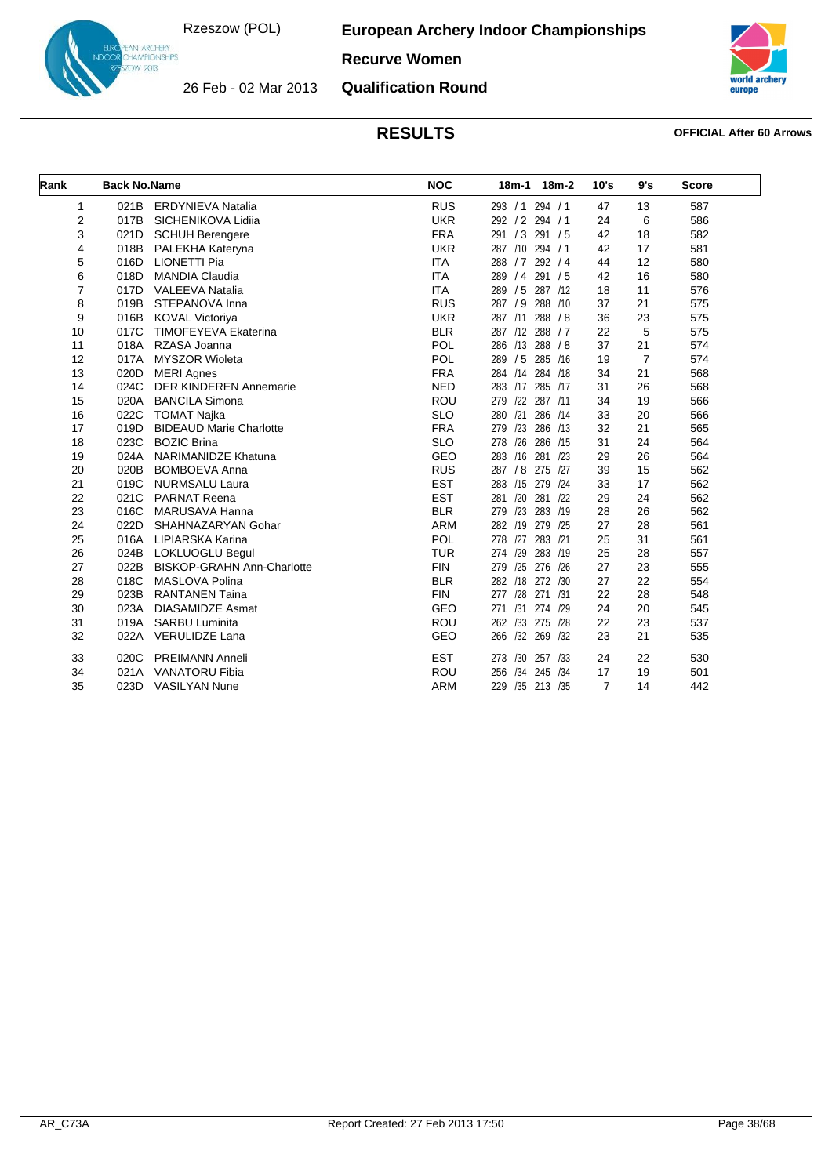**European Archery Indoor Championships**



**Recurve Women**

26 Feb - 02 Mar 2013 **Qualification Round**



| Rank           | <b>Back No.Name</b> |                                   | <b>NOC</b> | 18m-2<br>18m-1        | 10's | 9's            | <b>Score</b> |
|----------------|---------------------|-----------------------------------|------------|-----------------------|------|----------------|--------------|
| 1              | 021B                | <b>ERDYNIEVA Natalia</b>          | <b>RUS</b> | 293 / 1 294 / 1       | 47   | 13             | 587          |
| 2              | 017B                | SICHENIKOVA Lidiia                | <b>UKR</b> | 292 / 2 294 / 1       | 24   | 6              | 586          |
| 3              | 021D                | <b>SCHUH Berengere</b>            | <b>FRA</b> | 291/3<br>291 / 5      | 42   | 18             | 582          |
| 4              | 018B                | PALEKHA Kateryna                  | <b>UKR</b> | 287 /10 294 / 1       | 42   | 17             | 581          |
| 5              | 016D                | <b>LIONETTI Pia</b>               | <b>ITA</b> | 288 / 7<br>292/4      | 44   | 12             | 580          |
| 6              | 018D                | <b>MANDIA Claudia</b>             | <b>ITA</b> | 289 / 4<br>291/5      | 42   | 16             | 580          |
| $\overline{7}$ | 017D                | <b>VALEEVA Natalia</b>            | <b>ITA</b> | 289 / 5<br>287 /12    | 18   | 11             | 576          |
| 8              | 019B                | STEPANOVA Inna                    | <b>RUS</b> | 287 / 9<br>288 /10    | 37   | 21             | 575          |
| 9              | 016B                | <b>KOVAL Victoriya</b>            | <b>UKR</b> | 287 /11<br>288 / 8    | 36   | 23             | 575          |
| 10             | 017C                | <b>TIMOFEYEVA Ekaterina</b>       | <b>BLR</b> | 287 /12 288 / 7       | 22   | 5              | 575          |
| 11             | 018A                | RZASA Joanna                      | <b>POL</b> | 286 /13<br>288 / 8    | 37   | 21             | 574          |
| 12             | 017A                | <b>MYSZOR Wioleta</b>             | POL        | 289 / 5<br>285 /16    | 19   | $\overline{7}$ | 574          |
| 13             | 020D                | <b>MERI Agnes</b>                 | <b>FRA</b> | 284 /14<br>284 /18    | 34   | 21             | 568          |
| 14             | 024C                | <b>DER KINDEREN Annemarie</b>     | <b>NED</b> | 283 /17<br>285 /17    | 31   | 26             | 568          |
| 15             | 020A                | <b>BANCILA Simona</b>             | <b>ROU</b> | 279 /22 287 /11       | 34   | 19             | 566          |
| 16             | 022C                | <b>TOMAT Najka</b>                | <b>SLO</b> | 280 /21<br>286 /14    | 33   | 20             | 566          |
| 17             | 019D                | <b>BIDEAUD Marie Charlotte</b>    | <b>FRA</b> | 279 /23<br>286 /13    | 32   | 21             | 565          |
| 18             | 023C                | <b>BOZIC Brina</b>                | <b>SLO</b> | /26<br>278<br>286 /15 | 31   | 24             | 564          |
| 19             | 024A                | <b>NARIMANIDZE Khatuna</b>        | <b>GEO</b> | 283 /16<br>281 /23    | 29   | 26             | 564          |
| 20             | 020B                | <b>BOMBOEVA Anna</b>              | <b>RUS</b> | 287 / 8<br>275 /27    | 39   | 15             | 562          |
| 21             | 019C                | <b>NURMSALU Laura</b>             | <b>EST</b> | 283 /15<br>279 /24    | 33   | 17             | 562          |
| 22             | 021C                | <b>PARNAT Reena</b>               | <b>EST</b> | 281 /20<br>281 /22    | 29   | 24             | 562          |
| 23             | 016C                | MARUSAVA Hanna                    | <b>BLR</b> | /23<br>279<br>283 /19 | 28   | 26             | 562          |
| 24             | 022D                | SHAHNAZARYAN Gohar                | <b>ARM</b> | 282 /19<br>279 /25    | 27   | 28             | 561          |
| 25             | 016A                | LIPIARSKA Karina                  | <b>POL</b> | 278 /27<br>283 /21    | 25   | 31             | 561          |
| 26             | 024B                | LOKLUOGLU Begul                   | <b>TUR</b> | 274 /29<br>283 /19    | 25   | 28             | 557          |
| 27             | 022B                | <b>BISKOP-GRAHN Ann-Charlotte</b> | <b>FIN</b> | /25<br>276 /26<br>279 | 27   | 23             | 555          |
| 28             | 018C                | MASLOVA Polina                    | <b>BLR</b> | 282 /18<br>272 /30    | 27   | 22             | 554          |
| 29             | 023B                | <b>RANTANEN Taina</b>             | <b>FIN</b> | 277 /28 271 /31       | 22   | 28             | 548          |
| 30             | 023A                | <b>DIASAMIDZE Asmat</b>           | <b>GEO</b> | 271 /31 274 /29       | 24   | 20             | 545          |
| 31             | 019A                | <b>SARBU Luminita</b>             | <b>ROU</b> | 262 /33 275 /28       | 22   | 23             | 537          |
| 32             | 022A                | <b>VERULIDZE Lana</b>             | GEO        | /32 269 /32<br>266    | 23   | 21             | 535          |
| 33             | 020C                | <b>PREIMANN Anneli</b>            | <b>EST</b> | 273 /30 257 /33       | 24   | 22             | 530          |
| 34             | 021A                | <b>VANATORU Fibia</b>             | ROU        | /34 245 /34<br>256    | 17   | 19             | 501          |
| 35             | 023D                | <b>VASILYAN Nune</b>              | <b>ARM</b> | 229 /35 213 /35       | 7    | 14             | 442          |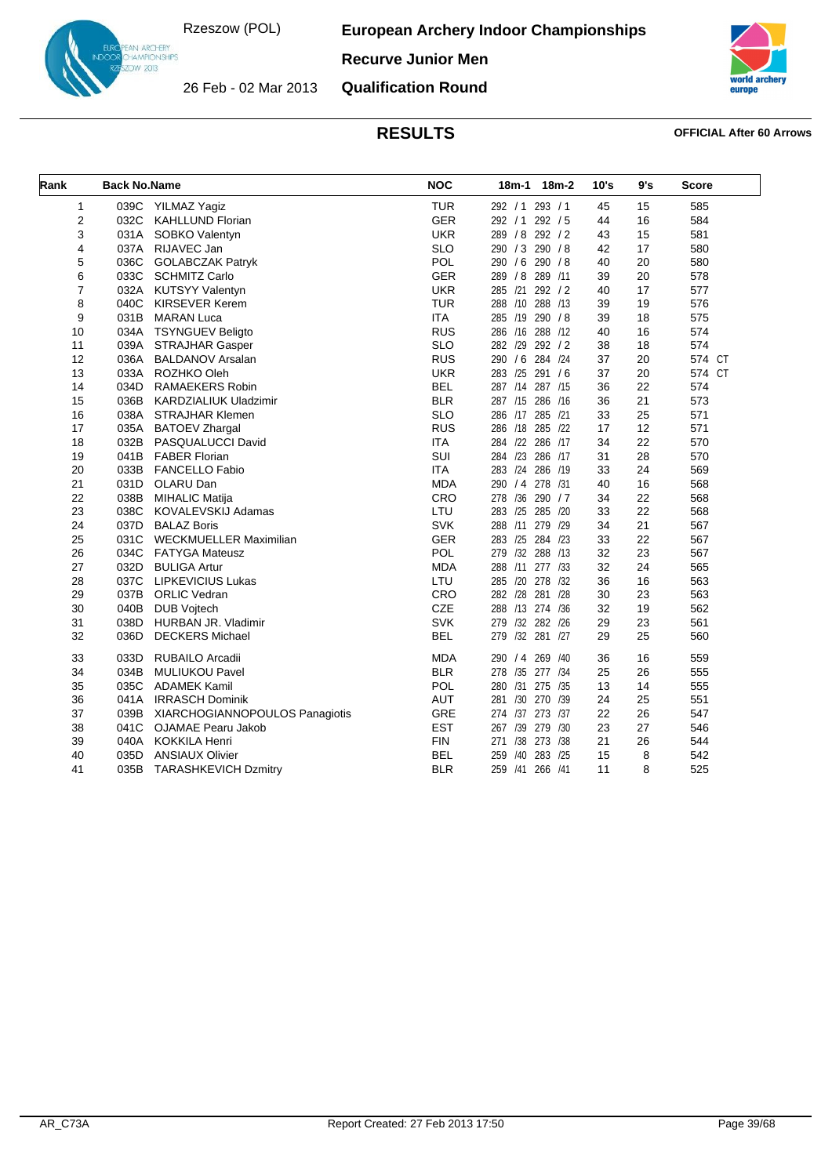26 Feb - 02 Mar 2013

**European Archery Indoor Championships**



**Recurve Junior Men**

**Qualification Round**



| Rank           | <b>Back No.Name</b> |                                | <b>NOC</b> | 18m-1 18m-2        | 10's | 9's | <b>Score</b> |
|----------------|---------------------|--------------------------------|------------|--------------------|------|-----|--------------|
| 1              |                     | 039C YILMAZ Yagiz              | <b>TUR</b> | 292 / 1 293 / 1    | 45   | 15  | 585          |
| $\overline{2}$ | 032C                | <b>KAHLLUND Florian</b>        | <b>GER</b> | 292 / 1 292 / 5    | 44   | 16  | 584          |
| 3              | 031A                | SOBKO Valentyn                 | <b>UKR</b> | 289 / 8 292 / 2    | 43   | 15  | 581          |
| 4              | 037A                | RIJAVEC Jan                    | <b>SLO</b> | 290 / 3 290 / 8    | 42   | 17  | 580          |
| 5              | 036C                | <b>GOLABCZAK Patryk</b>        | POL        | 290 / 6 290 / 8    | 40   | 20  | 580          |
| 6              | 033C                | <b>SCHMITZ Carlo</b>           | <b>GER</b> | 289 / 8 289 / 11   | 39   | 20  | 578          |
| $\overline{7}$ | 032A                | <b>KUTSYY Valentyn</b>         | <b>UKR</b> | 285 /21 292 / 2    | 40   | 17  | 577          |
| 8              | 040C                | <b>KIRSEVER Kerem</b>          | <b>TUR</b> | 288 /10 288 /13    | 39   | 19  | 576          |
| 9              | 031B                | <b>MARAN Luca</b>              | <b>ITA</b> | 285 /19 290 /8     | 39   | 18  | 575          |
| 10             | 034A                | <b>TSYNGUEV Beligto</b>        | <b>RUS</b> | 286 /16 288 /12    | 40   | 16  | 574          |
| 11             | 039A                | <b>STRAJHAR Gasper</b>         | <b>SLO</b> | 282 /29 292 / 2    | 38   | 18  | 574          |
| 12             | 036A                | <b>BALDANOV Arsalan</b>        | <b>RUS</b> | 290 / 6 284 /24    | 37   | 20  | 574 CT       |
| 13             | 033A                | ROZHKO Oleh                    | <b>UKR</b> | 283 /25 291 /6     | 37   | 20  | 574 CT       |
| 14             | 034D                | <b>RAMAEKERS Robin</b>         | <b>BEL</b> | 287 /14 287 /15    | 36   | 22  | 574          |
| 15             | 036B                | <b>KARDZIALIUK Uladzimir</b>   | <b>BLR</b> | 287 /15 286 /16    | 36   | 21  | 573          |
| 16             | 038A                | <b>STRAJHAR Klemen</b>         | <b>SLO</b> | 286 /17 285 /21    | 33   | 25  | 571          |
| 17             | 035A                | <b>BATOEV Zhargal</b>          | <b>RUS</b> | 286 /18 285 /22    | 17   | 12  | 571          |
| 18             | 032B                | PASQUALUCCI David              | <b>ITA</b> | 284 /22 286 /17    | 34   | 22  | 570          |
| 19             | 041B                | <b>FABER Florian</b>           | SUI        | 284 /23 286 /17    | 31   | 28  | 570          |
| 20             | 033B                | <b>FANCELLO Fabio</b>          | <b>ITA</b> | 283 /24 286 /19    | 33   | 24  | 569          |
| 21             | 031D                | OLARU Dan                      | <b>MDA</b> | 290 / 4 278 /31    | 40   | 16  | 568          |
| 22             | 038B                | <b>MIHALIC Matija</b>          | CRO        | 278 /36 290 / 7    | 34   | 22  | 568          |
| 23             | 038C                | KOVALEVSKIJ Adamas             | LTU        | 283 /25 285 /20    | 33   | 22  | 568          |
| 24             | 037D                | <b>BALAZ Boris</b>             | <b>SVK</b> | 288 /11 279 /29    | 34   | 21  | 567          |
| 25             | 031C                | <b>WECKMUELLER Maximilian</b>  | <b>GER</b> | 283 /25 284 /23    | 33   | 22  | 567          |
| 26             | 034C                | <b>FATYGA Mateusz</b>          | POL        | 279 /32 288 /13    | 32   | 23  | 567          |
| 27             | 032D                | <b>BULIGA Artur</b>            | <b>MDA</b> | 288 /11 277 /33    | 32   | 24  | 565          |
| 28             | 037C                | <b>LIPKEVICIUS Lukas</b>       | LTU        | 285 /20 278 /32    | 36   | 16  | 563          |
| 29             | 037B                | <b>ORLIC Vedran</b>            | CRO        | 282 /28 281 /28    | 30   | 23  | 563          |
| 30             | 040B                | <b>DUB Vojtech</b>             | CZE        | 288 /13 274 /36    | 32   | 19  | 562          |
| 31             | 038D                | HURBAN JR. Vladimir            | <b>SVK</b> | 279 /32 282 /26    | 29   | 23  | 561          |
| 32             | 036D                | <b>DECKERS Michael</b>         | <b>BEL</b> | 279 /32 281 /27    | 29   | 25  | 560          |
| 33             | 033D                | <b>RUBAILO Arcadii</b>         | <b>MDA</b> | 290 / 4 269 / 40   | 36   | 16  | 559          |
| 34             | 034B                | <b>MULIUKOU Pavel</b>          | <b>BLR</b> | 278 /35 277 /34    | 25   | 26  | 555          |
| 35             | 035C                | <b>ADAMEK Kamil</b>            | POL        | 280 /31 275 /35    | 13   | 14  | 555          |
| 36             | 041A                | <b>IRRASCH Dominik</b>         | <b>AUT</b> | /30 270 /39<br>281 | 24   | 25  | 551          |
| 37             | 039B                | XIARCHOGIANNOPOULOS Panagiotis | GRE        | 274 /37 273 /37    | 22   | 26  | 547          |
| 38             | 041C                | OJAMAE Pearu Jakob             | <b>EST</b> | 267 /39 279 /30    | 23   | 27  | 546          |
| 39             | 040A                | <b>KOKKILA Henri</b>           | <b>FIN</b> | 271 /38 273 /38    | 21   | 26  | 544          |
| 40             | 035D                | <b>ANSIAUX Olivier</b>         | <b>BEL</b> | /40 283 /25<br>259 | 15   | 8   | 542          |
| 41             | 035B                | <b>TARASHKEVICH Dzmitry</b>    | <b>BLR</b> | 259 /41 266 /41    | 11   | 8   | 525          |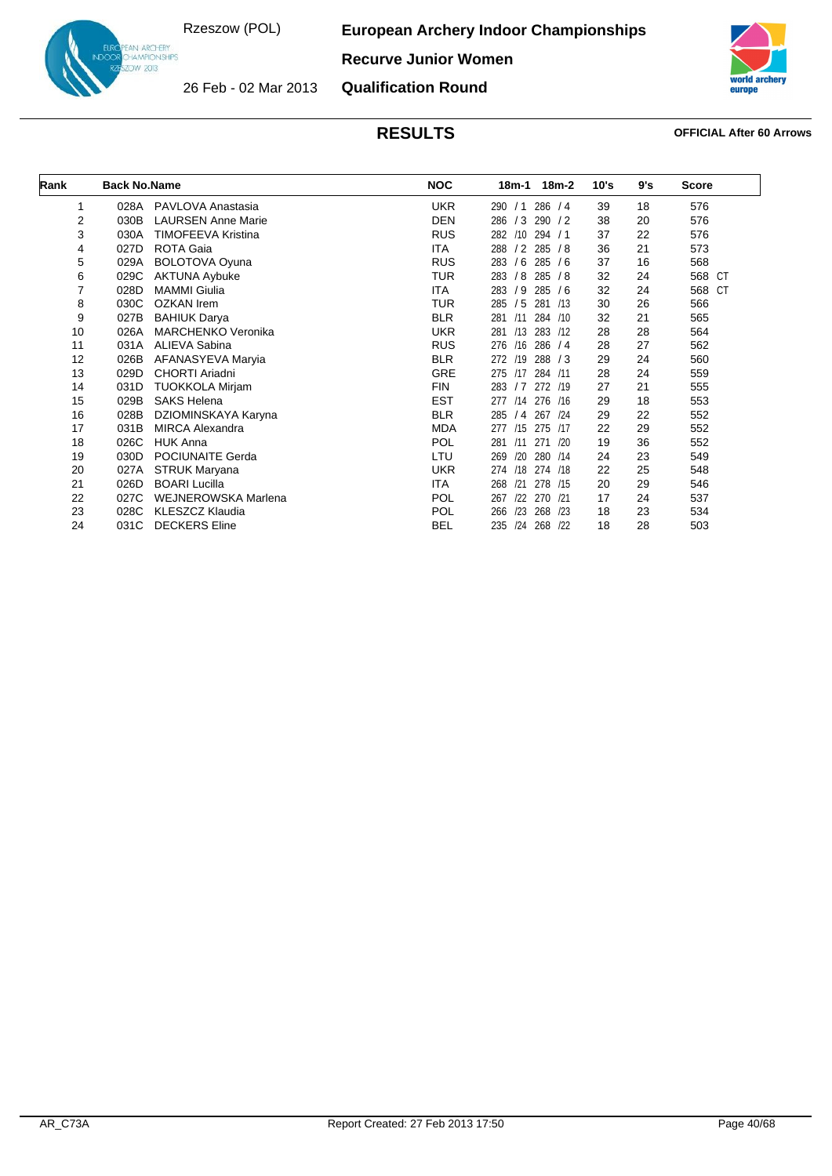**European Archery Indoor Championships**

**Recurve Junior Women**



26 Feb - 02 Mar 2013

IN ARCHERY<br>IAMPIONSHIPS<br>IW 2013

**Qualification Round**

| Rank | <b>Back No.Name</b> |                           | <b>NOC</b> | 18m-2<br>18m-1           | 10's | 9's | <b>Score</b> |
|------|---------------------|---------------------------|------------|--------------------------|------|-----|--------------|
| 1    | 028A                | PAVLOVA Anastasia         | <b>UKR</b> | 286 / 4<br>290<br>/1     | 39   | 18  | 576          |
| 2    | 030B                | <b>LAURSEN Anne Marie</b> | <b>DEN</b> | 286 / 3<br>290 / 2       | 38   | 20  | 576          |
| 3    | 030A                | TIMOFEEVA Kristina        | <b>RUS</b> | 294 / 1<br>/10<br>282    | 37   | 22  | 576          |
| 4    | 027D                | <b>ROTA Gaia</b>          | ITA        | /2<br>285/8<br>288       | 36   | 21  | 573          |
| 5    | 029A                | <b>BOLOTOVA Oyuna</b>     | <b>RUS</b> | /6<br>285 / 6<br>283     | 37   | 16  | 568          |
| 6    | 029C                | <b>AKTUNA Aybuke</b>      | <b>TUR</b> | /8<br>283<br>285/8       | 32   | 24  | 568 CT       |
| 7    | 028D                | <b>MAMMI</b> Giulia       | <b>ITA</b> | /9<br>285 / 6<br>283     | 32   | 24  | 568 CT       |
| 8    | 030C                | <b>OZKAN</b> Irem         | <b>TUR</b> | /5<br>281 /13<br>285     | 30   | 26  | 566          |
| 9    | 027B                | <b>BAHIUK Darya</b>       | <b>BLR</b> | 284 /10<br>281 /11       | 32   | 21  | 565          |
| 10   | 026A                | <b>MARCHENKO Veronika</b> | <b>UKR</b> | /13<br>283 /12<br>281    | 28   | 28  | 564          |
| 11   | 031A                | ALIEVA Sabina             | <b>RUS</b> | 276<br>/16<br>286 / 4    | 28   | 27  | 562          |
| 12   | 026B                | AFANASYEVA Maryia         | <b>BLR</b> | 272 /19<br>288 / 3       | 29   | 24  | 560          |
| 13   | 029D                | CHORTI Ariadni            | <b>GRE</b> | 284 /11<br>275 /17       | 28   | 24  | 559          |
| 14   | 031D                | <b>TUOKKOLA Mirjam</b>    | <b>FIN</b> | 283 / 7<br>272 /19       | 27   | 21  | 555          |
| 15   | 029B                | <b>SAKS Helena</b>        | <b>EST</b> | /14<br>276 /16<br>277    | 29   | 18  | 553          |
| 16   | 028B                | DZIOMINSKAYA Karyna       | <b>BLR</b> | 267<br>285<br>/4<br>/24  | 29   | 22  | 552          |
| 17   | 031B                | <b>MIRCA Alexandra</b>    | <b>MDA</b> | /15<br>275 /17<br>277    | 22   | 29  | 552          |
| 18   | 026C                | <b>HUK Anna</b>           | <b>POL</b> | /11<br>271 /20<br>281    | 19   | 36  | 552          |
| 19   | 030D                | POCIUNAITE Gerda          | LTU        | /20<br>280 /14<br>269    | 24   | 23  | 549          |
| 20   | 027A                | STRUK Maryana             | <b>UKR</b> | /18<br>274 /18<br>274    | 22   | 25  | 548          |
| 21   | 026D                | <b>BOARI Lucilla</b>      | ITA        | 278 /15<br>268<br>/21    | 20   | 29  | 546          |
| 22   | 027C                | WEJNEROWSKA Marlena       | <b>POL</b> | 270 /21<br>122<br>267    | 17   | 24  | 537          |
| 23   | 028C                | KLESZCZ Klaudia           | <b>POL</b> | /23<br>268<br>/23<br>266 | 18   | 23  | 534          |
| 24   | 031C                | <b>DECKERS</b> Eline      | <b>BEL</b> | /24<br>268 /22<br>235    | 18   | 28  | 503          |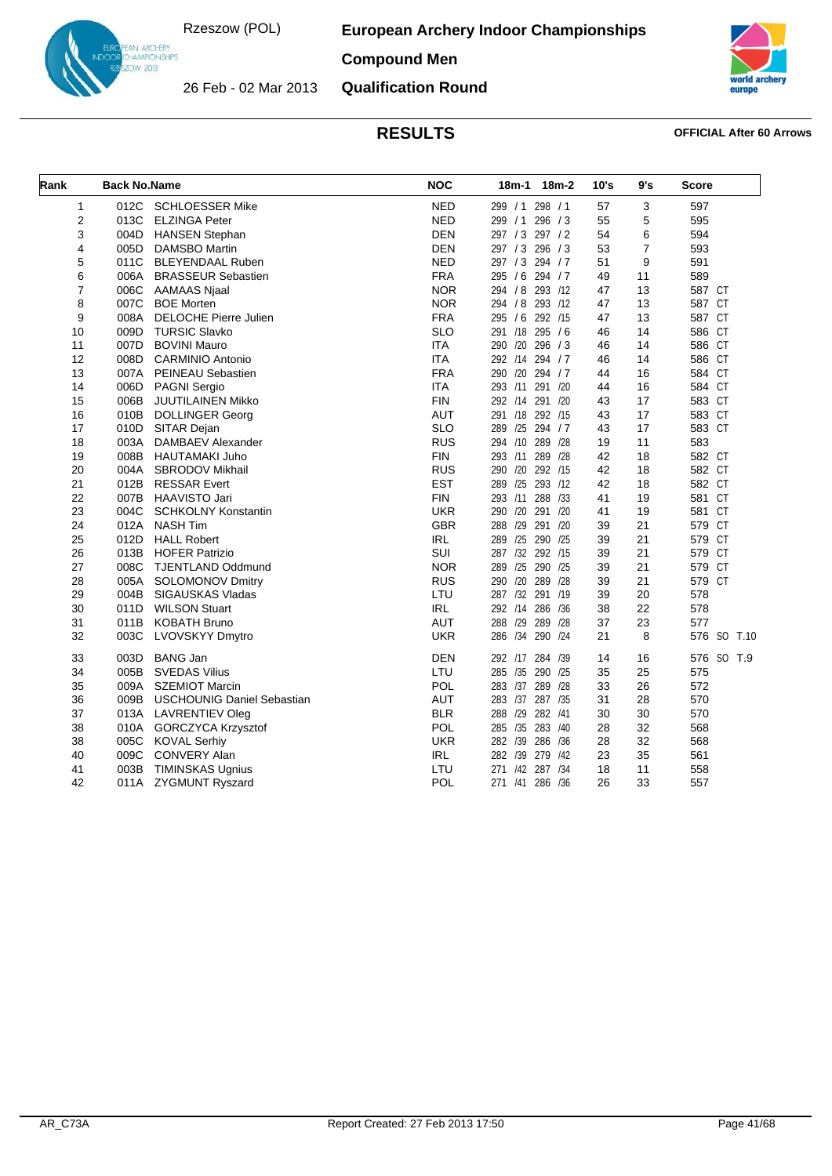26 Feb - 02 Mar 2013

**European Archery Indoor Championships**

# N ARCHERY<br>AMPIONSHIPS<br>IW 2013

**Compound Men**



# **Qualification Round**

| Rank | <b>Back No.Name</b> |                                   | <b>NOC</b> | 18m-1 18m-2           | 10's | 9's | <b>Score</b> |
|------|---------------------|-----------------------------------|------------|-----------------------|------|-----|--------------|
| 1    | 012C                | <b>SCHLOESSER Mike</b>            | <b>NED</b> | 299 / 1 298 / 1       | 57   | 3   | 597          |
| 2    | 013C                | <b>ELZINGA Peter</b>              | <b>NED</b> | 299 / 1 296 / 3       | 55   | 5   | 595          |
| 3    | 004D                | <b>HANSEN Stephan</b>             | <b>DEN</b> | 297 / 3 297 / 2       | 54   | 6   | 594          |
| 4    | 005D                | <b>DAMSBO Martin</b>              | <b>DEN</b> | 297 / 3 296 / 3       | 53   | 7   | 593          |
| 5    | 011C                | <b>BLEYENDAAL Ruben</b>           | <b>NED</b> | 297 / 3 294 / 7       | 51   | 9   | 591          |
| 6    | 006A                | <b>BRASSEUR Sebastien</b>         | <b>FRA</b> | 295 / 6 294 / 7       | 49   | 11  | 589          |
| 7    | 006C                | <b>AAMAAS Njaal</b>               | <b>NOR</b> | 294 / 8 293 /12       | 47   | 13  | 587 CT       |
| 8    | 007C                | <b>BOE Morten</b>                 | <b>NOR</b> | 294 / 8 293 /12       | 47   | 13  | 587 CT       |
| 9    | 008A                | <b>DELOCHE Pierre Julien</b>      | <b>FRA</b> | 295 / 6 292 /15       | 47   | 13  | 587 CT       |
| 10   | 009D                | <b>TURSIC Slavko</b>              | <b>SLO</b> | 291 /18 295 / 6       | 46   | 14  | 586 CT       |
| 11   | 007D                | <b>BOVINI Mauro</b>               | <b>ITA</b> | 290 /20 296 /3        | 46   | 14  | 586 CT       |
| 12   | 008D                | <b>CARMINIO Antonio</b>           | <b>ITA</b> | 292 /14 294 / 7       | 46   | 14  | 586 CT       |
| 13   | 007A                | PEINEAU Sebastien                 | <b>FRA</b> | 290 /20 294 / 7       | 44   | 16  | 584 CT       |
| 14   | 006D                | <b>PAGNI Sergio</b>               | <b>ITA</b> | 293 /11 291 /20       | 44   | 16  | 584 CT       |
| 15   | 006B                | JUUTILAINEN Mikko                 | <b>FIN</b> | 292 /14 291 /20       | 43   | 17  | 583 CT       |
| 16   | 010B                | <b>DOLLINGER Georg</b>            | <b>AUT</b> | 291 /18 292 /15       | 43   | 17  | 583 CT       |
| 17   | 010D                | SITAR Dejan                       | <b>SLO</b> | 289 /25 294 / 7       | 43   | 17  | 583 CT       |
| 18   | 003A                | DAMBAEV Alexander                 | <b>RUS</b> | 294 /10 289 /28       | 19   | 11  | 583          |
| 19   | 008B                | HAUTAMAKI Juho                    | <b>FIN</b> | 293 /11 289 /28       | 42   | 18  | 582 CT       |
| 20   | 004A                | <b>SBRODOV Mikhail</b>            | <b>RUS</b> | 290 /20 292 /15       | 42   | 18  | 582 CT       |
| 21   | 012B                | <b>RESSAR Evert</b>               | <b>EST</b> | 289 /25 293 /12       | 42   | 18  | 582 CT       |
| 22   | 007B                | HAAVISTO Jari                     | <b>FIN</b> | 293 /11 288 /33       | 41   | 19  | 581 CT       |
| 23   | 004C                | <b>SCHKOLNY Konstantin</b>        | <b>UKR</b> | 290 /20 291 /20       | 41   | 19  | 581 CT       |
| 24   | 012A                | <b>NASH Tim</b>                   | <b>GBR</b> | 288 /29 291 /20       | 39   | 21  | 579 CT       |
| 25   | 012D                | <b>HALL Robert</b>                | <b>IRL</b> | 289 /25 290 /25       | 39   | 21  | 579 CT       |
| 26   | 013B                | <b>HOFER Patrizio</b>             | <b>SUI</b> | 287 /32 292 /15       | 39   | 21  | 579 CT       |
| 27   | 008C                | <b>TJENTLAND Oddmund</b>          | <b>NOR</b> | 289 /25 290 /25       | 39   | 21  | 579 CT       |
| 28   | 005A                | <b>SOLOMONOV Dmitry</b>           | <b>RUS</b> | 290 /20 289 /28       | 39   | 21  | 579 CT       |
| 29   | 004B                | SIGAUSKAS Vladas                  | LTU        | 287 /32 291 /19       | 39   | 20  | 578          |
| 30   | 011D                | <b>WILSON Stuart</b>              | <b>IRL</b> | 292 /14 286 /36       | 38   | 22  | 578          |
| 31   | 011B                | <b>KOBATH Bruno</b>               | <b>AUT</b> | 288 /29 289 /28       | 37   | 23  | 577          |
| 32   | 003C                | LVOVSKYY Dmytro                   | <b>UKR</b> | 286 /34<br>290 /24    | 21   | 8   | 576 SO T.10  |
| 33   | 003D                | <b>BANG Jan</b>                   | <b>DEN</b> | 292 /17 284<br>/39    | 14   | 16  | 576 SO T.9   |
| 34   | 005B                | <b>SVEDAS Vilius</b>              | LTU        | 285 /35 290 /25       | 35   | 25  | 575          |
| 35   | 009A                | <b>SZEMIOT Marcin</b>             | <b>POL</b> | 283 /37<br>289 /28    | 33   | 26  | 572          |
| 36   | 009B                | <b>USCHOUNIG Daniel Sebastian</b> | <b>AUT</b> | 283 /37 287 /35       | 31   | 28  | 570          |
| 37   | 013A                | <b>LAVRENTIEV Oleg</b>            | <b>BLR</b> | 288 /29 282 /41       | 30   | 30  | 570          |
| 38   | 010A                | <b>GORCZYCA Krzysztof</b>         | <b>POL</b> | 285 /35 283 /40       | 28   | 32  | 568          |
| 38   | 005C                | <b>KOVAL Serhiy</b>               | <b>UKR</b> | 282 /39 286 /36       | 28   | 32  | 568          |
| 40   | 009C                | <b>CONVERY Alan</b>               | <b>IRL</b> | 282 /39 279 /42       | 23   | 35  | 561          |
| 41   | 003B                | <b>TIMINSKAS Ugnius</b>           | LTU        | /42<br>271<br>287 /34 | 18   | 11  | 558          |
| 42   |                     | 011A ZYGMUNT Ryszard              | POL        | 271 /41 286 /36       | 26   | 33  | 557          |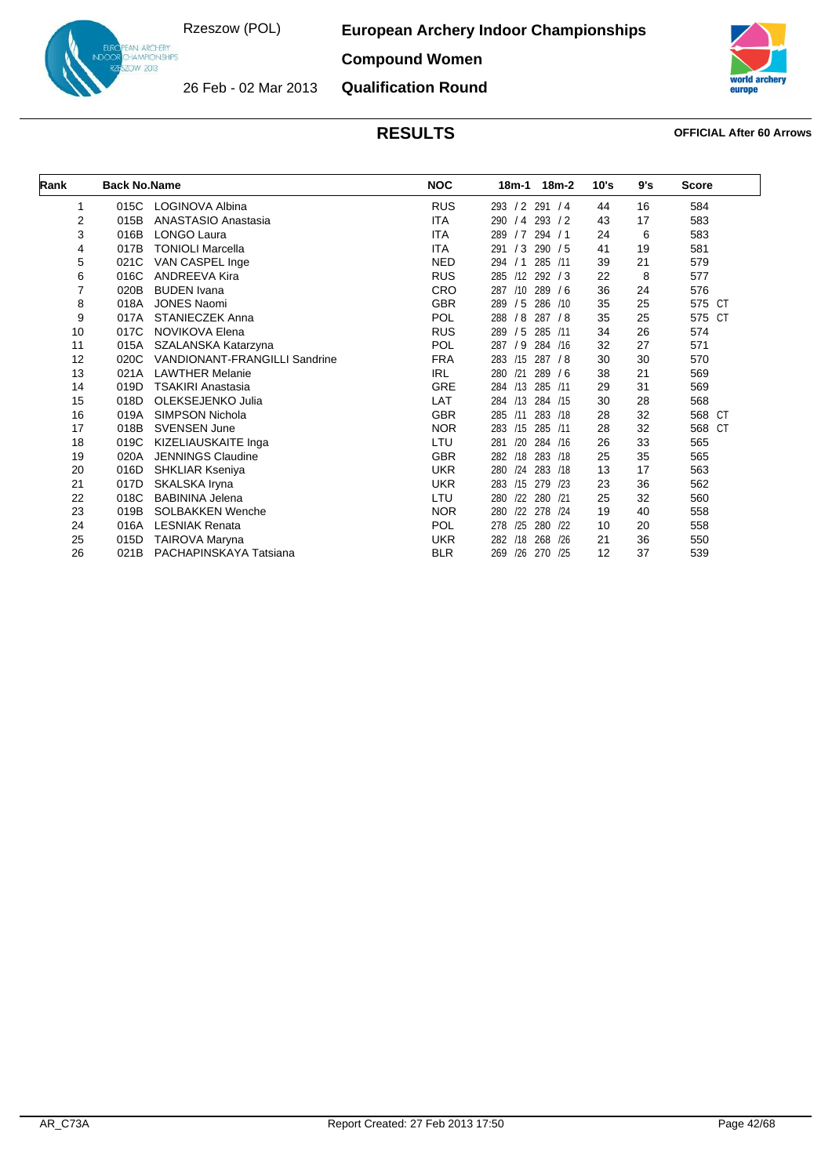**European Archery Indoor Championships**



**Compound Women**

26 Feb - 02 Mar 2013 **Qualification Round**



| Rank     | <b>Back No.Name</b> |                               | <b>NOC</b> | 18m-2<br>18m-1           | 10's | 9's | <b>Score</b> |
|----------|---------------------|-------------------------------|------------|--------------------------|------|-----|--------------|
| 1        | 015C                | LOGINOVA Albina               | <b>RUS</b> | 293 / 2 291 / 4          | 44   | 16  | 584          |
| 2        | 015B                | ANASTASIO Anastasia           | ITA        | $/4$ 293 $/2$<br>290     | 43   | 17  | 583          |
| 3        | 016B                | <b>LONGO Laura</b>            | <b>ITA</b> | /7<br>294/1<br>289       | 24   | 6   | 583          |
| 4        | 017B                | <b>TONIOLI Marcella</b>       | <b>ITA</b> | /3 290 /5<br>291         | 41   | 19  | 581          |
| 5        | 021C                | VAN CASPEL Inge               | <b>NED</b> | 285 /11<br>294<br>/1     | 39   | 21  | 579          |
| 6        | 016C                | <b>ANDREEVA Kira</b>          | <b>RUS</b> | $/12$ 292 $/3$<br>285    | 22   | 8   | 577          |
| 7        | 020B                | <b>BUDEN</b> Ivana            | <b>CRO</b> | $/10$ 289 $/6$<br>287    | 36   | 24  | 576          |
| 8        | 018A                | <b>JONES Naomi</b>            | <b>GBR</b> | /5<br>286 /10<br>289     | 35   | 25  | 575 CT       |
| 9        | 017A                | <b>STANIECZEK Anna</b>        | <b>POL</b> | 287 / 8<br>288 / 8       | 35   | 25  | 575 CT       |
| 10       | 017C                | <b>NOVIKOVA Elena</b>         | <b>RUS</b> | / 5 285 /11<br>289       | 34   | 26  | 574          |
| 11       | 015A                | SZALANSKA Katarzyna           | POL        | 284 /16<br>/9<br>287     | 32   | 27  | 571          |
|          | 020C                | VANDIONANT-FRANGILLI Sandrine |            | /15 287 / 8              | 30   |     |              |
| 12<br>13 |                     |                               | <b>FRA</b> | 283                      |      | 30  | 570          |
|          | 021A                | <b>LAWTHER Melanie</b>        | <b>IRL</b> | /21<br>289/6<br>280      | 38   | 21  | 569          |
| 14       | 019D                | <b>TSAKIRI Anastasia</b>      | GRE        | 284 /13<br>285 /11       | 29   | 31  | 569          |
| 15       | 018D                | OLEKSEJENKO Julia             | LAT        | 284 /13 284 /15          | 30   | 28  | 568          |
| 16       | 019A                | <b>SIMPSON Nichola</b>        | <b>GBR</b> | 283 /18<br>/11<br>285    | 28   | 32  | 568 CT       |
| 17       | 018B                | <b>SVENSEN June</b>           | <b>NOR</b> | 285 /11<br>283<br>/15    | 28   | 32  | 568<br>CT    |
| 18       | 019C                | KIZELIAUSKAITE Inga           | LTU        | /20 284 /16<br>281       | 26   | 33  | 565          |
| 19       | 020A                | <b>JENNINGS Claudine</b>      | <b>GBR</b> | 283 /18<br>282<br>/18    | 25   | 35  | 565          |
| 20       | 016D                | <b>SHKLIAR Kseniya</b>        | <b>UKR</b> | /24<br>283 /18<br>280    | 13   | 17  | 563          |
| 21       | 017D                | SKALSKA Iryna                 | <b>UKR</b> | /15 279 /23<br>283       | 23   | 36  | 562          |
| 22       | 018C                | <b>BABININA Jelena</b>        | LTU        | /22<br>280 /21<br>280    | 25   | 32  | 560          |
| 23       | 019B                | <b>SOLBAKKEN Wenche</b>       | <b>NOR</b> | /22<br>278<br>280<br>/24 | 19   | 40  | 558          |
| 24       | 016A                | <b>LESNIAK Renata</b>         | <b>POL</b> | /25 280 /22<br>278       | 10   | 20  | 558          |
| 25       | 015D                | <b>TAIROVA Maryna</b>         | <b>UKR</b> | 268<br>282<br>/18<br>/26 | 21   | 36  | 550          |
| 26       | 021B                | PACHAPINSKAYA Tatsiana        | <b>BLR</b> | /26<br>269<br>270<br>/25 | 12   | 37  | 539          |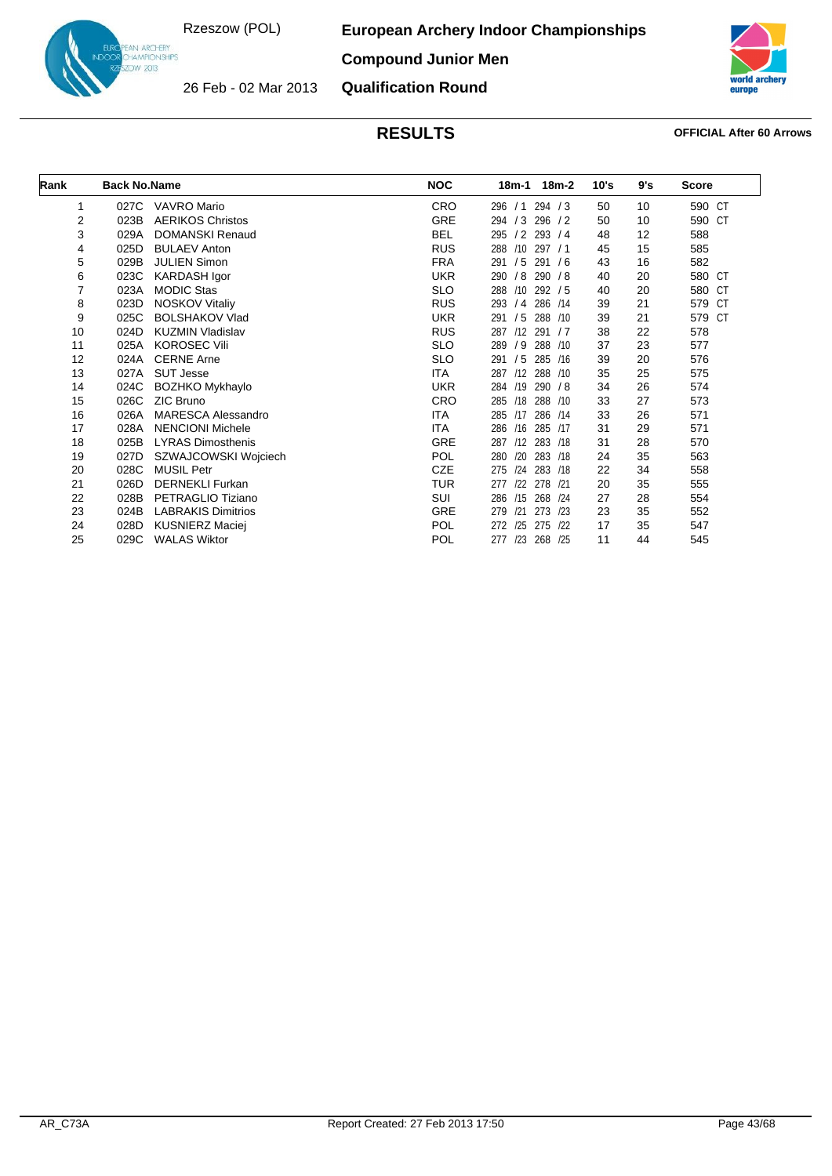26 Feb - 02 Mar 2013

**European Archery Indoor Championships**



**Compound Junior Men**

**Qualification Round**



| Rank | <b>Back No.Name</b> |                           | <b>NOC</b> | 18m-1 18m-2              | 10's | 9's | <b>Score</b>     |
|------|---------------------|---------------------------|------------|--------------------------|------|-----|------------------|
| 1    | 027C                | VAVRO Mario               | <b>CRO</b> | 294 / 3<br>296 / 1       | 50   | 10  | 590 CT           |
| 2    | 023B                | <b>AERIKOS Christos</b>   | GRE        | 294 / 3<br>296 / 2       | 50   | 10  | 590 CT           |
| 3    | 029A                | <b>DOMANSKI Renaud</b>    | <b>BEL</b> | 295 / 2 293 / 4          | 48   | 12  | 588              |
| 4    | 025D                | <b>BULAEV Anton</b>       | <b>RUS</b> | /10 297 / 1<br>288       | 45   | 15  | 585              |
| 5    | 029B                | <b>JULIEN Simon</b>       | <b>FRA</b> | /5<br>291/6<br>291       | 43   | 16  | 582              |
| 6    | 023C                | KARDASH Igor              | <b>UKR</b> | /8 290 /8<br>290         | 40   | 20  | 580 CT           |
| 7    | 023A                | <b>MODIC Stas</b>         | <b>SLO</b> | 288 /10 292 / 5          | 40   | 20  | 580 CT           |
| 8    | 023D                | <b>NOSKOV Vitaliy</b>     | <b>RUS</b> | / 4 286 / 14<br>293      | 39   | 21  | 579<br>CT        |
| 9    | 025C                | <b>BOLSHAKOV Vlad</b>     | <b>UKR</b> | /5<br>288 /10<br>291     | 39   | 21  | 579<br><b>CT</b> |
| 10   | 024D                | <b>KUZMIN Vladislav</b>   | <b>RUS</b> | 287 /12 291 / 7          | 38   | 22  | 578              |
| 11   | 025A                | <b>KOROSEC Vili</b>       | <b>SLO</b> | /9<br>288 /10<br>289     | 37   | 23  | 577              |
| 12   | 024A                | <b>CERNE Arne</b>         | <b>SLO</b> | 291/5<br>285 /16         | 39   | 20  | 576              |
| 13   | 027A                | <b>SUT Jesse</b>          | ITA        | /12 288 /10<br>287       | 35   | 25  | 575              |
| 14   | 024C                | <b>BOZHKO Mykhaylo</b>    | <b>UKR</b> | 284 /19 290 / 8          | 34   | 26  | 574              |
| 15   | 026C                | ZIC Bruno                 | <b>CRO</b> | /18<br>288 /10<br>285    | 33   | 27  | 573              |
| 16   | 026A                | <b>MARESCA Alessandro</b> | ITA        | /17 286 /14<br>285       | 33   | 26  | 571              |
| 17   | 028A                | <b>NENCIONI Michele</b>   | ITA        | /16<br>285 /17<br>286    | 31   | 29  | 571              |
| 18   | 025B                | <b>LYRAS Dimosthenis</b>  | <b>GRE</b> | 287 /12 283 /18          | 31   | 28  | 570              |
| 19   | 027D                | SZWAJCOWSKI Wojciech      | <b>POL</b> | /20<br>283 /18<br>280    | 24   | 35  | 563              |
| 20   | 028C                | <b>MUSIL Petr</b>         | <b>CZE</b> | 283 /18<br>275<br>124    | 22   | 34  | 558              |
| 21   | 026D                | <b>DERNEKLI Furkan</b>    | <b>TUR</b> | /22 278 /21<br>277       | 20   | 35  | 555              |
| 22   | 028B                | PETRAGLIO Tiziano         | SUI        | /15 268 /24<br>286       | 27   | 28  | 554              |
| 23   | 024B                | <b>LABRAKIS Dimitrios</b> | <b>GRE</b> | /21<br>273 /23<br>279    | 23   | 35  | 552              |
| 24   | 028D                | <b>KUSNIERZ Maciej</b>    | <b>POL</b> | 275<br>122<br>272<br>/25 | 17   | 35  | 547              |
| 25   | 029C                | <b>WALAS Wiktor</b>       | <b>POL</b> | /23 268 /25<br>277       | 11   | 44  | 545              |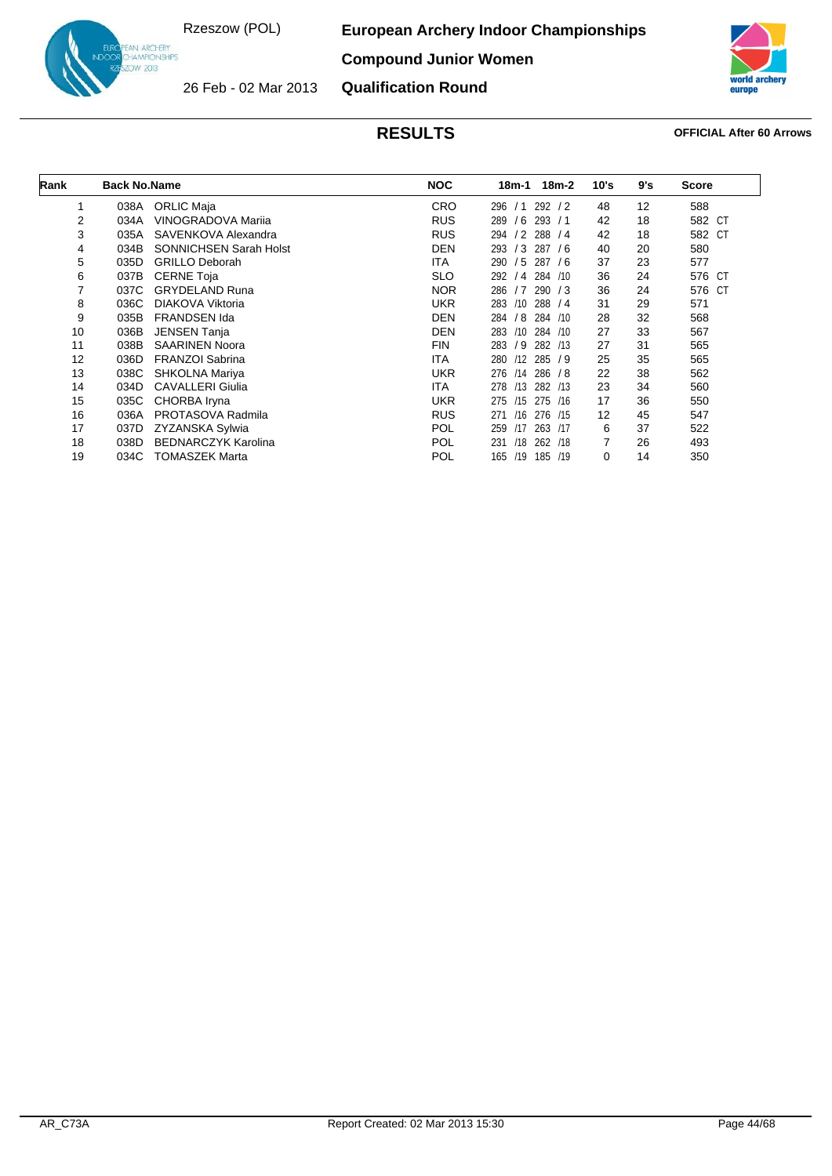**European Archery Indoor Championships**

**Compound Junior Women**



26 Feb - 02 Mar 2013

IN ARC<del>HE</del>RY<br>HAMPIONSHIPS<br>DW 2013

**Qualification Round**

| Rank | <b>Back No.Name</b> |                               | <b>NOC</b> | 18m-2<br>18m-1         | 10's | 9's | <b>Score</b> |
|------|---------------------|-------------------------------|------------|------------------------|------|-----|--------------|
| 1    | 038A                | <b>ORLIC Maja</b>             | <b>CRO</b> | 292/2<br>296<br>/1     | 48   | 12  | 588          |
| 2    | 034A                | VINOGRADOVA Marija            | <b>RUS</b> | $/6$ 293 $/1$<br>289   | 42   | 18  | 582 CT       |
| 3    | 035A                | SAVENKOVA Alexandra           | <b>RUS</b> | $/2$ 288 $/4$<br>294   | 42   | 18  | 582 CT       |
| 4    | 034B                | <b>SONNICHSEN Sarah Holst</b> | <b>DEN</b> | /3<br>293<br>287<br>76 | 40   | 20  | 580          |
| 5    | 035D                | <b>GRILLO Deborah</b>         | <b>ITA</b> | /5<br>287/6<br>290     | 37   | 23  | 577          |
| 6    | 037B                | <b>CERNE Toja</b>             | <b>SLO</b> | 284 /10<br>292<br>/4   | 36   | 24  | 576 CT       |
| 7    | 037C                | <b>GRYDELAND Runa</b>         | <b>NOR</b> | 286 / 7<br>290/3       | 36   | 24  | 576 CT       |
| 8    | 036C                | DIAKOVA Viktoria              | <b>UKR</b> | /10<br>288 / 4<br>283  | 31   | 29  | 571          |
| 9    | 035B                | <b>FRANDSEN Ida</b>           | <b>DEN</b> | /8<br>284 /10<br>284   | 28   | 32  | 568          |
| 10   | 036B                | <b>JENSEN Tanja</b>           | <b>DEN</b> | /10<br>284 /10<br>283  | 27   | 33  | 567          |
| 11   | 038B                | <b>SAARINEN Noora</b>         | <b>FIN</b> | /9<br>283<br>282 /13   | 27   | 31  | 565          |
| 12   | 036D                | <b>FRANZOI Sabrina</b>        | <b>ITA</b> | /12<br>285/9<br>280    | 25   | 35  | 565          |
| 13   | 038C                | SHKOLNA Mariya                | <b>UKR</b> | 286 / 8<br>276<br>/14  | 22   | 38  | 562          |
| 14   | 034D                | <b>CAVALLERI Giulia</b>       | <b>ITA</b> | /13<br>282 /13<br>278  | 23   | 34  | 560          |
| 15   | 035C                | CHORBA Iryna                  | <b>UKR</b> | 275<br>/15<br>275 /16  | 17   | 36  | 550          |
| 16   | 036A                | PROTASOVA Radmila             | <b>RUS</b> | /16<br>276 /15<br>271  | 12   | 45  | 547          |
| 17   | 037D                | ZYZANSKA Sylwia               | <b>POL</b> | /17<br>263 /17<br>259  | 6    | 37  | 522          |
| 18   | 038D                | <b>BEDNARCZYK Karolina</b>    | <b>POL</b> | 231<br>/18<br>262 /18  | 7    | 26  | 493          |
| 19   | 034C                | <b>TOMASZEK Marta</b>         | POL        | 165<br>/19<br>185 /19  | 0    | 14  | 350          |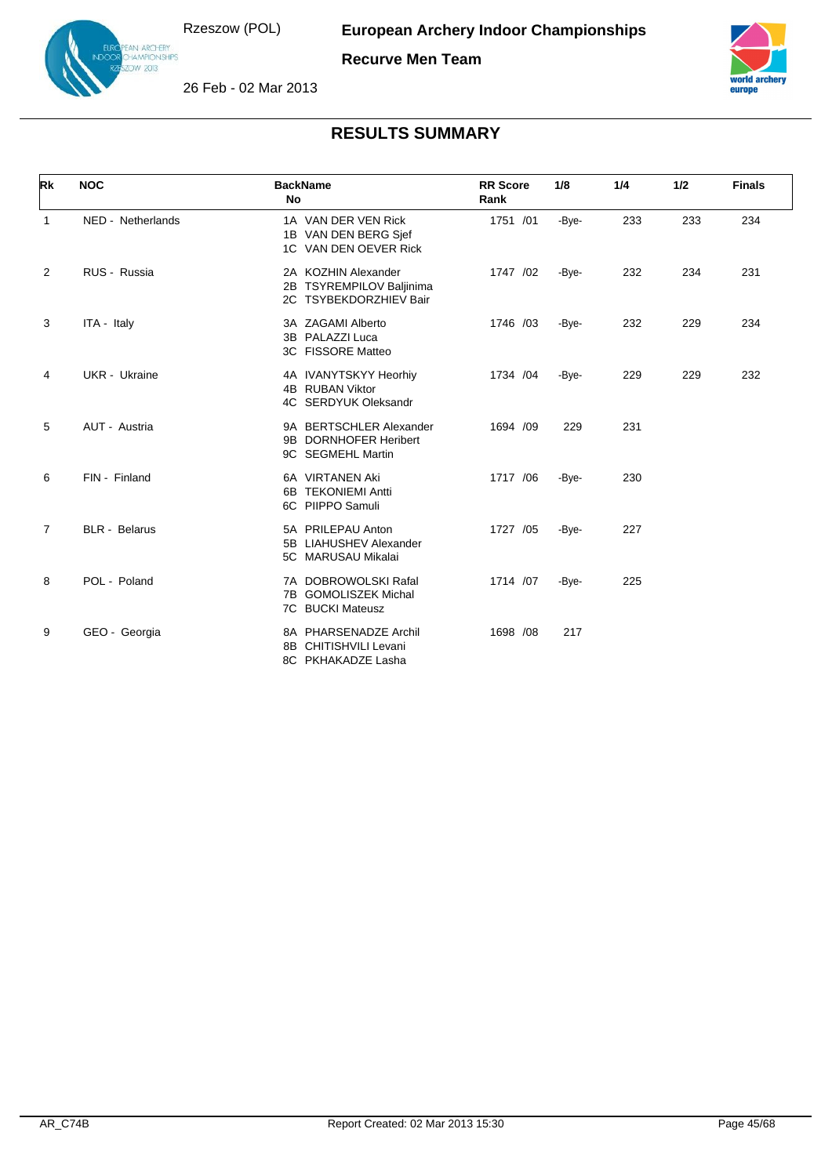N ARCHERY<br>AMPIONSHIPS  $v$  2013



26 Feb - 02 Mar 2013



| Rk             | <b>NOC</b>           | <b>BackName</b><br>No                                                     | <b>RR</b> Score<br>Rank | 1/8   | 1/4 | 1/2 | <b>Finals</b> |
|----------------|----------------------|---------------------------------------------------------------------------|-------------------------|-------|-----|-----|---------------|
| $\mathbf{1}$   | NED - Netherlands    | 1A VAN DER VEN Rick<br>1B VAN DEN BERG Sjef<br>1C VAN DEN OEVER Rick      | 1751 /01                | -Bye- | 233 | 233 | 234           |
| 2              | RUS - Russia         | 2A KOZHIN Alexander<br>2B TSYREMPILOV Baljinima<br>2C TSYBEKDORZHIEV Bair | 1747 /02                | -Bye- | 232 | 234 | 231           |
| 3              | ITA - Italy          | 3A ZAGAMI Alberto<br>3B PALAZZI Luca<br>3C FISSORE Matteo                 | 1746 /03                | -Bye- | 232 | 229 | 234           |
| 4              | <b>UKR</b> - Ukraine | 4A IVANYTSKYY Heorhiy<br>4B RUBAN Viktor<br>4C SERDYUK Oleksandr          | 1734 /04                | -Bye- | 229 | 229 | 232           |
| 5              | AUT - Austria        | 9A BERTSCHLER Alexander<br>9B DORNHOFER Heribert<br>9C SEGMEHL Martin     | 1694 /09                | 229   | 231 |     |               |
| 6              | FIN - Finland        | 6A VIRTANEN Aki<br>6B TEKONIEMI Antti<br>6C PIIPPO Samuli                 | 1717 /06                | -Bye- | 230 |     |               |
| $\overline{7}$ | <b>BLR</b> - Belarus | 5A PRILEPAU Anton<br>5B LIAHUSHEV Alexander<br>5C MARUSAU Mikalai         | 1727 /05                | -Bye- | 227 |     |               |
| 8              | POL - Poland         | 7A DOBROWOLSKI Rafal<br>7B GOMOLISZEK Michal<br>7C BUCKI Mateusz          | 1714 /07                | -Bye- | 225 |     |               |
| 9              | GEO - Georgia        | 8A PHARSENADZE Archil<br>8B CHITISHVILI Levani<br>8C PKHAKADZE Lasha      | 1698 /08                | 217   |     |     |               |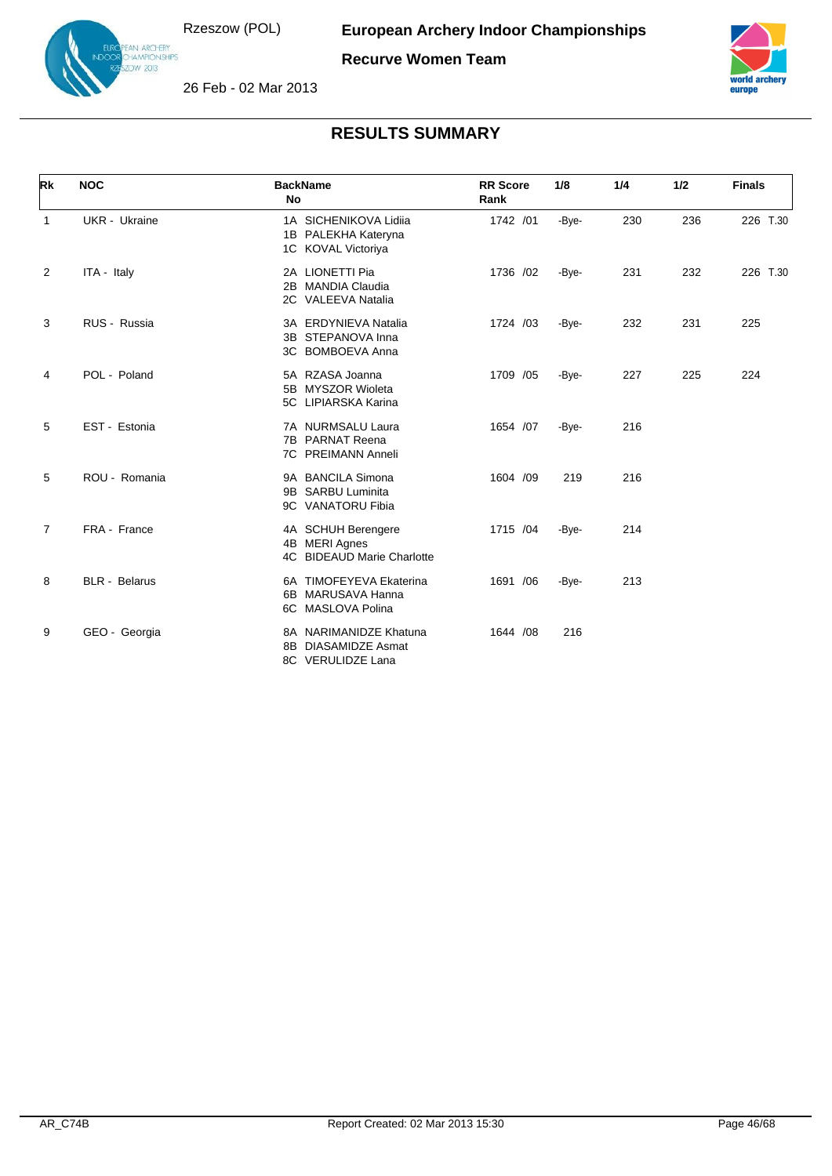N ARCHERY<br>AMPIONSHIPS  $v$  2013



26 Feb - 02 Mar 2013



| Rk             | <b>NOC</b>           | <b>BackName</b><br>No                                                | <b>RR</b> Score<br>Rank | 1/8   | 1/4 | 1/2 | <b>Finals</b> |
|----------------|----------------------|----------------------------------------------------------------------|-------------------------|-------|-----|-----|---------------|
| $\mathbf{1}$   | <b>UKR</b> - Ukraine | 1A SICHENIKOVA Lidija<br>1B PALEKHA Kateryna<br>1C KOVAL Victoriya   | 1742 /01                | -Bye- | 230 | 236 | 226 T.30      |
| $\overline{2}$ | ITA - Italy          | 2A LIONETTI Pia<br><b>MANDIA Claudia</b><br>2B<br>2C VALEEVA Natalia | 1736 /02                | -Bye- | 231 | 232 | 226 T.30      |
| 3              | RUS - Russia         | 3A ERDYNIEVA Natalia<br>3B STEPANOVA Inna<br>3C BOMBOEVA Anna        | 1724 /03                | -Bye- | 232 | 231 | 225           |
| 4              | POL - Poland         | 5A RZASA Joanna<br>5B MYSZOR Wioleta<br>5C LIPIARSKA Karina          | 1709 /05                | -Bye- | 227 | 225 | 224           |
| 5              | EST - Estonia        | 7A NURMSALU Laura<br>7B PARNAT Reena<br>7C PREIMANN Anneli           | 1654 /07                | -Bye- | 216 |     |               |
| 5              | ROU - Romania        | 9A BANCILA Simona<br>9B SARBU Luminita<br>9C VANATORU Fibia          | 1604 /09                | 219   | 216 |     |               |
| $\overline{7}$ | FRA - France         | 4A SCHUH Berengere<br>4B MERI Agnes<br>4C BIDEAUD Marie Charlotte    | 1715 /04                | -Bye- | 214 |     |               |
| 8              | BLR - Belarus        | 6A TIMOFEYEVA Ekaterina<br>MARUSAVA Hanna<br>6B<br>6C MASLOVA Polina | 1691 /06                | -Bye- | 213 |     |               |
| 9              | GEO - Georgia        | 8A NARIMANIDZE Khatuna<br>8B DIASAMIDZE Asmat<br>8C VERULIDZE Lana   | 1644 / 08               | 216   |     |     |               |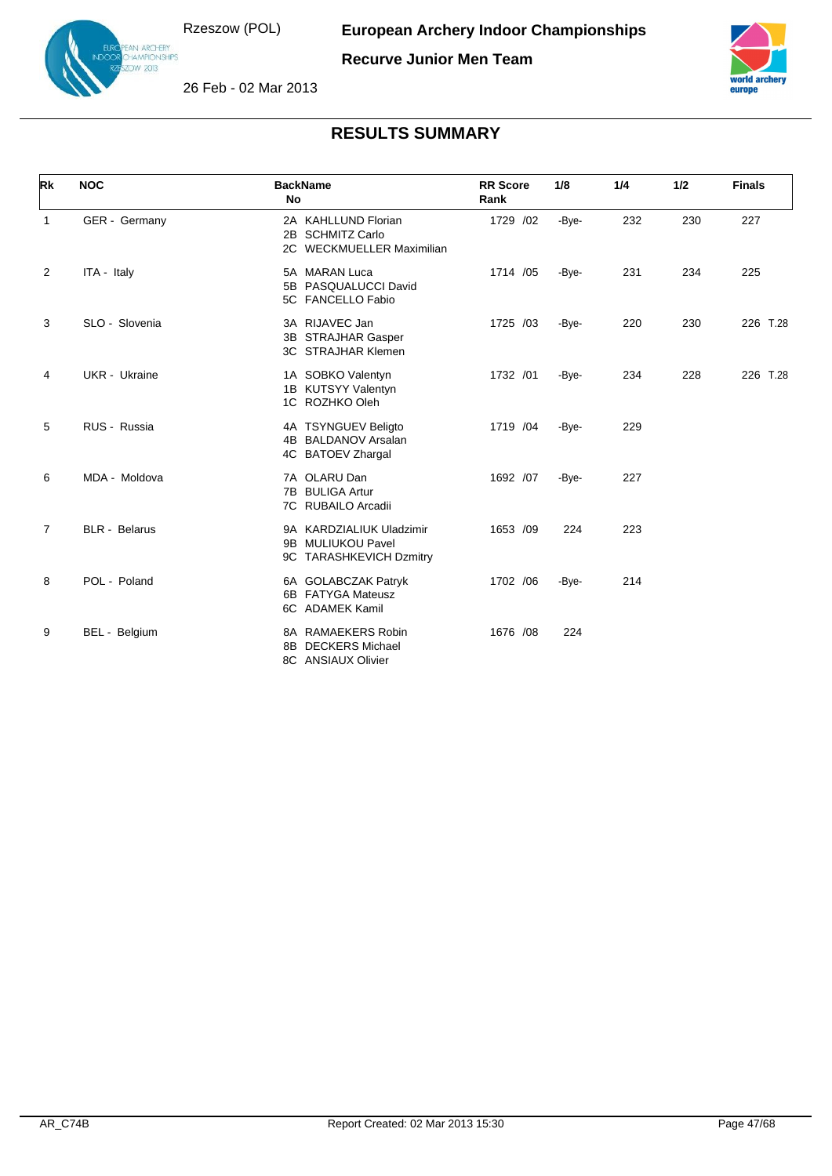

N ARCHERY<br>AMPIONSHIPS  $v$  2013

**Recurve Junior Men Team**



26 Feb - 02 Mar 2013

| Rk             | <b>NOC</b>           | <b>BackName</b><br>No                                                    | <b>RR</b> Score<br>Rank | 1/8   | 1/4 | 1/2 | <b>Finals</b> |
|----------------|----------------------|--------------------------------------------------------------------------|-------------------------|-------|-----|-----|---------------|
| $\mathbf{1}$   | GER - Germany        | 2A KAHLLUND Florian<br>2B SCHMITZ Carlo<br>2C WECKMUELLER Maximilian     | 1729 /02                | -Bye- | 232 | 230 | 227           |
| 2              | ITA - Italy          | 5A MARAN Luca<br>5B PASQUALUCCI David<br>5C FANCELLO Fabio               | 1714 /05                | -Bye- | 231 | 234 | 225           |
| 3              | SLO - Slovenia       | 3A RIJAVEC Jan<br>3B STRAJHAR Gasper<br><b>3C STRAJHAR Klemen</b>        | 1725 /03                | -Bye- | 220 | 230 | 226 T.28      |
| 4              | <b>UKR</b> - Ukraine | 1A SOBKO Valentyn<br>1B KUTSYY Valentyn<br>1C ROZHKO Oleh                | 1732 /01                | -Bye- | 234 | 228 | 226 T.28      |
| 5              | RUS - Russia         | 4A TSYNGUEV Beligto<br>4B BALDANOV Arsalan<br>4C BATOEV Zhargal          | 1719 /04                | -Bye- | 229 |     |               |
| 6              | MDA - Moldova        | 7A OLARU Dan<br>7B BULIGA Artur<br>7C RUBAILO Arcadii                    | 1692 /07                | -Bye- | 227 |     |               |
| $\overline{7}$ | <b>BLR</b> - Belarus | 9A KARDZIALIUK Uladzimir<br>9B MULIUKOU Pavel<br>9C TARASHKEVICH Dzmitry | 1653 /09                | 224   | 223 |     |               |
| 8              | POL - Poland         | 6A GOLABCZAK Patryk<br>6B FATYGA Mateusz<br>6C ADAMEK Kamil              | 1702 /06                | -Bye- | 214 |     |               |
| 9              | BEL - Belgium        | 8A RAMAEKERS Robin<br><b>DECKERS Michael</b><br>8B<br>8C ANSIAUX Olivier | 1676 /08                | 224   |     |     |               |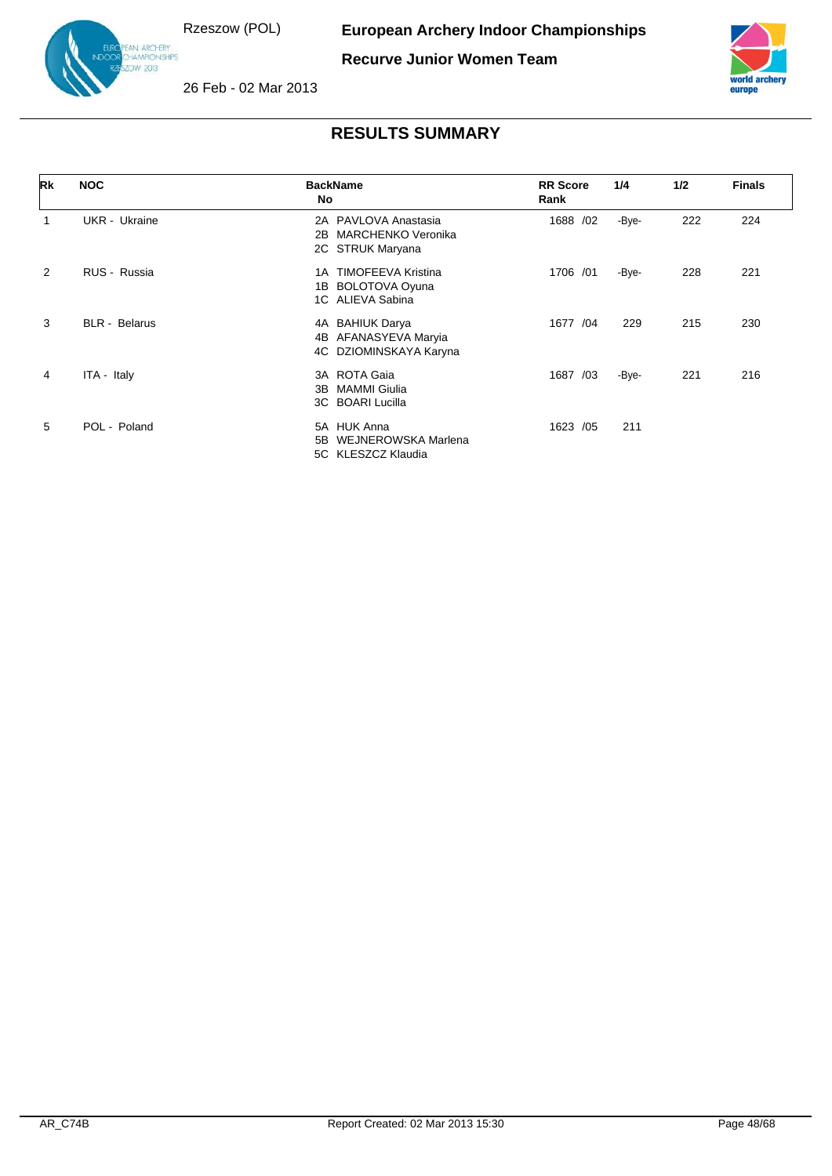.<br>IAMPIONSHIPS  $v$  2013







| Rk | <b>NOC</b>           | <b>BackName</b><br>No                                                       | <b>RR</b> Score<br>Rank | 1/4   | 1/2 | <b>Finals</b> |
|----|----------------------|-----------------------------------------------------------------------------|-------------------------|-------|-----|---------------|
|    | UKR - Ukraine        | 2A PAVLOVA Anastasia<br><b>MARCHENKO Veronika</b><br>2B<br>2C STRUK Maryana | 1688 /02                | -Bye- | 222 | 224           |
| 2  | RUS - Russia         | <b>TIMOFEEVA Kristina</b><br>1 A<br>1B BOLOTOVA Oyuna<br>1C ALIEVA Sabina   | 1706 /01                | -Bye- | 228 | 221           |
| 3  | <b>BLR</b> - Belarus | 4A BAHIUK Darya<br>AFANASYEVA Maryia<br>4B<br>4C DZIOMINSKAYA Karyna        | 1677 /04                | 229   | 215 | 230           |
| 4  | ITA - Italy          | 3A ROTA Gaia<br>MAMMI Giulia<br>3B<br>3C BOARI Lucilla                      | 1687 /03                | -Bye- | 221 | 216           |
| 5  | POL - Poland         | 5A HUK Anna<br>WEJNEROWSKA Marlena<br>5B<br>5C KLESZCZ Klaudia              | 1623 /05                | 211   |     |               |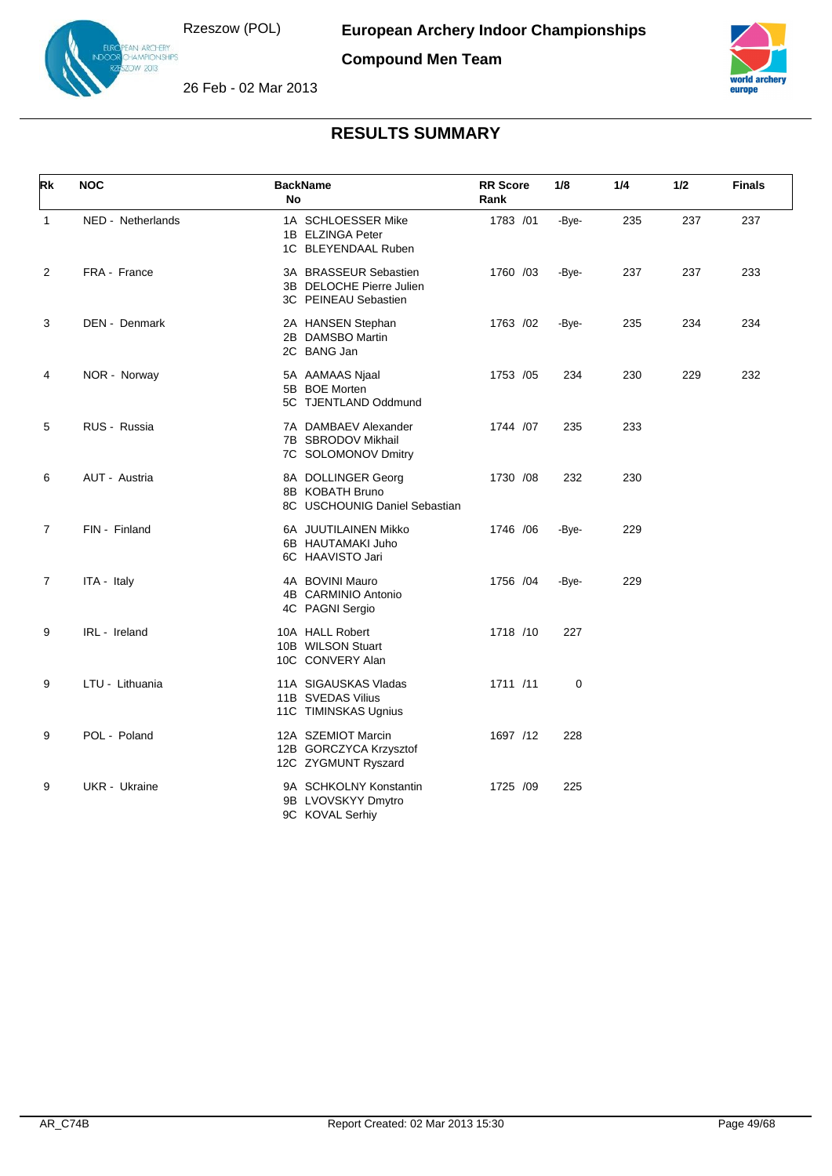IN ARCHERY<br>IAMPIONSHIPS<br>IW 2013







| Rk             | <b>NOC</b>        | <b>BackName</b><br>No                                                     | <b>RR</b> Score<br>Rank | 1/8   | 1/4 | 1/2 | <b>Finals</b> |
|----------------|-------------------|---------------------------------------------------------------------------|-------------------------|-------|-----|-----|---------------|
| $\mathbf{1}$   | NED - Netherlands | 1A SCHLOESSER Mike<br>1B ELZINGA Peter<br>1C BLEYENDAAL Ruben             | 1783 /01                | -Bye- | 235 | 237 | 237           |
| 2              | FRA - France      | 3A BRASSEUR Sebastien<br>3B DELOCHE Pierre Julien<br>3C PEINEAU Sebastien | 1760 /03                | -Bye- | 237 | 237 | 233           |
| 3              | DEN - Denmark     | 2A HANSEN Stephan<br>2B DAMSBO Martin<br>2C BANG Jan                      | 1763 /02                | -Bye- | 235 | 234 | 234           |
| 4              | NOR - Norway      | 5A AAMAAS Njaal<br>5B BOE Morten<br>5C TJENTLAND Oddmund                  | 1753 /05                | 234   | 230 | 229 | 232           |
| 5              | RUS - Russia      | 7A DAMBAEV Alexander<br>7B SBRODOV Mikhail<br>7C SOLOMONOV Dmitry         | 1744 /07                | 235   | 233 |     |               |
| 6              | AUT - Austria     | 8A DOLLINGER Georg<br>8B KOBATH Bruno<br>8C USCHOUNIG Daniel Sebastian    | 1730 /08                | 232   | 230 |     |               |
| $\overline{7}$ | FIN - Finland     | 6A JUUTILAINEN Mikko<br>6B HAUTAMAKI Juho<br>6C HAAVISTO Jari             | 1746 / 06               | -Bye- | 229 |     |               |
| $\overline{7}$ | ITA - Italy       | 4A BOVINI Mauro<br>4B CARMINIO Antonio<br>4C PAGNI Sergio                 | 1756 /04                | -Bye- | 229 |     |               |
| 9              | IRL - Ireland     | 10A HALL Robert<br>10B WILSON Stuart<br>10C CONVERY Alan                  | 1718 /10                | 227   |     |     |               |
| 9              | LTU - Lithuania   | 11A SIGAUSKAS Vladas<br>11B SVEDAS Vilius<br>11C TIMINSKAS Ugnius         | 1711 /11                | 0     |     |     |               |
| 9              | POL - Poland      | 12A SZEMIOT Marcin<br>12B GORCZYCA Krzysztof<br>12C ZYGMUNT Ryszard       | 1697 /12                | 228   |     |     |               |
| 9              | UKR - Ukraine     | 9A SCHKOLNY Konstantin<br>9B LVOVSKYY Dmytro<br>9C KOVAL Serhiy           | 1725 /09                | 225   |     |     |               |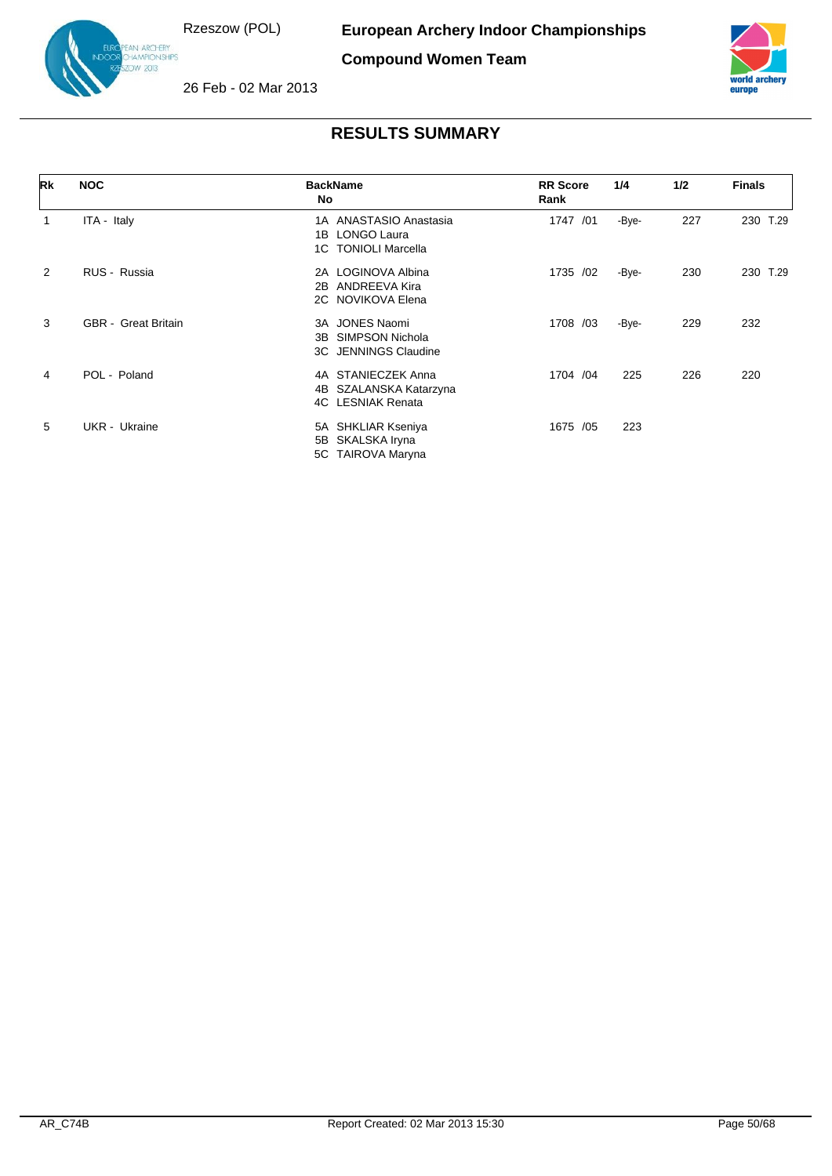IN ARC<del>HE</del>RY<br>HAMPIONSHIPS<br>DW 2013





26 Feb - 02 Mar 2013

| Rk | <b>NOC</b>                 | <b>BackName</b><br>No                                                               | <b>RR Score</b><br>Rank | 1/4   | 1/2 | <b>Finals</b> |
|----|----------------------------|-------------------------------------------------------------------------------------|-------------------------|-------|-----|---------------|
| 1  | ITA - Italy                | 1A ANASTASIO Anastasia<br><b>LONGO Laura</b><br>1B<br><b>TONIOLI Marcella</b><br>1C | 1747 /01                | -Bye- | 227 | 230 T.29      |
| 2  | RUS - Russia               | 2A LOGINOVA Albina<br>ANDREEVA Kira<br>2B<br>2C NOVIKOVA Elena                      | 1735 /02                | -Bye- | 230 | 230 T.29      |
| 3  | <b>GBR</b> - Great Britain | 3A JONES Naomi<br><b>SIMPSON Nichola</b><br>3B<br>3C JENNINGS Claudine              | 1708 /03                | -Bye- | 229 | 232           |
| 4  | POL - Poland               | 4A STANIECZEK Anna<br>4B SZALANSKA Katarzyna<br><b>4C</b> LESNIAK Renata            | 1704 /04                | 225   | 226 | 220           |
| 5  | UKR - Ukraine              | 5A SHKLIAR Kseniya<br>5B SKALSKA Iryna<br>5C TAIROVA Maryna                         | 1675 /05                | 223   |     |               |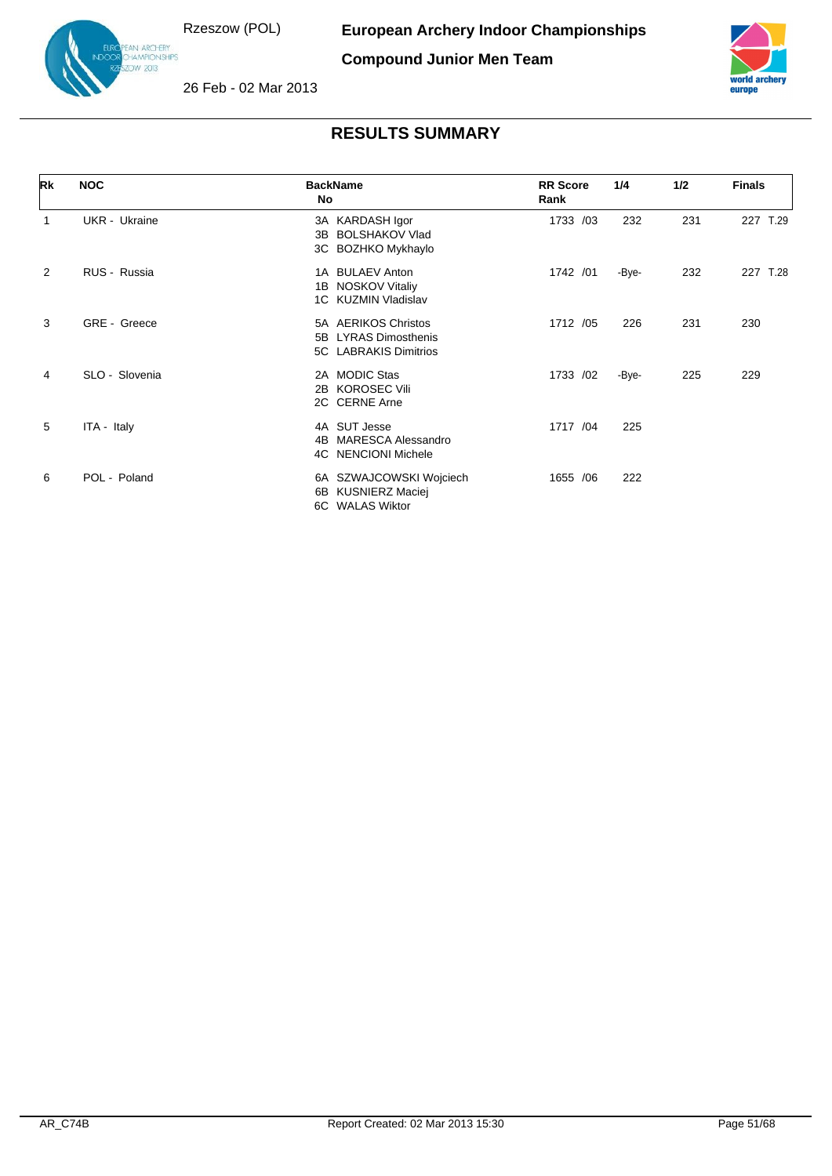.<br>IAMPIONSHIPS  $v$  2013

**Compound Junior Men Team**



26 Feb - 02 Mar 2013

| Rk          | <b>NOC</b>     | <b>BackName</b><br><b>No</b>                                                | <b>RR Score</b><br>Rank | 1/4   | 1/2 | <b>Finals</b> |
|-------------|----------------|-----------------------------------------------------------------------------|-------------------------|-------|-----|---------------|
| $\mathbf 1$ | UKR - Ukraine  | 3A KARDASH Igor<br><b>BOLSHAKOV Vlad</b><br>3B<br>3C BOZHKO Mykhaylo        | 1733 /03                | 232   | 231 | 227 T.29      |
| 2           | RUS - Russia   | 1A BULAEV Anton<br>1B NOSKOV Vitaliy<br>1C KUZMIN Vladislav                 | 1742 /01                | -Bye- | 232 | 227 T.28      |
| 3           | GRE - Greece   | 5A AERIKOS Christos<br>5B LYRAS Dimosthenis<br>5C LABRAKIS Dimitrios        | 1712 /05                | 226   | 231 | 230           |
| 4           | SLO - Slovenia | 2A MODIC Stas<br>2B KOROSEC Vili<br>2C CERNE Arne                           | 1733 /02                | -Bye- | 225 | 229           |
| 5           | ITA - Italy    | 4A SUT Jesse<br><b>MARESCA Alessandro</b><br>4B.<br>4C NENCIONI Michele     | 1717 /04                | 225   |     |               |
| 6           | POL - Poland   | 6A SZWAJCOWSKI Wojciech<br><b>KUSNIERZ Maciej</b><br>6B.<br>6C WALAS Wiktor | 1655 / 06               | 222   |     |               |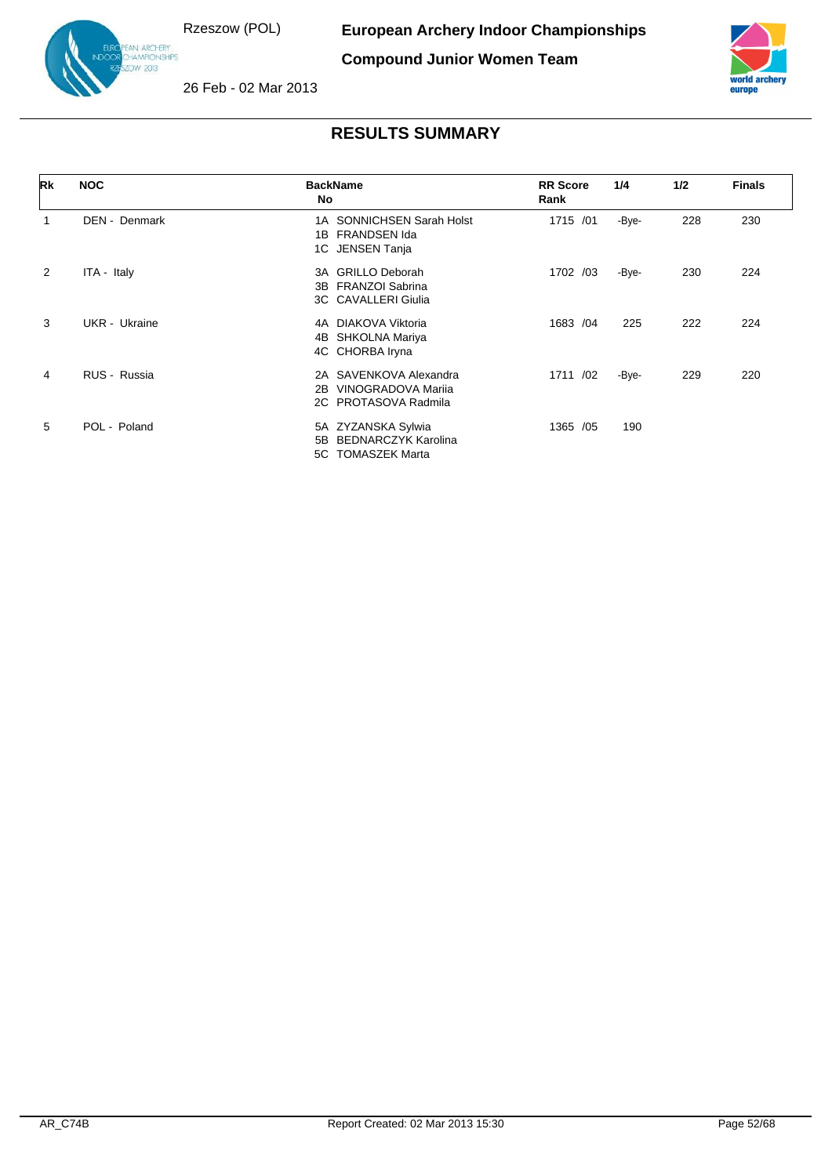.<br>IAMPIONSHIPS  $v$  2013

**Compound Junior Women Team**



26 Feb - 02 Mar 2013

| Rk | <b>NOC</b>    | <b>BackName</b><br>No                                                            | <b>RR Score</b><br>Rank | 1/4   | 1/2 | <b>Finals</b> |
|----|---------------|----------------------------------------------------------------------------------|-------------------------|-------|-----|---------------|
|    | DEN - Denmark | 1A SONNICHSEN Sarah Holst<br>FRANDSEN Ida<br>1B<br>1C JENSEN Tanja               | 1715 /01                | -Bye- | 228 | 230           |
| 2  | ITA - Italy   | <b>GRILLO Deborah</b><br>3A<br>3B FRANZOI Sabrina<br>3C CAVALLERI Giulia         | 1702 /03                | -Bye- | 230 | 224           |
| 3  | UKR - Ukraine | DIAKOVA Viktoria<br>4A<br>4B SHKOLNA Mariya<br>4C CHORBA Iryna                   | 1683 /04                | 225   | 222 | 224           |
| 4  | RUS - Russia  | 2A SAVENKOVA Alexandra<br>VINOGRADOVA Marija<br>2B<br>2C PROTASOVA Radmila       | 1711 /02                | -Bye- | 229 | 220           |
| 5  | POL - Poland  | 5A ZYZANSKA Sylwia<br><b>BEDNARCZYK Karolina</b><br>5B<br>TOMASZEK Marta<br>5C . | 1365 / 05               | 190   |     |               |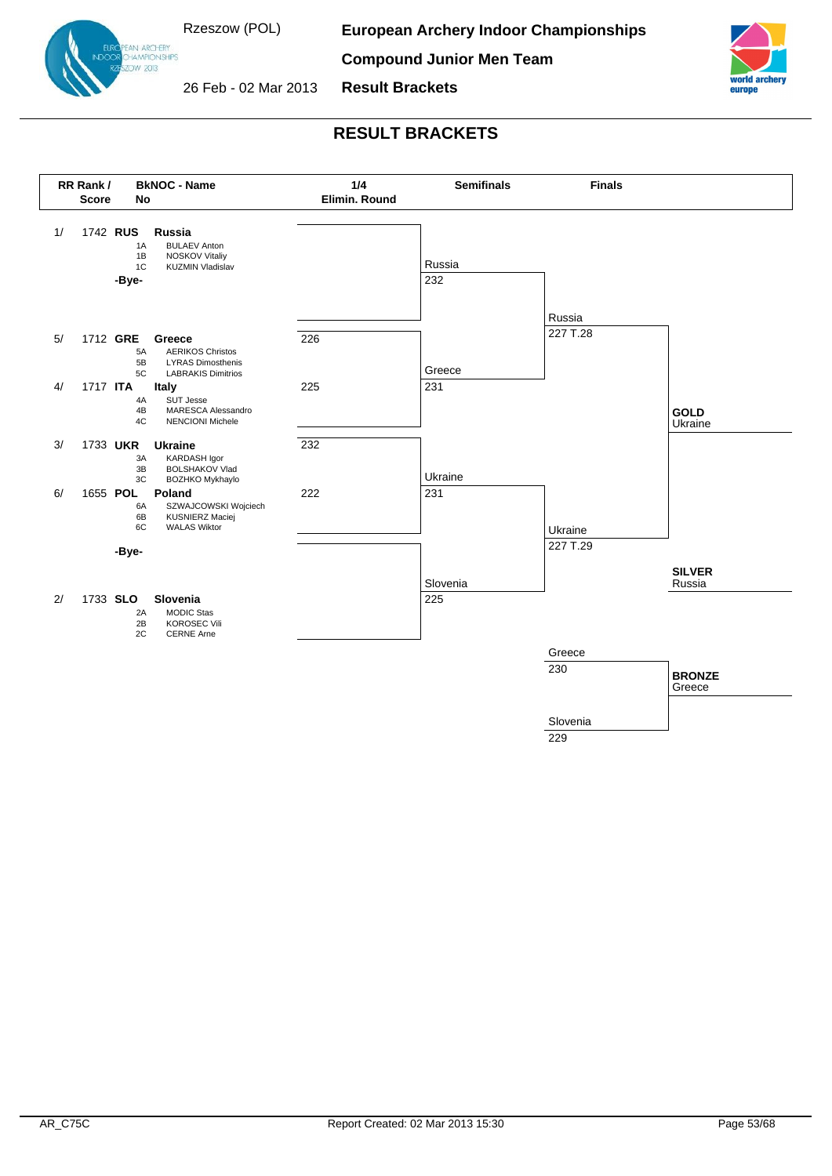

:<br>AN ARCHERY<br>HAMPIONSHIPS  $OW$  2013

**European Archery Indoor Championships**

**Compound Junior Men Team**



26 Feb - 02 Mar 2013

**RESULT BRACKETS**

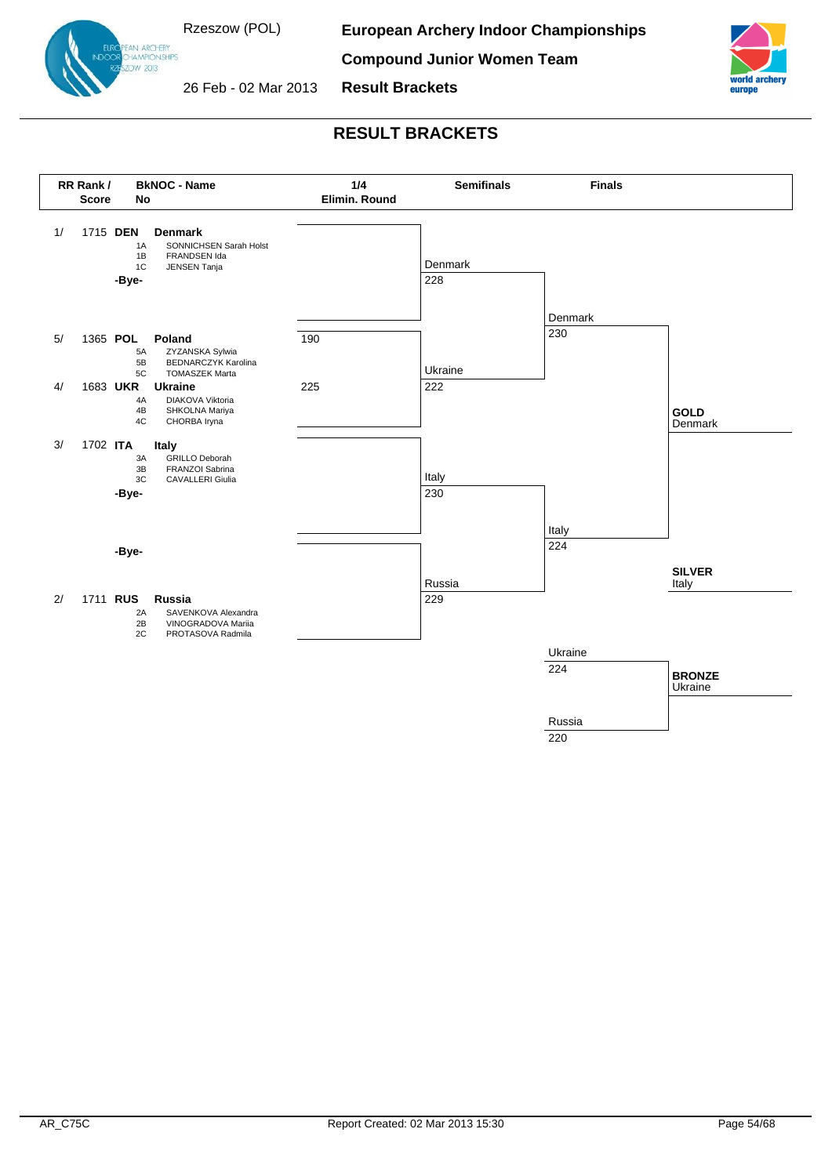

:<br>AN ARCHERY<br>:HAMPIONSHIPS **OW 2013** 

**European Archery Indoor Championships**

**Compound Junior Women Team**



26 Feb - 02 Mar 2013

**RESULT BRACKETS**

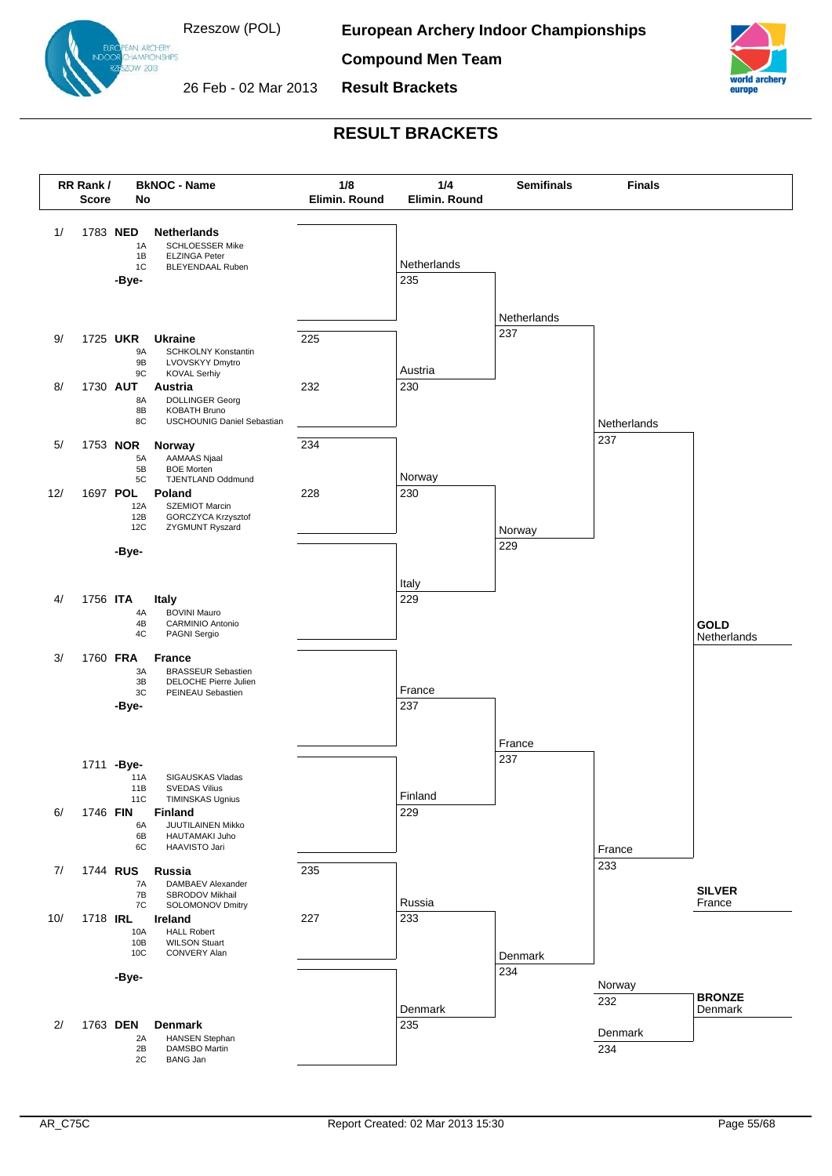

AN ARCHERY **HAMPIONSHIPS** OW 2013

**European Archery Indoor Championships**

**Compound Men Team**



26 Feb - 02 Mar 2013

**Result Brackets**

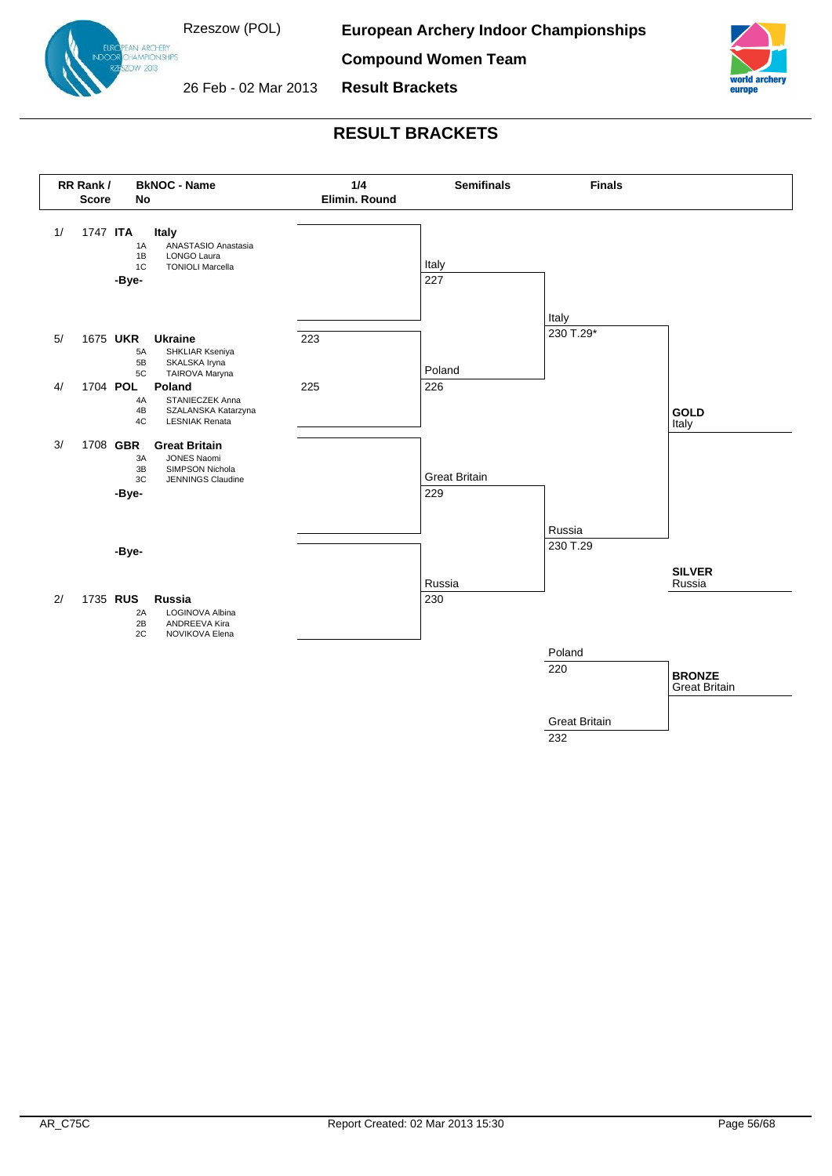

:<br>AN ARCHERY<br>HAMPIONSHIPS **OW 2013** 

**European Archery Indoor Championships**

**Compound Women Team**



26 Feb - 02 Mar 2013

**RESULT BRACKETS**

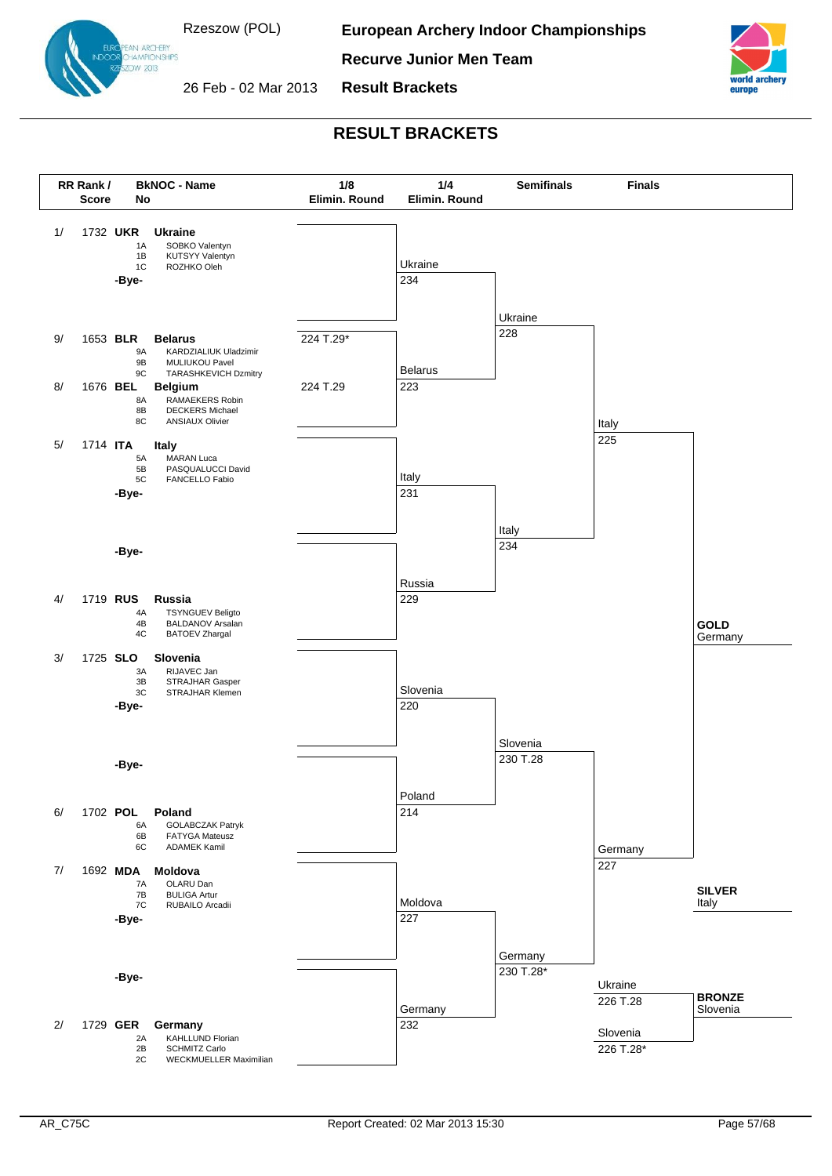

EAN ARCHERY<br>DHAMPIONSHIPS OW 2013

**European Archery Indoor Championships**

**Recurve Junior Men Team**



26 Feb - 02 Mar 2013

**RESULT BRACKETS**

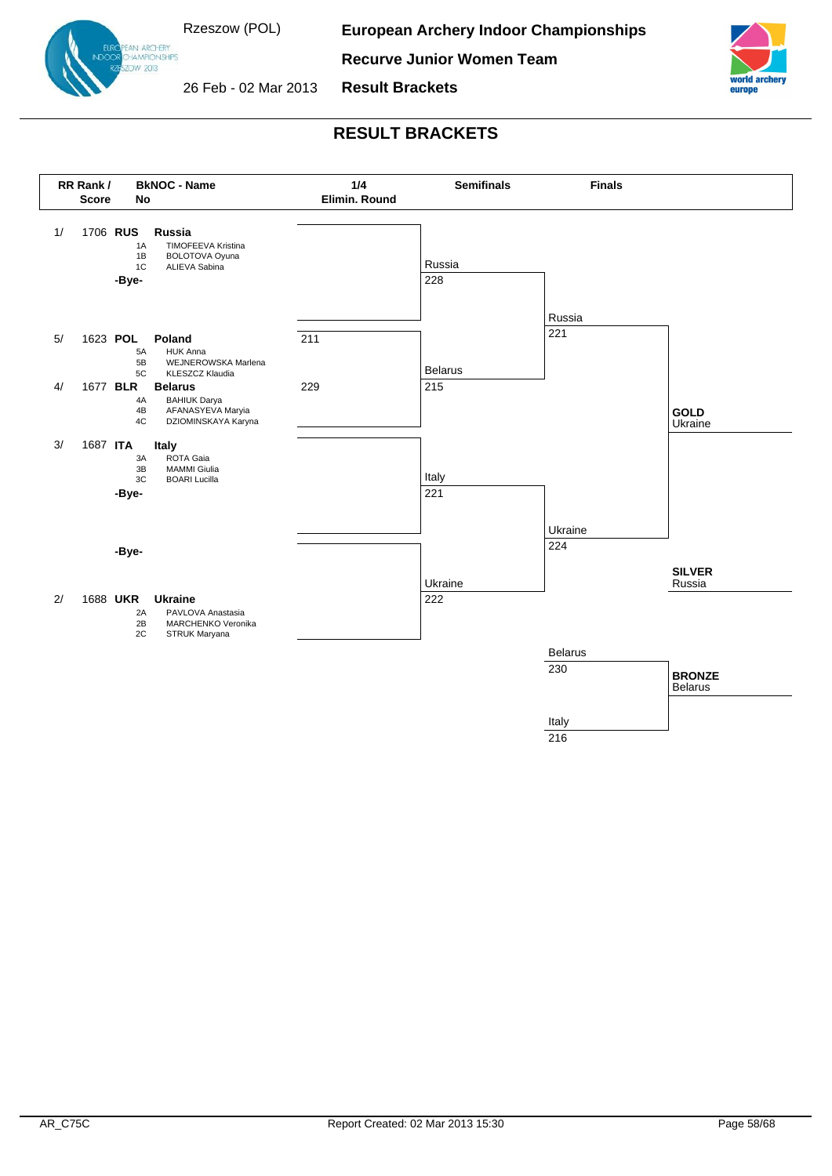

:<br>AN ARCHERY<br>HAMPIONSHIPS **OW 2013** 

**European Archery Indoor Championships**

**Recurve Junior Women Team**



26 Feb - 02 Mar 2013

# **RESULT BRACKETS**

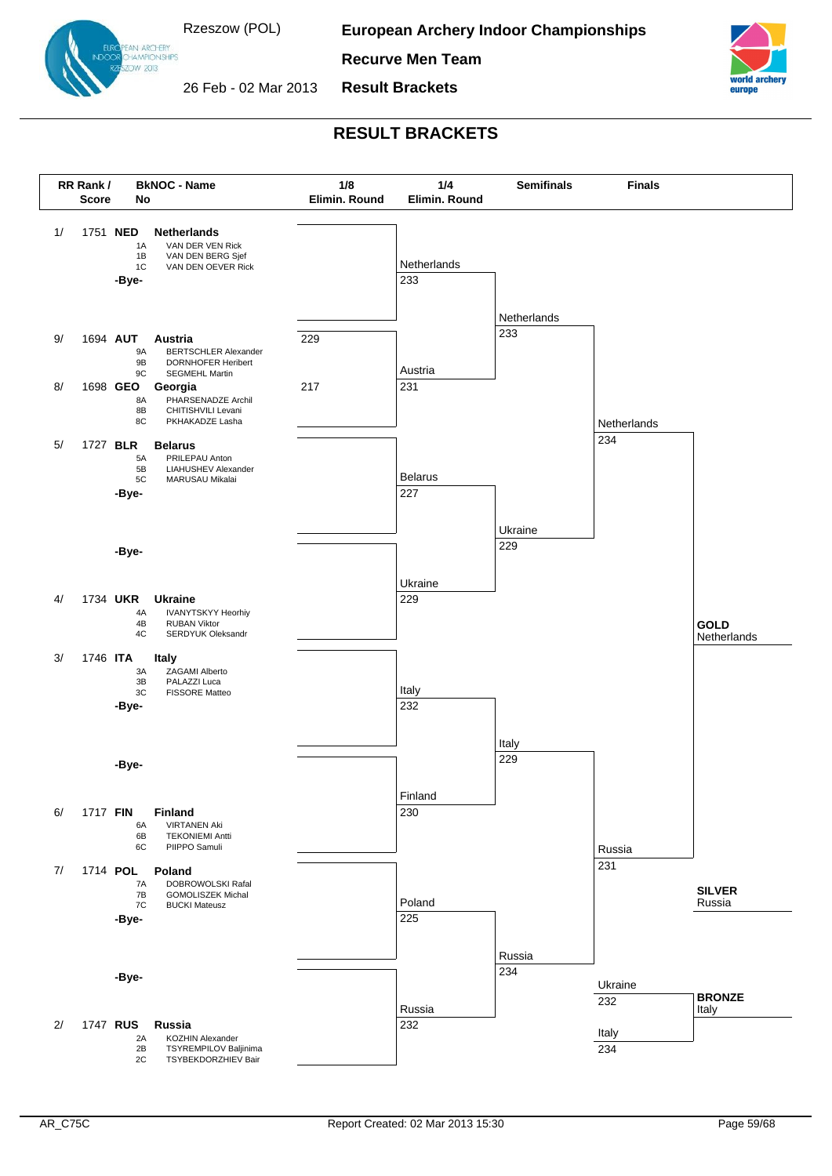

EAN ARCHERY<br>DHAMPIONSHIPS OW 2013

**European Archery Indoor Championships**

**Recurve Men Team**



**Result Brackets**



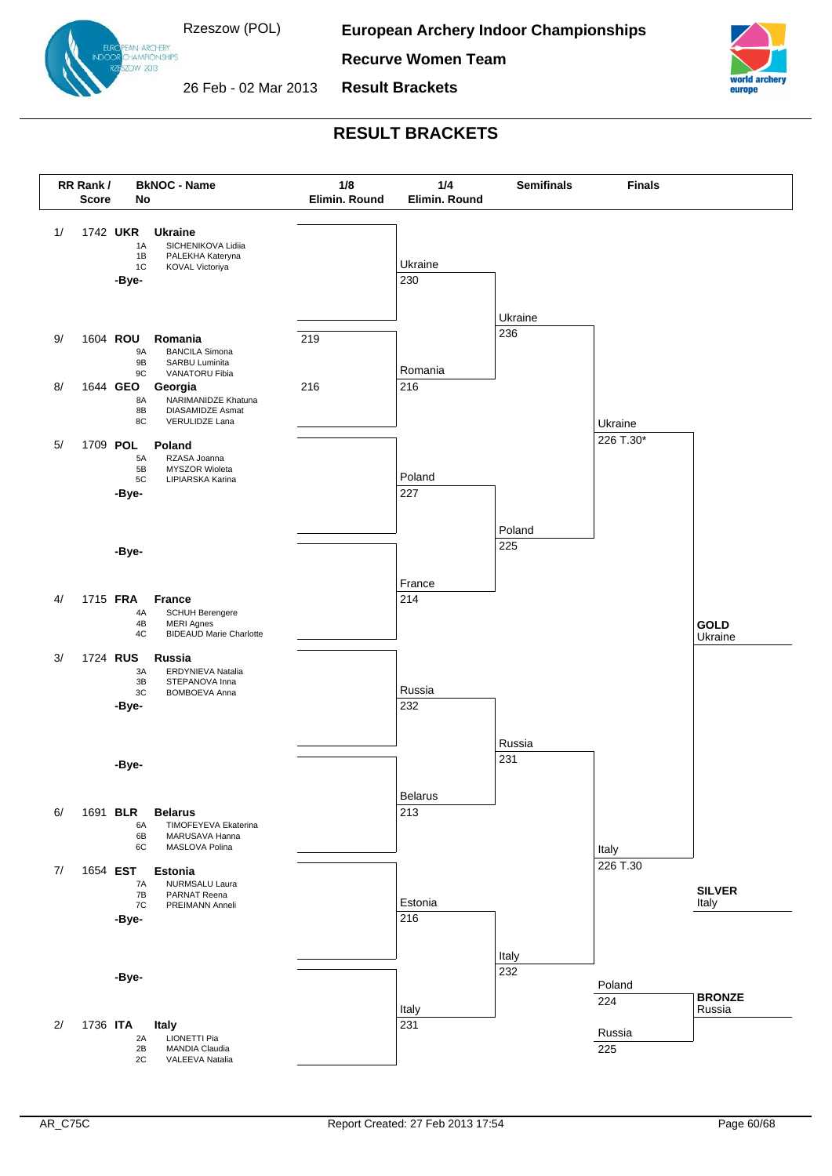

EAN ARCHERY<br>DHAMPIONSHIPS OW 2013

**European Archery Indoor Championships**

**Recurve Women Team**



26 Feb - 02 Mar 2013

**Result Brackets**

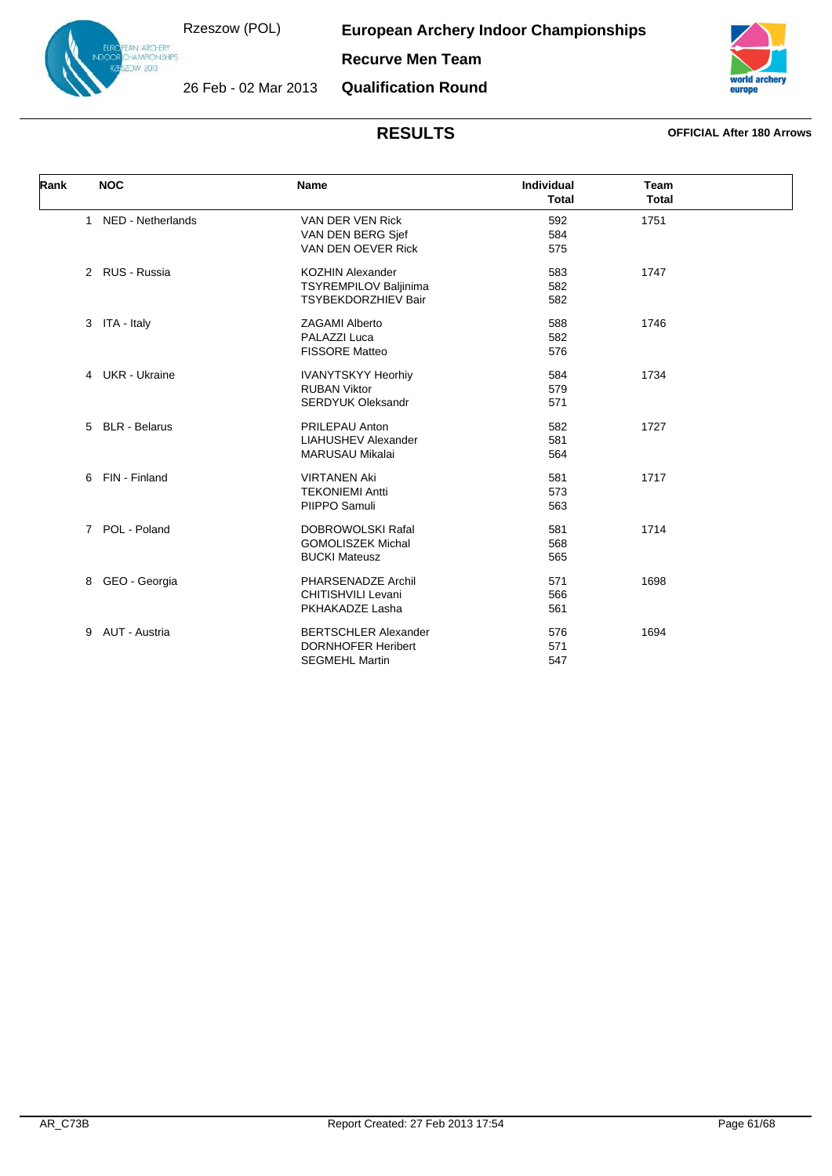**European Archery Indoor Championships**



**Recurve Men Team**

26 Feb - 02 Mar 2013

**Qualification Round**



| Rank | <b>NOC</b>                  | <b>Name</b>                 | <b>Individual</b><br><b>Total</b> | <b>Team</b><br><b>Total</b> |  |
|------|-----------------------------|-----------------------------|-----------------------------------|-----------------------------|--|
|      | 1 NED - Netherlands         | VAN DER VEN Rick            | 592                               | 1751                        |  |
|      |                             | VAN DEN BERG Sjef           | 584                               |                             |  |
|      |                             | VAN DEN OEVER Rick          | 575                               |                             |  |
|      | 2 RUS - Russia              | <b>KOZHIN Alexander</b>     | 583                               | 1747                        |  |
|      |                             | TSYREMPILOV Baljinima       | 582                               |                             |  |
|      |                             | <b>TSYBEKDORZHIEV Bair</b>  | 582                               |                             |  |
|      | 3 ITA - Italy               | <b>ZAGAMI Alberto</b>       | 588                               | 1746                        |  |
|      |                             | PALAZZI Luca                | 582                               |                             |  |
|      |                             | <b>FISSORE Matteo</b>       | 576                               |                             |  |
|      | 4 UKR - Ukraine             | <b>IVANYTSKYY Heorhiy</b>   | 584                               | 1734                        |  |
|      |                             | <b>RUBAN Viktor</b>         | 579                               |                             |  |
|      |                             | <b>SERDYUK Oleksandr</b>    | 571                               |                             |  |
|      | 5 BLR - Belarus             | PRILEPAU Anton              | 582                               | 1727                        |  |
|      |                             | <b>LIAHUSHEV Alexander</b>  | 581                               |                             |  |
|      |                             | <b>MARUSAU Mikalai</b>      | 564                               |                             |  |
|      | FIN - Finland<br>6          | <b>VIRTANEN Aki</b>         | 581                               | 1717                        |  |
|      |                             | <b>TEKONIEMI Antti</b>      | 573                               |                             |  |
|      |                             | PIIPPO Samuli               | 563                               |                             |  |
|      | POL - Poland<br>$7^{\circ}$ | <b>DOBROWOLSKI Rafal</b>    | 581                               | 1714                        |  |
|      |                             | <b>GOMOLISZEK Michal</b>    | 568                               |                             |  |
|      |                             | <b>BUCKI Mateusz</b>        | 565                               |                             |  |
|      | GEO - Georgia<br>8          | PHARSENADZE Archil          | 571                               | 1698                        |  |
|      |                             | CHITISHVILI Levani          | 566                               |                             |  |
|      |                             | PKHAKADZE Lasha             | 561                               |                             |  |
|      | AUT - Austria<br>9          | <b>BERTSCHLER Alexander</b> | 576                               | 1694                        |  |
|      |                             | <b>DORNHOFER Heribert</b>   | 571                               |                             |  |
|      |                             | <b>SEGMEHL Martin</b>       | 547                               |                             |  |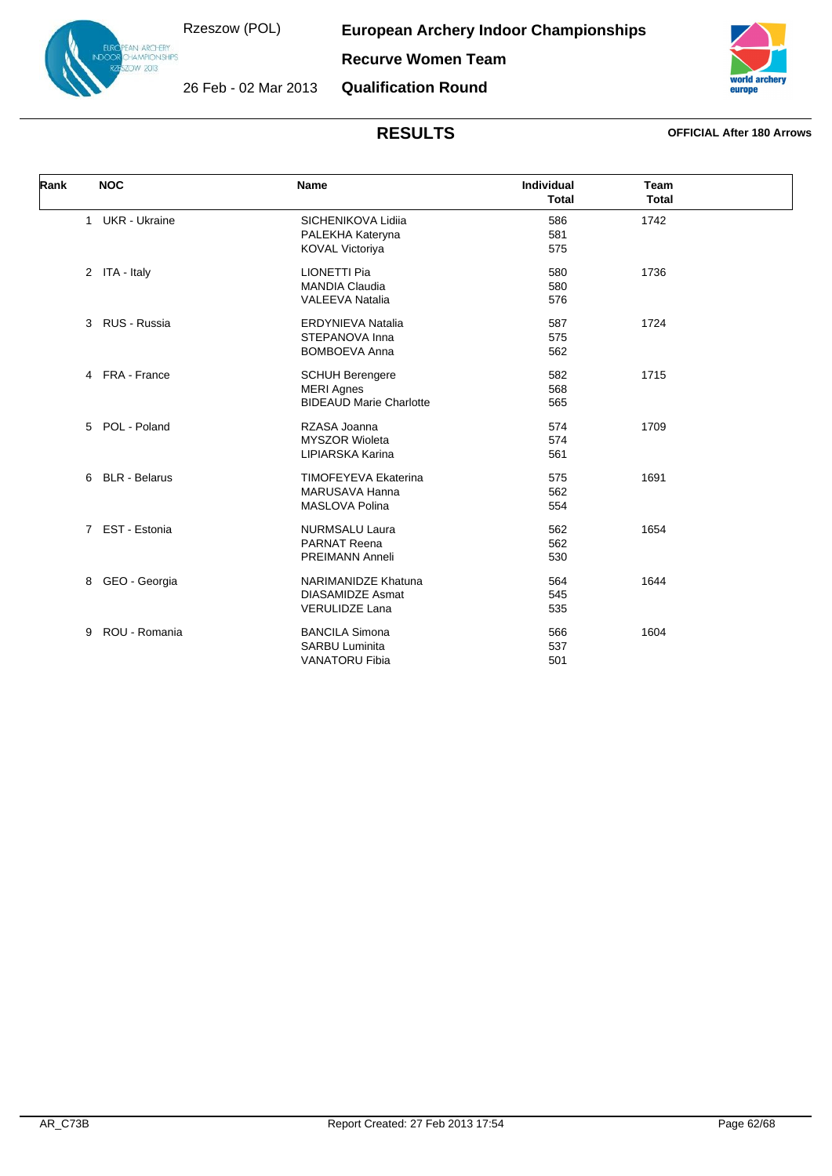**European Archery Indoor Championships**



**Recurve Women Team**

26 Feb - 02 Mar 2013 **Qualification Round**



| Rank | <b>NOC</b>                 | <b>Name</b>                                                                    | <b>Individual</b><br><b>Total</b> | Team<br><b>Total</b> |  |
|------|----------------------------|--------------------------------------------------------------------------------|-----------------------------------|----------------------|--|
|      | 1 UKR - Ukraine            | SICHENIKOVA Lidiia<br>PALEKHA Kateryna<br><b>KOVAL Victoriya</b>               | 586<br>581<br>575                 | 1742                 |  |
|      | 2 ITA - Italy              | <b>LIONETTI Pia</b><br><b>MANDIA Claudia</b><br><b>VALEEVA Natalia</b>         | 580<br>580<br>576                 | 1736                 |  |
|      | 3 RUS - Russia             | <b>ERDYNIEVA Natalia</b><br>STEPANOVA Inna<br><b>BOMBOEVA Anna</b>             | 587<br>575<br>562                 | 1724                 |  |
|      | 4 FRA - France             | <b>SCHUH Berengere</b><br><b>MERI Agnes</b><br><b>BIDEAUD Marie Charlotte</b>  | 582<br>568<br>565                 | 1715                 |  |
|      | 5 POL - Poland             | RZASA Joanna<br><b>MYSZOR Wioleta</b><br>LIPIARSKA Karina                      | 574<br>574<br>561                 | 1709                 |  |
|      | <b>BLR</b> - Belarus<br>6. | <b>TIMOFEYEVA Ekaterina</b><br>MARUSAVA Hanna<br><b>MASLOVA Polina</b>         | 575<br>562<br>554                 | 1691                 |  |
|      | 7 EST - Estonia            | <b>NURMSALU Laura</b><br><b>PARNAT Reena</b><br><b>PREIMANN Anneli</b>         | 562<br>562<br>530                 | 1654                 |  |
|      | GEO - Georgia<br>8         | <b>NARIMANIDZE Khatuna</b><br><b>DIASAMIDZE Asmat</b><br><b>VERULIDZE Lana</b> | 564<br>545<br>535                 | 1644                 |  |
|      | ROU - Romania<br>9         | <b>BANCILA Simona</b><br><b>SARBU Luminita</b><br><b>VANATORU Fibia</b>        | 566<br>537<br>501                 | 1604                 |  |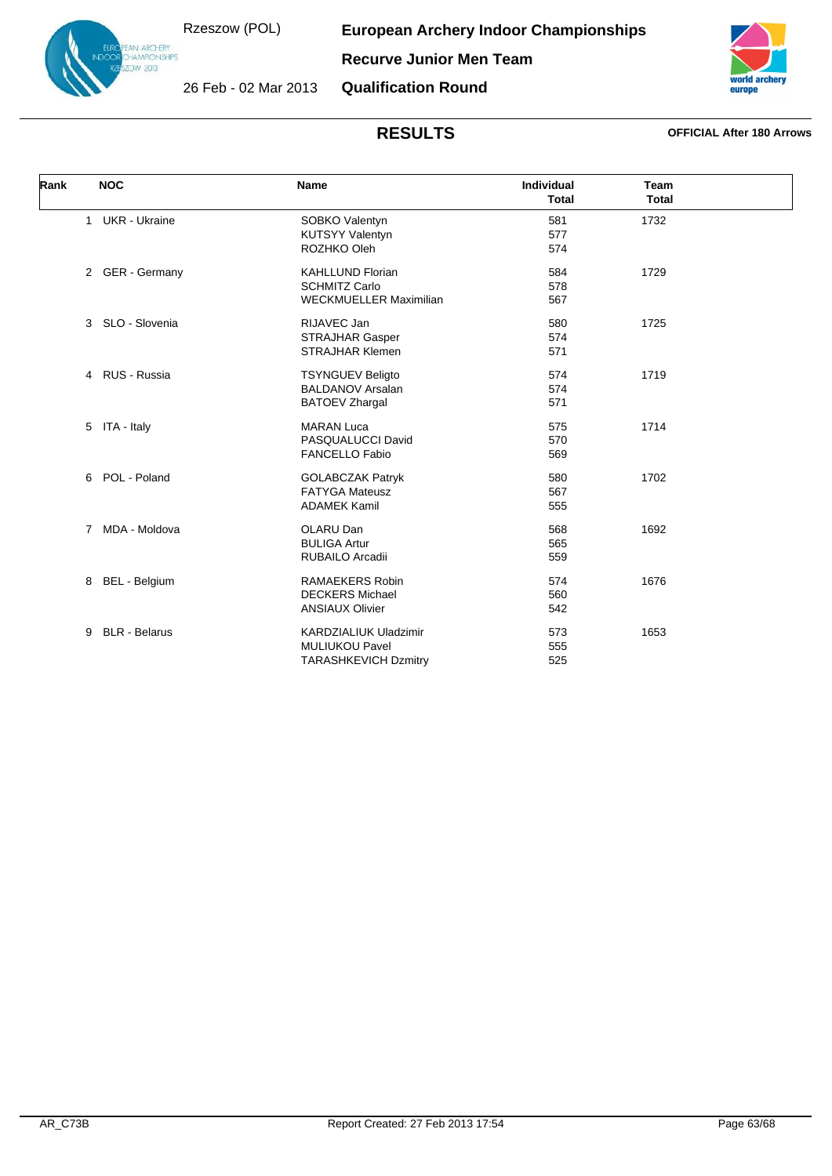N ARCHERY<br>AMPIONSHIPS  $12013$ 

**European Archery Indoor Championships**

**Recurve Junior Men Team**



26 Feb - 02 Mar 2013

**Qualification Round**

| Rank | <b>NOC</b>                     | <b>Name</b>                                                                          | <b>Individual</b><br><b>Total</b> | <b>Team</b><br><b>Total</b> |  |
|------|--------------------------------|--------------------------------------------------------------------------------------|-----------------------------------|-----------------------------|--|
|      | 1 UKR - Ukraine                | SOBKO Valentyn<br><b>KUTSYY Valentyn</b><br>ROZHKO Oleh                              | 581<br>577<br>574                 | 1732                        |  |
|      | 2 GER - Germany                | <b>KAHLLUND Florian</b><br><b>SCHMITZ Carlo</b><br><b>WECKMUELLER Maximilian</b>     | 584<br>578<br>567                 | 1729                        |  |
|      | 3 SLO - Slovenia               | RIJAVEC Jan<br><b>STRAJHAR Gasper</b><br><b>STRAJHAR Klemen</b>                      | 580<br>574<br>571                 | 1725                        |  |
|      | RUS - Russia<br>$\overline{4}$ | <b>TSYNGUEV Beligto</b><br><b>BALDANOV Arsalan</b><br><b>BATOEV Zhargal</b>          | 574<br>574<br>571                 | 1719                        |  |
|      | ITA - Italy<br>5               | <b>MARAN Luca</b><br>PASQUALUCCI David<br><b>FANCELLO Fabio</b>                      | 575<br>570<br>569                 | 1714                        |  |
|      | POL - Poland<br>6              | <b>GOLABCZAK Patryk</b><br><b>FATYGA Mateusz</b><br><b>ADAMEK Kamil</b>              | 580<br>567<br>555                 | 1702                        |  |
|      | MDA - Moldova<br>$7^{\circ}$   | OLARU Dan<br><b>BULIGA Artur</b><br>RUBAILO Arcadii                                  | 568<br>565<br>559                 | 1692                        |  |
|      | <b>BEL</b> - Belgium<br>8      | <b>RAMAEKERS Robin</b><br><b>DECKERS Michael</b><br><b>ANSIAUX Olivier</b>           | 574<br>560<br>542                 | 1676                        |  |
|      | <b>BLR</b> - Belarus<br>9      | <b>KARDZIALIUK Uladzimir</b><br><b>MULIUKOU Pavel</b><br><b>TARASHKEVICH Dzmitry</b> | 573<br>555<br>525                 | 1653                        |  |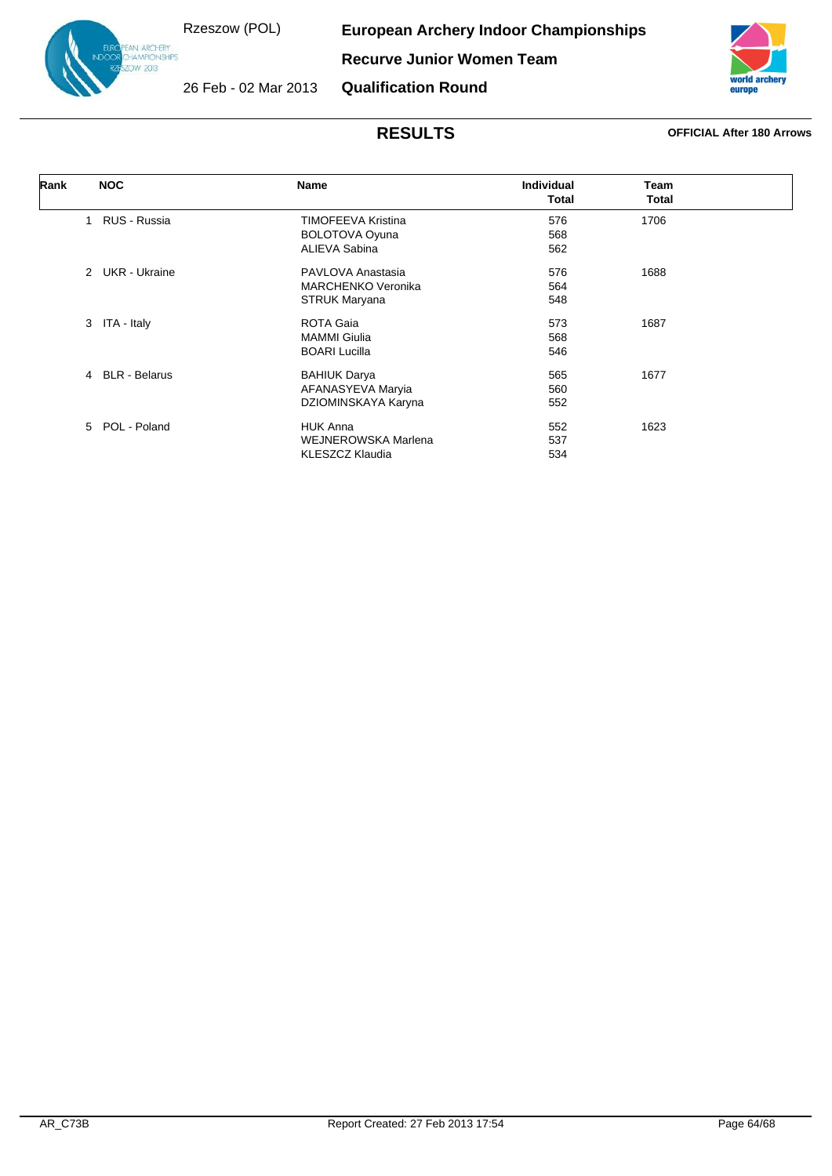N ARCHERY<br>AMPIONSHIPS  $12013$ 

**European Archery Indoor Championships**

**Recurve Junior Women Team**



26 Feb - 02 Mar 2013

**Qualification Round**

| Rank | <b>NOC</b>                  | Name                       | <b>Individual</b> | Team         |  |
|------|-----------------------------|----------------------------|-------------------|--------------|--|
|      |                             |                            | <b>Total</b>      | <b>Total</b> |  |
|      | RUS - Russia<br>1           | <b>TIMOFEEVA Kristina</b>  | 576               | 1706         |  |
|      |                             | <b>BOLOTOVA Oyuna</b>      | 568               |              |  |
|      |                             | ALIEVA Sabina              | 562               |              |  |
|      | 2 UKR - Ukraine             | PAVLOVA Anastasia          | 576               | 1688         |  |
|      |                             | <b>MARCHENKO Veronika</b>  | 564               |              |  |
|      |                             | <b>STRUK Maryana</b>       | 548               |              |  |
|      | ITA - Italy<br>3            | ROTA Gaia                  | 573               | 1687         |  |
|      |                             | <b>MAMMI Giulia</b>        | 568               |              |  |
|      |                             | <b>BOARI Lucilla</b>       | 546               |              |  |
|      | 4 BLR - Belarus             | <b>BAHIUK Darya</b>        | 565               | 1677         |  |
|      |                             | AFANASYEVA Maryia          | 560               |              |  |
|      |                             | DZIOMINSKAYA Karyna        | 552               |              |  |
|      | $5^{\circ}$<br>POL - Poland | <b>HUK Anna</b>            | 552               | 1623         |  |
|      |                             | <b>WEJNEROWSKA Marlena</b> | 537               |              |  |
|      |                             | <b>KLESZCZ Klaudia</b>     | 534               |              |  |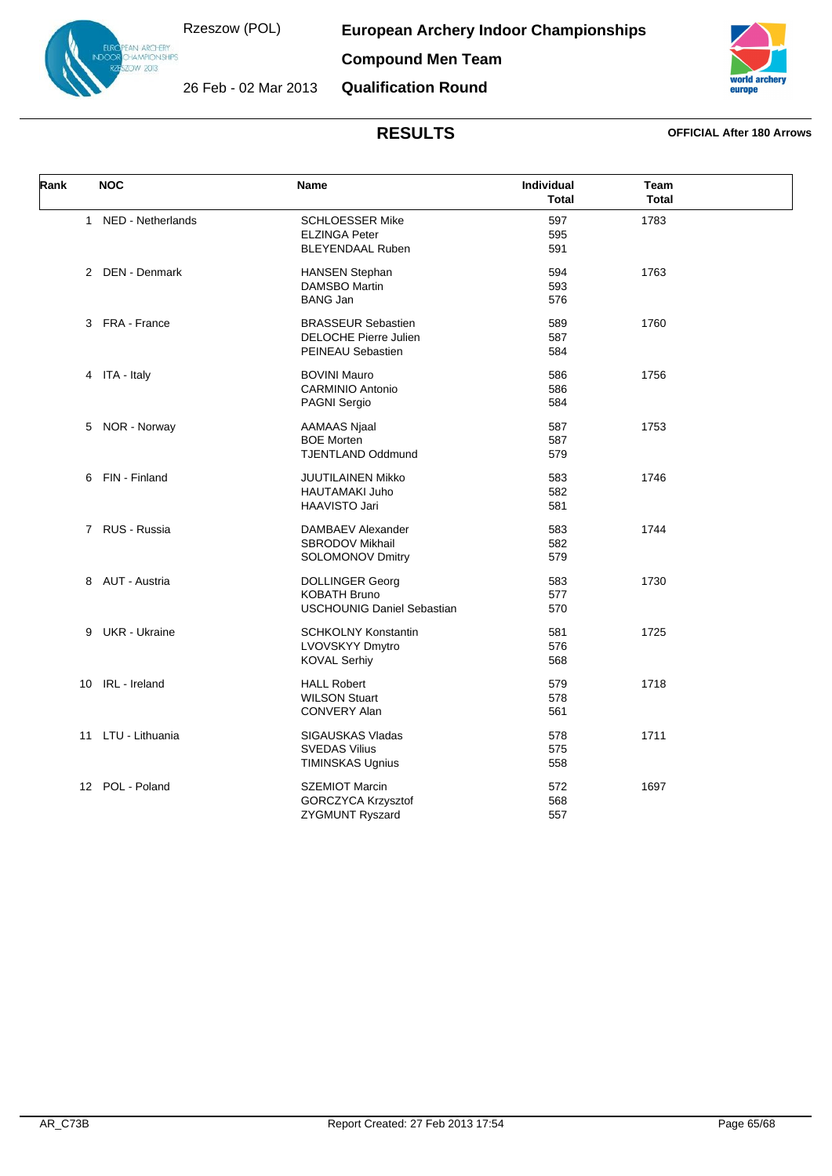26 Feb - 02 Mar 2013

**European Archery Indoor Championships**



**Compound Men Team**

**Qualification Round**



| Rank | <b>NOC</b>          | <b>Name</b>                                                                        | Individual<br><b>Total</b> | Team<br><b>Total</b> |  |
|------|---------------------|------------------------------------------------------------------------------------|----------------------------|----------------------|--|
|      | 1 NED - Netherlands | <b>SCHLOESSER Mike</b><br><b>ELZINGA Peter</b><br><b>BLEYENDAAL Ruben</b>          | 597<br>595<br>591          | 1783                 |  |
|      | 2 DEN - Denmark     | <b>HANSEN Stephan</b><br><b>DAMSBO Martin</b><br><b>BANG Jan</b>                   | 594<br>593<br>576          | 1763                 |  |
|      | 3 FRA - France      | <b>BRASSEUR Sebastien</b><br>DELOCHE Pierre Julien<br><b>PEINEAU Sebastien</b>     | 589<br>587<br>584          | 1760                 |  |
|      | 4 ITA - Italy       | <b>BOVINI Mauro</b><br><b>CARMINIO Antonio</b><br><b>PAGNI Sergio</b>              | 586<br>586<br>584          | 1756                 |  |
|      | 5 NOR - Norway      | <b>AAMAAS Njaal</b><br><b>BOE Morten</b><br><b>TJENTLAND Oddmund</b>               | 587<br>587<br>579          | 1753                 |  |
|      | 6 FIN - Finland     | <b>JUUTILAINEN Mikko</b><br><b>HAUTAMAKI Juho</b><br>HAAVISTO Jari                 | 583<br>582<br>581          | 1746                 |  |
|      | 7 RUS - Russia      | DAMBAEV Alexander<br>SBRODOV Mikhail<br>SOLOMONOV Dmitry                           | 583<br>582<br>579          | 1744                 |  |
|      | 8 AUT - Austria     | <b>DOLLINGER Georg</b><br><b>KOBATH Bruno</b><br><b>USCHOUNIG Daniel Sebastian</b> | 583<br>577<br>570          | 1730                 |  |
|      | 9 UKR - Ukraine     | <b>SCHKOLNY Konstantin</b><br>LVOVSKYY Dmytro<br><b>KOVAL Serhiy</b>               | 581<br>576<br>568          | 1725                 |  |
|      | 10 IRL - Ireland    | <b>HALL Robert</b><br><b>WILSON Stuart</b><br><b>CONVERY Alan</b>                  | 579<br>578<br>561          | 1718                 |  |
| 11   | LTU - Lithuania     | SIGAUSKAS Vladas<br><b>SVEDAS Vilius</b><br><b>TIMINSKAS Ugnius</b>                | 578<br>575<br>558          | 1711                 |  |
|      | 12 POL - Poland     | <b>SZEMIOT Marcin</b><br><b>GORCZYCA Krzysztof</b><br>ZYGMUNT Ryszard              | 572<br>568<br>557          | 1697                 |  |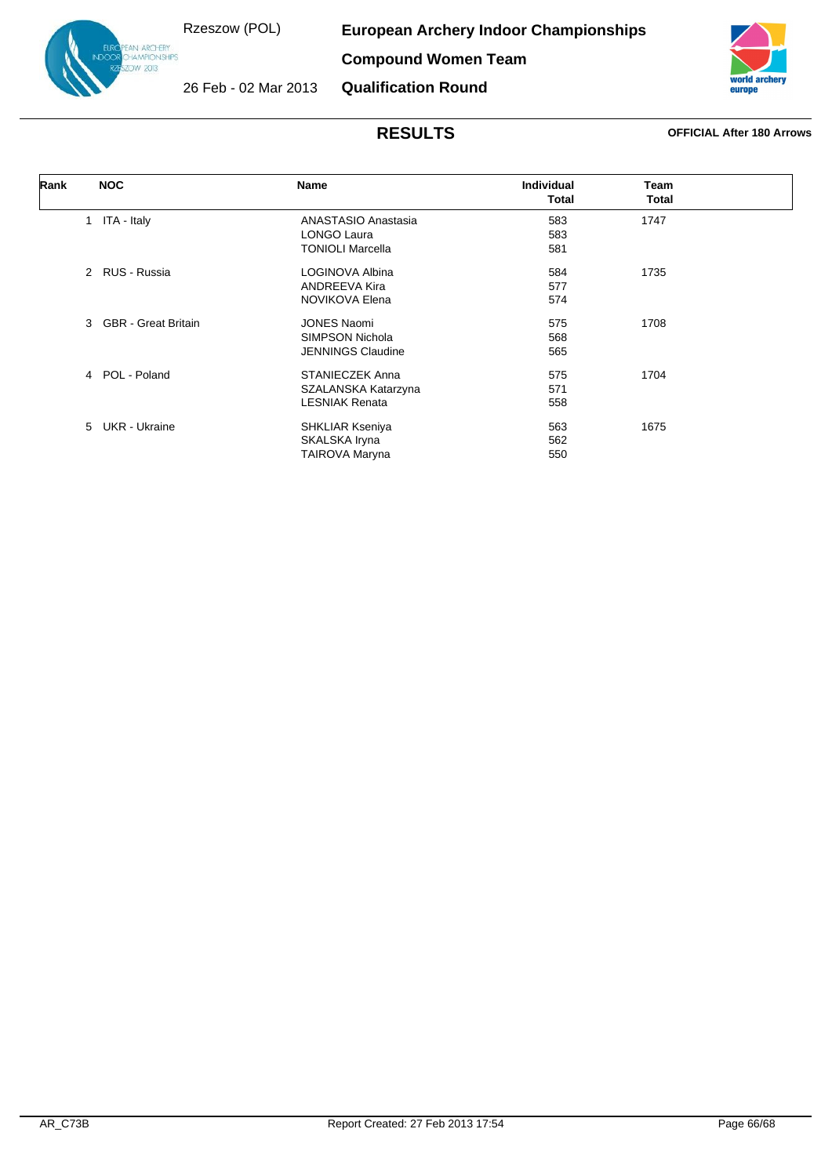N ARCHERY<br>AMPIONSHIPS<br>IW 2013

**European Archery Indoor Championships**

**Compound Women Team**



26 Feb - 02 Mar 2013

**Qualification Round**

| Rank | <b>NOC</b>                                  | Name                     | <b>Individual</b> | Team  |  |
|------|---------------------------------------------|--------------------------|-------------------|-------|--|
|      |                                             |                          | Total             | Total |  |
|      | ITA - Italy<br>$\mathbf{1}$                 | ANASTASIO Anastasia      | 583               | 1747  |  |
|      |                                             | LONGO Laura              | 583               |       |  |
|      |                                             | <b>TONIOLI Marcella</b>  | 581               |       |  |
|      | 2 RUS - Russia                              | LOGINOVA Albina          | 584               | 1735  |  |
|      |                                             | <b>ANDREEVA Kira</b>     | 577               |       |  |
|      |                                             | NOVIKOVA Elena           | 574               |       |  |
|      | <b>GBR</b> - Great Britain<br>$\mathcal{E}$ | <b>JONES Naomi</b>       | 575               | 1708  |  |
|      |                                             | <b>SIMPSON Nichola</b>   | 568               |       |  |
|      |                                             | <b>JENNINGS Claudine</b> | 565               |       |  |
|      | 4 POL - Poland                              | STANIECZEK Anna          | 575               | 1704  |  |
|      |                                             | SZALANSKA Katarzyna      | 571               |       |  |
|      |                                             | <b>LESNIAK Renata</b>    | 558               |       |  |
|      | 5 UKR - Ukraine                             | <b>SHKLIAR Kseniya</b>   | 563               | 1675  |  |
|      |                                             | SKALSKA Iryna            | 562               |       |  |
|      |                                             | <b>TAIROVA Maryna</b>    | 550               |       |  |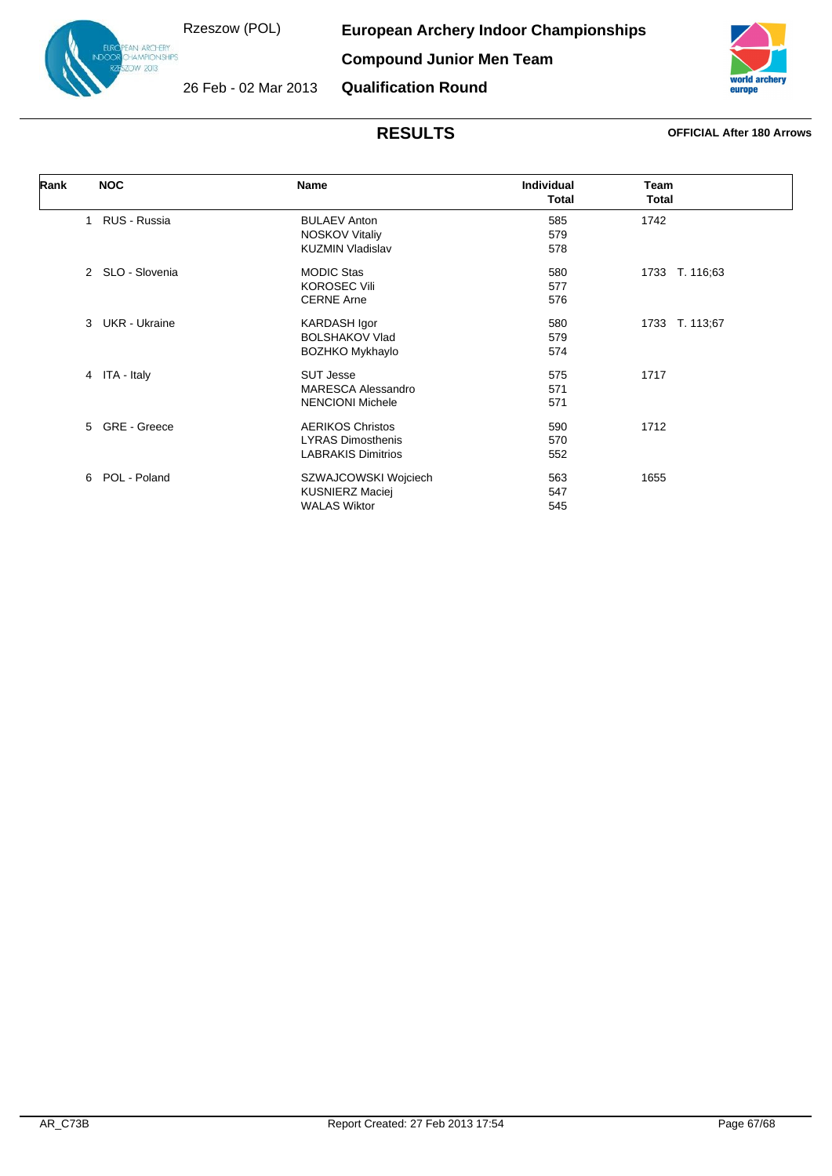**European Archery Indoor Championships**

**Compound Junior Men Team**



26 Feb - 02 Mar 2013 **Qualification Round**



| Rank<br><b>NOC</b>           | Name                      | <b>Individual</b><br><b>Total</b> | Team<br>Total  |
|------------------------------|---------------------------|-----------------------------------|----------------|
| RUS - Russia<br>$\mathbf{1}$ | <b>BULAEV Anton</b>       | 585                               | 1742           |
|                              |                           |                                   |                |
|                              | <b>NOSKOV Vitaliy</b>     | 579                               |                |
|                              | <b>KUZMIN Vladislav</b>   | 578                               |                |
| 2 SLO - Slovenia             | <b>MODIC Stas</b>         | 580                               | 1733 T. 116;63 |
|                              | <b>KOROSEC Vili</b>       | 577                               |                |
|                              | <b>CERNE Arne</b>         | 576                               |                |
| <b>UKR</b> - Ukraine<br>3    | <b>KARDASH Igor</b>       | 580                               | 1733 T. 113;67 |
|                              | <b>BOLSHAKOV Vlad</b>     | 579                               |                |
|                              | <b>BOZHKO Mykhaylo</b>    | 574                               |                |
| 4 ITA - Italy                | <b>SUT Jesse</b>          | 575                               | 1717           |
|                              | <b>MARESCA Alessandro</b> | 571                               |                |
|                              | <b>NENCIONI Michele</b>   | 571                               |                |
| $5^{\circ}$<br>GRE - Greece  | <b>AERIKOS Christos</b>   | 590                               | 1712           |
|                              | <b>LYRAS Dimosthenis</b>  | 570                               |                |
|                              | <b>LABRAKIS Dimitrios</b> | 552                               |                |
|                              |                           |                                   |                |
| POL - Poland<br>6            | SZWAJCOWSKI Wojciech      | 563                               | 1655           |
|                              | <b>KUSNIERZ Maciej</b>    | 547                               |                |
|                              | <b>WALAS Wiktor</b>       | 545                               |                |